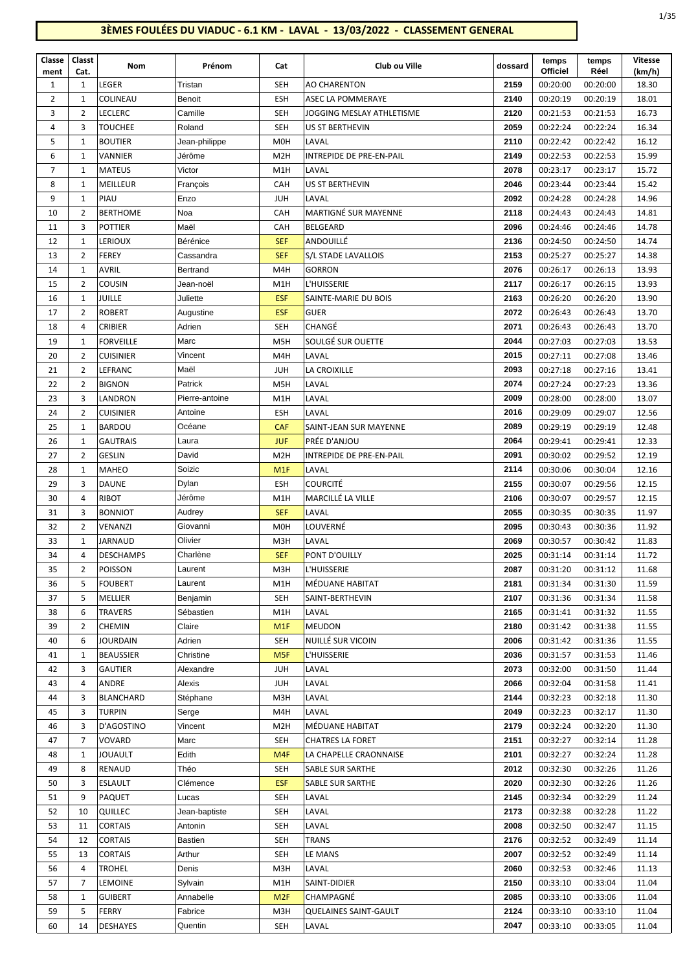## **3ÈMES FOULÉES DU VIADUC - 6.1 KM - LAVAL - 13/03/2022 - CLASSEMENT GENERAL**

| Classe<br>ment | Classt<br>Cat. | Nom                  | Prénom            | Cat                     | Club ou Ville               | dossard      | temps<br><b>Officiel</b> | temps<br>Réel        | <b>Vitesse</b><br>(km/h) |
|----------------|----------------|----------------------|-------------------|-------------------------|-----------------------------|--------------|--------------------------|----------------------|--------------------------|
| $\mathbf{1}$   | 1              | LEGER                | Tristan           | <b>SEH</b>              | <b>AO CHARENTON</b>         | 2159         | 00:20:00                 | 00:20:00             | 18.30                    |
| $\overline{2}$ | $\mathbf{1}$   | COLINEAU             | Benoit            | <b>ESH</b>              | ASEC LA POMMERAYE           | 2140         | 00:20:19                 | 00:20:19             | 18.01                    |
| 3              | $\overline{2}$ | LECLERC              | Camille           | <b>SEH</b>              | JOGGING MESLAY ATHLETISME   | 2120         | 00:21:53                 | 00:21:53             | 16.73                    |
| 4              | 3              | <b>TOUCHEE</b>       | Roland            | SEH                     | US ST BERTHEVIN             | 2059         | 00:22:24                 | 00:22:24             | 16.34                    |
| 5              | 1              | <b>BOUTIER</b>       | Jean-philippe     | M <sub>O</sub> H        | LAVAL                       | 2110         | 00:22:42                 | 00:22:42             | 16.12                    |
| 6              | 1              | VANNIER              | Jérôme            | M <sub>2</sub> H        | INTREPIDE DE PRE-EN-PAIL    | 2149         | 00:22:53                 | 00:22:53             | 15.99                    |
| 7              | 1              | <b>MATEUS</b>        | Victor            | M1H                     | LAVAL                       | 2078         | 00:23:17                 | 00:23:17             | 15.72                    |
| 8              | 1              | MEILLEUR             | François          | CAH                     | US ST BERTHEVIN             | 2046         | 00:23:44                 | 00:23:44             | 15.42                    |
| 9              | 1              | PIAU                 | Enzo              | <b>JUH</b>              | LAVAL                       | 2092         | 00:24:28                 | 00:24:28             | 14.96                    |
| 10             | $\overline{2}$ | <b>BERTHOME</b>      | Noa               | CAH                     | <b>MARTIGNÉ SUR MAYENNE</b> | 2118         | 00:24:43                 | 00:24:43             | 14.81                    |
| 11             | 3              | <b>POTTIER</b>       | Maël              | CAH                     | <b>BELGEARD</b>             | 2096         | 00:24:46                 | 00:24:46             | 14.78                    |
| 12             | 1              | <b>LERIOUX</b>       | Bérénice          | <b>SEF</b>              | ANDOUILLÉ                   | 2136         | 00:24:50                 | 00:24:50             | 14.74                    |
| 13             | $\overline{2}$ | <b>FEREY</b>         | Cassandra         | <b>SEF</b>              | S/L STADE LAVALLOIS         | 2153         | 00:25:27                 | 00:25:27             | 14.38                    |
| 14             | 1              | <b>AVRIL</b>         | Bertrand          | M4H                     | <b>GORRON</b>               | 2076         | 00:26:17                 | 00:26:13             | 13.93                    |
| 15             | $\overline{2}$ | <b>COUSIN</b>        | Jean-noël         | M1H                     | L'HUISSERIE                 | 2117         | 00:26:17                 | 00:26:15             | 13.93                    |
| 16             | 1              | JUILLE               | Juliette          | <b>ESF</b>              | SAINTE-MARIE DU BOIS        | 2163         | 00:26:20                 | 00:26:20             | 13.90                    |
| 17             | $\overline{2}$ | <b>ROBERT</b>        | Augustine         | <b>ESF</b>              | <b>GUER</b>                 | 2072         | 00:26:43                 | 00:26:43             | 13.70                    |
| 18             | 4              | <b>CRIBIER</b>       | Adrien            | <b>SEH</b>              | CHANGÉ                      | 2071         | 00:26:43                 | 00:26:43             | 13.70                    |
| 19             | 1              | <b>FORVEILLE</b>     | Marc              | M <sub>5</sub> H        | SOULGÉ SUR OUETTE           | 2044         | 00:27:03                 | 00:27:03             | 13.53                    |
| 20             | 2              | <b>CUISINIER</b>     | Vincent           | M4H                     | LAVAL                       | 2015         | 00:27:11                 | 00:27:08             | 13.46                    |
| 21             | 2              | LEFRANC              | Maël              | <b>JUH</b>              | LA CROIXILLE                | 2093         | 00:27:18                 | 00:27:16             | 13.41                    |
| 22             | $\overline{2}$ | <b>BIGNON</b>        | Patrick           | M <sub>5</sub> H        | LAVAL                       | 2074         | 00:27:24                 | 00:27:23             | 13.36                    |
| 23             | 3              | LANDRON              | Pierre-antoine    | M1H                     | LAVAL                       | 2009         | 00:28:00                 | 00:28:00             | 13.07                    |
| 24             | 2              | <b>CUISINIER</b>     | Antoine           | <b>ESH</b>              | LAVAL                       | 2016         | 00:29:09                 | 00:29:07             | 12.56                    |
| 25             | 1              | <b>BARDOU</b>        | Océane            | CAF                     | SAINT-JEAN SUR MAYENNE      | 2089         | 00:29:19                 | 00:29:19             | 12.48                    |
| 26             | $\mathbf{1}$   | <b>GAUTRAIS</b>      | Laura             | <b>JUF</b>              | PRÉE D'ANJOU                | 2064         | 00:29:41                 | 00:29:41             | 12.33                    |
| 27             | $\overline{2}$ | <b>GESLIN</b>        | David             | M <sub>2</sub> H        | INTREPIDE DE PRE-EN-PAIL    | 2091         | 00:30:02                 | 00:29:52             | 12.19                    |
| 28             | 1              | MAHEO                | Soizic            | M1F                     | LAVAL                       | 2114         | 00:30:06                 | 00:30:04             | 12.16                    |
| 29             | 3              | <b>DAUNE</b>         | Dylan             | <b>ESH</b>              | <b>COURCITÉ</b>             | 2155         | 00:30:07                 | 00:29:56             | 12.15                    |
| 30             | 4              | <b>RIBOT</b>         | Jérôme            | M1H                     | MARCILLÉ LA VILLE           | 2106         | 00:30:07                 | 00:29:57             | 12.15                    |
| 31             | 3              | <b>BONNIOT</b>       | Audrey            | <b>SEF</b>              | LAVAL                       | 2055         | 00:30:35                 | 00:30:35             | 11.97                    |
| 32             | $\overline{2}$ | VENANZI              | Giovanni          | M <sub>0</sub> H        | LOUVERNÉ                    | 2095         | 00:30:43                 | 00:30:36             | 11.92                    |
| 33             | 1              | JARNAUD              | Olivier           | M3H                     | LAVAL                       | 2069         | 00:30:57                 | 00:30:42             | 11.83                    |
| 34             | 4              | <b>DESCHAMPS</b>     | Charlène          | <b>SEF</b>              | PONT D'OUILLY               | 2025         | 00:31:14                 | 00:31:14             | 11.72                    |
| 35             | $\overline{2}$ | POISSON              | Laurent           | M3H                     | L'HUISSERIE                 | 2087         | 00:31:20                 | 00:31:12             | 11.68                    |
| 36             | 5              | <b>FOUBERT</b>       | Laurent           | M1H                     | MÉDUANE HABITAT             | 2181         | 00:31:34                 | 00:31:30             | 11.59                    |
| 37             | 5              | MELLIER              | Benjamin          | SEH                     | SAINT-BERTHEVIN             | 2107         | 00:31:36                 | 00:31:34             | 11.58                    |
| 38             | 6              | TRAVERS              | Sébastien         | M1H                     | LAVAL                       | 2165         | 00:31:41                 | 00:31:32             | 11.55                    |
| 39             | 2              | <b>CHEMIN</b>        | Claire            | M1F                     | <b>MEUDON</b>               | 2180         | 00:31:42                 | 00:31:38             | 11.55                    |
| 40             | 6              | <b>JOURDAIN</b>      | Adrien            | SEH                     | NUILLÉ SUR VICOIN           | 2006         | 00:31:42                 | 00:31:36             | 11.55                    |
| 41             | 1              | <b>BEAUSSIER</b>     | Christine         | M <sub>5F</sub>         | L'HUISSERIE                 | 2036         | 00:31:57                 | 00:31:53             | 11.46                    |
| 42             | 3              | <b>GAUTIER</b>       | Alexandre         | <b>JUH</b>              | LAVAL                       | 2073         | 00:32:00                 | 00:31:50             | 11.44                    |
| 43             | 4              | ANDRE                | Alexis            | <b>JUH</b>              | LAVAL                       | 2066         | 00:32:04                 | 00:31:58             | 11.41                    |
| 44             | 3              | <b>BLANCHARD</b>     | Stéphane<br>Serge | M3H                     | LAVAL                       | 2144         | 00:32:23                 | 00:32:18             | 11.30                    |
| 45<br>46       | 3<br>3         | TURPIN<br>D'AGOSTINO | Vincent           | M4H<br>M <sub>2</sub> H | LAVAL<br>MÉDUANE HABITAT    | 2049<br>2179 | 00:32:23<br>00:32:24     | 00:32:17<br>00:32:20 | 11.30<br>11.30           |
| 47             | 7              | VOVARD               | Marc              | SEH                     | <b>CHATRES LA FORET</b>     | 2151         | 00:32:27                 | 00:32:14             | 11.28                    |
| 48             | 1              | JOUAULT              | Edith             | M4F                     | LA CHAPELLE CRAONNAISE      | 2101         | 00:32:27                 | 00:32:24             | 11.28                    |
| 49             | 8              | RENAUD               | Théo              | SEH                     | SABLE SUR SARTHE            | 2012         | 00:32:30                 | 00:32:26             | 11.26                    |
| 50             | 3              | <b>ESLAULT</b>       | Clémence          | <b>ESF</b>              | SABLE SUR SARTHE            | 2020         | 00:32:30                 | 00:32:26             | 11.26                    |
| 51             | 9              | PAQUET               | Lucas             | <b>SEH</b>              | LAVAL                       | 2145         | 00:32:34                 | 00:32:29             | 11.24                    |
| 52             | 10             | QUILLEC              | Jean-baptiste     | SEH                     | LAVAL                       | 2173         | 00:32:38                 | 00:32:28             | 11.22                    |
| 53             | 11             | <b>CORTAIS</b>       | Antonin           | SEH                     | LAVAL                       | 2008         | 00:32:50                 | 00:32:47             | 11.15                    |
| 54             | 12             | <b>CORTAIS</b>       | Bastien           | <b>SEH</b>              | <b>TRANS</b>                | 2176         | 00:32:52                 | 00:32:49             | 11.14                    |
| 55             | 13             | <b>CORTAIS</b>       | Arthur            | <b>SEH</b>              | LE MANS                     | 2007         | 00:32:52                 | 00:32:49             | 11.14                    |
| 56             | 4              | <b>TROHEL</b>        | Denis             | M3H                     | LAVAL                       | 2060         | 00:32:53                 | 00:32:46             | 11.13                    |
| 57             | 7              | <b>LEMOINE</b>       | Sylvain           | M1H                     | SAINT-DIDIER                | 2150         | 00:33:10                 | 00:33:04             | 11.04                    |
| 58             | 1              | <b>GUIBERT</b>       | Annabelle         | M <sub>2F</sub>         | CHAMPAGNÉ                   | 2085         | 00:33:10                 | 00:33:06             | 11.04                    |
| 59             | 5              | <b>FERRY</b>         | Fabrice           | M3H                     | QUELAINES SAINT-GAULT       | 2124         | 00:33:10                 | 00:33:10             | 11.04                    |
| 60             | 14             | <b>DESHAYES</b>      | Quentin           | <b>SEH</b>              | LAVAL                       | 2047         | 00:33:10                 | 00:33:05             | 11.04                    |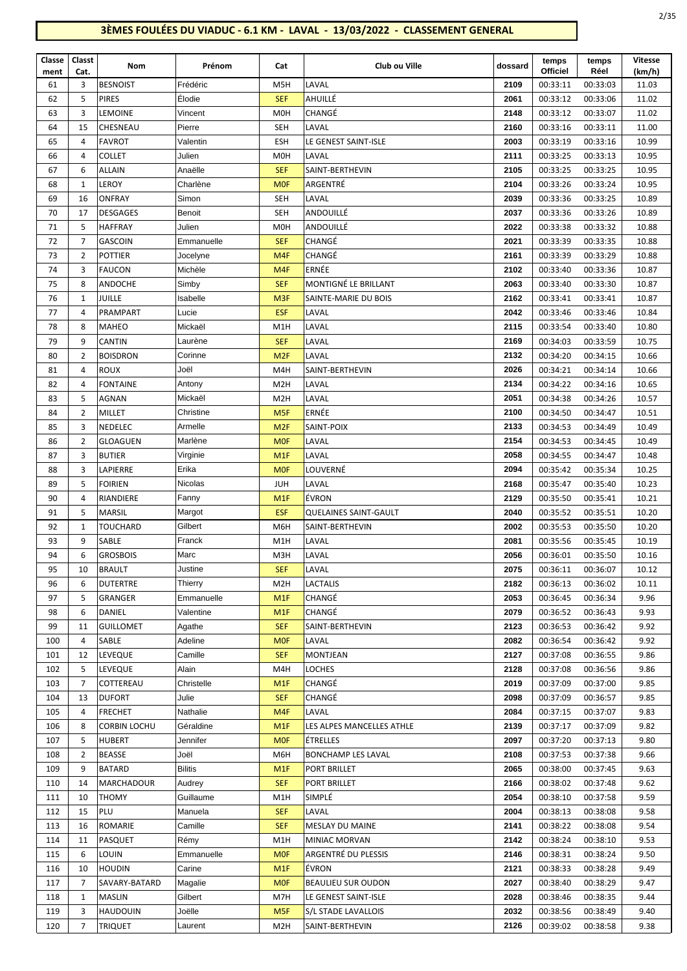## **3ÈMES FOULÉES DU VIADUC - 6.1 KM - LAVAL - 13/03/2022 - CLASSEMENT GENERAL**

| ۰.<br>×<br>× |
|--------------|
|              |

| Classe<br>ment | Classt<br>Cat. | Nom                     | Prénom             | Cat               | Club ou Ville                        | dossard      | temps<br>Officiel    | temps<br>Réel        | <b>Vitesse</b><br>(km/h) |
|----------------|----------------|-------------------------|--------------------|-------------------|--------------------------------------|--------------|----------------------|----------------------|--------------------------|
| 61             | 3              | <b>BESNOIST</b>         | Frédéric           | M5H               | LAVAL                                | 2109         | 00:33:11             | 00:33:03             | 11.03                    |
| 62             | 5              | <b>PIRES</b>            | Élodie             | <b>SEF</b>        | AHUILLÉ                              | 2061         | 00:33:12             | 00:33:06             | 11.02                    |
| 63             | 3              | LEMOINE                 | Vincent            | M <sub>O</sub> H  | CHANGÉ                               | 2148         | 00:33:12             | 00:33:07             | 11.02                    |
| 64             | 15             | CHESNEAU                | Pierre             | <b>SEH</b>        | LAVAL                                | 2160         | 00:33:16             | 00:33:11             | 11.00                    |
| 65             | 4              | <b>FAVROT</b>           | Valentin           | <b>ESH</b>        | LE GENEST SAINT-ISLE                 | 2003         | 00:33:19             | 00:33:16             | 10.99                    |
| 66             | 4              | COLLET                  | Julien             | M <sub>O</sub> H  | LAVAL                                | 2111         | 00:33:25             | 00:33:13             | 10.95                    |
| 67             | 6              | <b>ALLAIN</b>           | Anaëlle            | <b>SEF</b>        | SAINT-BERTHEVIN                      | 2105         | 00:33:25             | 00:33:25             | 10.95                    |
| 68             | $\mathbf{1}$   | LEROY                   | Charlène           | <b>MOF</b>        | ARGENTRÉ                             | 2104         | 00:33:26             | 00:33:24             | 10.95                    |
| 69             | 16             | ONFRAY                  | Simon              | SEH               | LAVAL                                | 2039         | 00:33:36             | 00:33:25             | 10.89                    |
| 70             | 17             | <b>DESGAGES</b>         | Benoit             | SEH               | ANDOUILLÉ                            | 2037         | 00:33:36             | 00:33:26             | 10.89                    |
| 71             | 5              | <b>HAFFRAY</b>          | Julien             | <b>M0H</b>        | ANDOUILLÉ                            | 2022         | 00:33:38             | 00:33:32             | 10.88                    |
| 72             | $\overline{7}$ | <b>GASCOIN</b>          | Emmanuelle         | <b>SEF</b>        | CHANGÉ                               | 2021         | 00:33:39             | 00:33:35             | 10.88                    |
| 73             | $\overline{2}$ | POTTIER                 | Jocelyne           | M <sub>4F</sub>   | CHANGÉ                               | 2161         | 00:33:39             | 00:33:29             | 10.88                    |
| 74             | 3              | <b>FAUCON</b>           | Michèle            | M <sub>4F</sub>   | ERNÉE                                | 2102         | 00:33:40             | 00:33:36             | 10.87                    |
| 75             | 8              | ANDOCHE                 | Simby              | <b>SEF</b>        | MONTIGNÉ LE BRILLANT                 | 2063         | 00:33:40             | 00:33:30             | 10.87                    |
| 76             | 1              | JUILLE                  | Isabelle           | M <sub>3F</sub>   | SAINTE-MARIE DU BOIS                 | 2162         | 00:33:41             | 00:33:41             | 10.87                    |
| 77             | 4              | PRAMPART                | Lucie              | <b>ESF</b>        | LAVAL                                | 2042         | 00:33:46             | 00:33:46             | 10.84                    |
| 78             | 8              | <b>MAHEO</b>            | Mickaël            | M <sub>1</sub> H  | LAVAL                                | 2115         | 00:33:54             | 00:33:40             | 10.80                    |
| 79             | 9              | CANTIN                  | Laurène            | <b>SEF</b>        | LAVAL                                | 2169         | 00:34:03             | 00:33:59             | 10.75                    |
| 80             | $\overline{2}$ | <b>BOISDRON</b>         | Corinne            | M <sub>2F</sub>   | LAVAL                                | 2132         | 00:34:20             | 00:34:15             | 10.66                    |
| 81             | 4              | ROUX                    | Joël               | M4H               | SAINT-BERTHEVIN                      | 2026         | 00:34:21             | 00:34:14             | 10.66                    |
| 82             | 4              | <b>FONTAINE</b>         | Antony             | M <sub>2</sub> H  | LAVAL                                | 2134         | 00:34:22             | 00:34:16             | 10.65                    |
| 83             | 5              | AGNAN                   | Mickaël            | M <sub>2</sub> H  | LAVAL                                | 2051         | 00:34:38             | 00:34:26             | 10.57                    |
| 84             | $\overline{2}$ | MILLET                  | Christine          | M <sub>5F</sub>   | ERNÉE                                | 2100         | 00:34:50             | 00:34:47             | 10.51                    |
| 85             | 3              | NEDELEC                 | Armelle            | M <sub>2F</sub>   | SAINT-POIX                           | 2133         | 00:34:53             | 00:34:49             | 10.49                    |
| 86             | $\overline{2}$ | GLOAGUEN                | Marlène            | <b>MOF</b>        | LAVAL                                | 2154         | 00:34:53             | 00:34:45             | 10.49                    |
| 87             | 3              | <b>BUTIER</b>           | Virginie           | M <sub>1</sub> F  | LAVAL                                | 2058         | 00:34:55             | 00:34:47             | 10.48                    |
| 88             | 3              | LAPIERRE                | Erika              | <b>MOF</b>        | LOUVERNÉ                             | 2094         | 00:35:42             | 00:35:34             | 10.25                    |
| 89             | 5              | <b>FOIRIEN</b>          | Nicolas            | <b>JUH</b>        | LAVAL                                | 2168         | 00:35:47             | 00:35:40             | 10.23                    |
| 90             | $\overline{4}$ | RIANDIERE               | Fanny              | M <sub>1</sub> F  | ÉVRON                                | 2129         | 00:35:50             | 00:35:41             | 10.21                    |
| 91             | 5              | MARSIL                  | Margot             | <b>ESF</b>        | QUELAINES SAINT-GAULT                | 2040         | 00:35:52             | 00:35:51             | 10.20                    |
| 92             | 1              | TOUCHARD                | Gilbert            | M6H               | SAINT-BERTHEVIN                      | 2002         | 00:35:53             | 00:35:50             | 10.20                    |
| 93             | 9              | SABLE                   | Franck             | M <sub>1</sub> H  | LAVAL                                | 2081         | 00:35:56             | 00:35:45             | 10.19                    |
| 94             | 6              | <b>GROSBOIS</b>         | Marc               | M3H               | LAVAL                                | 2056         | 00:36:01             | 00:35:50             | 10.16                    |
| 95             | 10             | <b>BRAULT</b>           | Justine            | <b>SEF</b>        | LAVAL                                | 2075         | 00:36:11             | 00:36:07             | 10.12                    |
| 96             | 6              | <b>DUTERTRE</b>         | Thierry            | M <sub>2</sub> H  | LACTALIS                             | 2182         | 00:36:13             | 00:36:02             | 10.11                    |
| 97             | 5              | GRANGER                 | Emmanuelle         | M <sub>1</sub> F  | CHANGÉ                               | 2053         | 00:36:45             | 00:36:34             | 9.96                     |
| 98             | 6              | DANIEL                  | Valentine          | M <sub>1</sub> F  | CHANGÉ                               | 2079         | 00:36:52             | 00:36:43             | 9.93                     |
| 99             | 11             | <b>GUILLOMET</b>        | Agathe             | <b>SEF</b>        | SAINT-BERTHEVIN                      | 2123         | 00:36:53             | 00:36:42             | 9.92                     |
| 100            | 4              | SABLE                   | Adeline            | <b>MOF</b>        | LAVAL                                | 2082         | 00:36:54             | 00:36:42             | 9.92                     |
| 101            | 12             | LEVEQUE                 | Camille            | <b>SEF</b>        | MONTJEAN                             | 2127         | 00:37:08             | 00:36:55             | 9.86                     |
| 102            | 5              | LEVEQUE                 | Alain              | M4H               | LOCHES                               | 2128         | 00:37:08             | 00:36:56             | 9.86                     |
| 103            | 7              | COTTEREAU               | Christelle         | M <sub>1</sub> F  | CHANGÉ                               | 2019         | 00:37:09             | 00:37:00             | 9.85                     |
| 104            | 13             | <b>DUFORT</b>           | Julie              | <b>SEF</b>        | CHANGÉ                               | 2098         | 00:37:09             | 00:36:57             | 9.85                     |
| 105            | 4              | <b>FRECHET</b>          | Nathalie           | M <sub>4F</sub>   | LAVAL                                | 2084         | 00:37:15             | 00:37:07             | 9.83                     |
| 106            | 8              | CORBIN LOCHU            | Géraldine          | M <sub>1</sub> F  | LES ALPES MANCELLES ATHLE            | 2139         | 00:37:17             | 00:37:09             | 9.82                     |
| 107            | 5              | HUBERT                  | Jennifer           | <b>MOF</b>        | <b>ÉTRELLES</b>                      | 2097         | 00:37:20             | 00:37:13             | 9.80                     |
| 108            | $\overline{2}$ | BEASSE                  | Joël               | M6H               | <b>BONCHAMP LES LAVAL</b>            | 2108         | 00:37:53             | 00:37:38             | 9.66                     |
| 109            | 9              | <b>BATARD</b>           | <b>Bilitis</b>     | M <sub>1</sub> F  | PORT BRILLET                         | 2065         | 00:38:00             | 00:37:45             | 9.63                     |
| 110            | 14             | MARCHADOUR              | Audrey             | <b>SEF</b>        | PORT BRILLET                         | 2166         | 00:38:02             | 00:37:48             | 9.62                     |
| 111            | 10             | THOMY                   | Guillaume          | M1H               | SIMPLÉ                               | 2054         | 00:38:10             | 00:37:58             | 9.59                     |
| 112            | 15             | PLU                     | Manuela<br>Camille | <b>SEF</b>        | LAVAL                                | 2004         | 00:38:13             | 00:38:08             | 9.58                     |
| 113            | 16             | ROMARIE                 |                    | <b>SEF</b>        | <b>MESLAY DU MAINE</b>               | 2141         | 00:38:22             | 00:38:08             | 9.54                     |
| 114            | 11<br>6        | PASQUET<br>LOUIN        | Rémy<br>Emmanuelle | M1H               | MINIAC MORVAN<br>ARGENTRÉ DU PLESSIS | 2142<br>2146 | 00:38:24             | 00:38:10             | 9.53<br>9.50             |
| 115            | 10             | <b>HOUDIN</b>           | Carine             | <b>MOF</b>        | ÉVRON                                | 2121         | 00:38:31<br>00:38:33 | 00:38:24             | 9.49                     |
| 116<br>117     | 7              |                         |                    | M <sub>1</sub> F  | <b>BEAULIEU SUR OUDON</b>            | 2027         | 00:38:40             | 00:38:28             | 9.47                     |
| 118            | 1              | SAVARY-BATARD<br>MASLIN | Magalie<br>Gilbert | <b>MOF</b><br>M7H | LE GENEST SAINT-ISLE                 | 2028         | 00:38:46             | 00:38:29<br>00:38:35 | 9.44                     |
| 119            | 3              | HAUDOUIN                | Joëlle             | M <sub>5F</sub>   | S/L STADE LAVALLOIS                  | 2032         | 00:38:56             | 00:38:49             | 9.40                     |
| 120            | 7              | TRIQUET                 | Laurent            | M <sub>2</sub> H  | SAINT-BERTHEVIN                      | 2126         | 00:39:02             | 00:38:58             | 9.38                     |
|                |                |                         |                    |                   |                                      |              |                      |                      |                          |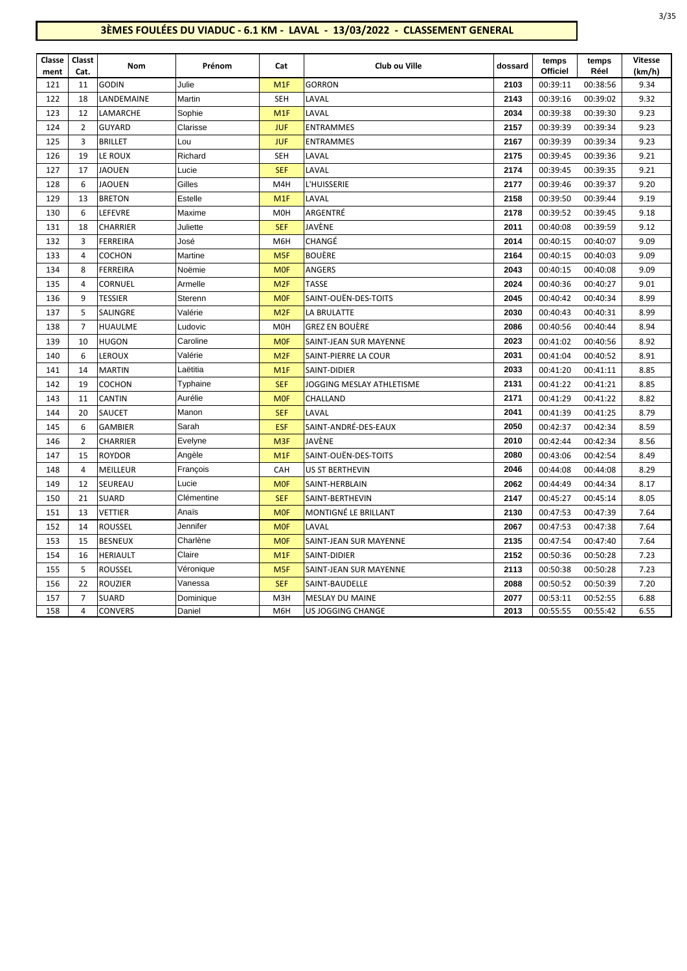## **3ÈMES FOULÉES DU VIADUC - 6.1 KM - LAVAL - 13/03/2022 - CLASSEMENT GENERAL**

| Classe<br>ment | Classt<br>Cat. | Nom             | Prénom     | Cat              | Club ou Ville             | dossard | temps<br>Officiel | temps<br>Réel | <b>Vitesse</b><br>(km/h) |
|----------------|----------------|-----------------|------------|------------------|---------------------------|---------|-------------------|---------------|--------------------------|
| 121            | 11             | <b>GODIN</b>    | Julie      | M1F              | <b>GORRON</b>             | 2103    | 00:39:11          | 00:38:56      | 9.34                     |
| 122            | 18             | LANDEMAINE      | Martin     | <b>SEH</b>       | LAVAL                     | 2143    | 00:39:16          | 00:39:02      | 9.32                     |
| 123            | 12             | LAMARCHE        | Sophie     | M <sub>1F</sub>  | LAVAL                     | 2034    | 00:39:38          | 00:39:30      | 9.23                     |
| 124            | $\overline{2}$ | <b>GUYARD</b>   | Clarisse   | <b>JUF</b>       | <b>ENTRAMMES</b>          | 2157    | 00:39:39          | 00:39:34      | 9.23                     |
| 125            | 3              | <b>BRILLET</b>  | Lou        | <b>JUF</b>       | <b>ENTRAMMES</b>          | 2167    | 00:39:39          | 00:39:34      | 9.23                     |
| 126            | 19             | LE ROUX         | Richard    | SEH              | LAVAL                     | 2175    | 00:39:45          | 00:39:36      | 9.21                     |
| 127            | 17             | JAOUEN          | Lucie      | <b>SEF</b>       | LAVAL                     | 2174    | 00:39:45          | 00:39:35      | 9.21                     |
| 128            | 6              | JAOUEN          | Gilles     | M4H              | L'HUISSERIE               | 2177    | 00:39:46          | 00:39:37      | 9.20                     |
| 129            | 13             | <b>BRETON</b>   | Estelle    | M <sub>1</sub> F | LAVAL                     | 2158    | 00:39:50          | 00:39:44      | 9.19                     |
| 130            | 6              | LEFEVRE         | Maxime     | M <sub>O</sub> H | ARGENTRÉ                  | 2178    | 00:39:52          | 00:39:45      | 9.18                     |
| 131            | 18             | CHARRIER        | Juliette   | <b>SEF</b>       | JAVÈNE                    | 2011    | 00:40:08          | 00:39:59      | 9.12                     |
| 132            | 3              | <b>FERREIRA</b> | José       | M6H              | CHANGÉ                    | 2014    | 00:40:15          | 00:40:07      | 9.09                     |
| 133            | $\overline{4}$ | COCHON          | Martine    | M <sub>5F</sub>  | <b>BOUÈRE</b>             | 2164    | 00:40:15          | 00:40:03      | 9.09                     |
| 134            | 8              | <b>FERREIRA</b> | Noëmie     | <b>MOF</b>       | ANGERS                    | 2043    | 00:40:15          | 00:40:08      | 9.09                     |
| 135            | 4              | <b>CORNUEL</b>  | Armelle    | M <sub>2F</sub>  | <b>TASSE</b>              | 2024    | 00:40:36          | 00:40:27      | 9.01                     |
| 136            | 9              | <b>TESSIER</b>  | Sterenn    | <b>MOF</b>       | SAINT-OUËN-DES-TOITS      | 2045    | 00:40:42          | 00:40:34      | 8.99                     |
| 137            | 5              | SALINGRE        | Valérie    | M <sub>2F</sub>  | LA BRULATTE               | 2030    | 00:40:43          | 00:40:31      | 8.99                     |
| 138            | $\overline{7}$ | <b>HUAULME</b>  | Ludovic    | M <sub>O</sub> H | <b>GREZ EN BOUÈRE</b>     | 2086    | 00:40:56          | 00:40:44      | 8.94                     |
| 139            | 10             | <b>HUGON</b>    | Caroline   | <b>MOF</b>       | SAINT-JEAN SUR MAYENNE    | 2023    | 00:41:02          | 00:40:56      | 8.92                     |
| 140            | 6              | <b>LEROUX</b>   | Valérie    | M <sub>2F</sub>  | SAINT-PIERRE LA COUR      | 2031    | 00:41:04          | 00:40:52      | 8.91                     |
| 141            | 14             | <b>MARTIN</b>   | Laëtitia   | M <sub>1</sub> F | SAINT-DIDIER              | 2033    | 00:41:20          | 00:41:11      | 8.85                     |
| 142            | 19             | <b>COCHON</b>   | Typhaine   | <b>SEF</b>       | JOGGING MESLAY ATHLETISME | 2131    | 00:41:22          | 00:41:21      | 8.85                     |
| 143            | 11             | <b>CANTIN</b>   | Aurélie    | <b>MOF</b>       | CHALLAND                  | 2171    | 00:41:29          | 00:41:22      | 8.82                     |
| 144            | 20             | SAUCET          | Manon      | <b>SEF</b>       | LAVAL                     | 2041    | 00:41:39          | 00:41:25      | 8.79                     |
| 145            | 6              | <b>GAMBIER</b>  | Sarah      | <b>ESF</b>       | SAINT-ANDRÉ-DES-EAUX      | 2050    | 00:42:37          | 00:42:34      | 8.59                     |
| 146            | $\overline{2}$ | <b>CHARRIER</b> | Evelyne    | M <sub>3F</sub>  | JAVÈNE                    | 2010    | 00:42:44          | 00:42:34      | 8.56                     |
| 147            | 15             | <b>ROYDOR</b>   | Angèle     | M <sub>1</sub> F | SAINT-OUËN-DES-TOITS      | 2080    | 00:43:06          | 00:42:54      | 8.49                     |
| 148            | $\overline{4}$ | MEILLEUR        | François   | CAH              | US ST BERTHEVIN           | 2046    | 00:44:08          | 00:44:08      | 8.29                     |
| 149            | 12             | SEUREAU         | Lucie      | <b>MOF</b>       | SAINT-HERBLAIN            | 2062    | 00:44:49          | 00:44:34      | 8.17                     |
| 150            | 21             | <b>SUARD</b>    | Clémentine | <b>SEF</b>       | SAINT-BERTHEVIN           | 2147    | 00:45:27          | 00:45:14      | 8.05                     |
| 151            | 13             | VETTIER         | Anaïs      | <b>MOF</b>       | MONTIGNÉ LE BRILLANT      | 2130    | 00:47:53          | 00:47:39      | 7.64                     |
| 152            | 14             | <b>ROUSSEL</b>  | Jennifer   | <b>MOF</b>       | LAVAL                     | 2067    | 00:47:53          | 00:47:38      | 7.64                     |
| 153            | 15             | <b>BESNEUX</b>  | Charlène   | <b>MOF</b>       | SAINT-JEAN SUR MAYENNE    | 2135    | 00:47:54          | 00:47:40      | 7.64                     |
| 154            | 16             | <b>HERIAULT</b> | Claire     | M <sub>1</sub> F | SAINT-DIDIER              | 2152    | 00:50:36          | 00:50:28      | 7.23                     |
| 155            | 5              | <b>ROUSSEL</b>  | Véronique  | M <sub>5F</sub>  | SAINT-JEAN SUR MAYENNE    | 2113    | 00:50:38          | 00:50:28      | 7.23                     |
| 156            | 22             | <b>ROUZIER</b>  | Vanessa    | <b>SEF</b>       | SAINT-BAUDELLE            | 2088    | 00:50:52          | 00:50:39      | 7.20                     |
| 157            | $\overline{7}$ | <b>SUARD</b>    | Dominique  | M3H              | MESLAY DU MAINE           | 2077    | 00:53:11          | 00:52:55      | 6.88                     |
| 158            | 4              | <b>CONVERS</b>  | Daniel     | M6H              | US JOGGING CHANGE         | 2013    | 00:55:55          | 00:55:42      | 6.55                     |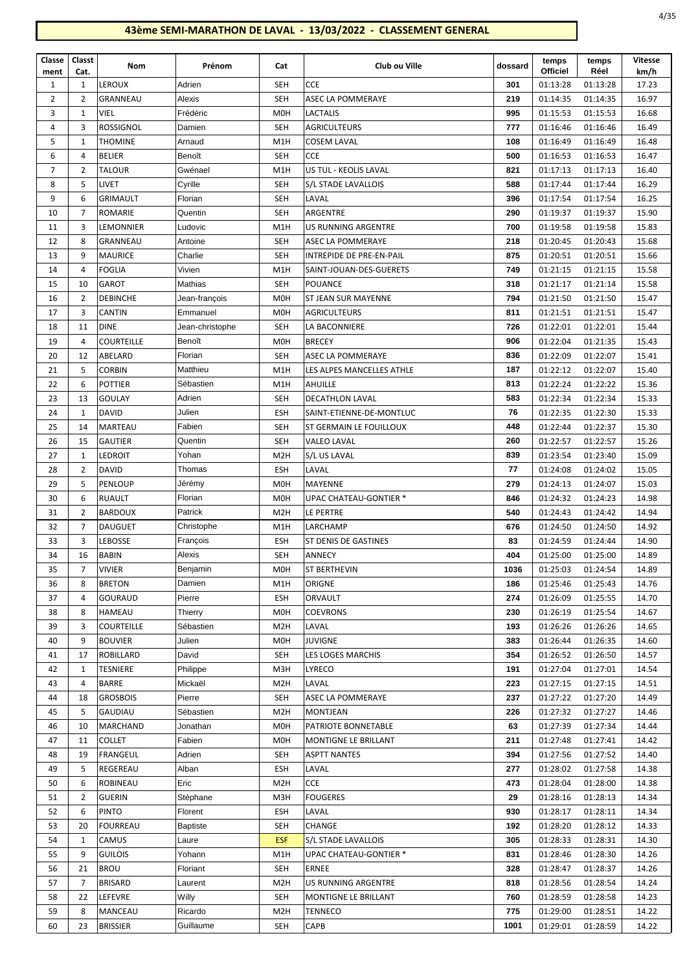| Classe         | Classt         | Nom               | Prénom          | Cat              | Club ou Ville                 | dossard | temps           | temps    | <b>Vitesse</b> |
|----------------|----------------|-------------------|-----------------|------------------|-------------------------------|---------|-----------------|----------|----------------|
| ment           | Cat.           |                   |                 |                  |                               |         | <b>Officiel</b> | Réel     | km/h           |
| 1              | 1              | LEROUX            | Adrien          | <b>SEH</b>       | <b>CCE</b>                    | 301     | 01:13:28        | 01:13:28 | 17.23          |
| $\overline{2}$ | $\overline{2}$ | GRANNEAU          | Alexis          | <b>SEH</b>       | ASEC LA POMMERAYE             | 219     | 01:14:35        | 01:14:35 | 16.97          |
| 3              | 1              | VIEL              | Frédéric        | M <sub>0</sub> H | <b>LACTALIS</b>               | 995     | 01:15:53        | 01:15:53 | 16.68          |
| 4              | 3              | <b>ROSSIGNOL</b>  | Damien          | <b>SEH</b>       | <b>AGRICULTEURS</b>           | 777     | 01:16:46        | 01:16:46 | 16.49          |
| 5              | 1              | <b>THOMINE</b>    | Arnaud          | M <sub>1</sub> H | <b>COSEM LAVAL</b>            | 108     | 01:16:49        | 01:16:49 | 16.48          |
| 6              | 4              | <b>BELIER</b>     | Benoît          | <b>SEH</b>       | <b>CCE</b>                    | 500     | 01:16:53        | 01:16:53 | 16.47          |
| $\overline{7}$ | $\overline{2}$ | <b>TALOUR</b>     | Gwénael         | M1H              | US TUL - KEOLIS LAVAL         | 821     | 01:17:13        | 01:17:13 | 16.40          |
| 8              | 5              | LIVET             | Cyrille         | <b>SEH</b>       | S/L STADE LAVALLOIS           | 588     | 01:17:44        | 01:17:44 | 16.29          |
| 9              | 6              | <b>GRIMAULT</b>   | Florian         | <b>SEH</b>       | LAVAL                         | 396     | 01:17:54        | 01:17:54 | 16.25          |
| 10             | $\overline{7}$ | ROMARIE           | Quentin         | <b>SEH</b>       | ARGENTRE                      | 290     | 01:19:37        | 01:19:37 | 15.90          |
| 11             | 3              | LEMONNIER         | Ludovic         | M <sub>1</sub> H | <b>US RUNNING ARGENTRE</b>    | 700     | 01:19:58        | 01:19:58 | 15.83          |
| 12             | 8              | GRANNEAU          | Antoine         | <b>SEH</b>       | ASEC LA POMMERAYE             | 218     | 01:20:45        | 01:20:43 | 15.68          |
| 13             | 9              | <b>MAURICE</b>    | Charlie         | <b>SEH</b>       | INTREPIDE DE PRE-EN-PAIL      | 875     | 01:20:51        | 01:20:51 | 15.66          |
| 14             | $\overline{4}$ | <b>FOGLIA</b>     | Vivien          | M <sub>1</sub> H | SAINT-JOUAN-DES-GUERETS       | 749     | 01:21:15        | 01:21:15 | 15.58          |
| 15             | 10             | GAROT             | Mathias         | <b>SEH</b>       | <b>POUANCE</b>                | 318     | 01:21:17        | 01:21:14 | 15.58          |
| 16             | 2              | <b>DEBINCHE</b>   | Jean-françois   | M <sub>0</sub> H | ST JEAN SUR MAYENNE           | 794     | 01:21:50        | 01:21:50 | 15.47          |
| 17             | 3              | CANTIN            | Emmanuel        | <b>MOH</b>       | AGRICULTEURS                  | 811     | 01:21:51        | 01:21:51 | 15.47          |
| 18             | 11             | <b>DINE</b>       | Jean-christophe | <b>SEH</b>       | LA BACONNIERE                 | 726     | 01:22:01        | 01:22:01 | 15.44          |
| 19             | 4              | <b>COURTEILLE</b> | Benoît          | M <sub>0</sub> H | <b>BRECEY</b>                 | 906     | 01:22:04        | 01:21:35 | 15.43          |
| 20             | 12             | ABELARD           | Florian         | <b>SEH</b>       | ASEC LA POMMERAYE             | 836     | 01:22:09        | 01:22:07 | 15.41          |
| 21             | 5              | <b>CORBIN</b>     | Matthieu        | M <sub>1</sub> H | LES ALPES MANCELLES ATHLE     | 187     | 01:22:12        | 01:22:07 | 15.40          |
| 22             | 6              | <b>POTTIER</b>    | Sébastien       | M1H              | AHUILLE                       | 813     | 01:22:24        | 01:22:22 | 15.36          |
| 23             | 13             | <b>GOULAY</b>     | Adrien          | <b>SEH</b>       | <b>DECATHLON LAVAL</b>        | 583     | 01:22:34        | 01:22:34 | 15.33          |
| 24             | $\mathbf{1}$   | <b>DAVID</b>      | Julien          | <b>ESH</b>       | SAINT-ETIENNE-DE-MONTLUC      | 76      | 01:22:35        | 01:22:30 | 15.33          |
| 25             | 14             | MARTEAU           | Fabien          | <b>SEH</b>       | ST GERMAIN LE FOUILLOUX       | 448     | 01:22:44        | 01:22:37 | 15.30          |
| 26             | 15             | <b>GAUTIER</b>    | Quentin         | <b>SEH</b>       | <b>VALEO LAVAL</b>            | 260     | 01:22:57        | 01:22:57 | 15.26          |
| 27             | 1              | <b>LEDROIT</b>    | Yohan           | M <sub>2</sub> H | S/L US LAVAL                  | 839     | 01:23:54        | 01:23:40 | 15.09          |
| 28             | $\overline{2}$ | <b>DAVID</b>      | Thomas          | <b>ESH</b>       | LAVAL                         | 77      | 01:24:08        | 01:24:02 | 15.05          |
| 29             | 5              | <b>PENLOUP</b>    | Jérémy          | M <sub>0</sub> H | MAYENNE                       | 279     | 01:24:13        | 01:24:07 | 15.03          |
| 30             | 6              | <b>RUAULT</b>     | Florian         | M0H              | UPAC CHATEAU-GONTIER *        | 846     | 01:24:32        | 01:24:23 | 14.98          |
| 31             | $\overline{2}$ | <b>BARDOUX</b>    | Patrick         | M <sub>2</sub> H | LE PERTRE                     | 540     | 01:24:43        | 01:24:42 | 14.94          |
| 32             | $\overline{7}$ | <b>DAUGUET</b>    | Christophe      | M1H              | LARCHAMP                      | 676     | 01:24:50        | 01:24:50 | 14.92          |
| 33             | 3              | LEBOSSE           | François        | <b>ESH</b>       | ST DENIS DE GASTINES          | 83      | 01:24:59        | 01:24:44 | 14.90          |
| 34             | 16             | <b>BABIN</b>      | Alexis          | <b>SEH</b>       | <b>ANNECY</b>                 | 404     | 01:25:00        | 01:25:00 | 14.89          |
| 35             | $\overline{7}$ | <b>VIVIER</b>     | Benjamin        | M <sub>0</sub> H | <b>ST BERTHEVIN</b>           | 1036    | 01:25:03        | 01:24:54 | 14.89          |
| 36             | 8              | <b>BRETON</b>     | Damien          | M1H              | ORIGNE                        | 186     | 01:25:46        | 01:25:43 | 14.76          |
| 37             | 4              | GOURAUD           | Pierre          | ESH              | ORVAULT                       | 274     | 01:26:09        | 01:25:55 | 14.70          |
| 38             | 8              | HAMEAU            | Thierry         | <b>MOH</b>       | <b>COEVRONS</b>               | 230     | 01:26:19        | 01:25:54 | 14.67          |
| 39             | 3              | <b>COURTEILLE</b> | Sébastien       | M <sub>2</sub> H | LAVAL                         | 193     | 01:26:26        | 01:26:26 | 14.65          |
| 40             | 9              | <b>BOUVIER</b>    | Julien          | M <sub>O</sub> H | <b>JUVIGNE</b>                | 383     | 01:26:44        | 01:26:35 | 14.60          |
| 41             | 17             | ROBILLARD         | David           | <b>SEH</b>       | LES LOGES MARCHIS             | 354     | 01:26:52        | 01:26:50 | 14.57          |
| 42             | 1              | TESNIERE          | Philippe        | M3H              | LYRECO                        | 191     | 01:27:04        | 01:27:01 | 14.54          |
| 43             | 4              | BARRE             | Mickaël         | M <sub>2</sub> H | LAVAL                         | 223     | 01:27:15        | 01:27:15 | 14.51          |
| 44             | 18             | <b>GROSBOIS</b>   | Pierre          | <b>SEH</b>       | ASEC LA POMMERAYE             | 237     | 01:27:22        | 01:27:20 | 14.49          |
| 45             | 5              | GAUDIAU           | Sébastien       | M <sub>2</sub> H | MONTJEAN                      | 226     | 01:27:32        | 01:27:27 | 14.46          |
| 46             | 10             | MARCHAND          | Jonathan        | <b>MOH</b>       | PATRIOTE BONNETABLE           | 63      | 01:27:39        | 01:27:34 | 14.44          |
| 47             | 11             | <b>COLLET</b>     | Fabien          | M <sub>O</sub> H | MONTIGNE LE BRILLANT          | 211     | 01:27:48        | 01:27:41 | 14.42          |
| 48             | 19             | FRANGEUL          | Adrien          | SEH              | <b>ASPTT NANTES</b>           | 394     | 01:27:56        | 01:27:52 | 14.40          |
| 49             | 5              | REGEREAU          | Alban           | <b>ESH</b>       | LAVAL                         | 277     | 01:28:02        | 01:27:58 | 14.38          |
| 50             | 6              | ROBINEAU          | Eric            | M <sub>2</sub> H | CCE                           | 473     | 01:28:04        | 01:28:00 | 14.38          |
| 51             | 2              | GUERIN            | Stéphane        | M3H              | <b>FOUGERES</b>               | 29      | 01:28:16        | 01:28:13 | 14.34          |
| 52             | 6              | <b>PINTO</b>      | Florent         | ESH              | LAVAL                         | 930     | 01:28:17        | 01:28:11 | 14.34          |
| 53             | 20             | <b>FOURREAU</b>   | <b>Baptiste</b> | <b>SEH</b>       | CHANGE                        | 192     | 01:28:20        | 01:28:12 | 14.33          |
| 54             | 1              | CAMUS             | Laure           | <b>ESF</b>       | S/L STADE LAVALLOIS           | 305     | 01:28:33        | 01:28:31 | 14.30          |
| 55             | 9              | <b>GUILOIS</b>    | Yohann          | M1H              | <b>UPAC CHATEAU-GONTIER *</b> | 831     | 01:28:46        | 01:28:30 | 14.26          |
| 56             | 21             | <b>BROU</b>       | Floriant        | <b>SEH</b>       | <b>ERNEE</b>                  | 328     | 01:28:47        | 01:28:37 | 14.26          |
| 57             | $\overline{7}$ | <b>BRISARD</b>    | Laurent         | M <sub>2</sub> H | <b>US RUNNING ARGENTRE</b>    | 818     | 01:28:56        | 01:28:54 | 14.24          |
| 58             | 22             | LEFEVRE           | Willy           | <b>SEH</b>       | MONTIGNE LE BRILLANT          | 760     | 01:28:59        | 01:28:58 | 14.23          |
| 59             | 8              | MANCEAU           | Ricardo         | M <sub>2</sub> H | TENNECO                       | 775     | 01:29:00        | 01:28:51 | 14.22          |
| 60             | 23             | <b>BRISSIER</b>   | Guillaume       | <b>SEH</b>       | CAPB                          | 1001    | 01:29:01        | 01:28:59 | 14.22          |
|                |                |                   |                 |                  |                               |         |                 |          |                |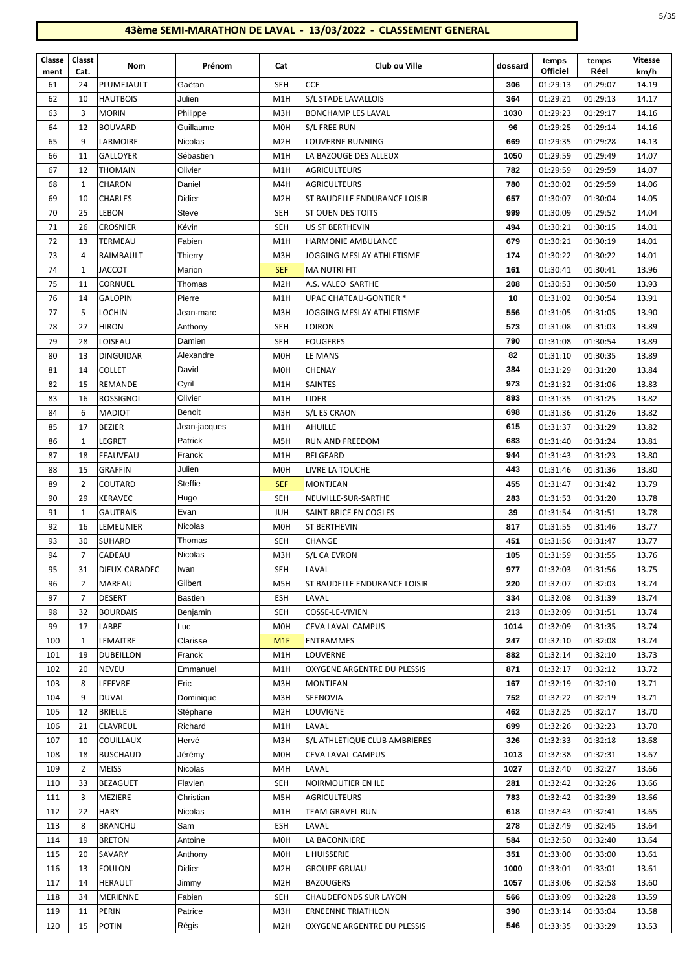| I<br>۰.<br>۰,<br>×<br>×<br>×<br>۰, |
|------------------------------------|
|------------------------------------|

| Classe<br>ment | Classt<br>Cat. | Nom              | Prénom         | Cat              | Club ou Ville                 | dossard | temps<br><b>Officiel</b> | temps<br>Réel | <b>Vitesse</b><br>km/h |
|----------------|----------------|------------------|----------------|------------------|-------------------------------|---------|--------------------------|---------------|------------------------|
| 61             | 24             | PLUMEJAULT       | Gaëtan         | <b>SEH</b>       | <b>CCE</b>                    | 306     | 01:29:13                 | 01:29:07      | 14.19                  |
| 62             | 10             | <b>HAUTBOIS</b>  | Julien         | M1H              | S/L STADE LAVALLOIS           | 364     | 01:29:21                 | 01:29:13      | 14.17                  |
| 63             | 3              | <b>MORIN</b>     | Philippe       | M3H              | BONCHAMP LES LAVAL            | 1030    | 01:29:23                 | 01:29:17      | 14.16                  |
| 64             | 12             | <b>BOUVARD</b>   | Guillaume      | M <sub>O</sub> H | S/L FREE RUN                  | 96      | 01:29:25                 | 01:29:14      | 14.16                  |
| 65             | 9              | LARMOIRE         | Nicolas        | M <sub>2</sub> H | LOUVERNE RUNNING              | 669     | 01:29:35                 | 01:29:28      | 14.13                  |
| 66             | 11             | <b>GALLOYER</b>  | Sébastien      | M1H              | LA BAZOUGE DES ALLEUX         | 1050    | 01:29:59                 | 01:29:49      | 14.07                  |
| 67             | 12             | <b>THOMAIN</b>   | Olivier        | M1H              | <b>AGRICULTEURS</b>           | 782     | 01:29:59                 | 01:29:59      | 14.07                  |
| 68             | 1              | <b>CHARON</b>    | Daniel         | M4H              | <b>AGRICULTEURS</b>           | 780     | 01:30:02                 | 01:29:59      | 14.06                  |
| 69             | 10             | <b>CHARLES</b>   | Didier         | M <sub>2</sub> H | ST BAUDELLE ENDURANCE LOISIR  | 657     | 01:30:07                 | 01:30:04      | 14.05                  |
| 70             | 25             | <b>LEBON</b>     | Steve          | <b>SEH</b>       | ST OUEN DES TOITS             | 999     | 01:30:09                 | 01:29:52      | 14.04                  |
| 71             | 26             | <b>CROSNIER</b>  | Kévin          | <b>SEH</b>       | US ST BERTHEVIN               | 494     | 01:30:21                 | 01:30:15      | 14.01                  |
| 72             | 13             | TERMEAU          | Fabien         | M1H              | <b>HARMONIE AMBULANCE</b>     | 679     | 01:30:21                 | 01:30:19      | 14.01                  |
| 73             | 4              | RAIMBAULT        | Thierry        | M3H              | JOGGING MESLAY ATHLETISME     | 174     | 01:30:22                 | 01:30:22      | 14.01                  |
| 74             | 1              | <b>JACCOT</b>    | Marion         | <b>SEF</b>       | <b>MA NUTRI FIT</b>           | 161     | 01:30:41                 | 01:30:41      | 13.96                  |
| 75             | 11             | CORNUEL          | Thomas         | M <sub>2</sub> H | A.S. VALEO SARTHE             | 208     | 01:30:53                 | 01:30:50      | 13.93                  |
| 76             | 14             | <b>GALOPIN</b>   | Pierre         | M1H              | UPAC CHATEAU-GONTIER *        | 10      | 01:31:02                 | 01:30:54      | 13.91                  |
| 77             | 5              | <b>LOCHIN</b>    | Jean-marc      | M3H              | JOGGING MESLAY ATHLETISME     | 556     | 01:31:05                 | 01:31:05      | 13.90                  |
| 78             | 27             | <b>HIRON</b>     | Anthony        | <b>SEH</b>       | Loiron                        | 573     | 01:31:08                 | 01:31:03      | 13.89                  |
| 79             | 28             | LOISEAU          | Damien         | <b>SEH</b>       | <b>FOUGERES</b>               | 790     | 01:31:08                 | 01:30:54      | 13.89                  |
| 80             | 13             | <b>DINGUIDAR</b> | Alexandre      | M <sub>0</sub> H | LE MANS                       | 82      | 01:31:10                 | 01:30:35      | 13.89                  |
| 81             | 14             | <b>COLLET</b>    | David          | M <sub>O</sub> H | CHENAY                        | 384     | 01:31:29                 | 01:31:20      | 13.84                  |
| 82             | 15             | REMANDE          | Cyril          | M1H              | <b>SAINTES</b>                | 973     | 01:31:32                 | 01:31:06      | 13.83                  |
| 83             | 16             | <b>ROSSIGNOL</b> | Olivier        | M1H              | <b>LIDER</b>                  | 893     | 01:31:35                 | 01:31:25      | 13.82                  |
| 84             | 6              | MADIOT           | Benoit         | M3H              | S/L ES CRAON                  | 698     | 01:31:36                 | 01:31:26      | 13.82                  |
| 85             | 17             | <b>BEZIER</b>    | Jean-jacques   | M1H              | AHUILLE                       | 615     | 01:31:37                 | 01:31:29      | 13.82                  |
| 86             | 1              | LEGRET           | Patrick        | M5H              | RUN AND FREEDOM               | 683     | 01:31:40                 | 01:31:24      | 13.81                  |
| 87             | 18             | FEAUVEAU         | Franck         | M1H              | <b>BELGEARD</b>               | 944     | 01:31:43                 | 01:31:23      | 13.80                  |
| 88             | 15             | <b>GRAFFIN</b>   | Julien         | M <sub>0</sub> H | LIVRE LA TOUCHE               | 443     | 01:31:46                 | 01:31:36      | 13.80                  |
| 89             | 2              | COUTARD          | Steffie        | <b>SEF</b>       | MONTJEAN                      | 455     | 01:31:47                 | 01:31:42      | 13.79                  |
| 90             | 29             | <b>KERAVEC</b>   | Hugo           | <b>SEH</b>       | NEUVILLE-SUR-SARTHE           | 283     | 01:31:53                 | 01:31:20      | 13.78                  |
| 91             | 1              | <b>GAUTRAIS</b>  | Evan           | <b>JUH</b>       | SAINT-BRICE EN COGLES         | 39      | 01:31:54                 | 01:31:51      | 13.78                  |
| 92             | 16             | LEMEUNIER        | Nicolas        | M0H              | ST BERTHEVIN                  | 817     | 01:31:55                 | 01:31:46      | 13.77                  |
| 93             | 30             | <b>SUHARD</b>    | Thomas         | SEH              | CHANGE                        | 451     | 01:31:56                 | 01:31:47      | 13.77                  |
| 94             | $\overline{7}$ | CADEAU           | <b>Nicolas</b> | M3H              | S/L CA EVRON                  | 105     | 01:31:59                 | 01:31:55      | 13.76                  |
| 95             | 31             | DIEUX-CARADEC    | Iwan           | SEH              | LAVAL                         | 977     | 01:32:03                 | 01:31:56      | 13.75                  |
| 96             | 2              | MAREAU           | Gilbert        | M5H              | ST BAUDELLE ENDURANCE LOISIR  | 220     | 01:32:07                 | 01:32:03      | 13.74                  |
| 97             | 7              | <b>DESERT</b>    | Bastien        | <b>ESH</b>       | LAVAL                         | 334     | 01:32:08                 | 01:31:39      | 13.74                  |
| 98             | 32             | <b>BOURDAIS</b>  | Benjamin       | SEH              | COSSE-LE-VIVIEN               | 213     | 01:32:09                 | 01:31:51      | 13.74                  |
| 99             | 17             | LABBE            | Luc            | M <sub>O</sub> H | CEVA LAVAL CAMPUS             | 1014    | 01:32:09                 | 01:31:35      | 13.74                  |
| 100            | 1              | LEMAITRE         | Clarisse       | M <sub>1</sub> F | <b>ENTRAMMES</b>              | 247     | 01:32:10                 | 01:32:08      | 13.74                  |
| 101            | 19             | <b>DUBEILLON</b> | Franck         | M1H              | LOUVERNE                      | 882     | 01:32:14                 | 01:32:10      | 13.73                  |
| 102            | 20             | NEVEU            | Emmanuel       | M1H              | OXYGENE ARGENTRE DU PLESSIS   | 871     | 01:32:17                 | 01:32:12      | 13.72                  |
| 103            | 8              | LEFEVRE          | Eric           | M3H              | <b>MONTJEAN</b>               | 167     | 01:32:19                 | 01:32:10      | 13.71                  |
| 104            | 9              | <b>DUVAL</b>     | Dominique      | M3H              | SEENOVIA                      | 752     | 01:32:22                 | 01:32:19      | 13.71                  |
| 105            | 12             | <b>BRIELLE</b>   | Stéphane       | M2H              | LOUVIGNE                      | 462     | 01:32:25                 | 01:32:17      | 13.70                  |
| 106            | 21             | <b>CLAVREUL</b>  | Richard        | M1H              | LAVAL                         | 699     | 01:32:26                 | 01:32:23      | 13.70                  |
| 107            | 10             | <b>COUILLAUX</b> | Hervé          | M3H              | S/L ATHLETIQUE CLUB AMBRIERES | 326     | 01:32:33                 | 01:32:18      | 13.68                  |
| 108            | 18             | <b>BUSCHAUD</b>  | Jérémy         | M0H              | CEVA LAVAL CAMPUS             | 1013    | 01:32:38                 | 01:32:31      | 13.67                  |
| 109            | 2              | <b>MEISS</b>     | Nicolas        | M4H              | LAVAL                         | 1027    | 01:32:40                 | 01:32:27      | 13.66                  |
| 110            | 33             | BEZAGUET         | Flavien        | SEH              | NOIRMOUTIER EN ILE            | 281     | 01:32:42                 | 01:32:26      | 13.66                  |
| 111            | 3              | MEZIERE          | Christian      | M5H              | <b>AGRICULTEURS</b>           | 783     | 01:32:42                 | 01:32:39      | 13.66                  |
| 112            | 22             | <b>HARY</b>      | Nicolas        | M1H              | TEAM GRAVEL RUN               | 618     | 01:32:43                 | 01:32:41      | 13.65                  |
| 113            | 8              | <b>BRANCHU</b>   | Sam            | <b>ESH</b>       | LAVAL                         | 278     | 01:32:49                 | 01:32:45      | 13.64                  |
| 114            | 19             | <b>BRETON</b>    | Antoine        | M <sub>O</sub> H | LA BACONNIERE                 | 584     | 01:32:50                 | 01:32:40      | 13.64                  |
| 115            | 20             | SAVARY           | Anthony        | M <sub>O</sub> H | L HUISSERIE                   | 351     | 01:33:00                 | 01:33:00      | 13.61                  |
| 116            | 13             | <b>FOULON</b>    | Didier         | M2H              | <b>GROUPE GRUAU</b>           | 1000    | 01:33:01                 | 01:33:01      | 13.61                  |
| 117            | 14             | HERAULT          | Jimmy          | M <sub>2</sub> H | <b>BAZOUGERS</b>              | 1057    | 01:33:06                 | 01:32:58      | 13.60                  |
| 118            | 34             | MERIENNE         | Fabien         | <b>SEH</b>       | <b>CHAUDEFONDS SUR LAYON</b>  | 566     | 01:33:09                 | 01:32:28      | 13.59                  |
| 119            | 11             | <b>PERIN</b>     | Patrice        | M3H              | <b>ERNEENNE TRIATHLON</b>     | 390     | 01:33:14                 | 01:33:04      | 13.58                  |
| 120            | 15             | <b>POTIN</b>     | Régis          | M <sub>2</sub> H | OXYGENE ARGENTRE DU PLESSIS   | 546     | 01:33:35                 | 01:33:29      | 13.53                  |
|                |                |                  |                |                  |                               |         |                          |               |                        |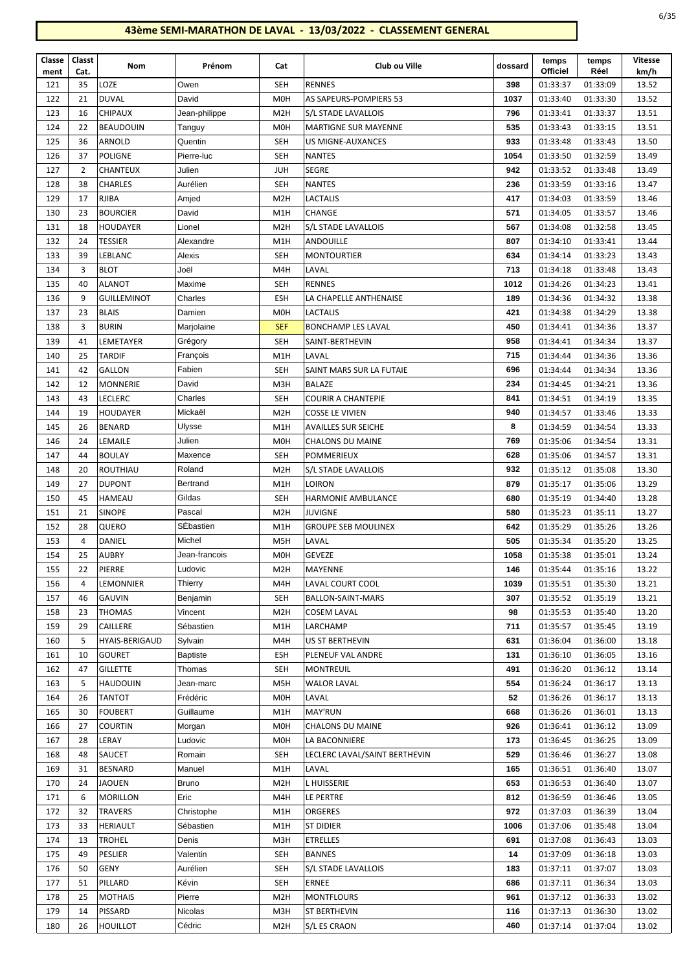| Classe      | Classt         | Nom                   | Prénom          | Cat              | Club ou Ville                 | dossard | temps<br><b>Officiel</b> | temps<br>Réel | <b>Vitesse</b> |
|-------------|----------------|-----------------------|-----------------|------------------|-------------------------------|---------|--------------------------|---------------|----------------|
| ment<br>121 | Cat.<br>35     | LOZE                  | Owen            | <b>SEH</b>       | <b>RENNES</b>                 | 398     | 01:33:37                 | 01:33:09      | km/h<br>13.52  |
| 122         | 21             | <b>DUVAL</b>          | David           | M <sub>O</sub> H | AS SAPEURS-POMPIERS 53        | 1037    | 01:33:40                 | 01:33:30      | 13.52          |
| 123         | 16             | <b>CHIPAUX</b>        | Jean-philippe   | M <sub>2</sub> H | S/L STADE LAVALLOIS           | 796     | 01:33:41                 | 01:33:37      | 13.51          |
| 124         | 22             | <b>BEAUDOUIN</b>      | Tanguy          | M <sub>0</sub> H | <b>MARTIGNE SUR MAYENNE</b>   | 535     | 01:33:43                 | 01:33:15      | 13.51          |
| 125         | 36             | ARNOLD                | Quentin         | <b>SEH</b>       | US MIGNE-AUXANCES             | 933     | 01:33:48                 | 01:33:43      | 13.50          |
| 126         | 37             | <b>POLIGNE</b>        | Pierre-luc      | SEH              | <b>NANTES</b>                 | 1054    | 01:33:50                 | 01:32:59      | 13.49          |
| 127         | $\overline{2}$ | CHANTEUX              | Julien          | JUH              | <b>SEGRE</b>                  | 942     | 01:33:52                 | 01:33:48      | 13.49          |
| 128         | 38             | <b>CHARLES</b>        | Aurélien        | <b>SEH</b>       | <b>NANTES</b>                 | 236     | 01:33:59                 | 01:33:16      | 13.47          |
| 129         | 17             | <b>RJIBA</b>          | Amjed           | M <sub>2</sub> H | <b>LACTALIS</b>               | 417     | 01:34:03                 | 01:33:59      | 13.46          |
| 130         | 23             | <b>BOURCIER</b>       | David           | M1H              | <b>CHANGE</b>                 | 571     | 01:34:05                 | 01:33:57      | 13.46          |
| 131         | 18             | HOUDAYER              | Lionel          | M <sub>2</sub> H | S/L STADE LAVALLOIS           | 567     | 01:34:08                 | 01:32:58      | 13.45          |
| 132         | 24             | <b>TESSIER</b>        | Alexandre       | M1H              | <b>ANDOUILLE</b>              | 807     | 01:34:10                 | 01:33:41      | 13.44          |
| 133         | 39             | LEBLANC               | Alexis          | <b>SEH</b>       | <b>MONTOURTIER</b>            | 634     | 01:34:14                 | 01:33:23      | 13.43          |
| 134         | 3              | <b>BLOT</b>           | Joël            | M4H              | LAVAL                         | 713     | 01:34:18                 | 01:33:48      | 13.43          |
| 135         | 40             | <b>ALANOT</b>         | Maxime          | <b>SEH</b>       | <b>RENNES</b>                 | 1012    | 01:34:26                 | 01:34:23      | 13.41          |
| 136         | 9              | <b>GUILLEMINOT</b>    | Charles         | ESH              | LA CHAPELLE ANTHENAISE        | 189     | 01:34:36                 | 01:34:32      | 13.38          |
| 137         | 23             | <b>BLAIS</b>          | Damien          | M <sub>0</sub> H | <b>LACTALIS</b>               | 421     | 01:34:38                 | 01:34:29      | 13.38          |
| 138         | 3              | <b>BURIN</b>          | Marjolaine      | <b>SEF</b>       | <b>BONCHAMP LES LAVAL</b>     | 450     | 01:34:41                 | 01:34:36      | 13.37          |
| 139         | 41             | LEMETAYER             | Grégory         | <b>SEH</b>       | SAINT-BERTHEVIN               | 958     | 01:34:41                 | 01:34:34      | 13.37          |
| 140         | 25             | <b>TARDIF</b>         | François        | M1H              | LAVAL                         | 715     | 01:34:44                 | 01:34:36      | 13.36          |
| 141         | 42             | <b>GALLON</b>         | Fabien          | <b>SEH</b>       | SAINT MARS SUR LA FUTAIE      | 696     | 01:34:44                 | 01:34:34      | 13.36          |
| 142         | 12             | <b>MONNERIE</b>       | David           | M3H              | <b>BALAZE</b>                 | 234     | 01:34:45                 | 01:34:21      | 13.36          |
| 143         | 43             | <b>LECLERC</b>        | Charles         | <b>SEH</b>       | <b>COURIR A CHANTEPIE</b>     | 841     | 01:34:51                 | 01:34:19      | 13.35          |
| 144         | 19             | <b>HOUDAYER</b>       | Mickaël         | M <sub>2</sub> H | <b>COSSE LE VIVIEN</b>        | 940     | 01:34:57                 | 01:33:46      | 13.33          |
| 145         | 26             | <b>BENARD</b>         | Ulysse          | M1H              | <b>AVAILLES SUR SEICHE</b>    | 8       | 01:34:59                 | 01:34:54      | 13.33          |
| 146         | 24             | LEMAILE               | Julien          | M <sub>O</sub> H | <b>CHALONS DU MAINE</b>       | 769     | 01:35:06                 | 01:34:54      | 13.31          |
| 147         | 44             | <b>BOULAY</b>         | Maxence         | <b>SEH</b>       | <b>POMMERIEUX</b>             | 628     | 01:35:06                 | 01:34:57      | 13.31          |
| 148         | 20             | ROUTHIAU              | Roland          | M <sub>2</sub> H | S/L STADE LAVALLOIS           | 932     | 01:35:12                 | 01:35:08      | 13.30          |
| 149         | 27             | <b>DUPONT</b>         | Bertrand        | M1H              | <b>LOIRON</b>                 | 879     | 01:35:17                 | 01:35:06      | 13.29          |
| 150         | 45             | <b>HAMEAU</b>         | Gildas          | <b>SEH</b>       | <b>HARMONIE AMBULANCE</b>     | 680     | 01:35:19                 | 01:34:40      | 13.28          |
| 151         | 21             | <b>SINOPE</b>         | Pascal          | M <sub>2</sub> H | <b>JUVIGNE</b>                | 580     | 01:35:23                 | 01:35:11      | 13.27          |
| 152         | 28             | QUERO                 | SÉbastien       | M <sub>1</sub> H | <b>GROUPE SEB MOULINEX</b>    | 642     | 01:35:29                 | 01:35:26      | 13.26          |
| 153         | 4              | DANIEL                | Michel          | M5H              | LAVAL                         | 505     | 01:35:34                 | 01:35:20      | 13.25          |
| 154         | 25             | <b>AUBRY</b>          | Jean-francois   | <b>MOH</b>       | <b>GEVEZE</b>                 | 1058    | 01:35:38                 | 01:35:01      | 13.24          |
| 155         | 22             | PIERRE                | Ludovic         | M <sub>2</sub> H | MAYENNE                       | 146     | 01:35:44                 | 01:35:16      | 13.22          |
| 156         | 4              | LEMONNIER             | Thierry         | M4H              | LAVAL COURT COOL              | 1039    | 01:35:51                 | 01:35:30      | 13.21          |
| 157         | 46             | <b>GAUVIN</b>         | Benjamin        | SEH              | <b>BALLON-SAINT-MARS</b>      | 307     | 01:35:52                 | 01:35:19      | 13.21          |
| 158         | 23             | <b>THOMAS</b>         | Vincent         | M <sub>2</sub> H | <b>COSEM LAVAL</b>            | 98      | 01:35:53                 | 01:35:40      | 13.20          |
| 159         | 29             | CAILLERE              | Sébastien       | M1H              | LARCHAMP                      | 711     | 01:35:57                 | 01:35:45      | 13.19          |
| 160         | 5              | <b>HYAIS-BERIGAUD</b> | Sylvain         | M4H              | US ST BERTHEVIN               | 631     | 01:36:04                 | 01:36:00      | 13.18          |
| 161         | 10             | <b>GOURET</b>         | <b>Baptiste</b> | ESH              | PLENEUF VAL ANDRE             | 131     | 01:36:10                 | 01:36:05      | 13.16          |
| 162         | 47             | GILLETTE              | Thomas          | SEH              | <b>MONTREUIL</b>              | 491     | 01:36:20                 | 01:36:12      | 13.14          |
| 163         | 5              | <b>HAUDOUIN</b>       | Jean-marc       | M5H              | <b>WALOR LAVAL</b>            | 554     | 01:36:24                 | 01:36:17      | 13.13          |
| 164         | 26             | <b>TANTOT</b>         | Frédéric        | M <sub>0</sub> H | LAVAL                         | 52      | 01:36:26                 | 01:36:17      | 13.13          |
| 165         | 30             | <b>FOUBERT</b>        | Guillaume       | M1H              | <b>MAY'RUN</b>                | 668     | 01:36:26                 | 01:36:01      | 13.13          |
| 166         | 27             | <b>COURTIN</b>        | Morgan          | M <sub>0</sub> H | <b>CHALONS DU MAINE</b>       | 926     | 01:36:41                 | 01:36:12      | 13.09          |
| 167         | 28             | LERAY                 | Ludovic         | M <sub>0</sub> H | LA BACONNIERE                 | 173     | 01:36:45                 | 01:36:25      | 13.09          |
| 168         | 48             | SAUCET                | Romain          | SEH              | LECLERC LAVAL/SAINT BERTHEVIN | 529     | 01:36:46                 | 01:36:27      | 13.08          |
| 169         | 31             | <b>BESNARD</b>        | Manuel          | M1H              | LAVAL                         | 165     | 01:36:51                 | 01:36:40      | 13.07          |
| 170         | 24             | JAOUEN                | Bruno           | M <sub>2</sub> H | <b>LHUISSERIE</b>             | 653     | 01:36:53                 | 01:36:40      | 13.07          |
| 171         | 6              | <b>MORILLON</b>       | Eric            | M4H              | LE PERTRE                     | 812     | 01:36:59                 | 01:36:46      | 13.05          |
| 172         | 32             | <b>TRAVERS</b>        | Christophe      | M1H              | ORGERES                       | 972     | 01:37:03                 | 01:36:39      | 13.04          |
| 173         | 33             | <b>HERIAULT</b>       | Sébastien       | M1H              | <b>ST DIDIER</b>              | 1006    | 01:37:06                 | 01:35:48      | 13.04          |
| 174         | 13             | <b>TROHEL</b>         | Denis           | M3H              | <b>ETRELLES</b>               | 691     | 01:37:08                 | 01:36:43      | 13.03          |
| 175         | 49             | PESLIER               | Valentin        | SEH              | <b>BANNES</b>                 | 14      | 01:37:09                 | 01:36:18      | 13.03          |
| 176         | 50             | GENY                  | Aurélien        | SEH              | S/L STADE LAVALLOIS           | 183     | 01:37:11                 | 01:37:07      | 13.03          |
| 177         | 51             | PILLARD               | Kévin           | SEH              | <b>ERNEE</b>                  | 686     | 01:37:11                 | 01:36:34      | 13.03          |
| 178         | 25             | <b>MOTHAIS</b>        | Pierre          | M <sub>2</sub> H | <b>MONTFLOURS</b>             | 961     | 01:37:12                 | 01:36:33      | 13.02          |
| 179         | 14             | <b>PISSARD</b>        | Nicolas         | M3H              | <b>ST BERTHEVIN</b>           | 116     | 01:37:13                 | 01:36:30      | 13.02          |
| 180         | 26             | HOUILLOT              | Cédric          | M <sub>2</sub> H | S/L ES CRAON                  | 460     | 01:37:14                 | 01:37:04      | 13.02          |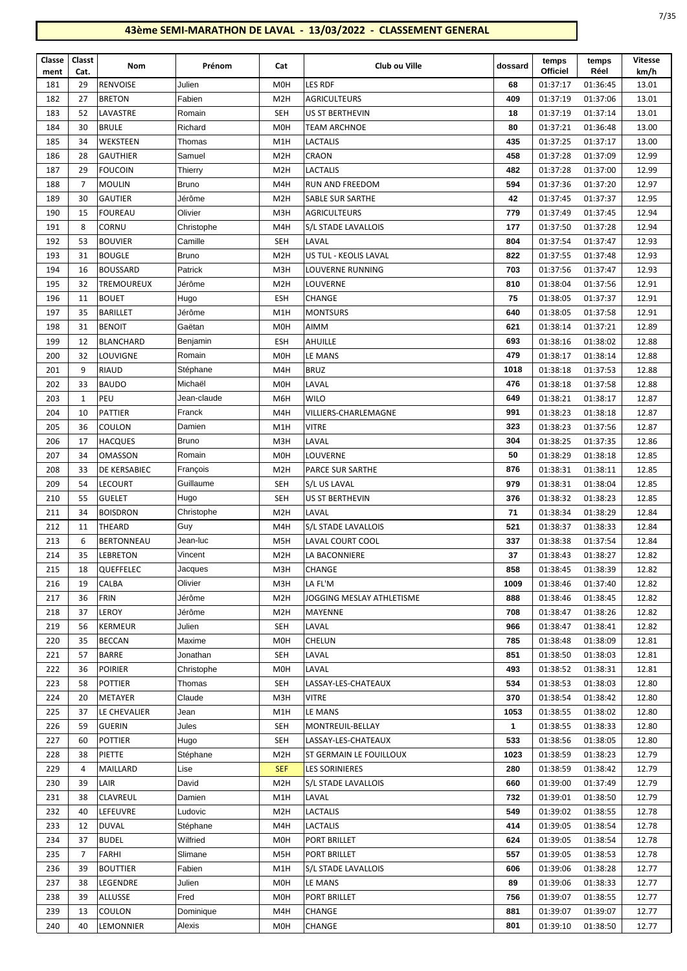| Classe<br>ment | Classt<br>Cat. | Nom               | Prénom       | Cat              | Club ou Ville             | dossard | temps<br><b>Officiel</b> | temps<br>Réel | Vitesse<br>km/h |
|----------------|----------------|-------------------|--------------|------------------|---------------------------|---------|--------------------------|---------------|-----------------|
| 181            | 29             | <b>RENVOISE</b>   | Julien       | M <sub>OH</sub>  | LES RDF                   | 68      | 01:37:17                 | 01:36:45      | 13.01           |
| 182            | 27             | <b>BRETON</b>     | Fabien       | M <sub>2</sub> H | <b>AGRICULTEURS</b>       | 409     | 01:37:19                 | 01:37:06      | 13.01           |
| 183            | 52             | LAVASTRE          | Romain       | <b>SEH</b>       | US ST BERTHEVIN           | 18      | 01:37:19                 | 01:37:14      | 13.01           |
| 184            | 30             | <b>BRULE</b>      | Richard      | <b>MOH</b>       | <b>TEAM ARCHNOE</b>       | 80      | 01:37:21                 | 01:36:48      | 13.00           |
| 185            | 34             | WEKSTEEN          | Thomas       | M1H              | LACTALIS                  | 435     | 01:37:25                 | 01:37:17      | 13.00           |
| 186            | 28             | <b>GAUTHIER</b>   | Samuel       | M <sub>2</sub> H | CRAON                     | 458     | 01:37:28                 | 01:37:09      | 12.99           |
| 187            | 29             | <b>FOUCOIN</b>    | Thierry      | M <sub>2</sub> H | <b>LACTALIS</b>           | 482     | 01:37:28                 | 01:37:00      | 12.99           |
| 188            | 7              | <b>MOULIN</b>     | <b>Bruno</b> | M4H              | RUN AND FREEDOM           | 594     | 01:37:36                 | 01:37:20      | 12.97           |
| 189            | 30             | <b>GAUTIER</b>    | Jérôme       | M <sub>2</sub> H | SABLE SUR SARTHE          | 42      | 01:37:45                 | 01:37:37      | 12.95           |
| 190            | 15             | <b>FOUREAU</b>    | Olivier      | M3H              | <b>AGRICULTEURS</b>       | 779     | 01:37:49                 | 01:37:45      | 12.94           |
| 191            | 8              | CORNU             | Christophe   | M4H              | S/L STADE LAVALLOIS       | 177     | 01:37:50                 | 01:37:28      | 12.94           |
| 192            | 53             | <b>BOUVIER</b>    | Camille      | <b>SEH</b>       | LAVAL                     | 804     | 01:37:54                 | 01:37:47      | 12.93           |
| 193            | 31             | <b>BOUGLE</b>     | <b>Bruno</b> | M <sub>2</sub> H | US TUL - KEOLIS LAVAL     | 822     | 01:37:55                 | 01:37:48      | 12.93           |
| 194            | 16             | <b>BOUSSARD</b>   | Patrick      | M3H              | <b>LOUVERNE RUNNING</b>   | 703     | 01:37:56                 | 01:37:47      | 12.93           |
| 195            | 32             | <b>TREMOUREUX</b> | Jérôme       | M <sub>2</sub> H | LOUVERNE                  | 810     | 01:38:04                 | 01:37:56      | 12.91           |
| 196            | 11             | <b>BOUET</b>      | Hugo         | ESH              | <b>CHANGE</b>             | 75      | 01:38:05                 | 01:37:37      | 12.91           |
| 197            | 35             | <b>BARILLET</b>   | Jérôme       | M1H              | <b>MONTSURS</b>           | 640     | 01:38:05                 | 01:37:58      | 12.91           |
| 198            | 31             | <b>BENOIT</b>     | Gaëtan       | M <sub>OH</sub>  | AIMM                      | 621     | 01:38:14                 | 01:37:21      | 12.89           |
| 199            | 12             | <b>BLANCHARD</b>  | Benjamin     | ESH              | <b>AHUILLE</b>            | 693     | 01:38:16                 | 01:38:02      | 12.88           |
| 200            | 32             | LOUVIGNE          | Romain       | <b>MOH</b>       | LE MANS                   | 479     | 01:38:17                 | 01:38:14      | 12.88           |
| 201            | 9              | <b>RIAUD</b>      | Stéphane     | M4H              | <b>BRUZ</b>               | 1018    | 01:38:18                 | 01:37:53      | 12.88           |
| 202            | 33             | <b>BAUDO</b>      | Michaël      | M <sub>OH</sub>  | LAVAL                     | 476     | 01:38:18                 | 01:37:58      | 12.88           |
| 203            | $\mathbf{1}$   | PEU               | Jean-claude  | M6H              | <b>WILO</b>               | 649     | 01:38:21                 | 01:38:17      | 12.87           |
| 204            | 10             | PATTIER           | Franck       | M4H              | VILLIERS-CHARLEMAGNE      | 991     | 01:38:23                 | 01:38:18      | 12.87           |
| 205            | 36             | COULON            | Damien       | M1H              | <b>VITRE</b>              | 323     | 01:38:23                 | 01:37:56      | 12.87           |
| 206            | 17             | <b>HACQUES</b>    | Bruno        | M3H              | LAVAL                     | 304     | 01:38:25                 | 01:37:35      | 12.86           |
| 207            | 34             | <b>OMASSON</b>    | Romain       | M <sub>0</sub> H | LOUVERNE                  | 50      | 01:38:29                 | 01:38:18      | 12.85           |
| 208            | 33             | DE KERSABIEC      | François     | M <sub>2</sub> H | PARCE SUR SARTHE          | 876     | 01:38:31                 | 01:38:11      | 12.85           |
| 209            | 54             | LECOURT           | Guillaume    | <b>SEH</b>       | S/L US LAVAL              | 979     | 01:38:31                 | 01:38:04      | 12.85           |
| 210            | 55             | <b>GUELET</b>     | Hugo         | <b>SEH</b>       | US ST BERTHEVIN           | 376     | 01:38:32                 | 01:38:23      | 12.85           |
| 211            | 34             | <b>BOISDRON</b>   | Christophe   | M <sub>2</sub> H | LAVAL                     | 71      | 01:38:34                 | 01:38:29      | 12.84           |
| 212            | 11             | <b>THEARD</b>     | Guy          | M4H              | S/L STADE LAVALLOIS       | 521     | 01:38:37                 | 01:38:33      | 12.84           |
| 213            | 6              | <b>BERTONNEAU</b> | Jean-luc     | M <sub>5</sub> H | LAVAL COURT COOL          | 337     | 01:38:38                 | 01:37:54      | 12.84           |
| 214            | 35             | <b>LEBRETON</b>   | Vincent      | M <sub>2</sub> H | LA BACONNIERE             | 37      | 01:38:43                 | 01:38:27      | 12.82           |
| 215            | 18             | QUEFFELEC         | Jacques      | M3H              | CHANGE                    | 858     | 01:38:45                 | 01:38:39      | 12.82           |
| 216            | 19             | CALBA             | Olivier      | M3H              | LA FL'M                   | 1009    | 01:38:46                 | 01:37:40      | 12.82           |
| 217            | 36             | <b>FRIN</b>       | Jérôme       | M <sub>2</sub> H | JOGGING MESLAY ATHLETISME | 888     | 01:38:46                 | 01:38:45      | 12.82           |
| 218            | 37             | LEROY             | Jérôme       | M <sub>2</sub> H | MAYENNE                   | 708     | 01:38:47                 | 01:38:26      | 12.82           |
| 219            | 56             | <b>KERMEUR</b>    | Julien       | <b>SEH</b>       | LAVAL                     | 966     | 01:38:47                 | 01:38:41      | 12.82           |
| 220            | 35             | <b>BECCAN</b>     | Maxime       | <b>MOH</b>       | CHELUN                    | 785     | 01:38:48                 | 01:38:09      | 12.81           |
| 221            | 57             | BARRE             | Jonathan     | <b>SEH</b>       | LAVAL                     | 851     | 01:38:50                 | 01:38:03      | 12.81           |
| 222            | 36             | <b>POIRIER</b>    | Christophe   | <b>MOH</b>       | LAVAL                     | 493     | 01:38:52                 | 01:38:31      | 12.81           |
| 223            | 58             | <b>POTTIER</b>    | Thomas       | <b>SEH</b>       | LASSAY-LES-CHATEAUX       | 534     | 01:38:53                 | 01:38:03      | 12.80           |
| 224            | 20             | METAYER           | Claude       | M3H              | <b>VITRE</b>              | 370     | 01:38:54                 | 01:38:42      | 12.80           |
| 225            | 37             | LE CHEVALIER      | Jean         | M1H              | LE MANS                   | 1053    | 01:38:55                 | 01:38:02      | 12.80           |
| 226            | 59             | <b>GUERIN</b>     | Jules        | <b>SEH</b>       | MONTREUIL-BELLAY          | 1       | 01:38:55                 | 01:38:33      | 12.80           |
| 227            | 60             | <b>POTTIER</b>    | Hugo         | <b>SEH</b>       | LASSAY-LES-CHATEAUX       | 533     | 01:38:56                 | 01:38:05      | 12.80           |
| 228            | 38             | PIETTE            | Stéphane     | M <sub>2</sub> H | ST GERMAIN LE FOUILLOUX   | 1023    | 01:38:59                 | 01:38:23      | 12.79           |
| 229            | 4              | MAILLARD          | Lise         | <b>SEF</b>       | <b>LES SORINIERES</b>     | 280     | 01:38:59                 | 01:38:42      | 12.79           |
| 230            | 39             | LAIR              | David        | M <sub>2</sub> H | S/L STADE LAVALLOIS       | 660     | 01:39:00                 | 01:37:49      | 12.79           |
| 231            | 38             | CLAVREUL          | Damien       | M1H              | LAVAL                     | 732     | 01:39:01                 | 01:38:50      | 12.79           |
| 232            | 40             | LEFEUVRE          | Ludovic      | M <sub>2</sub> H | LACTALIS                  | 549     | 01:39:02                 | 01:38:55      | 12.78           |
| 233            | 12             | <b>DUVAL</b>      | Stéphane     | M4H              | LACTALIS                  | 414     | 01:39:05                 | 01:38:54      | 12.78           |
| 234            | 37             | <b>BUDEL</b>      | Wilfried     | <b>MOH</b>       | PORT BRILLET              | 624     | 01:39:05                 | 01:38:54      | 12.78           |
| 235            | 7              | FARHI             | Slimane      | M <sub>5</sub> H | PORT BRILLET              | 557     | 01:39:05                 | 01:38:53      | 12.78           |
| 236            | 39             | <b>BOUTTIER</b>   | Fabien       | M1H              | S/L STADE LAVALLOIS       | 606     | 01:39:06                 | 01:38:28      | 12.77           |
| 237            | 38             | LEGENDRE          | Julien       | M <sub>0</sub> H | LE MANS                   | 89      | 01:39:06                 | 01:38:33      | 12.77           |
| 238            | 39             | <b>ALLUSSE</b>    | Fred         | M <sub>0</sub> H | PORT BRILLET              | 756     | 01:39:07                 | 01:38:55      | 12.77           |
| 239            | 13             | COULON            | Dominique    | M4H              | CHANGE                    | 881     | 01:39:07                 | 01:39:07      | 12.77           |
| 240            | 40             | LEMONNIER         | Alexis       | M <sub>0</sub> H | CHANGE                    | 801     | 01:39:10                 | 01:38:50      | 12.77           |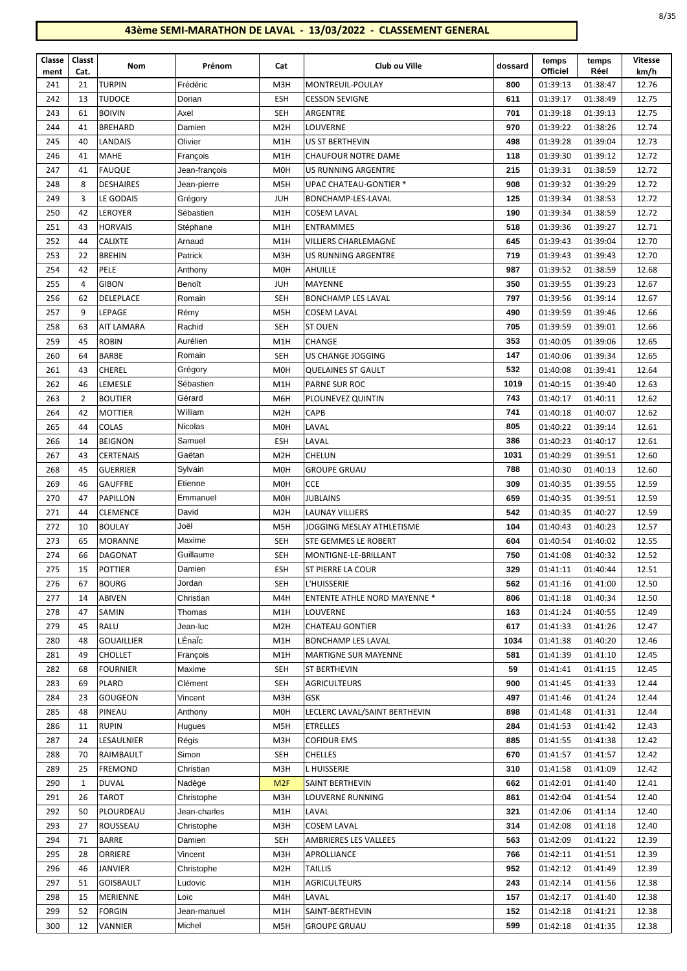| I<br>×<br>٠<br>۰.<br>v.<br>۰.<br>× |
|------------------------------------|
|------------------------------------|

| Classe<br>ment | Classt<br>Cat. | Nom               | Prénom        | Cat              | Club ou Ville                       | dossard | temps<br><b>Officiel</b> | temps<br>Réel | <b>Vitesse</b><br>km/h |
|----------------|----------------|-------------------|---------------|------------------|-------------------------------------|---------|--------------------------|---------------|------------------------|
| 241            | 21             | <b>TURPIN</b>     | Frédéric      | M3H              | MONTREUIL-POULAY                    | 800     | 01:39:13                 | 01:38:47      | 12.76                  |
| 242            | 13             | <b>TUDOCE</b>     | Dorian        | ESH              | <b>CESSON SEVIGNE</b>               | 611     | 01:39:17                 | 01:38:49      | 12.75                  |
| 243            | 61             | <b>BOIVIN</b>     | Axel          | <b>SEH</b>       | ARGENTRE                            | 701     | 01:39:18                 | 01:39:13      | 12.75                  |
| 244            | 41             | <b>BREHARD</b>    | Damien        | M <sub>2</sub> H | LOUVERNE                            | 970     | 01:39:22                 | 01:38:26      | 12.74                  |
| 245            | 40             | LANDAIS           | Olivier       | M1H              | US ST BERTHEVIN                     | 498     | 01:39:28                 | 01:39:04      | 12.73                  |
| 246            | 41             | <b>MAHE</b>       | François      | M1H              | <b>CHAUFOUR NOTRE DAME</b>          | 118     | 01:39:30                 | 01:39:12      | 12.72                  |
| 247            | 41             | <b>FAUQUE</b>     | Jean-françois | M <sub>O</sub> H | <b>US RUNNING ARGENTRE</b>          | 215     | 01:39:31                 | 01:38:59      | 12.72                  |
| 248            | 8              | <b>DESHAIRES</b>  | Jean-pierre   | M5H              | <b>UPAC CHATEAU-GONTIER *</b>       | 908     | 01:39:32                 | 01:39:29      | 12.72                  |
| 249            | 3              | LE GODAIS         | Grégory       | <b>JUH</b>       | BONCHAMP-LES-LAVAL                  | 125     | 01:39:34                 | 01:38:53      | 12.72                  |
| 250            | 42             | <b>LEROYER</b>    | Sébastien     | M1H              | <b>COSEM LAVAL</b>                  | 190     | 01:39:34                 | 01:38:59      | 12.72                  |
| 251            | 43             | <b>HORVAIS</b>    | Stéphane      | M1H              | <b>ENTRAMMES</b>                    | 518     | 01:39:36                 | 01:39:27      | 12.71                  |
| 252            | 44             | <b>CALIXTE</b>    | Arnaud        | M1H              | <b>VILLIERS CHARLEMAGNE</b>         | 645     | 01:39:43                 | 01:39:04      | 12.70                  |
| 253            | 22             | <b>BREHIN</b>     | Patrick       | M3H              | US RUNNING ARGENTRE                 | 719     | 01:39:43                 | 01:39:43      | 12.70                  |
| 254            | 42             | PELE              | Anthony       | M <sub>O</sub> H | AHUILLE                             | 987     | 01:39:52                 | 01:38:59      | 12.68                  |
| 255            | $\overline{4}$ | <b>GIBON</b>      | Benoît        | <b>JUH</b>       | MAYENNE                             | 350     | 01:39:55                 | 01:39:23      | 12.67                  |
| 256            | 62             | DELEPLACE         | Romain        | <b>SEH</b>       | <b>BONCHAMP LES LAVAL</b>           | 797     | 01:39:56                 | 01:39:14      | 12.67                  |
| 257            | 9              | LEPAGE            | Rémy          | M5H              | <b>COSEM LAVAL</b>                  | 490     | 01:39:59                 | 01:39:46      | 12.66                  |
| 258            | 63             | <b>AIT LAMARA</b> | Rachid        | <b>SEH</b>       | <b>ST OUEN</b>                      | 705     | 01:39:59                 | 01:39:01      | 12.66                  |
| 259            | 45             | <b>ROBIN</b>      | Aurélien      | M1H              | <b>CHANGE</b>                       | 353     | 01:40:05                 | 01:39:06      | 12.65                  |
| 260            | 64             | <b>BARBE</b>      | Romain        | <b>SEH</b>       | US CHANGE JOGGING                   | 147     | 01:40:06                 | 01:39:34      | 12.65                  |
| 261            | 43             | CHEREL            | Grégory       | M <sub>0</sub> H | <b>QUELAINES ST GAULT</b>           | 532     | 01:40:08                 | 01:39:41      | 12.64                  |
| 262            | 46             | LEMESLE           | Sébastien     | M1H              | PARNE SUR ROC                       | 1019    | 01:40:15                 | 01:39:40      | 12.63                  |
| 263            | $\overline{2}$ | <b>BOUTIER</b>    | Gérard        | M6H              | PLOUNEVEZ QUINTIN                   | 743     | 01:40:17                 | 01:40:11      | 12.62                  |
| 264            | 42             | <b>MOTTIER</b>    | William       | M <sub>2</sub> H | CAPB                                | 741     | 01:40:18                 | 01:40:07      | 12.62                  |
| 265            | 44             | <b>COLAS</b>      | Nicolas       | M <sub>O</sub> H | LAVAL                               | 805     | 01:40:22                 | 01:39:14      | 12.61                  |
| 266            | 14             | <b>BEIGNON</b>    | Samuel        | <b>ESH</b>       | LAVAL                               | 386     | 01:40:23                 | 01:40:17      | 12.61                  |
| 267            | 43             | <b>CERTENAIS</b>  | Gaëtan        | M <sub>2</sub> H | CHELUN                              | 1031    | 01:40:29                 | 01:39:51      | 12.60                  |
| 268            | 45             | <b>GUERRIER</b>   | Sylvain       | M <sub>O</sub> H | <b>GROUPE GRUAU</b>                 | 788     | 01:40:30                 | 01:40:13      | 12.60                  |
| 269            | 46             | <b>GAUFFRE</b>    | Etienne       | M <sub>O</sub> H | CCE                                 | 309     | 01:40:35                 | 01:39:55      | 12.59                  |
| 270            | 47             | PAPILLON          | Emmanuel      | M <sub>O</sub> H | JUBLAINS                            | 659     | 01:40:35                 | 01:39:51      | 12.59                  |
| 271            | 44             | <b>CLEMENCE</b>   | David         | M <sub>2</sub> H | LAUNAY VILLIERS                     | 542     | 01:40:35                 | 01:40:27      | 12.59                  |
| 272            | 10             | <b>BOULAY</b>     | Joël          | M5H              | JOGGING MESLAY ATHLETISME           | 104     | 01:40:43                 | 01:40:23      | 12.57                  |
| 273            | 65             | <b>MORANNE</b>    | Maxime        | <b>SEH</b>       | STE GEMMES LE ROBERT                | 604     | 01:40:54                 | 01:40:02      | 12.55                  |
| 274            | 66             | <b>DAGONAT</b>    | Guillaume     | <b>SEH</b>       | MONTIGNE-LE-BRILLANT                | 750     | 01:41:08                 | 01:40:32      | 12.52                  |
| 275            | 15             | <b>POTTIER</b>    | Damien        | <b>ESH</b>       | <b>ST PIERRE LA COUR</b>            | 329     | 01:41:11                 | 01:40:44      | 12.51                  |
| 276            | 67             | <b>BOURG</b>      | Jordan        | <b>SEH</b>       | L'HUISSERIE                         | 562     | 01:41:16                 | 01:41:00      | 12.50                  |
| 277            | 14             | ABIVEN            | Christian     | M4H              | <b>ENTENTE ATHLE NORD MAYENNE *</b> | 806     | 01:41:18                 | 01:40:34      | 12.50                  |
| 278            | 47             | SAMIN             | Thomas        | M1H              | LOUVERNE                            | 163     | 01:41:24                 | 01:40:55      | 12.49                  |
| 279            | 45             | RALU              | Jean-luc      | M <sub>2</sub> H | <b>CHATEAU GONTIER</b>              | 617     | 01:41:33                 | 01:41:26      | 12.47                  |
| 280            | 48             | <b>GOUAILLIER</b> | LÉnaÏc        | M1H              | <b>BONCHAMP LES LAVAL</b>           | 1034    | 01:41:38                 | 01:40:20      | 12.46                  |
| 281            | 49             | <b>CHOLLET</b>    | François      | M1H              | <b>MARTIGNE SUR MAYENNE</b>         | 581     | 01:41:39                 | 01:41:10      | 12.45                  |
| 282            | 68             | <b>FOURNIER</b>   | Maxime        | SEH              | ST BERTHEVIN                        | 59      | 01:41:41                 | 01:41:15      | 12.45                  |
| 283            | 69             | PLARD             | Clément       | SEH              | <b>AGRICULTEURS</b>                 | 900     | 01:41:45                 | 01:41:33      | 12.44                  |
| 284            | 23             | GOUGEON           | Vincent       | M3H              | GSK                                 | 497     | 01:41:46                 | 01:41:24      | 12.44                  |
| 285            | 48             | PINEAU            | Anthony       | M <sub>O</sub> H | LECLERC LAVAL/SAINT BERTHEVIN       | 898     | 01:41:48                 | 01:41:31      | 12.44                  |
| 286            | 11             | <b>RUPIN</b>      | Hugues        | M5H              | <b>ETRELLES</b>                     | 284     | 01:41:53                 | 01:41:42      | 12.43                  |
| 287            | 24             | LESAULNIER        | Régis         | M3H              | <b>COFIDUR EMS</b>                  | 885     | 01:41:55                 | 01:41:38      | 12.42                  |
| 288            | 70             | RAIMBAULT         | Simon         | <b>SEH</b>       | <b>CHELLES</b>                      | 670     | 01:41:57                 | 01:41:57      | 12.42                  |
| 289            | 25             | <b>FREMOND</b>    | Christian     | M3H              | L HUISSERIE                         | 310     | 01:41:58                 | 01:41:09      | 12.42                  |
| 290            | 1              | <b>DUVAL</b>      | Nadège        | M <sub>2F</sub>  | SAINT BERTHEVIN                     | 662     | 01:42:01                 | 01:41:40      | 12.41                  |
| 291            | 26             | TAROT             | Christophe    | M3H              | LOUVERNE RUNNING                    | 861     | 01:42:04                 | 01:41:54      | 12.40                  |
| 292            | 50             | PLOURDEAU         | Jean-charles  | M1H              | LAVAL                               | 321     | 01:42:06                 | 01:41:14      | 12.40                  |
| 293            | 27             | ROUSSEAU          | Christophe    | M3H              | <b>COSEM LAVAL</b>                  | 314     | 01:42:08                 | 01:41:18      | 12.40                  |
| 294            | 71             | <b>BARRE</b>      | Damien        | SEH              | AMBRIERES LES VALLEES               | 563     | 01:42:09                 | 01:41:22      | 12.39                  |
| 295            | 28             | ORRIERE           | Vincent       | M3H              | APROLLIANCE                         | 766     | 01:42:11                 | 01:41:51      | 12.39                  |
| 296            | 46             | JANVIER           | Christophe    | M <sub>2</sub> H | <b>TAILLIS</b>                      | 952     | 01:42:12                 | 01:41:49      | 12.39                  |
| 297            | 51             | <b>GOISBAULT</b>  | Ludovic       | M1H              | <b>AGRICULTEURS</b>                 | 243     | 01:42:14                 | 01:41:56      | 12.38                  |
| 298            | 15             | MERIENNE          | Loïc          | M4H              | LAVAL                               | 157     | 01:42:17                 | 01:41:40      | 12.38                  |
| 299            | 52             | FORGIN            | Jean-manuel   | M1H              | SAINT-BERTHEVIN                     | 152     | 01:42:18                 | 01:41:21      | 12.38                  |
| 300            | 12             | VANNIER           | Michel        | M5H              | <b>GROUPE GRUAU</b>                 | 599     | 01:42:18                 | 01:41:35      | 12.38                  |
|                |                |                   |               |                  |                                     |         |                          |               |                        |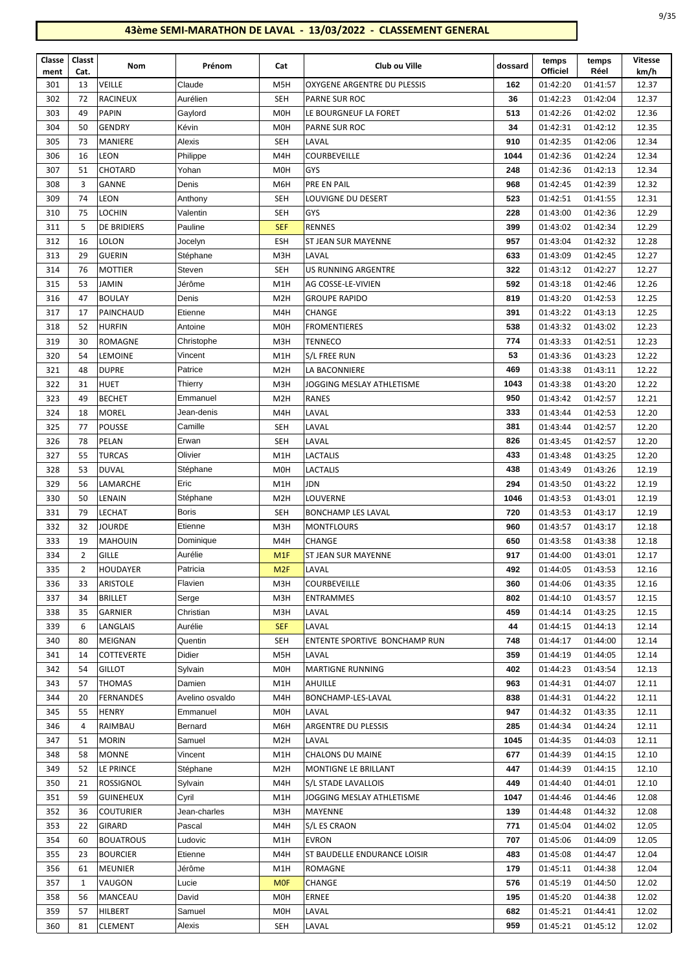| ۰.<br>$\sim$<br>$\sim$<br>× |
|-----------------------------|
|-----------------------------|

| Classe<br>ment | Classt<br>Cat. | Nom                | Prénom          | Cat              | Club ou Ville                 | dossard | temps<br><b>Officiel</b> | temps<br>Réel | <b>Vitesse</b><br>km/h |
|----------------|----------------|--------------------|-----------------|------------------|-------------------------------|---------|--------------------------|---------------|------------------------|
| 301            | 13             | VEILLE             | Claude          | M <sub>5</sub> H | OXYGENE ARGENTRE DU PLESSIS   | 162     | 01:42:20                 | 01:41:57      | 12.37                  |
| 302            | 72             | <b>RACINEUX</b>    | Aurélien        | <b>SEH</b>       | <b>PARNE SUR ROC</b>          | 36      | 01:42:23                 | 01:42:04      | 12.37                  |
| 303            | 49             | <b>PAPIN</b>       | Gaylord         | M <sub>0</sub> H | LE BOURGNEUF LA FORET         | 513     | 01:42:26                 | 01:42:02      | 12.36                  |
| 304            | 50             | <b>GENDRY</b>      | Kévin           | M <sub>0</sub> H | PARNE SUR ROC                 | 34      | 01:42:31                 | 01:42:12      | 12.35                  |
| 305            | 73             | <b>MANIERE</b>     | Alexis          | <b>SEH</b>       | LAVAL                         | 910     | 01:42:35                 | 01:42:06      | 12.34                  |
| 306            | 16             | LEON               | Philippe        | M4H              | COURBEVEILLE                  | 1044    | 01:42:36                 | 01:42:24      | 12.34                  |
| 307            | 51             | CHOTARD            | Yohan           | M <sub>O</sub> H | GYS                           | 248     | 01:42:36                 | 01:42:13      | 12.34                  |
| 308            | 3              | <b>GANNE</b>       | Denis           | M6H              | PRE EN PAIL                   | 968     | 01:42:45                 | 01:42:39      | 12.32                  |
| 309            | 74             | <b>LEON</b>        | Anthony         | SEH              | LOUVIGNE DU DESERT            | 523     | 01:42:51                 | 01:41:55      | 12.31                  |
| 310            | 75             | <b>LOCHIN</b>      | Valentin        | <b>SEH</b>       | GYS                           | 228     | 01:43:00                 | 01:42:36      | 12.29                  |
| 311            | 5              | <b>DE BRIDIERS</b> | Pauline         | <b>SEF</b>       | <b>RENNES</b>                 | 399     | 01:43:02                 | 01:42:34      | 12.29                  |
| 312            | 16             | <b>LOLON</b>       | Jocelyn         | <b>ESH</b>       | ST JEAN SUR MAYENNE           | 957     | 01:43:04                 | 01:42:32      | 12.28                  |
| 313            | 29             | <b>GUERIN</b>      | Stéphane        | M3H              | LAVAL                         | 633     | 01:43:09                 | 01:42:45      | 12.27                  |
| 314            | 76             | <b>MOTTIER</b>     | Steven          | <b>SEH</b>       | <b>US RUNNING ARGENTRE</b>    | 322     | 01:43:12                 | 01:42:27      | 12.27                  |
| 315            | 53             | <b>JAMIN</b>       | Jérôme          | M1H              | AG COSSE-LE-VIVIEN            | 592     | 01:43:18                 | 01:42:46      | 12.26                  |
| 316            | 47             | <b>BOULAY</b>      | Denis           | M <sub>2</sub> H | <b>GROUPE RAPIDO</b>          | 819     | 01:43:20                 | 01:42:53      | 12.25                  |
| 317            | 17             | PAINCHAUD          | Etienne         | M4H              | CHANGE                        | 391     | 01:43:22                 | 01:43:13      | 12.25                  |
| 318            | 52             | HURFIN             | Antoine         | M <sub>O</sub> H | <b>FROMENTIERES</b>           | 538     | 01:43:32                 | 01:43:02      | 12.23                  |
| 319            | 30             | <b>ROMAGNE</b>     | Christophe      | M3H              | <b>TENNECO</b>                | 774     | 01:43:33                 | 01:42:51      | 12.23                  |
| 320            | 54             | LEMOINE            | Vincent         | M1H              | S/L FREE RUN                  | 53      | 01:43:36                 | 01:43:23      | 12.22                  |
| 321            | 48             | <b>DUPRE</b>       | Patrice         | M <sub>2</sub> H | LA BACONNIERE                 | 469     | 01:43:38                 | 01:43:11      | 12.22                  |
| 322            | 31             | <b>HUET</b>        | Thierry         | M3H              | JOGGING MESLAY ATHLETISME     | 1043    | 01:43:38                 | 01:43:20      | 12.22                  |
| 323            | 49             | <b>BECHET</b>      | Emmanuel        | M <sub>2</sub> H | <b>RANES</b>                  | 950     | 01:43:42                 | 01:42:57      | 12.21                  |
| 324            | 18             | <b>MOREL</b>       | Jean-denis      | M4H              | LAVAL                         | 333     | 01:43:44                 | 01:42:53      | 12.20                  |
| 325            | 77             | <b>POUSSE</b>      | Camille         | SEH              | LAVAL                         | 381     | 01:43:44                 | 01:42:57      | 12.20                  |
| 326            | 78             | PELAN              | Erwan           | SEH              | LAVAL                         | 826     | 01:43:45                 | 01:42:57      | 12.20                  |
| 327            | 55             | <b>TURCAS</b>      | Olivier         | M1H              | LACTALIS                      | 433     | 01:43:48                 | 01:43:25      | 12.20                  |
| 328            | 53             | <b>DUVAL</b>       | Stéphane        | M <sub>O</sub> H | <b>LACTALIS</b>               | 438     | 01:43:49                 | 01:43:26      | 12.19                  |
| 329            | 56             | LAMARCHE           | Eric            | M1H              | JDN                           | 294     | 01:43:50                 | 01:43:22      | 12.19                  |
| 330            | 50             | LENAIN             | Stéphane        | M <sub>2</sub> H | LOUVERNE                      | 1046    | 01:43:53                 | 01:43:01      | 12.19                  |
| 331            | 79             | <b>LECHAT</b>      | <b>Boris</b>    | <b>SEH</b>       | <b>BONCHAMP LES LAVAL</b>     | 720     | 01:43:53                 | 01:43:17      | 12.19                  |
| 332            | 32             | JOURDE             | Etienne         | M3H              | <b>MONTFLOURS</b>             | 960     | 01:43:57                 | 01:43:17      | 12.18                  |
| 333            | 19             | <b>MAHOUIN</b>     | Dominique       | M4H              | <b>CHANGE</b>                 | 650     | 01:43:58                 | 01:43:38      | 12.18                  |
| 334            | $\overline{2}$ | <b>GILLE</b>       | Aurélie         | M <sub>1</sub> F | ST JEAN SUR MAYENNE           | 917     | 01:44:00                 | 01:43:01      | 12.17                  |
| 335            | $\overline{2}$ | HOUDAYER           | Patricia        | M <sub>2F</sub>  | LAVAL                         | 492     | 01:44:05                 | 01:43:53      | 12.16                  |
| 336            | 33             | <b>ARISTOLE</b>    | Flavien         | M3H              | COURBEVEILLE                  | 360     | 01:44:06                 | 01:43:35      | 12.16                  |
| 337            | 34             | <b>BRILLET</b>     | Serge           | M3H              | <b>ENTRAMMES</b>              | 802     | 01:44:10                 | 01:43:57      | 12.15                  |
| 338            | 35             | GARNIER            | Christian       | M3H              | LAVAL                         | 459     | 01:44:14                 | 01:43:25      | 12.15                  |
| 339            | 6              | LANGLAIS           | Aurélie         | <b>SEF</b>       | LAVAL                         | 44      | 01:44:15                 | 01:44:13      | 12.14                  |
| 340            | 80             | <b>MEIGNAN</b>     | Quentin         | SEH              | ENTENTE SPORTIVE BONCHAMP RUN | 748     | 01:44:17                 | 01:44:00      | 12.14                  |
| 341            | 14             | <b>COTTEVERTE</b>  | Didier          | M5H              | LAVAL                         | 359     | 01:44:19                 | 01:44:05      | 12.14                  |
| 342            | 54             | GILLOT             | Sylvain         | M0H              | <b>MARTIGNE RUNNING</b>       | 402     | 01:44:23                 | 01:43:54      | 12.13                  |
| 343            | 57             | THOMAS             | Damien          | M1H              | AHUILLE                       | 963     | 01:44:31                 | 01:44:07      | 12.11                  |
| 344            | 20             | FERNANDES          | Avelino osvaldo | M4H              | BONCHAMP-LES-LAVAL            | 838     | 01:44:31                 | 01:44:22      | 12.11                  |
| 345            | 55             | HENRY              | Emmanuel        | M0H              | LAVAL                         | 947     | 01:44:32                 | 01:43:35      | 12.11                  |
| 346            | 4              | RAIMBAU            | Bernard         | M6H              | ARGENTRE DU PLESSIS           | 285     | 01:44:34                 | 01:44:24      | 12.11                  |
| 347            | 51             | MORIN              | Samuel          | M <sub>2</sub> H | LAVAL                         | 1045    | 01:44:35                 | 01:44:03      | 12.11                  |
| 348            | 58             | <b>MONNE</b>       | Vincent         | M1H              | <b>CHALONS DU MAINE</b>       | 677     | 01:44:39                 | 01:44:15      | 12.10                  |
| 349            | 52             | LE PRINCE          | Stéphane        | M <sub>2</sub> H | MONTIGNE LE BRILLANT          | 447     | 01:44:39                 | 01:44:15      | 12.10                  |
| 350            | 21             | ROSSIGNOL          | Sylvain         | M4H              | S/L STADE LAVALLOIS           | 449     | 01:44:40                 | 01:44:01      | 12.10                  |
| 351            | 59             | <b>GUINEHEUX</b>   | Cyril           | M1H              | JOGGING MESLAY ATHLETISME     | 1047    | 01:44:46                 | 01:44:46      | 12.08                  |
| 352            | 36             | <b>COUTURIER</b>   | Jean-charles    | M3H              | MAYENNE                       | 139     | 01:44:48                 | 01:44:32      | 12.08                  |
| 353            | 22             | GIRARD             | Pascal          | M4H              | S/L ES CRAON                  | 771     | 01:45:04                 | 01:44:02      | 12.05                  |
| 354            | 60             | <b>BOUATROUS</b>   | Ludovic         | M1H              | <b>EVRON</b>                  | 707     | 01:45:06                 | 01:44:09      | 12.05                  |
| 355            | 23             | <b>BOURCIER</b>    | Etienne         | M4H              | ST BAUDELLE ENDURANCE LOISIR  | 483     | 01:45:08                 | 01:44:47      | 12.04                  |
| 356            | 61             | MEUNIER            | Jérôme          | M1H              | ROMAGNE                       | 179     | 01:45:11                 | 01:44:38      | 12.04                  |
| 357            | 1              | VAUGON             | Lucie           | <b>MOF</b>       | CHANGE                        | 576     | 01:45:19                 | 01:44:50      | 12.02                  |
| 358            | 56             | MANCEAU            | David           | M0H              | ERNEE                         | 195     | 01:45:20                 | 01:44:38      | 12.02                  |
| 359            | 57             | HILBERT            | Samuel          | M0H              | LAVAL                         | 682     | 01:45:21                 | 01:44:41      | 12.02                  |
| 360            | 81             | <b>CLEMENT</b>     | Alexis          | <b>SEH</b>       | LAVAL                         | 959     | 01:45:21                 | 01:45:12      | 12.02                  |
|                |                |                    |                 |                  |                               |         |                          |               |                        |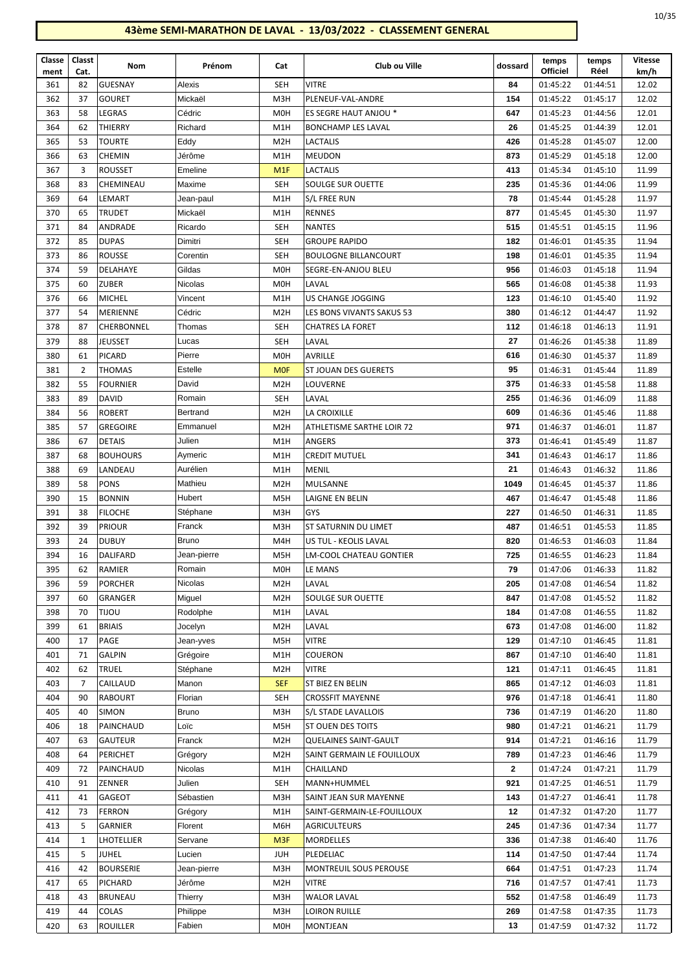| Classe      | Classt         | Nom              | Prénom      | Cat              | Club ou Ville                 | dossard      | temps<br><b>Officiel</b> | temps<br>Réel | Vitesse       |
|-------------|----------------|------------------|-------------|------------------|-------------------------------|--------------|--------------------------|---------------|---------------|
| ment<br>361 | Cat.<br>82     | <b>GUESNAY</b>   | Alexis      | <b>SEH</b>       | <b>VITRE</b>                  | 84           | 01:45:22                 | 01:44:51      | km/h<br>12.02 |
| 362         | 37             | <b>GOURET</b>    | Mickaël     | M3H              | PLENEUF-VAL-ANDRE             | 154          | 01:45:22                 | 01:45:17      | 12.02         |
|             |                |                  |             |                  |                               |              |                          |               |               |
| 363         | 58             | LEGRAS           | Cédric      | <b>MOH</b>       | ES SEGRE HAUT ANJOU *         | 647          | 01:45:23                 | 01:44:56      | 12.01         |
| 364         | 62             | THIERRY          | Richard     | M1H              | <b>BONCHAMP LES LAVAL</b>     | 26           | 01:45:25                 | 01:44:39      | 12.01         |
| 365         | 53             | <b>TOURTE</b>    | Eddy        | M <sub>2</sub> H | <b>LACTALIS</b>               | 426          | 01:45:28                 | 01:45:07      | 12.00         |
| 366         | 63             | <b>CHEMIN</b>    | Jérôme      | M1H              | <b>MEUDON</b>                 | 873          | 01:45:29                 | 01:45:18      | 12.00         |
| 367         | 3              | <b>ROUSSET</b>   | Emeline     | M1F              | <b>LACTALIS</b>               | 413          | 01:45:34                 | 01:45:10      | 11.99         |
| 368         | 83             | CHEMINEAU        | Maxime      | <b>SEH</b>       | SOULGE SUR OUETTE             | 235          | 01:45:36                 | 01:44:06      | 11.99         |
| 369         | 64             | LEMART           | Jean-paul   | M1H              | S/L FREE RUN                  | 78           | 01:45:44                 | 01:45:28      | 11.97         |
| 370         | 65             | <b>TRUDET</b>    | Mickaël     | M1H              | <b>RENNES</b>                 | 877          | 01:45:45                 | 01:45:30      | 11.97         |
| 371         | 84             | ANDRADE          | Ricardo     | <b>SEH</b>       | <b>NANTES</b>                 | 515          | 01:45:51                 | 01:45:15      | 11.96         |
| 372         | 85             | <b>DUPAS</b>     | Dimitri     | <b>SEH</b>       | <b>GROUPE RAPIDO</b>          | 182          | 01:46:01                 | 01:45:35      | 11.94         |
| 373         | 86             | <b>ROUSSE</b>    | Corentin    | <b>SEH</b>       | <b>BOULOGNE BILLANCOURT</b>   | 198          | 01:46:01                 | 01:45:35      | 11.94         |
| 374         | 59             | DELAHAYE         | Gildas      | M <sub>OH</sub>  | SEGRE-EN-ANJOU BLEU           | 956          | 01:46:03                 | 01:45:18      | 11.94         |
| 375         | 60             | <b>ZUBER</b>     | Nicolas     | M <sub>OH</sub>  | LAVAL                         | 565          | 01:46:08                 | 01:45:38      | 11.93         |
| 376         | 66             | <b>MICHEL</b>    | Vincent     | M1H              | US CHANGE JOGGING             | 123          | 01:46:10                 | 01:45:40      | 11.92         |
| 377         | 54             | <b>MERIENNE</b>  | Cédric      | M <sub>2</sub> H | LES BONS VIVANTS SAKUS 53     | 380          | 01:46:12                 | 01:44:47      | 11.92         |
| 378         | 87             | CHERBONNEL       | Thomas      | <b>SEH</b>       | <b>CHATRES LA FORET</b>       | 112          | 01:46:18                 | 01:46:13      | 11.91         |
| 379         | 88             | JEUSSET          | Lucas       | <b>SEH</b>       | LAVAL                         | 27           | 01:46:26                 | 01:45:38      | 11.89         |
| 380         | 61             | <b>PICARD</b>    | Pierre      | M <sub>0</sub> H | AVRILLE                       | 616          | 01:46:30                 | 01:45:37      | 11.89         |
| 381         | $\overline{2}$ | <b>THOMAS</b>    | Estelle     | <b>MOF</b>       | ST JOUAN DES GUERETS          | 95           | 01:46:31                 | 01:45:44      | 11.89         |
| 382         | 55             | <b>FOURNIER</b>  | David       | M <sub>2</sub> H | LOUVERNE                      | 375          | 01:46:33                 | 01:45:58      | 11.88         |
| 383         | 89             | <b>DAVID</b>     | Romain      | <b>SEH</b>       | LAVAL                         | 255          | 01:46:36                 | 01:46:09      | 11.88         |
| 384         | 56             | <b>ROBERT</b>    | Bertrand    | M <sub>2</sub> H | LA CROIXILLE                  | 609          | 01:46:36                 | 01:45:46      | 11.88         |
| 385         | 57             | <b>GREGOIRE</b>  | Emmanuel    | M <sub>2</sub> H | ATHLETISME SARTHE LOIR 72     | 971          | 01:46:37                 | 01:46:01      | 11.87         |
| 386         | 67             | <b>DETAIS</b>    | Julien      | M1H              | <b>ANGERS</b>                 | 373          | 01:46:41                 | 01:45:49      | 11.87         |
| 387         | 68             | <b>BOUHOURS</b>  | Aymeric     | M1H              | <b>CREDIT MUTUEL</b>          | 341          | 01:46:43                 | 01:46:17      | 11.86         |
| 388         | 69             | LANDEAU          | Aurélien    | M1H              | <b>MENIL</b>                  | 21           | 01:46:43                 | 01:46:32      | 11.86         |
| 389         | 58             | <b>PONS</b>      | Mathieu     | M <sub>2</sub> H | MULSANNE                      | 1049         | 01:46:45                 | 01:45:37      | 11.86         |
| 390         | 15             | <b>BONNIN</b>    | Hubert      | M <sub>5</sub> H | LAIGNE EN BELIN               | 467          | 01:46:47                 | 01:45:48      | 11.86         |
| 391         | 38             | <b>FILOCHE</b>   | Stéphane    | M3H              | GYS                           | 227          | 01:46:50                 | 01:46:31      | 11.85         |
| 392         | 39             | <b>PRIOUR</b>    | Franck      | M3H              | ST SATURNIN DU LIMET          | 487          | 01:46:51                 | 01:45:53      | 11.85         |
| 393         | 24             | <b>DUBUY</b>     | Bruno       | M4H              | US TUL - KEOLIS LAVAL         | 820          | 01:46:53                 | 01:46:03      | 11.84         |
| 394         | 16             | DALIFARD         | Jean-pierre | M5H              | LM-COOL CHATEAU GONTIER       | 725          | 01:46:55                 | 01:46:23      | 11.84         |
| 395         | 62             | RAMIER           | Romain      | M <sub>OH</sub>  | LE MANS                       | 79           | 01:47:06                 | 01:46:33      | 11.82         |
| 396         | 59             | <b>PORCHER</b>   | Nicolas     | M <sub>2</sub> H | LAVAL                         | 205          | 01:47:08                 | 01:46:54      | 11.82         |
|             |                |                  |             |                  |                               |              |                          |               |               |
| 397         | 60             | GRANGER          | Miguel      | M <sub>2</sub> H | SOULGE SUR OUETTE             | 847          | 01:47:08                 | 01:45:52      | 11.82         |
| 398         | 70             | <b>UOLIT</b>     | Rodolphe    | M1H              | LAVAL                         | 184          | 01:47:08                 | 01:46:55      | 11.82         |
| 399         | 61             | <b>BRIAIS</b>    | Jocelyn     | M <sub>2</sub> H | LAVAL                         | 673          | 01:47:08                 | 01:46:00      | 11.82         |
| 400         | 17             | PAGE             | Jean-yves   | M <sub>5</sub> H | <b>VITRE</b>                  | 129          | 01:47:10                 | 01:46:45      | 11.81         |
| 401         | 71             | <b>GALPIN</b>    | Grégoire    | M1H              | COUERON                       | 867          | 01:47:10                 | 01:46:40      | 11.81         |
| 402         | 62             | TRUEL            | Stéphane    | M <sub>2</sub> H | <b>VITRE</b>                  | 121          | 01:47:11                 | 01:46:45      | 11.81         |
| 403         | 7              | CAILLAUD         | Manon       | <b>SEF</b>       | ST BIEZ EN BELIN              | 865          | 01:47:12                 | 01:46:03      | 11.81         |
| 404         | 90             | <b>RABOURT</b>   | Florian     | <b>SEH</b>       | <b>CROSSFIT MAYENNE</b>       | 976          | 01:47:18                 | 01:46:41      | 11.80         |
| 405         | 40             | <b>SIMON</b>     | Bruno       | M3H              | S/L STADE LAVALLOIS           | 736          | 01:47:19                 | 01:46:20      | 11.80         |
| 406         | 18             | PAINCHAUD        | Loïc        | M5H              | ST OUEN DES TOITS             | 980          | 01:47:21                 | 01:46:21      | 11.79         |
| 407         | 63             | <b>GAUTEUR</b>   | Franck      | M <sub>2</sub> H | <b>QUELAINES SAINT-GAULT</b>  | 914          | 01:47:21                 | 01:46:16      | 11.79         |
| 408         | 64             | PERICHET         | Grégory     | M <sub>2</sub> H | SAINT GERMAIN LE FOUILLOUX    | 789          | 01:47:23                 | 01:46:46      | 11.79         |
| 409         | 72             | PAINCHAUD        | Nicolas     | M1H              | CHAILLAND                     | $\mathbf{2}$ | 01:47:24                 | 01:47:21      | 11.79         |
| 410         | 91             | ZENNER           | Julien      | <b>SEH</b>       | MANN+HUMMEL                   | 921          | 01:47:25                 | 01:46:51      | 11.79         |
| 411         | 41             | GAGEOT           | Sébastien   | M3H              | SAINT JEAN SUR MAYENNE        | 143          | 01:47:27                 | 01:46:41      | 11.78         |
| 412         | 73             | <b>FERRON</b>    | Grégory     | M1H              | SAINT-GERMAIN-LE-FOUILLOUX    | 12           | 01:47:32                 | 01:47:20      | 11.77         |
| 413         | 5              | GARNIER          | Florent     | M6H              | AGRICULTEURS                  | 245          | 01:47:36                 | 01:47:34      | 11.77         |
| 414         | 1              | LHOTELLIER       | Servane     | M <sub>3F</sub>  | MORDELLES                     | 336          | 01:47:38                 | 01:46:40      | 11.76         |
| 415         | 5              | <b>JUHEL</b>     | Lucien      | <b>JUH</b>       | PLEDELIAC                     | 114          | 01:47:50                 | 01:47:44      | 11.74         |
| 416         | 42             | <b>BOURSERIE</b> | Jean-pierre | M3H              | <b>MONTREUIL SOUS PEROUSE</b> | 664          | 01:47:51                 | 01:47:23      | 11.74         |
| 417         | 65             | PICHARD          | Jérôme      | M <sub>2</sub> H | <b>VITRE</b>                  | 716          | 01:47:57                 | 01:47:41      | 11.73         |
| 418         | 43             | <b>BRUNEAU</b>   | Thierry     | M3H              | <b>WALOR LAVAL</b>            | 552          | 01:47:58                 | 01:46:49      | 11.73         |
| 419         | 44             | COLAS            | Philippe    | M3H              | <b>LOIRON RUILLE</b>          | 269          | 01:47:58                 | 01:47:35      | 11.73         |
| 420         | 63             | <b>ROUILLER</b>  | Fabien      | M <sub>0</sub> H | MONTJEAN                      | 13           | 01:47:59                 | 01:47:32      | 11.72         |
|             |                |                  |             |                  |                               |              |                          |               |               |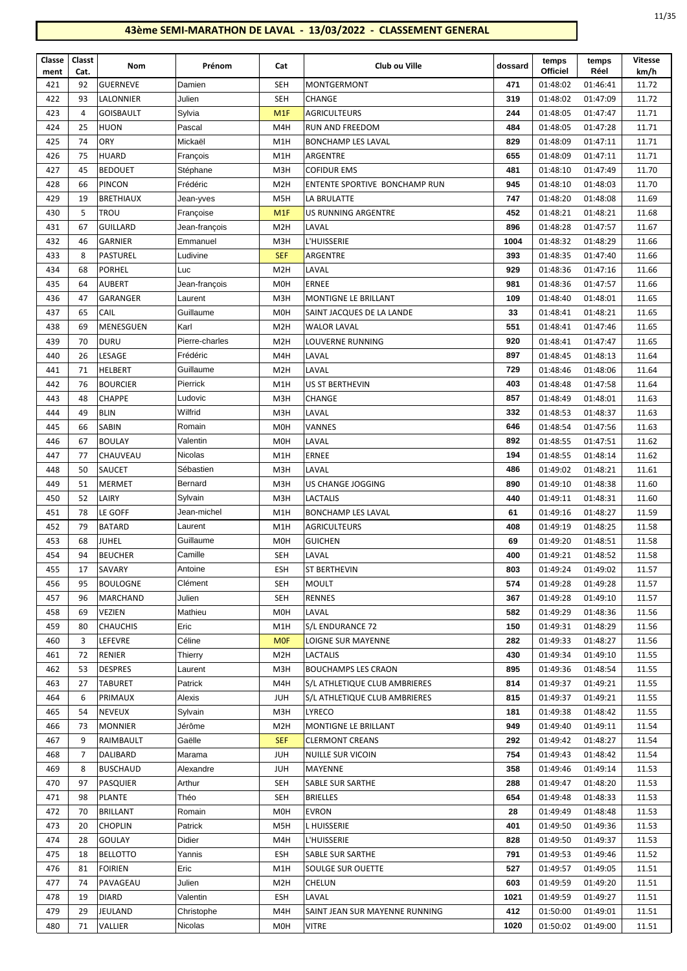| ۹<br>×<br>۰. |
|--------------|
|--------------|

| Classe<br>ment | Classt<br>Cat. | Nom                      | Prénom                 | Cat               | Club ou Ville                           | dossard     | temps<br><b>Officiel</b> | temps<br>Réel        | <b>Vitesse</b><br>km/h |
|----------------|----------------|--------------------------|------------------------|-------------------|-----------------------------------------|-------------|--------------------------|----------------------|------------------------|
| 421            | 92             | <b>GUERNEVE</b>          | Damien                 | <b>SEH</b>        | MONTGERMONT                             | 471         | 01:48:02                 | 01:46:41             | 11.72                  |
| 422            | 93             | LALONNIER                | Julien                 | <b>SEH</b>        | CHANGE                                  | 319         | 01:48:02                 | 01:47:09             | 11.72                  |
| 423            | $\overline{4}$ | <b>GOISBAULT</b>         | Sylvia                 | M <sub>1</sub> F  | <b>AGRICULTEURS</b>                     | 244         | 01:48:05                 | 01:47:47             | 11.71                  |
| 424            | 25             | HUON                     | Pascal                 | M4H               | RUN AND FREEDOM                         | 484         | 01:48:05                 | 01:47:28             | 11.71                  |
| 425            | 74             | ORY                      | Mickaël                | M1H               | <b>BONCHAMP LES LAVAL</b>               | 829         | 01:48:09                 | 01:47:11             | 11.71                  |
| 426            | 75             | <b>HUARD</b>             | François               | M1H               | ARGENTRE                                | 655         | 01:48:09                 | 01:47:11             | 11.71                  |
| 427            | 45             | <b>BEDOUET</b>           | Stéphane               | M3H               | <b>COFIDUR EMS</b>                      | 481         | 01:48:10                 | 01:47:49             | 11.70                  |
| 428            | 66             | <b>PINCON</b>            | Frédéric               | M <sub>2</sub> H  | ENTENTE SPORTIVE BONCHAMP RUN           | 945         | 01:48:10                 | 01:48:03             | 11.70                  |
| 429            | 19             | <b>BRETHIAUX</b>         | Jean-yves              | M5H               | LA BRULATTE                             | 747         | 01:48:20                 | 01:48:08             | 11.69                  |
| 430            | 5              | <b>TROU</b>              | Françoise              | M1F               | <b>US RUNNING ARGENTRE</b>              | 452         | 01:48:21                 | 01:48:21             | 11.68                  |
| 431            | 67             | <b>GUILLARD</b>          | Jean-françois          | M <sub>2</sub> H  | LAVAL                                   | 896         | 01:48:28                 | 01:47:57             | 11.67                  |
| 432            | 46             | <b>GARNIER</b>           | Emmanuel               | M3H               | L'HUISSERIE                             | 1004        | 01:48:32                 | 01:48:29             | 11.66                  |
| 433            | 8              | <b>PASTUREL</b>          | Ludivine               | <b>SEF</b>        | ARGENTRE                                | 393         | 01:48:35                 | 01:47:40             | 11.66                  |
| 434            | 68             | <b>PORHEL</b>            | Luc                    | M <sub>2</sub> H  | LAVAL                                   | 929         | 01:48:36                 | 01:47:16             | 11.66                  |
| 435            | 64             | <b>AUBERT</b>            | Jean-françois          | M <sub>0</sub> H  | <b>ERNEE</b>                            | 981         | 01:48:36                 | 01:47:57             | 11.66                  |
| 436            | 47             | GARANGER                 | Laurent                | M3H               | MONTIGNE LE BRILLANT                    | 109         | 01:48:40                 | 01:48:01             | 11.65                  |
| 437            | 65             | CAIL                     | Guillaume              | M <sub>0</sub> H  | SAINT JACQUES DE LA LANDE               | 33          | 01:48:41                 | 01:48:21             | 11.65                  |
| 438            | 69             | <b>MENESGUEN</b>         | Karl                   | M <sub>2</sub> H  | <b>WALOR LAVAL</b>                      | 551         | 01:48:41                 | 01:47:46             | 11.65                  |
| 439            | 70             | <b>DURU</b>              | Pierre-charles         | M <sub>2</sub> H  | <b>LOUVERNE RUNNING</b>                 | 920         | 01:48:41                 | 01:47:47             | 11.65                  |
| 440            | 26             | LESAGE                   | Frédéric               | M4H               | LAVAL                                   | 897         | 01:48:45                 | 01:48:13             | 11.64                  |
| 441            | 71             | HELBERT                  | Guillaume              | M <sub>2</sub> H  | LAVAL                                   | 729         | 01:48:46                 | 01:48:06             | 11.64                  |
| 442            | 76             | <b>BOURCIER</b>          | Pierrick               | M1H               | US ST BERTHEVIN                         | 403         | 01:48:48                 | 01:47:58             | 11.64                  |
| 443            | 48             | CHAPPE                   | Ludovic                | M3H               | CHANGE                                  | 857         | 01:48:49                 | 01:48:01             | 11.63                  |
| 444            | 49             | <b>BLIN</b>              | Wilfrid                | M3H               | LAVAL                                   | 332         | 01:48:53                 | 01:48:37             | 11.63                  |
| 445            | 66             | <b>SABIN</b>             | Romain                 | M <sub>0</sub> H  | VANNES                                  | 646         | 01:48:54                 | 01:47:56             | 11.63                  |
| 446            | 67             | <b>BOULAY</b>            | Valentin               | M <sub>0</sub> H  | LAVAL                                   | 892         | 01:48:55                 | 01:47:51             | 11.62                  |
| 447            | 77             | CHAUVEAU                 | Nicolas                | M1H               | <b>ERNEE</b>                            | 194         | 01:48:55                 | 01:48:14             | 11.62                  |
| 448            | 50             | SAUCET                   | Sébastien              | M3H               | LAVAL                                   | 486         | 01:49:02                 | 01:48:21             | 11.61                  |
| 449            | 51             | <b>MERMET</b>            | Bernard                | M3H               | US CHANGE JOGGING                       | 890         | 01:49:10                 | 01:48:38             | 11.60                  |
| 450<br>451     | 52<br>78       | LAIRY<br>LE GOFF         | Sylvain<br>Jean-michel | M3H<br>M1H        | LACTALIS<br><b>BONCHAMP LES LAVAL</b>   | 440<br>61   | 01:49:11<br>01:49:16     | 01:48:31<br>01:48:27 | 11.60<br>11.59         |
| 452            | 79             | <b>BATARD</b>            | Laurent                | M1H               | <b>AGRICULTEURS</b>                     | 408         | 01:49:19                 | 01:48:25             | 11.58                  |
| 453            | 68             | JUHEL                    | Guillaume              | M <sub>O</sub> H  | <b>GUICHEN</b>                          | 69          | 01:49:20                 | 01:48:51             | 11.58                  |
| 454            | 94             | <b>BEUCHER</b>           | Camille                | <b>SEH</b>        | LAVAL                                   | 400         | 01:49:21                 | 01:48:52             | 11.58                  |
| 455            | 17             | SAVARY                   | Antoine                | ESH               | <b>ST BERTHEVIN</b>                     | 803         | 01:49:24                 | 01:49:02             | 11.57                  |
| 456            | 95             | <b>BOULOGNE</b>          | Clément                | SEH               | MOULT                                   | 574         | 01:49:28                 | 01:49:28             | 11.57                  |
| 457            | 96             | MARCHAND                 | Julien                 | SEH               | <b>RENNES</b>                           | 367         | 01:49:28                 | 01:49:10             | 11.57                  |
| 458            | 69             | VEZIEN                   | Mathieu                | M <sub>O</sub> H  | LAVAL                                   | 582         | 01:49:29                 | 01:48:36             | 11.56                  |
| 459            | 80             | <b>CHAUCHIS</b>          | Eric                   | M1H               | S/L ENDURANCE 72                        | 150         | 01:49:31                 | 01:48:29             | 11.56                  |
| 460            | 3              | LEFEVRE                  | Céline                 | <b>MOF</b>        | LOIGNE SUR MAYENNE                      | 282         | 01:49:33                 | 01:48:27             | 11.56                  |
| 461            | 72             | RENIER                   | Thierry                | M <sub>2</sub> H  | LACTALIS                                | 430         | 01:49:34                 | 01:49:10             | 11.55                  |
| 462            | 53             | <b>DESPRES</b>           | Laurent                | M3H               | <b>BOUCHAMPS LES CRAON</b>              | 895         | 01:49:36                 | 01:48:54             | 11.55                  |
| 463            | 27             | <b>TABURET</b>           | Patrick                | M4H               | S/L ATHLETIQUE CLUB AMBRIERES           | 814         | 01:49:37                 | 01:49:21             | 11.55                  |
| 464            | 6              | PRIMAUX                  | Alexis                 | JUH               | S/L ATHLETIQUE CLUB AMBRIERES           | 815         | 01:49:37                 | 01:49:21             | 11.55                  |
| 465            | 54             | <b>NEVEUX</b>            | Sylvain                | M3H               | LYRECO                                  | 181         | 01:49:38                 | 01:48:42             | 11.55                  |
| 466            | 73             | MONNIER                  | Jérôme                 | M <sub>2</sub> H  | MONTIGNE LE BRILLANT                    | 949         | 01:49:40                 | 01:49:11             | 11.54                  |
| 467            | 9              | RAIMBAULT                | Gaëlle                 | <b>SEF</b>        | <b>CLERMONT CREANS</b>                  | 292         | 01:49:42                 | 01:48:27             | 11.54                  |
| 468            | 7              | DALIBARD                 | Marama                 | <b>JUH</b>        | NUILLE SUR VICOIN                       | 754         | 01:49:43                 | 01:48:42             | 11.54                  |
| 469            | 8              | <b>BUSCHAUD</b>          | Alexandre              | <b>JUH</b>        | MAYENNE                                 | 358         | 01:49:46                 | 01:49:14             | 11.53                  |
| 470            | 97             | <b>PASQUIER</b>          | Arthur                 | <b>SEH</b>        | SABLE SUR SARTHE                        | 288         | 01:49:47                 | 01:48:20             | 11.53                  |
| 471            | 98             | <b>PLANTE</b>            | Théo                   | <b>SEH</b>        | <b>BRIELLES</b>                         | 654         | 01:49:48                 | 01:48:33             | 11.53                  |
| 472            | 70             | <b>BRILLANT</b>          | Romain                 | M <sub>O</sub> H  | <b>EVRON</b>                            | 28          | 01:49:49                 | 01:48:48             | 11.53                  |
| 473            | 20             | <b>CHOPLIN</b>           | Patrick                | M5H               | L HUISSERIE                             | 401         | 01:49:50                 | 01:49:36             | 11.53                  |
| 474            | 28             | GOULAY                   | Didier                 | M4H               | L'HUISSERIE                             | 828         | 01:49:50                 | 01:49:37             | 11.53                  |
| 475            | 18             | <b>BELLOTTO</b>          | Yannis                 | <b>ESH</b>        | SABLE SUR SARTHE                        | 791         | 01:49:53                 | 01:49:46             | 11.52                  |
| 476            | 81             | <b>FOIRIEN</b>           | Eric                   | M1H               | SOULGE SUR OUETTE                       | 527         | 01:49:57                 | 01:49:05             | 11.51                  |
| 477            | 74             | PAVAGEAU<br><b>DIARD</b> | Julien<br>Valentin     | M <sub>2</sub> H  | CHELUN                                  | 603<br>1021 | 01:49:59                 | 01:49:20             | 11.51                  |
| 478<br>479     | 19<br>29       | JEULAND                  | Christophe             | <b>ESH</b><br>M4H | LAVAL<br>SAINT JEAN SUR MAYENNE RUNNING | 412         | 01:49:59<br>01:50:00     | 01:49:27<br>01:49:01 | 11.51<br>11.51         |
| 480            | 71             | VALLIER                  | Nicolas                | M <sub>O</sub> H  | VITRE                                   | 1020        | 01:50:02                 | 01:49:00             | 11.51                  |
|                |                |                          |                        |                   |                                         |             |                          |                      |                        |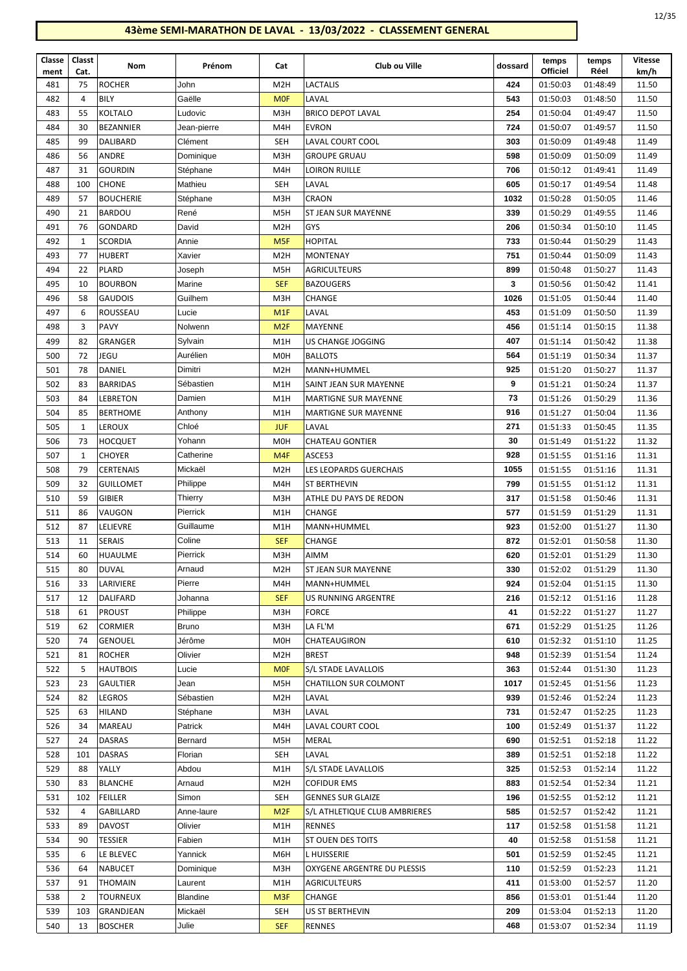| Classe | Classt         | Nom              | Prénom       | Cat              | Club ou Ville                 | dossard | temps           | temps    | Vitesse |
|--------|----------------|------------------|--------------|------------------|-------------------------------|---------|-----------------|----------|---------|
| ment   | Cat.           |                  |              |                  |                               |         | <b>Officiel</b> | Réel     | km/h    |
| 481    | 75             | <b>ROCHER</b>    | John         | M <sub>2</sub> H | <b>LACTALIS</b>               | 424     | 01:50:03        | 01:48:49 | 11.50   |
| 482    | $\overline{4}$ | <b>BILY</b>      | Gaëlle       | <b>MOF</b>       | LAVAL                         | 543     | 01:50:03        | 01:48:50 | 11.50   |
| 483    | 55             | KOLTALO          | Ludovic      | M3H              | <b>BRICO DEPOT LAVAL</b>      | 254     | 01:50:04        | 01:49:47 | 11.50   |
| 484    | 30             | <b>BEZANNIER</b> | Jean-pierre  | M4H              | <b>EVRON</b>                  | 724     | 01:50:07        | 01:49:57 | 11.50   |
| 485    | 99             | <b>DALIBARD</b>  | Clément      | <b>SEH</b>       | <b>LAVAL COURT COOL</b>       | 303     | 01:50:09        | 01:49:48 | 11.49   |
| 486    | 56             | ANDRE            | Dominique    | M3H              | <b>GROUPE GRUAU</b>           | 598     | 01:50:09        | 01:50:09 | 11.49   |
| 487    | 31             | <b>GOURDIN</b>   | Stéphane     | M4H              | LOIRON RUILLE                 | 706     | 01:50:12        | 01:49:41 | 11.49   |
| 488    | 100            | <b>CHONE</b>     | Mathieu      | <b>SEH</b>       | LAVAL                         | 605     | 01:50:17        | 01:49:54 | 11.48   |
| 489    | 57             | <b>BOUCHERIE</b> | Stéphane     | M3H              | CRAON                         | 1032    | 01:50:28        | 01:50:05 | 11.46   |
| 490    | 21             | <b>BARDOU</b>    | René         | M <sub>5</sub> H | <b>ST JEAN SUR MAYENNE</b>    | 339     | 01:50:29        | 01:49:55 | 11.46   |
| 491    | 76             | GONDARD          | David        | M <sub>2</sub> H | <b>GYS</b>                    | 206     | 01:50:34        | 01:50:10 | 11.45   |
| 492    | 1              | <b>SCORDIA</b>   | Annie        | M <sub>5F</sub>  | <b>HOPITAL</b>                | 733     | 01:50:44        | 01:50:29 | 11.43   |
| 493    | 77             | <b>HUBERT</b>    | Xavier       | M <sub>2</sub> H | <b>MONTENAY</b>               | 751     | 01:50:44        | 01:50:09 | 11.43   |
| 494    | 22             | <b>PLARD</b>     | Joseph       | M <sub>5</sub> H | <b>AGRICULTEURS</b>           | 899     | 01:50:48        | 01:50:27 | 11.43   |
| 495    | 10             | <b>BOURBON</b>   | Marine       | <b>SEF</b>       | <b>BAZOUGERS</b>              | 3       | 01:50:56        | 01:50:42 | 11.41   |
| 496    | 58             | <b>GAUDOIS</b>   | Guilhem      | M3H              | CHANGE                        | 1026    | 01:51:05        | 01:50:44 | 11.40   |
| 497    | 6              | ROUSSEAU         | Lucie        | M1F              | LAVAL                         | 453     | 01:51:09        | 01:50:50 | 11.39   |
| 498    | 3              | <b>PAVY</b>      | Nolwenn      | M <sub>2F</sub>  | MAYENNE                       | 456     | 01:51:14        | 01:50:15 | 11.38   |
| 499    | 82             | <b>GRANGER</b>   | Sylvain      | M1H              | US CHANGE JOGGING             | 407     | 01:51:14        | 01:50:42 | 11.38   |
| 500    | 72             | JEGU             | Aurélien     | M <sub>0</sub> H | <b>BALLOTS</b>                | 564     | 01:51:19        | 01:50:34 | 11.37   |
| 501    | 78             | DANIEL           | Dimitri      | M <sub>2</sub> H | MANN+HUMMEL                   | 925     | 01:51:20        | 01:50:27 | 11.37   |
| 502    | 83             | <b>BARRIDAS</b>  | Sébastien    | M1H              | SAINT JEAN SUR MAYENNE        | 9       | 01:51:21        | 01:50:24 | 11.37   |
| 503    | 84             | LEBRETON         | Damien       | M1H              | <b>MARTIGNE SUR MAYENNE</b>   | 73      | 01:51:26        | 01:50:29 | 11.36   |
| 504    | 85             | <b>BERTHOME</b>  | Anthony      | M1H              | <b>MARTIGNE SUR MAYENNE</b>   | 916     | 01:51:27        | 01:50:04 | 11.36   |
| 505    | 1              | LEROUX           | Chloé        | <b>JUF</b>       | LAVAL                         | 271     | 01:51:33        | 01:50:45 | 11.35   |
|        |                | <b>HOCQUET</b>   |              |                  | <b>CHATEAU GONTIER</b>        |         |                 |          | 11.32   |
| 506    | 73             |                  | Yohann       | M <sub>0</sub> H |                               | 30      | 01:51:49        | 01:51:22 |         |
| 507    | 1              | <b>CHOYER</b>    | Catherine    | M <sub>4F</sub>  | ASCE53                        | 928     | 01:51:55        | 01:51:16 | 11.31   |
| 508    | 79             | <b>CERTENAIS</b> | Mickaël      | M <sub>2</sub> H | LES LEOPARDS GUERCHAIS        | 1055    | 01:51:55        | 01:51:16 | 11.31   |
| 509    | 32             | <b>GUILLOMET</b> | Philippe     | M4H              | <b>ST BERTHEVIN</b>           | 799     | 01:51:55        | 01:51:12 | 11.31   |
| 510    | 59             | <b>GIBIER</b>    | Thierry      | M3H              | ATHLE DU PAYS DE REDON        | 317     | 01:51:58        | 01:50:46 | 11.31   |
| 511    | 86             | VAUGON           | Pierrick     | M1H              | CHANGE                        | 577     | 01:51:59        | 01:51:29 | 11.31   |
| 512    | 87             | LELIEVRE         | Guillaume    | M1H              | MANN+HUMMEL                   | 923     | 01:52:00        | 01:51:27 | 11.30   |
| 513    | 11             | <b>SERAIS</b>    | Coline       | <b>SEF</b>       | CHANGE                        | 872     | 01:52:01        | 01:50:58 | 11.30   |
| 514    | 60             | <b>HUAULME</b>   | Pierrick     | M3H              | AIMM                          | 620     | 01:52:01        | 01:51:29 | 11.30   |
| 515    | 80             | <b>DUVAL</b>     | Arnaud       | M <sub>2</sub> H | <b>ST JEAN SUR MAYENNE</b>    | 330     | 01:52:02        | 01:51:29 | 11.30   |
| 516    | 33             | LARIVIERE        | Pierre       | M4H              | MANN+HUMMEL                   | 924     | 01:52:04        | 01:51:15 | 11.30   |
| 517    | 12             | DALIFARD         | Johanna      | <b>SEF</b>       | US RUNNING ARGENTRE           | 216     | 01:52:12        | 01:51:16 | 11.28   |
| 518    | 61             | <b>PROUST</b>    | Philippe     | M3H              | <b>FORCE</b>                  | 41      | 01:52:22        | 01:51:27 | 11.27   |
| 519    | 62             | CORMIER          | <b>Bruno</b> | M3H              | LA FL'M                       | 671     | 01:52:29        | 01:51:25 | 11.26   |
| 520    | 74             | <b>GENOUEL</b>   | Jérôme       | M <sub>0</sub> H | CHATEAUGIRON                  | 610     | 01:52:32        | 01:51:10 | 11.25   |
| 521    | 81             | <b>ROCHER</b>    | Olivier      | M <sub>2</sub> H | <b>BREST</b>                  | 948     | 01:52:39        | 01:51:54 | 11.24   |
| 522    | 5              | <b>HAUTBOIS</b>  | Lucie        | <b>MOF</b>       | S/L STADE LAVALLOIS           | 363     | 01:52:44        | 01:51:30 | 11.23   |
| 523    | 23             | <b>GAULTIER</b>  | Jean         | M5H              | <b>CHATILLON SUR COLMONT</b>  | 1017    | 01:52:45        | 01:51:56 | 11.23   |
| 524    | 82             | LEGROS           | Sébastien    | M <sub>2</sub> H | LAVAL                         | 939     | 01:52:46        | 01:52:24 | 11.23   |
| 525    | 63             | <b>HILAND</b>    | Stéphane     | M3H              | LAVAL                         | 731     | 01:52:47        | 01:52:25 | 11.23   |
| 526    | 34             | MAREAU           | Patrick      | M4H              | LAVAL COURT COOL              | 100     | 01:52:49        | 01:51:37 | 11.22   |
| 527    | 24             | <b>DASRAS</b>    | Bernard      | M5H              | <b>MERAL</b>                  | 690     | 01:52:51        | 01:52:18 | 11.22   |
| 528    | 101            | DASRAS           | Florian      | SEH              | LAVAL                         | 389     | 01:52:51        | 01:52:18 | 11.22   |
| 529    | 88             | YALLY            | Abdou        | M1H              | S/L STADE LAVALLOIS           | 325     | 01:52:53        | 01:52:14 | 11.22   |
| 530    | 83             | <b>BLANCHE</b>   | Arnaud       | M <sub>2</sub> H | <b>COFIDUR EMS</b>            | 883     | 01:52:54        | 01:52:34 | 11.21   |
| 531    | 102            | <b>FEILLER</b>   | Simon        | SEH              | <b>GENNES SUR GLAIZE</b>      | 196     | 01:52:55        | 01:52:12 | 11.21   |
| 532    | 4              | GABILLARD        | Anne-laure   | M <sub>2F</sub>  | S/L ATHLETIQUE CLUB AMBRIERES | 585     | 01:52:57        | 01:52:42 | 11.21   |
| 533    | 89             | DAVOST           | Olivier      | M1H              | RENNES                        | 117     | 01:52:58        | 01:51:58 | 11.21   |
| 534    | 90             | TESSIER          | Fabien       | M1H              | <b>ST OUEN DES TOITS</b>      | 40      | 01:52:58        | 01:51:58 | 11.21   |
| 535    | 6              | LE BLEVEC        | Yannick      | M6H              | L HUISSERIE                   | 501     | 01:52:59        | 01:52:45 | 11.21   |
| 536    | 64             | <b>NABUCET</b>   | Dominique    | M3H              | OXYGENE ARGENTRE DU PLESSIS   | 110     | 01:52:59        | 01:52:23 | 11.21   |
| 537    | 91             | <b>THOMAIN</b>   | Laurent      | M1H              | <b>AGRICULTEURS</b>           | 411     | 01:53:00        | 01:52:57 | 11.20   |
| 538    | $\overline{2}$ | <b>TOURNEUX</b>  | Blandine     | M <sub>3F</sub>  | CHANGE                        | 856     | 01:53:01        | 01:51:44 | 11.20   |
|        |                |                  |              |                  |                               | 209     |                 |          |         |
| 539    | 103            | GRANDJEAN        | Mickaël      | <b>SEH</b>       | US ST BERTHEVIN               |         | 01:53:04        | 01:52:13 | 11.20   |
| 540    | 13             | <b>BOSCHER</b>   | Julie        | <b>SEF</b>       | RENNES                        | 468     | 01:53:07        | 01:52:34 | 11.19   |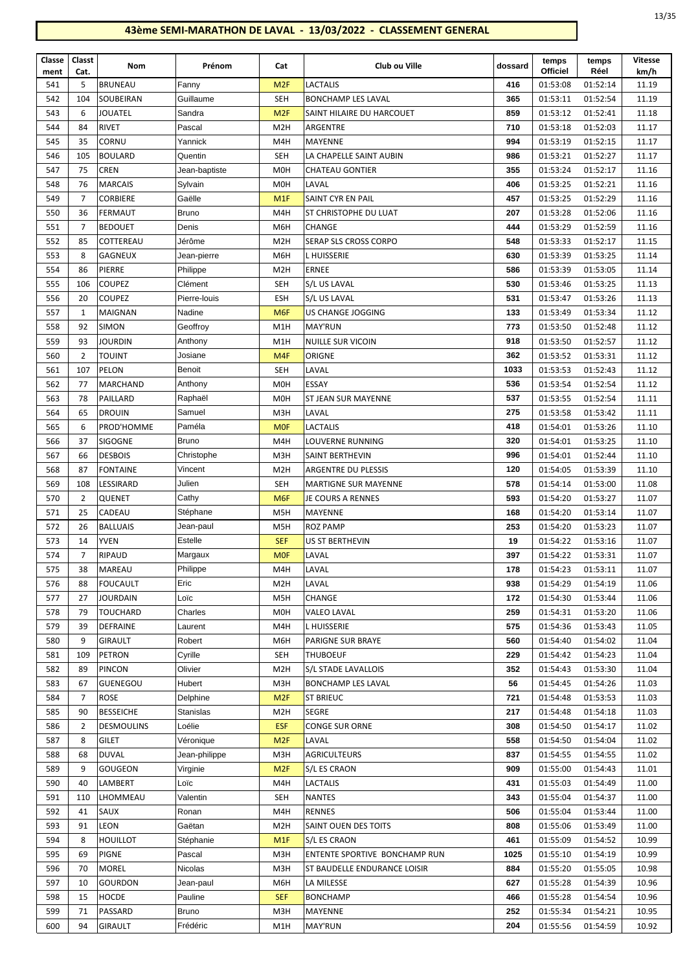| ×<br>۹<br>× |
|-------------|
|-------------|

| Classe<br>ment | Classt<br>Cat.       | Nom                          | Prénom              | Cat                      | Club ou Ville                 | dossard   | temps<br><b>Officiel</b> | temps<br>Réel        | <b>Vitesse</b><br>km/h |
|----------------|----------------------|------------------------------|---------------------|--------------------------|-------------------------------|-----------|--------------------------|----------------------|------------------------|
| 541            | 5                    | <b>BRUNEAU</b>               | Fanny               | M <sub>2F</sub>          | LACTALIS                      | 416       | 01:53:08                 | 01:52:14             | 11.19                  |
| 542            | 104                  | SOUBEIRAN                    | Guillaume           | <b>SEH</b>               | <b>BONCHAMP LES LAVAL</b>     | 365       | 01:53:11                 | 01:52:54             | 11.19                  |
| 543            | 6                    | JOUATEL                      | Sandra              | M <sub>2F</sub>          | SAINT HILAIRE DU HARCOUET     | 859       | 01:53:12                 | 01:52:41             | 11.18                  |
| 544            | 84                   | <b>RIVET</b>                 | Pascal              | M <sub>2</sub> H         | ARGENTRE                      | 710       | 01:53:18                 | 01:52:03             | 11.17                  |
| 545            | 35                   | CORNU                        | Yannick             | M4H                      | MAYENNE                       | 994       | 01:53:19                 | 01:52:15             | 11.17                  |
| 546            | 105                  | <b>BOULARD</b>               | Quentin             | <b>SEH</b>               | LA CHAPELLE SAINT AUBIN       | 986       | 01:53:21                 | 01:52:27             | 11.17                  |
| 547            | 75                   | <b>CREN</b>                  | Jean-baptiste       | M <sub>O</sub> H         | <b>CHATEAU GONTIER</b>        | 355       | 01:53:24                 | 01:52:17             | 11.16                  |
| 548            | 76                   | <b>MARCAIS</b>               | Sylvain             | M <sub>O</sub> H         | LAVAL                         | 406       | 01:53:25                 | 01:52:21             | 11.16                  |
| 549            | $\overline{7}$       | <b>CORBIERE</b>              | Gaëlle              | M <sub>1</sub> F         | SAINT CYR EN PAIL             | 457       | 01:53:25                 | 01:52:29             | 11.16                  |
| 550            | 36                   | FERMAUT                      | Bruno               | M4H                      | ST CHRISTOPHE DU LUAT         | 207       | 01:53:28                 | 01:52:06             | 11.16                  |
| 551            | 7                    | <b>BEDOUET</b>               | Denis               | M6H                      | CHANGE                        | 444       | 01:53:29                 | 01:52:59             | 11.16                  |
| 552            | 85                   | COTTEREAU                    | Jérôme              | M <sub>2</sub> H         | SERAP SLS CROSS CORPO         | 548       | 01:53:33                 | 01:52:17             | 11.15                  |
| 553            | 8                    | <b>GAGNEUX</b>               | Jean-pierre         | M6H                      | L HUISSERIE                   | 630       | 01:53:39                 | 01:53:25             | 11.14                  |
| 554            | 86                   | PIERRE                       | Philippe            | M <sub>2</sub> H         | <b>ERNEE</b>                  | 586       | 01:53:39                 | 01:53:05             | 11.14                  |
| 555            | 106                  | <b>COUPEZ</b>                | Clément             | <b>SEH</b>               | S/L US LAVAL                  | 530       | 01:53:46                 | 01:53:25             | 11.13                  |
| 556            | 20                   | <b>COUPEZ</b>                | Pierre-louis        | <b>ESH</b>               | S/L US LAVAL                  | 531       | 01:53:47                 | 01:53:26             | 11.13                  |
| 557            | 1                    | MAIGNAN                      | Nadine              | M <sub>6F</sub>          | US CHANGE JOGGING             | 133       | 01:53:49                 | 01:53:34             | 11.12                  |
| 558            | 92                   | <b>SIMON</b>                 | Geoffroy            | M1H                      | <b>MAY'RUN</b>                | 773       | 01:53:50                 | 01:52:48             | 11.12                  |
| 559            | 93                   | <b>JOURDIN</b>               | Anthony             | M1H                      | <b>NUILLE SUR VICOIN</b>      | 918       | 01:53:50                 | 01:52:57             | 11.12                  |
| 560            | $\overline{2}$       | <b>TOUINT</b>                | Josiane             | M <sub>4F</sub>          | ORIGNE                        | 362       | 01:53:52                 | 01:53:31             | 11.12                  |
| 561            | 107                  | PELON                        | Benoit              | <b>SEH</b>               | LAVAL                         | 1033      | 01:53:53                 | 01:52:43             | 11.12                  |
| 562            | 77                   | <b>MARCHAND</b>              | Anthony             | M <sub>O</sub> H         | ESSAY                         | 536       | 01:53:54                 | 01:52:54             | 11.12                  |
| 563            | 78                   | PAILLARD                     | Raphaël             | M <sub>0</sub> H         | ST JEAN SUR MAYENNE           | 537       | 01:53:55                 | 01:52:54             | 11.11                  |
| 564            | 65                   | <b>DROUIN</b>                | Samuel              | M3H                      | LAVAL                         | 275       | 01:53:58                 | 01:53:42             | 11.11                  |
| 565            | 6                    | PROD'HOMME                   | Paméla              | <b>MOF</b>               | LACTALIS                      | 418       | 01:54:01                 | 01:53:26             | 11.10                  |
| 566            | 37                   | <b>SIGOGNE</b>               | <b>Bruno</b>        | M4H                      | LOUVERNE RUNNING              | 320       | 01:54:01                 | 01:53:25             | 11.10                  |
| 567            | 66                   | <b>DESBOIS</b>               | Christophe          | M3H                      | SAINT BERTHEVIN               | 996       | 01:54:01                 | 01:52:44             | 11.10                  |
| 568            | 87                   | <b>FONTAINE</b>              | Vincent             | M <sub>2</sub> H         | ARGENTRE DU PLESSIS           | 120       | 01:54:05                 | 01:53:39             | 11.10                  |
| 569            | 108                  | LESSIRARD                    | Julien              | <b>SEH</b>               | <b>MARTIGNE SUR MAYENNE</b>   | 578       | 01:54:14                 | 01:53:00             | 11.08                  |
| 570            | 2                    | QUENET                       | Cathy               | M <sub>6F</sub>          | JE COURS A RENNES             | 593       | 01:54:20                 | 01:53:27             | 11.07                  |
| 571            | 25                   | CADEAU                       | Stéphane            | M5H                      | MAYENNE                       | 168       | 01:54:20                 | 01:53:14             | 11.07                  |
| 572            | 26                   | <b>BALLUAIS</b>              | Jean-paul           | M <sub>5</sub> H         | <b>ROZ PAMP</b>               | 253       | 01:54:20                 | 01:53:23             | 11.07                  |
| 573<br>574     | 14<br>$\overline{7}$ | <b>YVEN</b><br><b>RIPAUD</b> | Estelle             | <b>SEF</b><br><b>MOF</b> | US ST BERTHEVIN<br>LAVAL      | 19<br>397 | 01:54:22<br>01:54:22     | 01:53:16<br>01:53:31 | 11.07<br>11.07         |
| 575            | 38                   | MAREAU                       | Margaux<br>Philippe | M4H                      | LAVAL                         | 178       | 01:54:23                 | 01:53:11             | 11.07                  |
| 576            | 88                   | FOUCAULT                     | Eric                | M <sub>2</sub> H         | LAVAL                         | 938       | 01:54:29                 | 01:54:19             | 11.06                  |
| 577            | 27                   | JOURDAIN                     | Loïc                | M5H                      | CHANGE                        | 172       | 01:54:30                 | 01:53:44             | 11.06                  |
| 578            | 79                   | TOUCHARD                     | Charles             | M <sub>O</sub> H         | VALEO LAVAL                   | 259       | 01:54:31                 | 01:53:20             | 11.06                  |
| 579            | 39                   | <b>DEFRAINE</b>              | Laurent             | M4H                      | L HUISSERIE                   | 575       | 01:54:36                 | 01:53:43             | 11.05                  |
| 580            | 9                    | GIRAULT                      | Robert              | M6H                      | PARIGNE SUR BRAYE             | 560       | 01:54:40                 | 01:54:02             | 11.04                  |
| 581            | 109                  | PETRON                       | Cyrille             | <b>SEH</b>               | THUBOEUF                      | 229       | 01:54:42                 | 01:54:23             | 11.04                  |
| 582            | 89                   | PINCON                       | Olivier             | M <sub>2</sub> H         | S/L STADE LAVALLOIS           | 352       | 01:54:43                 | 01:53:30             | 11.04                  |
| 583            | 67                   | GUENEGOU                     | Hubert              | M3H                      | <b>BONCHAMP LES LAVAL</b>     | 56        | 01:54:45                 | 01:54:26             | 11.03                  |
| 584            | 7                    | <b>ROSE</b>                  | Delphine            | M <sub>2F</sub>          | <b>ST BRIEUC</b>              | 721       | 01:54:48                 | 01:53:53             | 11.03                  |
| 585            | 90                   | <b>BESSEICHE</b>             | <b>Stanislas</b>    | M <sub>2</sub> H         | <b>SEGRE</b>                  | 217       | 01:54:48                 | 01:54:18             | 11.03                  |
| 586            | 2                    | <b>DESMOULINS</b>            | Loélie              | <b>ESF</b>               | <b>CONGE SUR ORNE</b>         | 308       | 01:54:50                 | 01:54:17             | 11.02                  |
| 587            | 8                    | <b>GILET</b>                 | Véronique           | M <sub>2F</sub>          | LAVAL                         | 558       | 01:54:50                 | 01:54:04             | 11.02                  |
| 588            | 68                   | <b>DUVAL</b>                 | Jean-philippe       | M3H                      | <b>AGRICULTEURS</b>           | 837       | 01:54:55                 | 01:54:55             | 11.02                  |
| 589            | 9                    | GOUGEON                      | Virginie            | M <sub>2F</sub>          | S/L ES CRAON                  | 909       | 01:55:00                 | 01:54:43             | 11.01                  |
| 590            | 40                   | LAMBERT                      | Loïc                | M4H                      | LACTALIS                      | 431       | 01:55:03                 | 01:54:49             | 11.00                  |
| 591            | 110                  | LHOMMEAU                     | Valentin            | SEH                      | <b>NANTES</b>                 | 343       | 01:55:04                 | 01:54:37             | 11.00                  |
| 592            | 41                   | SAUX                         | Ronan               | M4H                      | <b>RENNES</b>                 | 506       | 01:55:04                 | 01:53:44             | 11.00                  |
| 593            | 91                   | LEON                         | Gaëtan              | M <sub>2</sub> H         | SAINT OUEN DES TOITS          | 808       | 01:55:06                 | 01:53:49             | 11.00                  |
| 594            | 8                    | <b>HOUILLOT</b>              | Stéphanie           | M1F                      | S/L ES CRAON                  | 461       | 01:55:09                 | 01:54:52             | 10.99                  |
| 595            | 69                   | <b>PIGNE</b>                 | Pascal              | M3H                      | ENTENTE SPORTIVE BONCHAMP RUN | 1025      | 01:55:10                 | 01:54:19             | 10.99                  |
| 596            | 70                   | MOREL                        | Nicolas             | M3H                      | ST BAUDELLE ENDURANCE LOISIR  | 884       | 01:55:20                 | 01:55:05             | 10.98                  |
| 597            | 10                   | <b>GOURDON</b>               | Jean-paul           | M6H                      | LA MILESSE                    | 627       | 01:55:28                 | 01:54:39             | 10.96                  |
| 598            | 15                   | HOCDE                        | Pauline             | <b>SEF</b>               | <b>BONCHAMP</b>               | 466       | 01:55:28                 | 01:54:54             | 10.96                  |
| 599            | 71                   | PASSARD                      | <b>Bruno</b>        | M3H                      | MAYENNE                       | 252       | 01:55:34                 | 01:54:21             | 10.95                  |
| 600            | 94                   | GIRAULT                      | Frédéric            | M1H                      | MAY'RUN                       | 204       | 01:55:56                 | 01:54:59             | 10.92                  |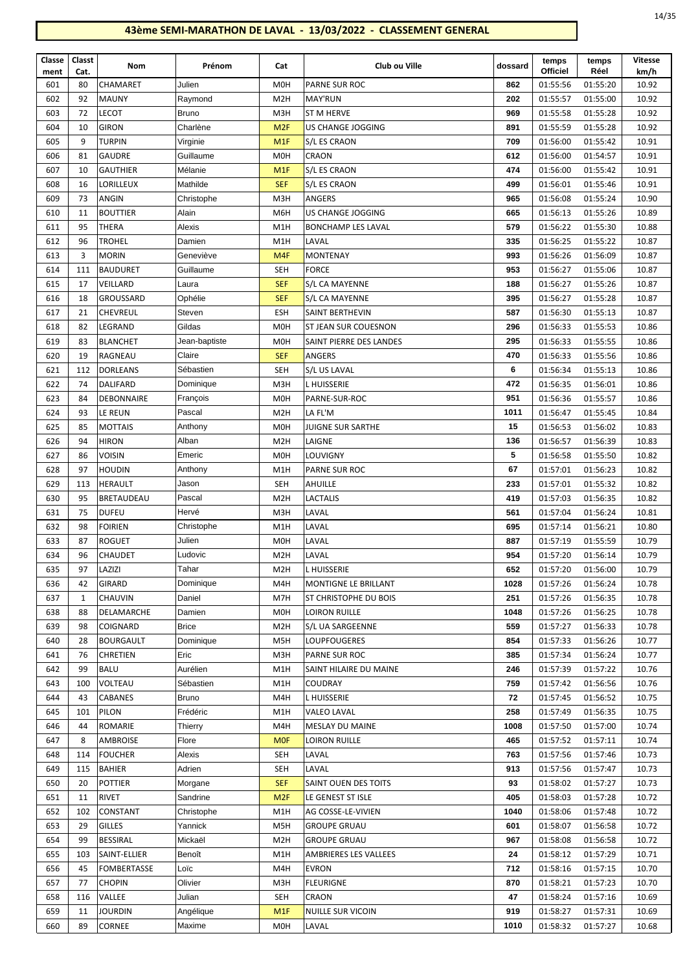| Classe<br>ment | Classt<br>Cat. | Nom                | Prénom        | Cat              | Club ou Ville                | dossard | temps<br><b>Officiel</b> | temps<br>Réel | Vitesse<br>km/h |
|----------------|----------------|--------------------|---------------|------------------|------------------------------|---------|--------------------------|---------------|-----------------|
| 601            | 80             | <b>CHAMARET</b>    | Julien        | M <sub>O</sub> H | <b>PARNE SUR ROC</b>         | 862     | 01:55:56                 | 01:55:20      | 10.92           |
| 602            | 92             | <b>MAUNY</b>       | Raymond       | M <sub>2</sub> H | <b>MAY'RUN</b>               | 202     | 01:55:57                 | 01:55:00      | 10.92           |
| 603            | 72             | <b>LECOT</b>       | <b>Bruno</b>  | M3H              | <b>ST M HERVE</b>            | 969     | 01:55:58                 | 01:55:28      | 10.92           |
| 604            | 10             | <b>GIRON</b>       | Charlène      | M <sub>2F</sub>  | US CHANGE JOGGING            | 891     | 01:55:59                 | 01:55:28      | 10.92           |
| 605            | 9              | <b>TURPIN</b>      | Virginie      | M <sub>1</sub> F | S/L ES CRAON                 | 709     | 01:56:00                 | 01:55:42      | 10.91           |
| 606            | 81             | <b>GAUDRE</b>      | Guillaume     | M <sub>O</sub> H | CRAON                        | 612     | 01:56:00                 | 01:54:57      | 10.91           |
| 607            | 10             | <b>GAUTHIER</b>    | Mélanie       | M <sub>1</sub> F | S/L ES CRAON                 | 474     | 01:56:00                 | 01:55:42      | 10.91           |
| 608            | 16             | LORILLEUX          | Mathilde      | <b>SEF</b>       | S/L ES CRAON                 | 499     | 01:56:01                 | 01:55:46      | 10.91           |
| 609            | 73             | <b>ANGIN</b>       | Christophe    | M3H              | <b>ANGERS</b>                | 965     | 01:56:08                 | 01:55:24      | 10.90           |
| 610            | 11             | <b>BOUTTIER</b>    | Alain         | M6H              | <b>US CHANGE JOGGING</b>     | 665     | 01:56:13                 | 01:55:26      | 10.89           |
| 611            | 95             | <b>THERA</b>       | Alexis        | M1H              | <b>BONCHAMP LES LAVAL</b>    | 579     | 01:56:22                 | 01:55:30      | 10.88           |
| 612            | 96             | <b>TROHEL</b>      | Damien        | M1H              | LAVAL                        | 335     | 01:56:25                 | 01:55:22      | 10.87           |
| 613            | 3              | MORIN              | Geneviève     | M4F              | <b>MONTENAY</b>              | 993     | 01:56:26                 | 01:56:09      | 10.87           |
| 614            | 111            | <b>BAUDURET</b>    | Guillaume     | <b>SEH</b>       | <b>FORCE</b>                 | 953     | 01:56:27                 | 01:55:06      | 10.87           |
| 615            | 17             | VEILLARD           | Laura         | <b>SEF</b>       | S/L CA MAYENNE               | 188     | 01:56:27                 | 01:55:26      | 10.87           |
| 616            | 18             | <b>GROUSSARD</b>   | Ophélie       | <b>SEF</b>       | S/L CA MAYENNE               | 395     | 01:56:27                 | 01:55:28      | 10.87           |
| 617            | 21             | <b>CHEVREUL</b>    | Steven        | <b>ESH</b>       | SAINT BERTHEVIN              | 587     | 01:56:30                 | 01:55:13      | 10.87           |
| 618            | 82             | LEGRAND            | Gildas        | M <sub>OH</sub>  | <b>ST JEAN SUR COUESNON</b>  | 296     | 01:56:33                 | 01:55:53      | 10.86           |
| 619            | 83             | <b>BLANCHET</b>    | Jean-baptiste | <b>MOH</b>       | SAINT PIERRE DES LANDES      | 295     | 01:56:33                 | 01:55:55      | 10.86           |
| 620            | 19             | RAGNEAU            | Claire        | <b>SEF</b>       | <b>ANGERS</b>                | 470     | 01:56:33                 | 01:55:56      | 10.86           |
| 621            | 112            | <b>DORLEANS</b>    | Sébastien     | SEH              | S/L US LAVAL                 | 6       | 01:56:34                 | 01:55:13      | 10.86           |
| 622            | 74             | DALIFARD           | Dominique     | M3H              | <b>LHUISSERIE</b>            | 472     | 01:56:35                 | 01:56:01      | 10.86           |
| 623            | 84             | <b>DEBONNAIRE</b>  | François      | M <sub>O</sub> H | PARNE-SUR-ROC                | 951     | 01:56:36                 | 01:55:57      | 10.86           |
| 624            | 93             | LE REUN            | Pascal        | M <sub>2</sub> H | LA FL'M                      | 1011    | 01:56:47                 | 01:55:45      | 10.84           |
| 625            | 85             | MOTTAIS            | Anthony       | M <sub>0</sub> H | JUIGNE SUR SARTHE            | 15      | 01:56:53                 | 01:56:02      | 10.83           |
| 626            | 94             | <b>HIRON</b>       | Alban         | M <sub>2</sub> H | LAIGNE                       | 136     | 01:56:57                 | 01:56:39      | 10.83           |
| 627            | 86             | <b>VOISIN</b>      | Emeric        | M <sub>O</sub> H | <b>LOUVIGNY</b>              | 5       | 01:56:58                 | 01:55:50      | 10.82           |
| 628            | 97             | HOUDIN             | Anthony       | M1H              | PARNE SUR ROC                | 67      | 01:57:01                 | 01:56:23      | 10.82           |
| 629            | 113            | HERAULT            | Jason         | SEH              | AHUILLE                      | 233     | 01:57:01                 | 01:55:32      | 10.82           |
| 630            | 95             | BRETAUDEAU         | Pascal        | M <sub>2</sub> H | <b>LACTALIS</b>              | 419     | 01:57:03                 | 01:56:35      | 10.82           |
| 631            | 75             | <b>DUFEU</b>       | Hervé         | M3H              | LAVAL                        | 561     | 01:57:04                 | 01:56:24      | 10.81           |
| 632            | 98             | <b>FOIRIEN</b>     | Christophe    | M1H              | LAVAL                        | 695     | 01:57:14                 | 01:56:21      | 10.80           |
| 633            | 87             | <b>ROGUET</b>      | Julien        | M0H              | LAVAL                        | 887     | 01:57:19                 | 01:55:59      | 10.79           |
| 634            | 96             | <b>CHAUDET</b>     | Ludovic       | M <sub>2</sub> H | LAVAL                        | 954     | 01:57:20                 | 01:56:14      | 10.79           |
| 635            | 97             | LAZIZI             | Tahar         | M <sub>2</sub> H | <b>L HUISSERIE</b>           | 652     | 01:57:20                 | 01:56:00      | 10.79           |
| 636            | 42             | GIRARD             | Dominique     | M4H              | MONTIGNE LE BRILLANT         | 1028    | 01:57:26                 | 01:56:24      | 10.78           |
| 637            | 1              | CHAUVIN            | Daniel        | M7H              | <b>ST CHRISTOPHE DU BOIS</b> | 251     | 01:57:26                 | 01:56:35      | 10.78           |
| 638            | 88             | DELAMARCHE         | Damien        | M0H              | <b>LOIRON RUILLE</b>         | 1048    | 01:57:26                 | 01:56:25      | 10.78           |
| 639            | 98             | COIGNARD           | <b>Brice</b>  | M <sub>2</sub> H | S/L UA SARGEENNE             | 559     | 01:57:27                 | 01:56:33      | 10.78           |
| 640            | 28             | <b>BOURGAULT</b>   | Dominique     | M5H              | <b>LOUPFOUGERES</b>          | 854     | 01:57:33                 | 01:56:26      | 10.77           |
| 641            | 76             | <b>CHRETIEN</b>    | Eric          | M3H              | PARNE SUR ROC                | 385     | 01:57:34                 | 01:56:24      | 10.77           |
| 642            | 99             | <b>BALU</b>        | Aurélien      | M1H              | SAINT HILAIRE DU MAINE       | 246     | 01:57:39                 | 01:57:22      | 10.76           |
| 643            | 100            | VOLTEAU            | Sébastien     | M1H              | <b>COUDRAY</b>               | 759     | 01:57:42                 | 01:56:56      | 10.76           |
| 644            | 43             | CABANES            | <b>Bruno</b>  | M4H              | L HUISSERIE                  | 72      | 01:57:45                 | 01:56:52      | 10.75           |
| 645            | 101            | PILON              | Frédéric      | M1H              | <b>VALEO LAVAL</b>           | 258     | 01:57:49                 | 01:56:35      | 10.75           |
| 646            | 44             | ROMARIE            | Thierry       | M4H              | <b>MESLAY DU MAINE</b>       | 1008    | 01:57:50                 | 01:57:00      | 10.74           |
| 647            | 8              | AMBROISE           | Flore         | <b>MOF</b>       | <b>LOIRON RUILLE</b>         | 465     | 01:57:52                 | 01:57:11      | 10.74           |
| 648            | 114            | <b>FOUCHER</b>     | Alexis        | SEH              | LAVAL                        | 763     | 01:57:56                 | 01:57:46      | 10.73           |
| 649            | 115            | <b>BAHIER</b>      | Adrien        | <b>SEH</b>       | LAVAL                        | 913     | 01:57:56                 | 01:57:47      | 10.73           |
| 650            | 20             | POTTIER            | Morgane       | <b>SEF</b>       | SAINT OUEN DES TOITS         | 93      | 01:58:02                 | 01:57:27      | 10.73           |
| 651            | 11             | <b>RIVET</b>       | Sandrine      | M <sub>2F</sub>  | LE GENEST ST ISLE            | 405     | 01:58:03                 | 01:57:28      | 10.72           |
| 652            | 102            | CONSTANT           | Christophe    | M1H              | AG COSSE-LE-VIVIEN           | 1040    | 01:58:06                 | 01:57:48      | 10.72           |
| 653            | 29             | <b>GILLES</b>      | Yannick       | M5H              | <b>GROUPE GRUAU</b>          | 601     | 01:58:07                 | 01:56:58      | 10.72           |
| 654            | 99             | <b>BESSIRAL</b>    | Mickaël       | M <sub>2</sub> H | <b>GROUPE GRUAU</b>          | 967     | 01:58:08                 | 01:56:58      | 10.72           |
| 655            | 103            | SAINT-ELLIER       | Benoît        | M1H              | AMBRIERES LES VALLEES        | 24      | 01:58:12                 | 01:57:29      | 10.71           |
| 656            | 45             | <b>FOMBERTASSE</b> | Loïc          | M4H              | <b>EVRON</b>                 | 712     | 01:58:16                 | 01:57:15      | 10.70           |
| 657            | 77             | <b>CHOPIN</b>      | Olivier       | M3H              | <b>FLEURIGNE</b>             | 870     | 01:58:21                 | 01:57:23      | 10.70           |
| 658            | 116            | VALLEE             | Julian        | SEH              | <b>CRAON</b>                 | 47      | 01:58:24                 | 01:57:16      | 10.69           |
| 659            | 11             | <b>JOURDIN</b>     | Angélique     | M1F              | <b>NUILLE SUR VICOIN</b>     | 919     | 01:58:27                 | 01:57:31      | 10.69           |
| 660            | 89             | <b>CORNEE</b>      | Maxime        | M <sub>O</sub> H | LAVAL                        | 1010    | 01:58:32                 | 01:57:27      | 10.68           |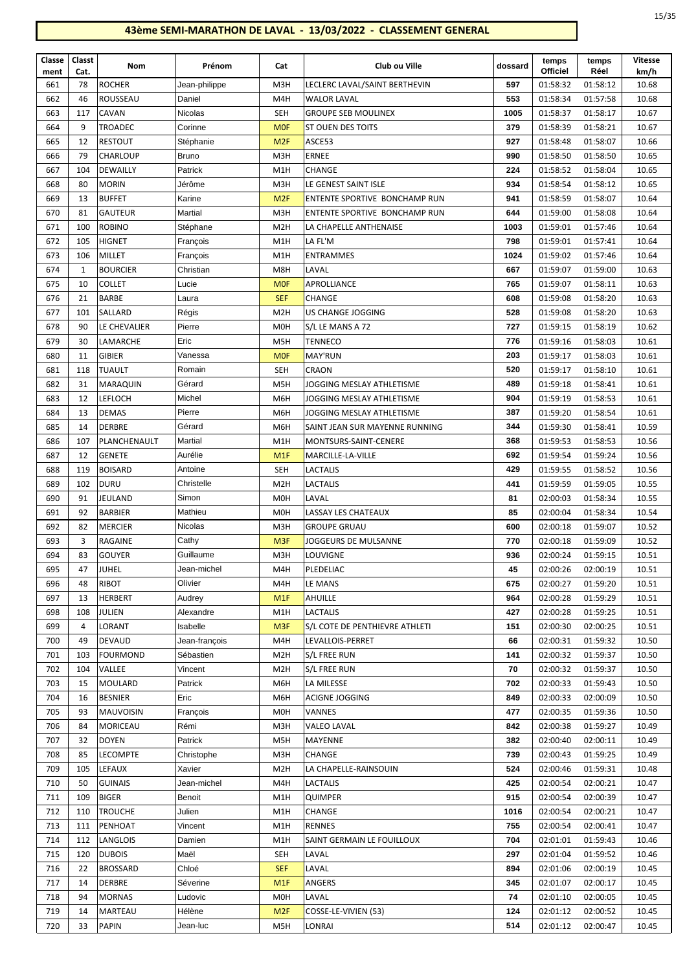| Classe      | Classt     | Nom             | Prénom        | Cat              | Club ou Ville                  | dossard | temps<br><b>Officiel</b> | temps<br>Réel | <b>Vitesse</b> |
|-------------|------------|-----------------|---------------|------------------|--------------------------------|---------|--------------------------|---------------|----------------|
| ment<br>661 | Cat.<br>78 | <b>ROCHER</b>   | Jean-philippe | M3H              | LECLERC LAVAL/SAINT BERTHEVIN  | 597     | 01:58:32                 | 01:58:12      | km/h<br>10.68  |
| 662         | 46         | ROUSSEAU        | Daniel        | M4H              | <b>WALOR LAVAL</b>             | 553     | 01:58:34                 | 01:57:58      | 10.68          |
| 663         | 117        | CAVAN           | Nicolas       | <b>SEH</b>       | <b>GROUPE SEB MOULINEX</b>     | 1005    | 01:58:37                 | 01:58:17      | 10.67          |
| 664         | 9          | <b>TROADEC</b>  | Corinne       | <b>MOF</b>       | <b>ST OUEN DES TOITS</b>       | 379     | 01:58:39                 | 01:58:21      | 10.67          |
| 665         | 12         | <b>RESTOUT</b>  | Stéphanie     | M <sub>2F</sub>  | ASCE53                         | 927     | 01:58:48                 | 01:58:07      | 10.66          |
| 666         | 79         | <b>CHARLOUP</b> | <b>Bruno</b>  | M3H              | <b>ERNEE</b>                   | 990     | 01:58:50                 | 01:58:50      | 10.65          |
| 667         | 104        | <b>DEWAILLY</b> | Patrick       | M1H              | CHANGE                         | 224     | 01:58:52                 | 01:58:04      | 10.65          |
| 668         | 80         | MORIN           | Jérôme        | M3H              | LE GENEST SAINT ISLE           | 934     | 01:58:54                 | 01:58:12      | 10.65          |
| 669         | 13         | <b>BUFFET</b>   | Karine        | M <sub>2F</sub>  | ENTENTE SPORTIVE BONCHAMP RUN  | 941     | 01:58:59                 | 01:58:07      | 10.64          |
| 670         | 81         | <b>GAUTEUR</b>  | Martial       | M3H              | ENTENTE SPORTIVE BONCHAMP RUN  | 644     | 01:59:00                 | 01:58:08      | 10.64          |
| 671         | 100        | <b>ROBINO</b>   | Stéphane      | M <sub>2</sub> H | LA CHAPELLE ANTHENAISE         | 1003    | 01:59:01                 | 01:57:46      | 10.64          |
| 672         | 105        | HIGNET          | François      | M1H              | LA FL'M                        | 798     | 01:59:01                 | 01:57:41      | 10.64          |
| 673         | 106        | MILLET          | François      | M1H              | <b>ENTRAMMES</b>               | 1024    | 01:59:02                 | 01:57:46      | 10.64          |
| 674         | 1          | <b>BOURCIER</b> | Christian     | M8H              | LAVAL                          | 667     | 01:59:07                 | 01:59:00      | 10.63          |
| 675         | 10         | <b>COLLET</b>   | Lucie         | <b>MOF</b>       | APROLLIANCE                    | 765     | 01:59:07                 | 01:58:11      | 10.63          |
| 676         | 21         | <b>BARBE</b>    | Laura         | <b>SEF</b>       | <b>CHANGE</b>                  | 608     | 01:59:08                 | 01:58:20      | 10.63          |
| 677         | 101        | SALLARD         | Régis         | M <sub>2</sub> H | US CHANGE JOGGING              | 528     | 01:59:08                 | 01:58:20      | 10.63          |
| 678         | 90         | LE CHEVALIER    | Pierre        | M <sub>0</sub> H | S/L LE MANS A 72               | 727     | 01:59:15                 | 01:58:19      | 10.62          |
| 679         | 30         | <b>LAMARCHE</b> | Eric          | M5H              | TENNECO                        | 776     | 01:59:16                 | 01:58:03      | 10.61          |
| 680         | 11         | <b>GIBIER</b>   | Vanessa       | <b>MOF</b>       | <b>MAY'RUN</b>                 | 203     | 01:59:17                 | 01:58:03      | 10.61          |
| 681         | 118        | <b>TUAULT</b>   | Romain        | <b>SEH</b>       | <b>CRAON</b>                   | 520     | 01:59:17                 | 01:58:10      | 10.61          |
| 682         | 31         | MARAQUIN        | Gérard        | M5H              | JOGGING MESLAY ATHLETISME      | 489     | 01:59:18                 | 01:58:41      | 10.61          |
| 683         | 12         | <b>LEFLOCH</b>  | Michel        | M6H              | JOGGING MESLAY ATHLETISME      | 904     | 01:59:19                 | 01:58:53      | 10.61          |
| 684         | 13         | <b>DEMAS</b>    | Pierre        | M6H              | JOGGING MESLAY ATHLETISME      | 387     | 01:59:20                 | 01:58:54      | 10.61          |
| 685         | 14         | DERBRE          | Gérard        | M6H              | SAINT JEAN SUR MAYENNE RUNNING | 344     | 01:59:30                 | 01:58:41      | 10.59          |
| 686         | 107        | PLANCHENAULT    | Martial       | M1H              | MONTSURS-SAINT-CENERE          | 368     | 01:59:53                 | 01:58:53      | 10.56          |
| 687         | 12         | <b>GENETE</b>   | Aurélie       | M <sub>1</sub> F | MARCILLE-LA-VILLE              | 692     | 01:59:54                 | 01:59:24      | 10.56          |
| 688         | 119        | <b>BOISARD</b>  | Antoine       | <b>SEH</b>       | LACTALIS                       | 429     | 01:59:55                 | 01:58:52      | 10.56          |
| 689         | 102        | <b>DURU</b>     | Christelle    | M <sub>2</sub> H | LACTALIS                       | 441     | 01:59:59                 | 01:59:05      | 10.55          |
| 690         | 91         | JEULAND         | Simon         | M <sub>O</sub> H | LAVAL                          | 81      | 02:00:03                 | 01:58:34      | 10.55          |
| 691         | 92         | <b>BARBIER</b>  | Mathieu       | M <sub>0</sub> H | LASSAY LES CHATEAUX            | 85      | 02:00:04                 | 01:58:34      | 10.54          |
| 692         | 82         | <b>MERCIER</b>  | Nicolas       | M3H              | <b>GROUPE GRUAU</b>            | 600     | 02:00:18                 | 01:59:07      | 10.52          |
| 693         | 3          | <b>RAGAINE</b>  | Cathy         | M <sub>3F</sub>  | JOGGEURS DE MULSANNE           | 770     | 02:00:18                 | 01:59:09      | 10.52          |
| 694         | 83         | <b>GOUYER</b>   | Guillaume     | M3H              | LOUVIGNE                       | 936     | 02:00:24                 | 01:59:15      | 10.51          |
| 695         | 47         | JUHEL           | Jean-michel   | M4H              | PLEDELIAC                      | 45      | 02:00:26                 | 02:00:19      | 10.51          |
| 696         | 48         | RIBOT           | Olivier       | M4H              | LE MANS                        | 675     | 02:00:27                 | 01:59:20      | 10.51          |
| 697         | 13         | <b>HERBERT</b>  | Audrey        | M <sub>1</sub> F | <b>AHUILLE</b>                 | 964     | 02:00:28                 | 01:59:29      | 10.51          |
| 698         | 108        | <b>JULIEN</b>   | Alexandre     | M1H              | <b>LACTALIS</b>                | 427     | 02:00:28                 | 01:59:25      | 10.51          |
| 699         | 4          | LORANT          | Isabelle      | M <sub>3F</sub>  | S/L COTE DE PENTHIEVRE ATHLETI | 151     | 02:00:30                 | 02:00:25      | 10.51          |
| 700         | 49         | DEVAUD          | Jean-françois | M4H              | LEVALLOIS-PERRET               | 66      | 02:00:31                 | 01:59:32      | 10.50          |
| 701         | 103        | FOURMOND        | Sébastien     | M <sub>2</sub> H | S/L FREE RUN                   | 141     | 02:00:32                 | 01:59:37      | 10.50          |
| 702         | 104        | VALLEE          | Vincent       | M <sub>2</sub> H | S/L FREE RUN                   | 70      | 02:00:32                 | 01:59:37      | 10.50          |
| 703         | 15         | MOULARD         | Patrick       | M6H              | LA MILESSE                     | 702     | 02:00:33                 | 01:59:43      | 10.50          |
| 704         | 16         | <b>BESNIER</b>  | Eric          | M6H              | <b>ACIGNE JOGGING</b>          | 849     | 02:00:33                 | 02:00:09      | 10.50          |
| 705         | 93         | MAUVOISIN       | Francois      | M <sub>O</sub> H | VANNES                         | 477     | 02:00:35                 | 01:59:36      | 10.50          |
| 706         | 84         | MORICEAU        | Rémi          | M3H              | <b>VALEO LAVAL</b>             | 842     | 02:00:38                 | 01:59:27      | 10.49          |
| 707         | 32         | <b>DOYEN</b>    | Patrick       | M5H              | MAYENNE                        | 382     | 02:00:40                 | 02:00:11      | 10.49          |
| 708         | 85         | LECOMPTE        | Christophe    | M3H              | CHANGE                         | 739     | 02:00:43                 | 01:59:25      | 10.49          |
| 709         | 105        | LEFAUX          | Xavier        | M <sub>2</sub> H | LA CHAPELLE-RAINSOUIN          | 524     | 02:00:46                 | 01:59:31      | 10.48          |
| 710         | 50         | <b>GUINAIS</b>  | Jean-michel   | M4H              | LACTALIS                       | 425     | 02:00:54                 | 02:00:21      | 10.47          |
| 711         | 109        | <b>BIGER</b>    | Benoit        | M1H              | QUIMPER                        | 915     | 02:00:54                 | 02:00:39      | 10.47          |
| 712         | 110        | <b>TROUCHE</b>  | Julien        | M1H              | CHANGE                         | 1016    | 02:00:54                 | 02:00:21      | 10.47          |
| 713         | 111        | PENHOAT         | Vincent       | M1H              | <b>RENNES</b>                  | 755     | 02:00:54                 | 02:00:41      | 10.47          |
| 714         | 112        | LANGLOIS        | Damien        | M1H              | SAINT GERMAIN LE FOUILLOUX     | 704     | 02:01:01                 | 01:59:43      | 10.46          |
| 715         | 120        | <b>DUBOIS</b>   | Maël          | <b>SEH</b>       | LAVAL                          | 297     | 02:01:04                 | 01:59:52      | 10.46          |
| 716         | 22         | <b>BROSSARD</b> | Chloé         | <b>SEF</b>       | LAVAL                          | 894     | 02:01:06                 | 02:00:19      | 10.45          |
| 717         | 14         | <b>DERBRE</b>   | Séverine      | M <sub>1</sub> F | ANGERS                         | 345     | 02:01:07                 | 02:00:17      | 10.45          |
| 718         | 94         | <b>MORNAS</b>   | Ludovic       | M <sub>O</sub> H | LAVAL                          | 74      | 02:01:10                 | 02:00:05      | 10.45          |
| 719         | 14         | MARTEAU         | Hélène        | M <sub>2F</sub>  | COSSE-LE-VIVIEN (53)           | 124     | 02:01:12                 | 02:00:52      | 10.45          |
| 720         | 33         | <b>PAPIN</b>    | Jean-luc      | M5H              | LONRAI                         | 514     | 02:01:12                 | 02:00:47      | 10.45          |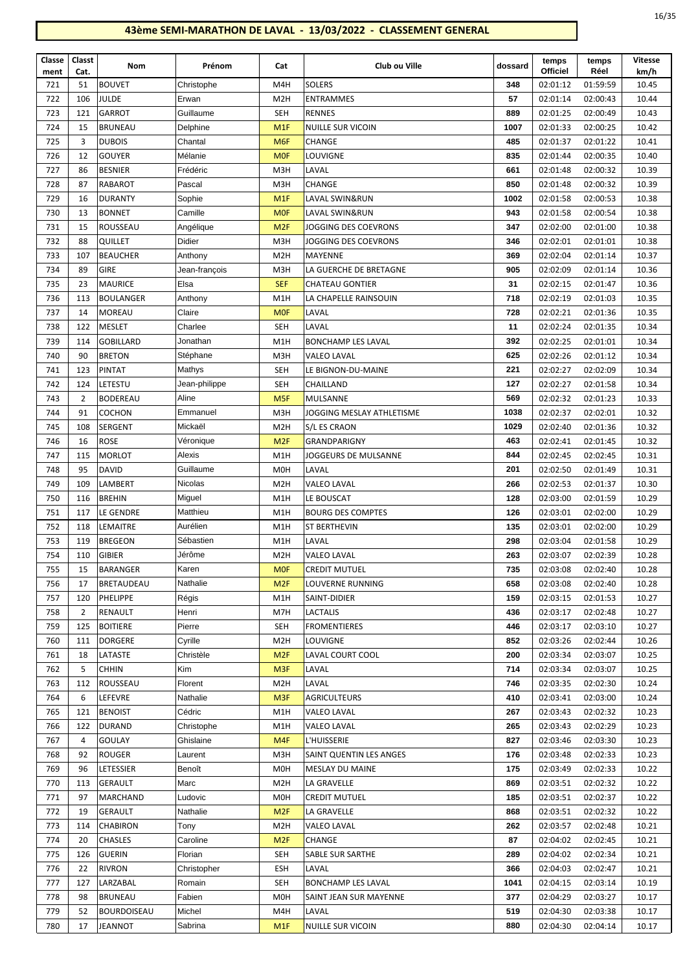| Classe<br>ment | Classt<br>Cat. | Nom                        | Prénom                | Cat                            | Club ou Ville                                | dossard    | temps<br><b>Officiel</b> | temps<br>Réel        | Vitesse<br>km/h |
|----------------|----------------|----------------------------|-----------------------|--------------------------------|----------------------------------------------|------------|--------------------------|----------------------|-----------------|
| 721            | 51             | <b>BOUVET</b>              | Christophe            | M4H                            | <b>SOLERS</b>                                | 348        | 02:01:12                 | 01:59:59             | 10.45           |
| 722            | 106            | <b>JULDE</b>               | Erwan                 | M <sub>2</sub> H               | <b>ENTRAMMES</b>                             | 57         | 02:01:14                 | 02:00:43             | 10.44           |
| 723            | 121            | GARROT                     | Guillaume             | <b>SEH</b>                     | <b>RENNES</b>                                | 889        | 02:01:25                 | 02:00:49             | 10.43           |
| 724            | 15             | <b>BRUNEAU</b>             | Delphine              | M <sub>1</sub> F               | NUILLE SUR VICOIN                            | 1007       | 02:01:33                 | 02:00:25             | 10.42           |
| 725            | 3              | <b>DUBOIS</b>              | Chantal               | M <sub>6F</sub>                | CHANGE                                       | 485        | 02:01:37                 | 02:01:22             | 10.41           |
| 726            | 12             | <b>GOUYER</b>              | Mélanie               | <b>MOF</b>                     | <b>LOUVIGNE</b>                              | 835        | 02:01:44                 | 02:00:35             | 10.40           |
| 727            | 86             | <b>BESNIER</b>             | Frédéric              | M3H                            | LAVAL                                        | 661        | 02:01:48                 | 02:00:32             | 10.39           |
| 728            | 87             | RABAROT                    | Pascal                | M3H                            | <b>CHANGE</b>                                | 850        | 02:01:48                 | 02:00:32             | 10.39           |
| 729            | 16             | <b>DURANTY</b>             | Sophie                | M1F                            | LAVAL SWIN&RUN                               | 1002       | 02:01:58                 | 02:00:53             | 10.38           |
| 730            | 13             | <b>BONNET</b>              | Camille               | <b>MOF</b>                     | <b>LAVAL SWIN&amp;RUN</b>                    | 943        | 02:01:58                 | 02:00:54             | 10.38           |
| 731            | 15             | ROUSSEAU                   | Angélique             | M <sub>2F</sub>                | JOGGING DES COEVRONS                         | 347        | 02:02:00                 | 02:01:00             | 10.38           |
| 732            | 88             | QUILLET                    | Didier                | M3H                            | JOGGING DES COEVRONS                         | 346        | 02:02:01                 | 02:01:01             | 10.38           |
| 733            | 107            | <b>BEAUCHER</b>            | Anthony               | M <sub>2</sub> H               | MAYENNE                                      | 369        | 02:02:04                 | 02:01:14             | 10.37           |
| 734            | 89             | <b>GIRE</b>                | Jean-françois         | M3H                            | LA GUERCHE DE BRETAGNE                       | 905        | 02:02:09                 | 02:01:14             | 10.36           |
| 735            | 23             | <b>MAURICE</b>             | Elsa                  | <b>SEF</b>                     | <b>CHATEAU GONTIER</b>                       | 31         | 02:02:15                 | 02:01:47             | 10.36           |
| 736            | 113            | <b>BOULANGER</b>           | Anthony               | M1H                            | LA CHAPELLE RAINSOUIN                        | 718        | 02:02:19                 | 02:01:03             | 10.35           |
| 737            | 14             | <b>MOREAU</b>              | Claire                | <b>MOF</b>                     | LAVAL                                        | 728        | 02:02:21                 | 02:01:36             | 10.35           |
| 738            | 122            | <b>MESLET</b>              | Charlee               | <b>SEH</b>                     | LAVAL                                        | 11         | 02:02:24                 | 02:01:35             | 10.34           |
| 739            | 114            | <b>GOBILLARD</b>           | Jonathan              | M1H                            | <b>BONCHAMP LES LAVAL</b>                    | 392        | 02:02:25                 | 02:01:01             | 10.34           |
| 740            | 90             | <b>BRETON</b>              | Stéphane              | M3H                            | VALEO LAVAL                                  | 625        | 02:02:26                 | 02:01:12             | 10.34           |
| 741            | 123            | PINTAT                     | Mathys                | <b>SEH</b>                     | LE BIGNON-DU-MAINE                           | 221        | 02:02:27                 | 02:02:09             | 10.34           |
| 742            | 124            | LETESTU                    | Jean-philippe         | <b>SEH</b>                     | CHAILLAND                                    | 127        | 02:02:27                 | 02:01:58             | 10.34           |
| 743            | $\overline{2}$ | <b>BODEREAU</b>            | Aline                 | M <sub>5F</sub>                | <b>MULSANNE</b>                              | 569        | 02:02:32                 | 02:01:23             | 10.33           |
| 744            | 91             | COCHON                     | Emmanuel              | M3H                            | JOGGING MESLAY ATHLETISME                    | 1038       | 02:02:37                 | 02:02:01             | 10.32           |
| 745            | 108            | SERGENT                    | Mickaël               | M <sub>2</sub> H               | S/L ES CRAON                                 | 1029       | 02:02:40                 | 02:01:36             | 10.32           |
| 746            | 16             | <b>ROSE</b>                | Véronique             | M2F                            | GRANDPARIGNY                                 | 463        | 02:02:41                 | 02:01:45             | 10.32           |
| 747            | 115            | <b>MORLOT</b>              | Alexis                | M1H                            | JOGGEURS DE MULSANNE                         | 844        | 02:02:45                 | 02:02:45             | 10.31           |
| 748            | 95             | <b>DAVID</b>               | Guillaume             | <b>MOH</b>                     | LAVAL                                        | 201        | 02:02:50                 | 02:01:49             | 10.31           |
| 749            | 109            | LAMBERT                    | Nicolas               | M <sub>2</sub> H               | VALEO LAVAL                                  | 266        | 02:02:53                 | 02:01:37             | 10.30           |
| 750            | 116            | <b>BREHIN</b>              | Miguel                | M1H                            | LE BOUSCAT                                   | 128        | 02:03:00                 | 02:01:59             | 10.29           |
| 751            | 117            | LE GENDRE                  | Matthieu              | M1H                            | <b>BOURG DES COMPTES</b>                     | 126        | 02:03:01                 | 02:02:00             | 10.29           |
| 752            | 118            | LEMAITRE                   | Aurélien              | M1H                            | <b>ST BERTHEVIN</b>                          | 135        | 02:03:01                 | 02:02:00             | 10.29           |
| 753            | 119            | <b>BREGEON</b>             | Sébastien             | M1H                            | LAVAL                                        | 298        | 02:03:04                 | 02:01:58             | 10.29           |
| 754            | 110            | <b>GIBIER</b>              | Jérôme                | M <sub>2</sub> H               | <b>VALEO LAVAL</b>                           | 263        | 02:03:07                 | 02:02:39             | 10.28           |
| 755            | 15             | <b>BARANGER</b>            | Karen                 | <b>MOF</b>                     | <b>CREDIT MUTUEL</b>                         | 735        | 02:03:08                 | 02:02:40             | 10.28           |
| 756            | 17             | <b>BRETAUDEAU</b>          | Nathalie              | M <sub>2F</sub>                | LOUVERNE RUNNING                             | 658        | 02:03:08                 | 02:02:40             | 10.28           |
| 757            | 120            | PHELIPPE                   | Régis                 | M1H                            | SAINT-DIDIER                                 | 159        | 02:03:15                 | 02:01:53             | 10.27           |
| 758            | $\overline{2}$ | RENAULT                    | Henri                 | M7H                            | LACTALIS                                     | 436        | 02:03:17                 | 02:02:48             | 10.27           |
| 759            | 125            | <b>BOITIERE</b>            | Pierre                | <b>SEH</b>                     | <b>FROMENTIERES</b>                          | 446        | 02:03:17                 | 02:03:10             | 10.27           |
| 760            | 111            | <b>DORGERE</b>             | Cyrille               | M <sub>2</sub> H               | LOUVIGNE                                     | 852        | 02:03:26                 | 02:02:44             | 10.26           |
| 761            | 18             | LATASTE                    | Christèle             | M <sub>2F</sub>                | LAVAL COURT COOL                             | 200        | 02:03:34                 | 02:03:07             | 10.25           |
| 762            | 5              | <b>CHHIN</b>               | Kim                   | M <sub>3F</sub>                | LAVAL                                        | 714        | 02:03:34                 | 02:03:07             | 10.25           |
| 763            | 112            | ROUSSEAU                   | Florent               | M <sub>2</sub> H               | LAVAL                                        | 746        | 02:03:35                 | 02:02:30             | 10.24           |
| 764            | 6              | LEFEVRE                    | Nathalie              | M <sub>3F</sub>                | <b>AGRICULTEURS</b>                          | 410        | 02:03:41                 | 02:03:00             | 10.24           |
| 765            | 121            | <b>BENOIST</b>             | Cédric                | M1H                            | VALEO LAVAL                                  | 267        | 02:03:43                 | 02:02:32             | 10.23           |
| 766            | 122            | <b>DURAND</b>              | Christophe            | M1H                            | VALEO LAVAL                                  | 265        | 02:03:43                 | 02:02:29             | 10.23           |
| 767            | 4              | <b>GOULAY</b>              | Ghislaine             | M4F                            | L'HUISSERIE                                  | 827        | 02:03:46                 | 02:03:30             | 10.23           |
| 768            | 92             | <b>ROUGER</b>              | Laurent               | M3H                            | SAINT QUENTIN LES ANGES                      | 176        | 02:03:48                 | 02:02:33             | 10.23           |
| 769            | 96             | LETESSIER                  | Benoît                | <b>MOH</b>                     | MESLAY DU MAINE                              | 175        | 02:03:49                 | 02:02:33             | 10.22           |
| 770            | 113            | <b>GERAULT</b>             | Marc                  | M <sub>2</sub> H               | LA GRAVELLE                                  | 869        | 02:03:51                 | 02:02:32             | 10.22           |
| 771            | 97             | MARCHAND                   | Ludovic               | <b>MOH</b>                     | <b>CREDIT MUTUEL</b>                         | 185        | 02:03:51                 | 02:02:37             | 10.22           |
| 772            | 19             | <b>GERAULT</b>             | Nathalie              | M <sub>2F</sub>                | LA GRAVELLE                                  | 868        | 02:03:51                 | 02:02:32             | 10.22           |
| 773            | 114            | <b>CHABIRON</b>            | Tony                  | M <sub>2</sub> H               | VALEO LAVAL                                  | 262        | 02:03:57                 | 02:02:48             | 10.21           |
| 774            | 20             | <b>CHASLES</b>             | Caroline              | M <sub>2F</sub>                | CHANGE                                       | 87         | 02:04:02                 | 02:02:45             | 10.21           |
| 775            | 126            | <b>GUERIN</b>              | Florian               | <b>SEH</b>                     | SABLE SUR SARTHE                             | 289<br>366 | 02:04:02                 | 02:02:34             | 10.21           |
| 776            | 22             | <b>RIVRON</b>              | Christopher<br>Romain | <b>ESH</b>                     | LAVAL                                        | 1041       | 02:04:03                 | 02:02:47             | 10.21           |
| 777<br>778     | 127<br>98      | LARZABAL<br><b>BRUNEAU</b> | Fabien                | <b>SEH</b><br>M <sub>0</sub> H | BONCHAMP LES LAVAL<br>SAINT JEAN SUR MAYENNE | 377        | 02:04:15<br>02:04:29     | 02:03:14<br>02:03:27 | 10.19<br>10.17  |
| 779            | 52             | <b>BOURDOISEAU</b>         | Michel                | M4H                            | LAVAL                                        | 519        | 02:04:30                 | 02:03:38             | 10.17           |
| 780            | 17             | JEANNOT                    | Sabrina               | M1F                            | <b>NUILLE SUR VICOIN</b>                     | 880        | 02:04:30                 | 02:04:14             | 10.17           |
|                |                |                            |                       |                                |                                              |            |                          |                      |                 |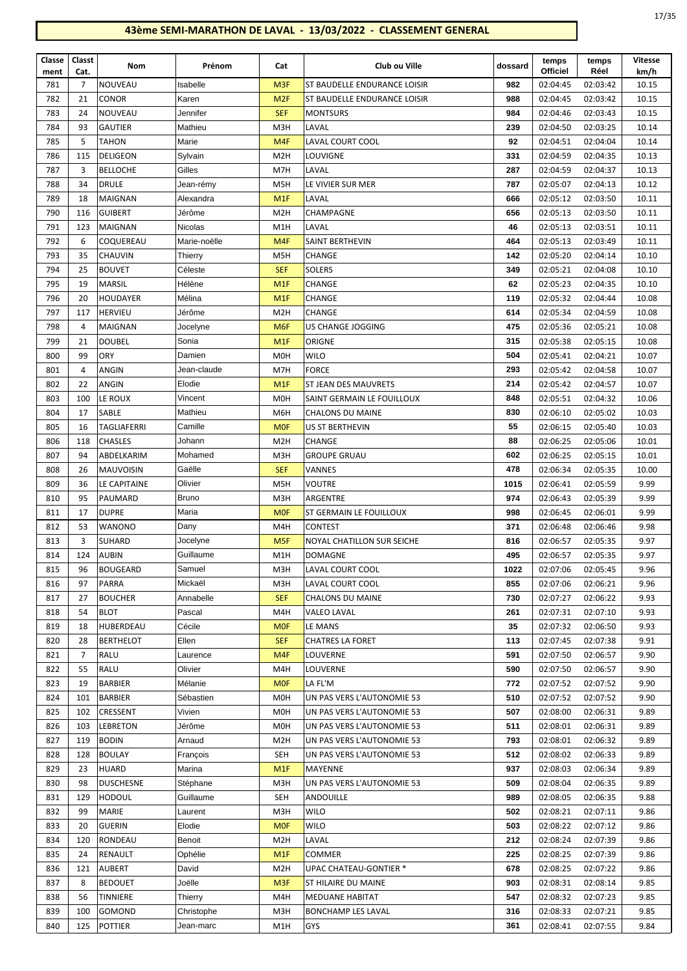|  | ۹<br>× |
|--|--------|
|--|--------|

| Classe<br>ment | Classt<br>Cat. | Nom                | Prénom         | Cat              | Club ou Ville                 | dossard | temps<br>Officiel | temps<br>Réel | <b>Vitesse</b><br>km/h |
|----------------|----------------|--------------------|----------------|------------------|-------------------------------|---------|-------------------|---------------|------------------------|
| 781            | $\overline{7}$ | NOUVEAU            | Isabelle       | M <sub>3F</sub>  | ST BAUDELLE ENDURANCE LOISIR  | 982     | 02:04:45          | 02:03:42      | 10.15                  |
| 782            | 21             | <b>CONOR</b>       | Karen          | M <sub>2F</sub>  | ST BAUDELLE ENDURANCE LOISIR  | 988     | 02:04:45          | 02:03:42      | 10.15                  |
| 783            | 24             | NOUVEAU            | Jennifer       | <b>SEF</b>       | <b>MONTSURS</b>               | 984     | 02:04:46          | 02:03:43      | 10.15                  |
| 784            | 93             | <b>GAUTIER</b>     | Mathieu        | M3H              | LAVAL                         | 239     | 02:04:50          | 02:03:25      | 10.14                  |
| 785            | 5              | <b>TAHON</b>       | Marie          | M <sub>4F</sub>  | LAVAL COURT COOL              | 92      | 02:04:51          | 02:04:04      | 10.14                  |
| 786            | 115            | <b>DELIGEON</b>    | Sylvain        | M <sub>2</sub> H | <b>LOUVIGNE</b>               | 331     | 02:04:59          | 02:04:35      | 10.13                  |
| 787            | 3              | <b>BELLOCHE</b>    | Gilles         | M7H              | LAVAL                         | 287     | 02:04:59          | 02:04:37      | 10.13                  |
| 788            | 34             | <b>DRULE</b>       | Jean-rémy      | M <sub>5</sub> H | LE VIVIER SUR MER             | 787     | 02:05:07          | 02:04:13      | 10.12                  |
| 789            | 18             | <b>MAIGNAN</b>     | Alexandra      | M1F              | LAVAL                         | 666     | 02:05:12          | 02:03:50      | 10.11                  |
| 790            | 116            | <b>GUIBERT</b>     | Jérôme         | M <sub>2</sub> H | CHAMPAGNE                     | 656     | 02:05:13          | 02:03:50      | 10.11                  |
| 791            | 123            | MAIGNAN            | <b>Nicolas</b> | M1H              | LAVAL                         | 46      | 02:05:13          | 02:03:51      | 10.11                  |
| 792            | 6              | COQUEREAU          | Marie-noëlle   | M <sub>4F</sub>  | SAINT BERTHEVIN               | 464     | 02:05:13          | 02:03:49      | 10.11                  |
| 793            | 35             | <b>CHAUVIN</b>     | Thierry        | M <sub>5</sub> H | <b>CHANGE</b>                 | 142     | 02:05:20          | 02:04:14      | 10.10                  |
| 794            | 25             | <b>BOUVET</b>      | Céleste        | <b>SEF</b>       | <b>SOLERS</b>                 | 349     | 02:05:21          | 02:04:08      | 10.10                  |
| 795            | 19             | MARSIL             | Hélène         | M <sub>1</sub> F | CHANGE                        | 62      | 02:05:23          | 02:04:35      | 10.10                  |
| 796            | 20             | HOUDAYER           | Mélina         | M <sub>1</sub> F | CHANGE                        | 119     | 02:05:32          | 02:04:44      | 10.08                  |
| 797            | 117            | <b>HERVIEU</b>     | Jérôme         | M <sub>2</sub> H | CHANGE                        | 614     | 02:05:34          | 02:04:59      | 10.08                  |
| 798            | 4              | <b>MAIGNAN</b>     | Jocelyne       | M <sub>6F</sub>  | US CHANGE JOGGING             | 475     | 02:05:36          | 02:05:21      | 10.08                  |
| 799            | 21             | <b>DOUBEL</b>      | Sonia          | M <sub>1</sub> F | ORIGNE                        | 315     | 02:05:38          | 02:05:15      | 10.08                  |
| 800            | 99             | <b>ORY</b>         | Damien         | M <sub>O</sub> H | <b>WILO</b>                   | 504     | 02:05:41          | 02:04:21      | 10.07                  |
| 801            | 4              | ANGIN              | Jean-claude    | M7H              | <b>FORCE</b>                  | 293     | 02:05:42          | 02:04:58      | 10.07                  |
| 802            | 22             | ANGIN              | Elodie         | M <sub>1</sub> F | <b>ST JEAN DES MAUVRETS</b>   | 214     | 02:05:42          | 02:04:57      | 10.07                  |
| 803            | 100            | LE ROUX            | Vincent        | M <sub>0</sub> H | SAINT GERMAIN LE FOUILLOUX    | 848     | 02:05:51          | 02:04:32      | 10.06                  |
| 804            | 17             | <b>SABLE</b>       | Mathieu        | M6H              | <b>CHALONS DU MAINE</b>       | 830     | 02:06:10          | 02:05:02      | 10.03                  |
| 805            | 16             | <b>TAGLIAFERRI</b> | Camille        | <b>MOF</b>       | US ST BERTHEVIN               | 55      | 02:06:15          | 02:05:40      | 10.03                  |
| 806            | 118            | <b>CHASLES</b>     | Johann         | M <sub>2</sub> H | <b>CHANGE</b>                 | 88      | 02:06:25          | 02:05:06      | 10.01                  |
| 807            | 94             | ABDELKARIM         | Mohamed        | M3H              | <b>GROUPE GRUAU</b>           | 602     | 02:06:25          | 02:05:15      | 10.01                  |
| 808            | 26             | <b>MAUVOISIN</b>   | Gaëlle         | <b>SEF</b>       | VANNES                        | 478     | 02:06:34          | 02:05:35      | 10.00                  |
| 809            | 36             | LE CAPITAINE       | Olivier        | M <sub>5</sub> H | <b>VOUTRE</b>                 | 1015    | 02:06:41          | 02:05:59      | 9.99                   |
| 810            | 95             | PAUMARD            | <b>Bruno</b>   | M3H              | ARGENTRE                      | 974     | 02:06:43          | 02:05:39      | 9.99                   |
| 811            | 17             | <b>DUPRE</b>       | Maria          | <b>MOF</b>       | ST GERMAIN LE FOUILLOUX       | 998     | 02:06:45          | 02:06:01      | 9.99                   |
| 812            | 53             | <b>WANONO</b>      | Dany           | M4H              | <b>CONTEST</b>                | 371     | 02:06:48          | 02:06:46      | 9.98                   |
| 813            | 3              | <b>SUHARD</b>      | Jocelyne       | M <sub>5F</sub>  | NOYAL CHATILLON SUR SEICHE    | 816     | 02:06:57          | 02:05:35      | 9.97                   |
| 814            | 124            | <b>AUBIN</b>       | Guillaume      | M1H              | <b>DOMAGNE</b>                | 495     | 02:06:57          | 02:05:35      | 9.97                   |
| 815            | 96             | <b>BOUGEARD</b>    | Samuel         | M3H              | LAVAL COURT COOL              | 1022    | 02:07:06          | 02:05:45      | 9.96                   |
| 816            | 97             | PARRA              | Mickaël        | M3H              | LAVAL COURT COOL              | 855     | 02:07:06          | 02:06:21      | 9.96                   |
| 817            | 27             | <b>BOUCHER</b>     | Annabelle      | <b>SEF</b>       | CHALONS DU MAINE              | 730     | 02:07:27          | 02:06:22      | 9.93                   |
| 818            | 54             | <b>BLOT</b>        | Pascal         | M4H              | <b>VALEO LAVAL</b>            | 261     | 02:07:31          | 02:07:10      | 9.93                   |
| 819            | 18             | HUBERDEAU          | Cécile         | <b>MOF</b>       | LE MANS                       | 35      | 02:07:32          | 02:06:50      | 9.93                   |
| 820            | 28             | <b>BERTHELOT</b>   | Ellen          | <b>SEF</b>       | <b>CHATRES LA FORET</b>       | 113     | 02:07:45          | 02:07:38      | 9.91                   |
| 821            | 7              | RALU               | Laurence       | M <sub>4F</sub>  | <b>LOUVERNE</b>               | 591     | 02:07:50          | 02:06:57      | 9.90                   |
| 822            | 55             | RALU               | Olivier        | M4H              | LOUVERNE                      | 590     | 02:07:50          | 02:06:57      | 9.90                   |
| 823            | 19             | <b>BARBIER</b>     | Mélanie        | <b>MOF</b>       | LA FL'M                       | 772     | 02:07:52          | 02:07:52      | 9.90                   |
| 824            | 101            | <b>BARBIER</b>     | Sébastien      | M0H              | UN PAS VERS L'AUTONOMIE 53    | 510     | 02:07:52          | 02:07:52      | 9.90                   |
| 825            | 102            | CRESSENT           | Vivien         | M0H              | UN PAS VERS L'AUTONOMIE 53    | 507     | 02:08:00          | 02:06:31      | 9.89                   |
| 826            | 103            | <b>LEBRETON</b>    | Jérôme         | M0H              | UN PAS VERS L'AUTONOMIE 53    | 511     | 02:08:01          | 02:06:31      | 9.89                   |
| 827            | 119            | <b>BODIN</b>       | Arnaud         | M <sub>2</sub> H | UN PAS VERS L'AUTONOMIE 53    | 793     | 02:08:01          | 02:06:32      | 9.89                   |
| 828            | 128            | <b>BOULAY</b>      | François       | SEH              | UN PAS VERS L'AUTONOMIE 53    | 512     | 02:08:02          | 02:06:33      | 9.89                   |
| 829            | 23             | HUARD              | Marina         | M <sub>1</sub> F | MAYENNE                       | 937     | 02:08:03          | 02:06:34      | 9.89                   |
| 830            | 98             | <b>DUSCHESNE</b>   | Stéphane       | M3H              | UN PAS VERS L'AUTONOMIE 53    | 509     | 02:08:04          | 02:06:35      | 9.89                   |
| 831            | 129            | HODOUL             | Guillaume      | SEH              | ANDOUILLE                     | 989     | 02:08:05          | 02:06:35      | 9.88                   |
| 832            | 99             | MARIE              | Laurent        | M3H              | <b>WILO</b>                   | 502     | 02:08:21          | 02:07:11      | 9.86                   |
| 833            | 20             | <b>GUERIN</b>      | Elodie         | <b>MOF</b>       | WILO                          | 503     | 02:08:22          | 02:07:12      | 9.86                   |
| 834            | 120            | RONDEAU            | Benoit         | M <sub>2</sub> H | LAVAL                         | 212     | 02:08:24          | 02:07:39      | 9.86                   |
| 835            | 24             | RENAULT            | Ophélie        | M <sub>1</sub> F | <b>COMMER</b>                 | 225     | 02:08:25          | 02:07:39      | 9.86                   |
| 836            | 121            | AUBERT             | David          | M <sub>2</sub> H | <b>UPAC CHATEAU-GONTIER *</b> | 678     | 02:08:25          | 02:07:22      | 9.86                   |
| 837            | 8              | <b>BEDOUET</b>     | Joëlle         | M <sub>3F</sub>  | ST HILAIRE DU MAINE           | 903     | 02:08:31          | 02:08:14      | 9.85                   |
| 838            | 56             | <b>TINNIERE</b>    | Thierry        | M4H              | <b>MEDUANE HABITAT</b>        | 547     | 02:08:32          | 02:07:23      | 9.85                   |
| 839            | 100            | GOMOND             | Christophe     | M3H              | <b>BONCHAMP LES LAVAL</b>     | 316     | 02:08:33          | 02:07:21      | 9.85                   |
| 840            | 125            | POTTIER            | Jean-marc      | M1H              | <b>GYS</b>                    | 361     | 02:08:41          | 02:07:55      | 9.84                   |
|                |                |                    |                |                  |                               |         |                   |               |                        |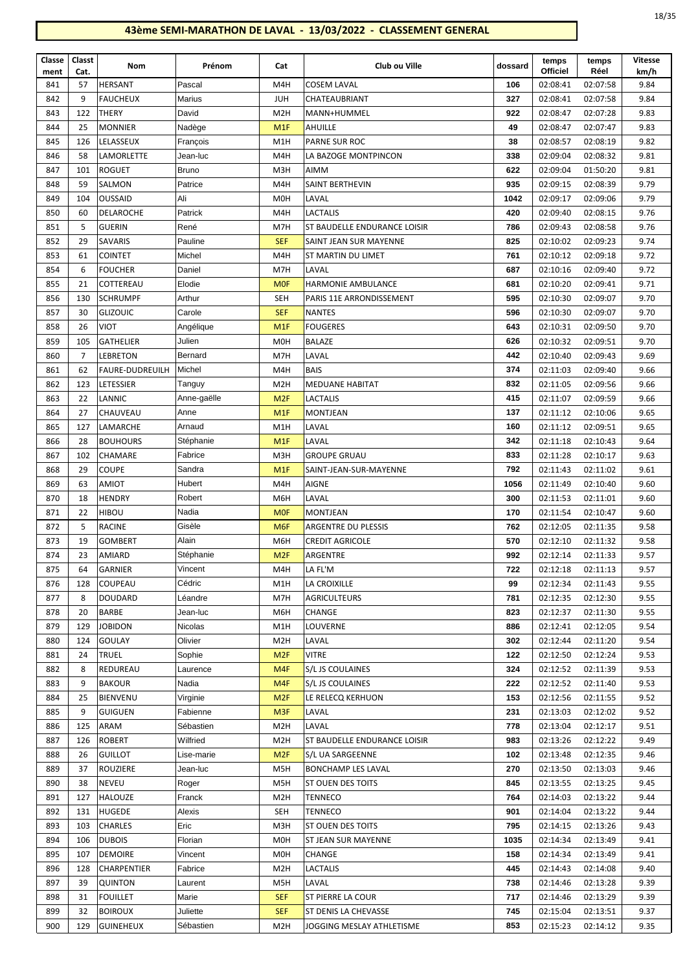| Classe<br>ment | Classt<br>Cat. | Nom                                       | Prénom            | Cat                     | Club ou Ville                                  | dossard    | temps<br><b>Officiel</b> | temps<br>Réel        | <b>Vitesse</b><br>km/h |
|----------------|----------------|-------------------------------------------|-------------------|-------------------------|------------------------------------------------|------------|--------------------------|----------------------|------------------------|
| 841            | 57             | <b>HERSANT</b>                            | Pascal            | M4H                     | <b>COSEM LAVAL</b>                             | 106        | 02:08:41                 | 02:07:58             | 9.84                   |
| 842            | 9              | <b>FAUCHEUX</b>                           | Marius            | <b>JUH</b>              | CHATEAUBRIANT                                  | 327        | 02:08:41                 | 02:07:58             | 9.84                   |
| 843            | 122            | <b>THERY</b>                              | David             | M <sub>2</sub> H        | MANN+HUMMEL                                    | 922        | 02:08:47                 | 02:07:28             | 9.83                   |
| 844            | 25             | <b>MONNIER</b>                            | Nadège            | M <sub>1</sub> F        | AHUILLE                                        | 49         | 02:08:47                 | 02:07:47             | 9.83                   |
| 845            | 126            | LELASSEUX                                 | François          | M1H                     | <b>PARNE SUR ROC</b>                           | 38         | 02:08:57                 | 02:08:19             | 9.82                   |
| 846            | 58             | <b>LAMORLETTE</b>                         | Jean-luc          | M4H                     | LA BAZOGE MONTPINCON                           | 338        | 02:09:04                 | 02:08:32             | 9.81                   |
| 847            | 101            | <b>ROGUET</b>                             | Bruno             | M3H                     | AIMM                                           | 622        | 02:09:04                 | 01:50:20             | 9.81                   |
| 848            | 59             | SALMON                                    | Patrice           | M4H                     | SAINT BERTHEVIN                                | 935        | 02:09:15                 | 02:08:39             | 9.79                   |
| 849            | 104            | OUSSAID                                   | Ali               | M <sub>O</sub> H        | LAVAL                                          | 1042       | 02:09:17                 | 02:09:06             | 9.79                   |
| 850            | 60             | DELAROCHE                                 | Patrick           | M4H                     | <b>LACTALIS</b>                                | 420        | 02:09:40                 | 02:08:15             | 9.76                   |
| 851            | 5              | <b>GUERIN</b>                             | René              | M7H                     | ST BAUDELLE ENDURANCE LOISIR                   | 786        | 02:09:43                 | 02:08:58             | 9.76                   |
| 852            | 29             | <b>SAVARIS</b>                            | Pauline           | <b>SEF</b>              | SAINT JEAN SUR MAYENNE                         | 825        | 02:10:02                 | 02:09:23             | 9.74                   |
| 853            | 61             | <b>COINTET</b>                            | Michel            | M4H                     | ST MARTIN DU LIMET                             | 761        | 02:10:12                 | 02:09:18             | 9.72                   |
| 854            | 6              | <b>FOUCHER</b>                            | Daniel            | M7H                     | LAVAL                                          | 687        | 02:10:16                 | 02:09:40             | 9.72                   |
| 855            | 21             | COTTEREAU                                 | Elodie            | <b>MOF</b>              | <b>HARMONIE AMBULANCE</b>                      | 681        | 02:10:20                 | 02:09:41             | 9.71                   |
| 856            | 130            | <b>SCHRUMPF</b>                           | Arthur            | <b>SEH</b>              | PARIS 11E ARRONDISSEMENT                       | 595        | 02:10:30                 | 02:09:07             | 9.70                   |
| 857            | 30             | <b>GLIZOUIC</b>                           | Carole            | <b>SEF</b>              | <b>NANTES</b>                                  | 596        | 02:10:30                 | 02:09:07             | 9.70                   |
| 858            | 26             | <b>VIOT</b>                               | Angélique         | M <sub>1</sub> F        | <b>FOUGERES</b>                                | 643        | 02:10:31                 | 02:09:50             | 9.70                   |
| 859            | 105            | <b>GATHELIER</b>                          | Julien            | M <sub>0</sub> H        | <b>BALAZE</b>                                  | 626        | 02:10:32                 | 02:09:51             | 9.70                   |
| 860<br>861     | $\overline{7}$ | <b>LEBRETON</b><br><b>FAURE-DUDREUILH</b> | Bernard<br>Michel | M7H                     | LAVAL<br><b>BAIS</b>                           | 442<br>374 | 02:10:40<br>02:11:03     | 02:09:43             | 9.69<br>9.66           |
| 862            | 62<br>123      | <b>LETESSIER</b>                          | Tanguy            | M4H<br>M <sub>2</sub> H | <b>MEDUANE HABITAT</b>                         | 832        | 02:11:05                 | 02:09:40<br>02:09:56 | 9.66                   |
| 863            | 22             | LANNIC                                    | Anne-gaëlle       | M <sub>2F</sub>         | <b>LACTALIS</b>                                | 415        | 02:11:07                 | 02:09:59             | 9.66                   |
| 864            | 27             | <b>CHAUVEAU</b>                           | Anne              | M <sub>1</sub> F        | MONTJEAN                                       | 137        | 02:11:12                 | 02:10:06             | 9.65                   |
| 865            | 127            | LAMARCHE                                  | Arnaud            | M1H                     | LAVAL                                          | 160        | 02:11:12                 | 02:09:51             | 9.65                   |
| 866            | 28             | <b>BOUHOURS</b>                           | Stéphanie         | M <sub>1</sub> F        | LAVAL                                          | 342        | 02:11:18                 | 02:10:43             | 9.64                   |
| 867            | 102            | <b>CHAMARE</b>                            | Fabrice           | M3H                     | <b>GROUPE GRUAU</b>                            | 833        | 02:11:28                 | 02:10:17             | 9.63                   |
| 868            | 29             | <b>COUPE</b>                              | Sandra            | M <sub>1</sub> F        | SAINT-JEAN-SUR-MAYENNE                         | 792        | 02:11:43                 | 02:11:02             | 9.61                   |
| 869            | 63             | AMIOT                                     | Hubert            | M4H                     | AIGNE                                          | 1056       | 02:11:49                 | 02:10:40             | 9.60                   |
| 870            | 18             | HENDRY                                    | Robert            | M6H                     | LAVAL                                          | 300        | 02:11:53                 | 02:11:01             | 9.60                   |
| 871            | 22             | <b>HIBOU</b>                              | Nadia             | <b>MOF</b>              | MONTJEAN                                       | 170        | 02:11:54                 | 02:10:47             | 9.60                   |
| 872            | 5              | <b>RACINE</b>                             | Gisèle            | M <sub>6F</sub>         | ARGENTRE DU PLESSIS                            | 762        | 02:12:05                 | 02:11:35             | 9.58                   |
| 873            | 19             | <b>GOMBERT</b>                            | Alain             | M6H                     | <b>CREDIT AGRICOLE</b>                         | 570        | 02:12:10                 | 02:11:32             | 9.58                   |
| 874            | 23             | AMIARD                                    | Stéphanie         | M <sub>2F</sub>         | ARGENTRE                                       | 992        | 02:12:14                 | 02:11:33             | 9.57                   |
| 875            | 64             | GARNIER                                   | Vincent           | M <sub>4</sub> H        | LA FL'M                                        | 722        | 02:12:18                 | 02:11:13             | 9.57                   |
| 876            | 128            | COUPEAU                                   | Cédric            | M1H                     | LA CROIXILLE                                   | 99         | 02:12:34                 | 02:11:43             | 9.55                   |
| 877            | 8              | DOUDARD                                   | Léandre           | M7H                     | <b>AGRICULTEURS</b>                            | 781        | 02:12:35                 | 02:12:30             | 9.55                   |
| 878            | 20             | <b>BARBE</b>                              | Jean-luc          | M6H                     | CHANGE                                         | 823        | 02:12:37                 | 02:11:30             | 9.55                   |
| 879            | 129            | <b>JOBIDON</b>                            | Nicolas           | M1H                     | LOUVERNE                                       | 886        | 02:12:41                 | 02:12:05             | 9.54                   |
| 880            | 124            | GOULAY                                    | Olivier           | M <sub>2</sub> H        | LAVAL                                          | 302        | 02:12:44                 | 02:11:20             | 9.54                   |
| 881            | 24             | TRUEL                                     | Sophie            | M <sub>2F</sub>         | <b>VITRE</b>                                   | 122        | 02:12:50                 | 02:12:24             | 9.53                   |
| 882            | 8              | REDUREAU                                  | Laurence          | M4F                     | S/L JS COULAINES                               | 324        | 02:12:52                 | 02:11:39             | 9.53                   |
| 883            | 9              | <b>BAKOUR</b>                             | Nadia             | M4F                     | S/L JS COULAINES                               | 222        | 02:12:52                 | 02:11:40             | 9.53                   |
| 884            | 25             | BIENVENU                                  | Virginie          | M <sub>2F</sub>         | LE RELECQ KERHUON                              | 153        | 02:12:56                 | 02:11:55             | 9.52                   |
| 885            | 9              | GUIGUEN                                   | Fabienne          | M <sub>3F</sub>         | LAVAL                                          | 231        | 02:13:03                 | 02:12:02             | 9.52                   |
| 886            | 125            | ARAM                                      | Sébastien         | M <sub>2</sub> H        | LAVAL                                          | 778        | 02:13:04                 | 02:12:17             | 9.51                   |
| 887            | 126            | ROBERT                                    | Wilfried          | M <sub>2</sub> H        | ST BAUDELLE ENDURANCE LOISIR                   | 983        | 02:13:26                 | 02:12:22             | 9.49                   |
| 888            | 26             | <b>GUILLOT</b>                            | Lise-marie        | M <sub>2F</sub>         | S/L UA SARGEENNE                               | 102        | 02:13:48                 | 02:12:35             | 9.46                   |
| 889<br>890     | 37<br>38       | ROUZIERE<br><b>NEVEU</b>                  | Jean-luc<br>Roger | M5H<br>M5H              | <b>BONCHAMP LES LAVAL</b><br>ST OUEN DES TOITS | 270<br>845 | 02:13:50<br>02:13:55     | 02:13:03<br>02:13:25 | 9.46<br>9.45           |
| 891            | 127            | HALOUZE                                   | Franck            | M <sub>2</sub> H        | TENNECO                                        | 764        | 02:14:03                 | 02:13:22             | 9.44                   |
| 892            | 131            | HUGEDE                                    | Alexis            | <b>SEH</b>              | TENNECO                                        | 901        | 02:14:04                 | 02:13:22             | 9.44                   |
| 893            | 103            | <b>CHARLES</b>                            | Eric              | M3H                     | ST OUEN DES TOITS                              | 795        | 02:14:15                 | 02:13:26             | 9.43                   |
| 894            | 106            | <b>DUBOIS</b>                             | Florian           | M <sub>0</sub> H        | ST JEAN SUR MAYENNE                            | 1035       | 02:14:34                 | 02:13:49             | 9.41                   |
| 895            | 107            | DEMOIRE                                   | Vincent           | M0H                     | CHANGE                                         | 158        | 02:14:34                 | 02:13:49             | 9.41                   |
| 896            | 128            | CHARPENTIER                               | Fabrice           | M <sub>2</sub> H        | LACTALIS                                       | 445        | 02:14:43                 | 02:14:08             | 9.40                   |
| 897            | 39             | <b>QUINTON</b>                            | Laurent           | M5H                     | LAVAL                                          | 738        | 02:14:46                 | 02:13:28             | 9.39                   |
| 898            | 31             | <b>FOUILLET</b>                           | Marie             | <b>SEF</b>              | ST PIERRE LA COUR                              | 717        | 02:14:46                 | 02:13:29             | 9.39                   |
| 899            | 32             | <b>BOIROUX</b>                            | Juliette          | <b>SEF</b>              | ST DENIS LA CHEVASSE                           | 745        | 02:15:04                 | 02:13:51             | 9.37                   |
| 900            | 129            | <b>GUINEHEUX</b>                          | Sébastien         | M <sub>2</sub> H        | JOGGING MESLAY ATHLETISME                      | 853        | 02:15:23                 | 02:14:12             | 9.35                   |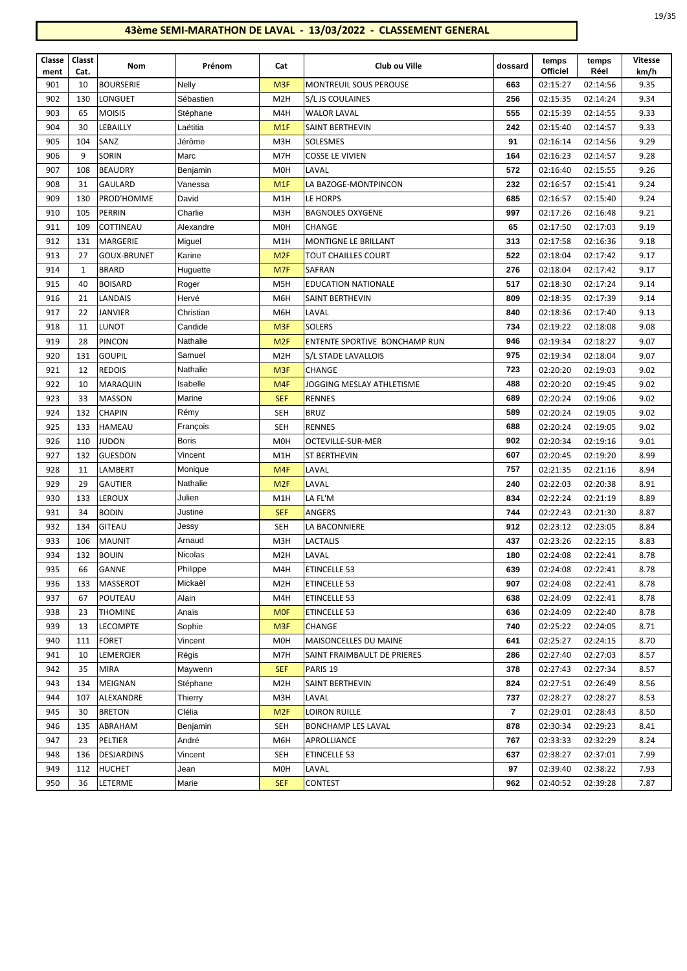| Classe<br>ment | Classt<br>Cat. | Nom                | Prénom         | Cat              | Club ou Ville                 | dossard | temps<br>Officiel | temps<br>Réel | <b>Vitesse</b><br>km/h |
|----------------|----------------|--------------------|----------------|------------------|-------------------------------|---------|-------------------|---------------|------------------------|
| 901            | 10             | <b>BOURSERIE</b>   | Nelly          | M <sub>3F</sub>  | <b>MONTREUIL SOUS PEROUSE</b> | 663     | 02:15:27          | 02:14:56      | 9.35                   |
| 902            | 130            | <b>LONGUET</b>     | Sébastien      | M <sub>2</sub> H | S/L JS COULAINES              | 256     | 02:15:35          | 02:14:24      | 9.34                   |
| 903            | 65             | <b>MOISIS</b>      | Stéphane       | M4H              | <b>WALOR LAVAL</b>            | 555     | 02:15:39          | 02:14:55      | 9.33                   |
| 904            | 30             | LEBAILLY           | Laëtitia       | M <sub>1</sub> F | SAINT BERTHEVIN               | 242     | 02:15:40          | 02:14:57      | 9.33                   |
| 905            | 104            | SANZ               | Jérôme         | M3H              | SOLESMES                      | 91      | 02:16:14          | 02:14:56      | 9.29                   |
| 906            | 9              | <b>SORIN</b>       | Marc           | M7H              | <b>COSSE LE VIVIEN</b>        | 164     | 02:16:23          | 02:14:57      | 9.28                   |
| 907            | 108            | <b>BEAUDRY</b>     | Benjamin       | M <sub>O</sub> H | LAVAL                         | 572     | 02:16:40          | 02:15:55      | 9.26                   |
| 908            | 31             | GAULARD            | Vanessa        | M <sub>1</sub> F | LA BAZOGE-MONTPINCON          | 232     | 02:16:57          | 02:15:41      | 9.24                   |
| 909            | 130            | PROD'HOMME         | David          | M1H              | LE HORPS                      | 685     | 02:16:57          | 02:15:40      | 9.24                   |
| 910            | 105            | PERRIN             | Charlie        | M3H              | <b>BAGNOLES OXYGENE</b>       | 997     | 02:17:26          | 02:16:48      | 9.21                   |
| 911            | 109            | COTTINEAU          | Alexandre      | M <sub>O</sub> H | <b>CHANGE</b>                 | 65      | 02:17:50          | 02:17:03      | 9.19                   |
| 912            | 131            | MARGERIE           | Miguel         | M1H              | MONTIGNE LE BRILLANT          | 313     | 02:17:58          | 02:16:36      | 9.18                   |
| 913            | 27             | <b>GOUX-BRUNET</b> | Karine         | M <sub>2F</sub>  | TOUT CHAILLES COURT           | 522     | 02:18:04          | 02:17:42      | 9.17                   |
| 914            | 1              | <b>BRARD</b>       | Huguette       | M7F              | SAFRAN                        | 276     | 02:18:04          | 02:17:42      | 9.17                   |
| 915            | 40             | <b>BOISARD</b>     | Roger          | M <sub>5</sub> H | <b>EDUCATION NATIONALE</b>    | 517     | 02:18:30          | 02:17:24      | 9.14                   |
| 916            | 21             | LANDAIS            | Hervé          | M6H              | SAINT BERTHEVIN               | 809     | 02:18:35          | 02:17:39      | 9.14                   |
| 917            | 22             | JANVIER            | Christian      | M6H              | LAVAL                         | 840     | 02:18:36          | 02:17:40      | 9.13                   |
| 918            | 11             | <b>LUNOT</b>       | Candide        | M <sub>3F</sub>  | <b>SOLERS</b>                 | 734     | 02:19:22          | 02:18:08      | 9.08                   |
| 919            | 28             | <b>PINCON</b>      | Nathalie       | M <sub>2F</sub>  | ENTENTE SPORTIVE BONCHAMP RUN | 946     | 02:19:34          | 02:18:27      | 9.07                   |
| 920            | 131            | <b>GOUPIL</b>      | Samuel         | M <sub>2</sub> H | S/L STADE LAVALLOIS           | 975     | 02:19:34          | 02:18:04      | 9.07                   |
| 921            | 12             | <b>REDOIS</b>      | Nathalie       | M <sub>3F</sub>  | <b>CHANGE</b>                 | 723     | 02:20:20          | 02:19:03      | 9.02                   |
| 922            | 10             | MARAQUIN           | Isabelle       | M <sub>4F</sub>  | JOGGING MESLAY ATHLETISME     | 488     | 02:20:20          | 02:19:45      | 9.02                   |
| 923            | 33             | MASSON             | Marine         | <b>SEF</b>       | <b>RENNES</b>                 | 689     | 02:20:24          | 02:19:06      | 9.02                   |
| 924            | 132            | <b>CHAPIN</b>      | Rémy           | SEH              | <b>BRUZ</b>                   | 589     | 02:20:24          | 02:19:05      | 9.02                   |
| 925            | 133            | HAMEAU             | François       | <b>SEH</b>       | <b>RENNES</b>                 | 688     | 02:20:24          | 02:19:05      | 9.02                   |
| 926            | 110            | <b>JUDON</b>       | <b>Boris</b>   | M <sub>0</sub> H | OCTEVILLE-SUR-MER             | 902     | 02:20:34          | 02:19:16      | 9.01                   |
| 927            | 132            | <b>GUESDON</b>     | Vincent        | M1H              | ST BERTHEVIN                  | 607     | 02:20:45          | 02:19:20      | 8.99                   |
| 928            | 11             | LAMBERT            | Monique        | M <sub>4F</sub>  | LAVAL                         | 757     | 02:21:35          | 02:21:16      | 8.94                   |
| 929            | 29             | <b>GAUTIER</b>     | Nathalie       | M <sub>2F</sub>  | LAVAL                         | 240     | 02:22:03          | 02:20:38      | 8.91                   |
| 930            | 133            | <b>LEROUX</b>      | Julien         | M1H              | LA FL'M                       | 834     | 02:22:24          | 02:21:19      | 8.89                   |
| 931            | 34             | <b>BODIN</b>       | Justine        | <b>SEF</b>       | ANGERS                        | 744     | 02:22:43          | 02:21:30      | 8.87                   |
| 932            | 134            | <b>GITEAU</b>      | Jessy          | SEH              | LA BACONNIERE                 | 912     | 02:23:12          | 02:23:05      | 8.84                   |
| 933            | 106            | <b>MAUNIT</b>      | Arnaud         | M3H              | LACTALIS                      | 437     | 02:23:26          | 02:22:15      | 8.83                   |
| 934            | 132            | <b>BOUIN</b>       | <b>Nicolas</b> | M <sub>2</sub> H | LAVAL                         | 180     | 02:24:08          | 02:22:41      | 8.78                   |
| 935            | 66             | GANNE              | Philippe       | M4H              | ETINCELLE 53                  | 639     | 02:24:08          | 02:22:41      | 8.78                   |
| 936            | 133            | MASSEROT           | Mickaël        | M2H              | ETINCELLE 53                  | 907     | 02:24:08          | 02:22:41      | 8.78                   |
| 937            | 67             | POUTEAU            | Alain          | M4H              | ETINCELLE 53                  | 638     | 02:24:09          | 02:22:41      | 8.78                   |
| 938            | 23             | <b>THOMINE</b>     | Anaïs          | <b>MOF</b>       | ETINCELLE 53                  | 636     | 02:24:09          | 02:22:40      | 8.78                   |
| 939            | 13             | <b>LECOMPTE</b>    | Sophie         | M <sub>3F</sub>  | CHANGE                        | 740     | 02:25:22          | 02:24:05      | 8.71                   |
| 940            | 111            | FORET              | Vincent        | M0H              | MAISONCELLES DU MAINE         | 641     | 02:25:27          | 02:24:15      | 8.70                   |
| 941            | 10             | LEMERCIER          | Régis          | M7H              | SAINT FRAIMBAULT DE PRIERES   | 286     | 02:27:40          | 02:27:03      | 8.57                   |
| 942            | 35             | <b>MIRA</b>        | Maywenn        | <b>SEF</b>       | PARIS <sub>19</sub>           | 378     | 02:27:43          | 02:27:34      | 8.57                   |
| 943            | 134            | MEIGNAN            | Stéphane       | M <sub>2</sub> H | SAINT BERTHEVIN               | 824     | 02:27:51          | 02:26:49      | 8.56                   |
| 944            | 107            | ALEXANDRE          | Thierry        | M3H              | LAVAL                         | 737     | 02:28:27          | 02:28:27      | 8.53                   |
| 945            | 30             | <b>BRETON</b>      | Clélia         | M <sub>2F</sub>  | LOIRON RUILLE                 | 7       | 02:29:01          | 02:28:43      | 8.50                   |
| 946            | 135            | ABRAHAM            | Benjamin       | <b>SEH</b>       | BONCHAMP LES LAVAL            | 878     | 02:30:34          | 02:29:23      | 8.41                   |
| 947            | 23             | PELTIER            | André          | M6H              | APROLLIANCE                   | 767     | 02:33:33          | 02:32:29      | 8.24                   |
| 948            | 136            | <b>DESJARDINS</b>  | Vincent        | <b>SEH</b>       | ETINCELLE 53                  | 637     | 02:38:27          | 02:37:01      | 7.99                   |
| 949            | 112            | <b>HUCHET</b>      | Jean           | M <sub>O</sub> H | LAVAL                         | 97      | 02:39:40          | 02:38:22      | 7.93                   |
| 950            | 36             | LETERME            | Marie          | <b>SEF</b>       | <b>CONTEST</b>                | 962     | 02:40:52          | 02:39:28      | 7.87                   |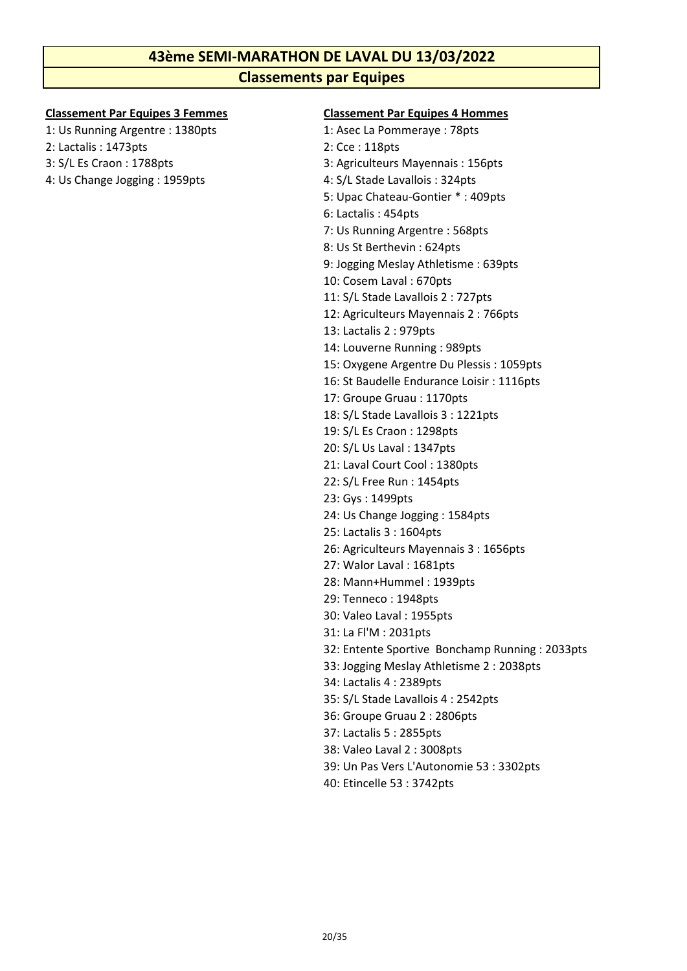# **43ème SEMI-MARATHON DE LAVAL DU 13/03/2022 Classements par Equipes**

- 1: Us Running Argentre : 1380pts 1: Asec La Pommeraye : 78pts
- 2: Lactalis : 1473pts 2: Cce : 118pts
- 
- 4: Us Change Jogging : 1959pts 4: S/L Stade Lavallois : 324pts

#### **Classement Par Equipes 3 Femmes Classement Par Equipes 4 Hommes**

- 
- 
- 3: S/L Es Craon : 1788pts 3: Agriculteurs Mayennais : 156pts
	-
	- 5: Upac Chateau-Gontier \* : 409pts
		- 6: Lactalis : 454pts
		- 7: Us Running Argentre : 568pts
		- 8: Us St Berthevin : 624pts
		- 9: Jogging Meslay Athletisme : 639pts
		- 10: Cosem Laval : 670pts
		- 11: S/L Stade Lavallois 2 : 727pts
		- 12: Agriculteurs Mayennais 2 : 766pts
		- 13: Lactalis 2 : 979pts
		- 14: Louverne Running : 989pts
	- 15: Oxygene Argentre Du Plessis : 1059pts
	- 16: St Baudelle Endurance Loisir : 1116pts
	- 17: Groupe Gruau : 1170pts
	- 18: S/L Stade Lavallois 3 : 1221pts
	- 19: S/L Es Craon : 1298pts
	- 20: S/L Us Laval : 1347pts
	- 21: Laval Court Cool : 1380pts
	- 22: S/L Free Run : 1454pts
	- 23: Gys : 1499pts
	- 24: Us Change Jogging : 1584pts
	- 25: Lactalis 3 : 1604pts
	- 26: Agriculteurs Mayennais 3 : 1656pts
	- 27: Walor Laval : 1681pts
	- 28: Mann+Hummel : 1939pts
	- 29: Tenneco : 1948pts
	- 30: Valeo Laval : 1955pts
	- 31: La Fl'M : 2031pts
	- 32: Entente Sportive Bonchamp Running : 2033pts
	- 33: Jogging Meslay Athletisme 2 : 2038pts
	- 34: Lactalis 4 : 2389pts
	- 35: S/L Stade Lavallois 4 : 2542pts
	- 36: Groupe Gruau 2 : 2806pts
	- 37: Lactalis 5 : 2855pts
	- 38: Valeo Laval 2 : 3008pts
	- 39: Un Pas Vers L'Autonomie 53 : 3302pts
	- 40: Etincelle 53 : 3742pts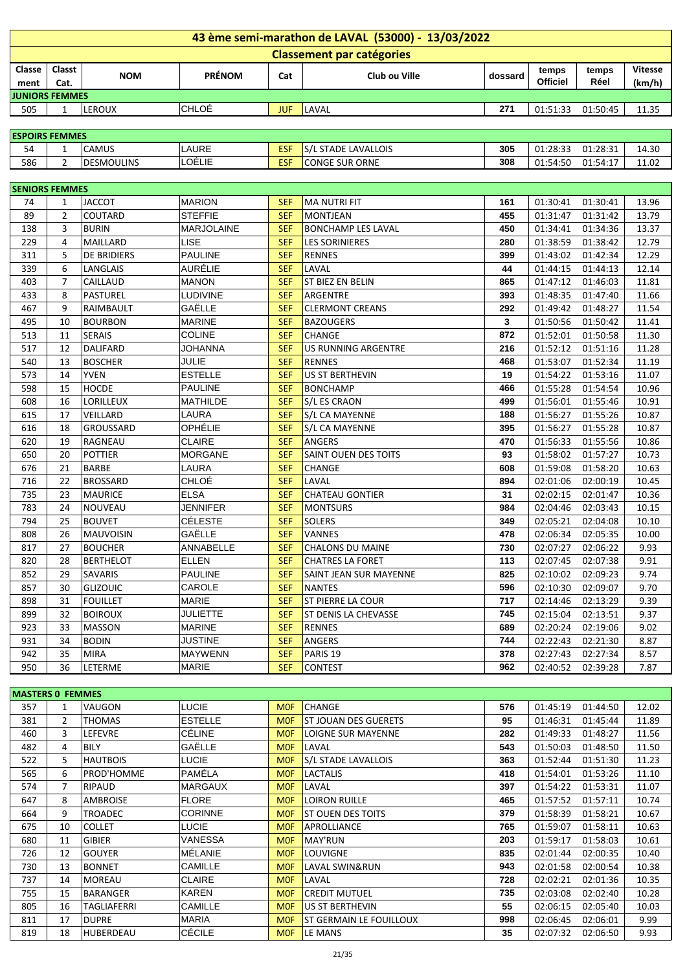|                       | 43 ème semi-marathon de LAVAL (53000) - 13/03/2022 |                                |                          |                          |                                       |            |                      |                      |                |  |  |  |
|-----------------------|----------------------------------------------------|--------------------------------|--------------------------|--------------------------|---------------------------------------|------------|----------------------|----------------------|----------------|--|--|--|
|                       |                                                    |                                |                          |                          | <b>Classement par catégories</b>      |            |                      |                      |                |  |  |  |
| Classe                | Classt                                             |                                |                          |                          |                                       |            | temps                | temps                | <b>Vitesse</b> |  |  |  |
| ment                  | Cat.                                               | <b>NOM</b>                     | <b>PRÉNOM</b>            | Cat                      | Club ou Ville                         | dossard    | <b>Officiel</b>      | Réel                 | (km/h)         |  |  |  |
| <b>JUNIORS FEMMES</b> |                                                    |                                |                          |                          |                                       |            |                      |                      |                |  |  |  |
| 505                   | $\mathbf{1}$                                       | LEROUX                         | CHLOÉ                    | <b>JUF</b>               | LAVAL                                 | 271        | 01:51:33             | 01:50:45             | 11.35          |  |  |  |
|                       |                                                    |                                |                          |                          |                                       |            |                      |                      |                |  |  |  |
| <b>ESPOIRS FEMMES</b> |                                                    |                                |                          |                          |                                       |            |                      |                      |                |  |  |  |
| 54                    | $\mathbf{1}$                                       | CAMUS                          | LAURE                    | <b>ESF</b>               | S/L STADE LAVALLOIS                   | 305        | 01:28:33             | 01:28:31             | 14.30          |  |  |  |
| 586                   | $\overline{2}$                                     | <b>DESMOULINS</b>              | LOÉLIE                   | <b>ESF</b>               | <b>CONGE SUR ORNE</b>                 | 308        | 01:54:50             | 01:54:17             | 11.02          |  |  |  |
|                       |                                                    |                                |                          |                          |                                       |            |                      |                      |                |  |  |  |
| <b>SENIORS FEMMES</b> |                                                    |                                |                          |                          |                                       |            |                      |                      |                |  |  |  |
| 74                    | $\mathbf{1}$                                       | <b>JACCOT</b>                  | <b>MARION</b>            | <b>SEF</b>               | <b>MA NUTRI FIT</b>                   | 161        | 01:30:41             | 01:30:41             | 13.96          |  |  |  |
| 89                    | $\overline{2}$                                     | COUTARD                        | <b>STEFFIE</b>           | <b>SEF</b>               | <b>MONTJEAN</b>                       | 455        | 01:31:47             | 01:31:42             | 13.79          |  |  |  |
| 138                   | 3                                                  | <b>BURIN</b>                   | MARJOLAINE               | <b>SEF</b>               | <b>BONCHAMP LES LAVAL</b>             | 450        | 01:34:41             | 01:34:36             | 13.37          |  |  |  |
| 229                   | $\overline{4}$                                     | MAILLARD                       | <b>LISE</b>              | <b>SEF</b>               | <b>LES SORINIERES</b>                 | 280        | 01:38:59             | 01:38:42             | 12.79          |  |  |  |
| 311                   | 5                                                  | DE BRIDIERS                    | <b>PAULINE</b>           | <b>SEF</b>               | <b>RENNES</b>                         | 399        | 01:43:02             | 01:42:34             | 12.29          |  |  |  |
| 339                   | 6                                                  | LANGLAIS                       | AURÉLIE                  | <b>SEF</b>               | LAVAL                                 | 44         | 01:44:15             | 01:44:13             | 12.14          |  |  |  |
| 403                   | $\overline{7}$                                     | CAILLAUD                       | <b>MANON</b>             | <b>SEF</b>               | ST BIEZ EN BELIN                      | 865        | 01:47:12             | 01:46:03             | 11.81          |  |  |  |
| 433                   | 8                                                  | <b>PASTUREL</b>                | <b>LUDIVINE</b>          | <b>SEF</b>               | <b>ARGENTRE</b>                       | 393        | 01:48:35             | 01:47:40             | 11.66          |  |  |  |
| 467                   | 9                                                  | RAIMBAULT                      | GAËLLE                   | <b>SEF</b>               | <b>CLERMONT CREANS</b>                | 292        | 01:49:42             | 01:48:27             | 11.54          |  |  |  |
| 495                   | 10                                                 | <b>BOURBON</b>                 | <b>MARINE</b>            | <b>SEF</b>               | <b>BAZOUGERS</b>                      | 3          | 01:50:56             | 01:50:42             | 11.41          |  |  |  |
| 513                   | 11                                                 | <b>SERAIS</b>                  | <b>COLINE</b>            | <b>SEF</b>               | <b>CHANGE</b>                         | 872        | 01:52:01             | 01:50:58             | 11.30          |  |  |  |
| 517                   | 12                                                 | DALIFARD                       | JOHANNA                  | <b>SEF</b>               | <b>US RUNNING ARGENTRE</b>            | 216        | 01:52:12             | 01:51:16             | 11.28          |  |  |  |
| 540<br>573            | 13<br>14                                           | <b>BOSCHER</b>                 | <b>JULIE</b>             | <b>SEF</b><br><b>SEF</b> | <b>RENNES</b>                         | 468<br>19  | 01:53:07             | 01:52:34             | 11.19          |  |  |  |
| 598                   | 15                                                 | <b>YVEN</b><br><b>HOCDE</b>    | <b>ESTELLE</b>           | <b>SEF</b>               | US ST BERTHEVIN                       |            | 01:54:22             | 01:53:16             | 11.07          |  |  |  |
|                       |                                                    |                                | <b>PAULINE</b>           |                          | <b>BONCHAMP</b>                       | 466        | 01:55:28             | 01:54:54             | 10.96          |  |  |  |
| 608                   | 16                                                 | LORILLEUX                      | <b>MATHILDE</b><br>LAURA | <b>SEF</b>               | S/L ES CRAON                          | 499        | 01:56:01             | 01:55:46             | 10.91          |  |  |  |
| 615                   | 17                                                 | VEILLARD                       | OPHÉLIE                  | <b>SEF</b>               | S/L CA MAYENNE                        | 188        | 01:56:27             | 01:55:26             | 10.87          |  |  |  |
| 616                   | 18                                                 | GROUSSARD                      | <b>CLAIRE</b>            | <b>SEF</b>               | S/L CA MAYENNE<br>ANGERS              | 395<br>470 | 01:56:27             | 01:55:28             | 10.87          |  |  |  |
| 620                   | 19                                                 | RAGNEAU                        | <b>MORGANE</b>           | <b>SEF</b>               |                                       | 93         | 01:56:33             | 01:55:56             | 10.86          |  |  |  |
| 650<br>676            | 20<br>21                                           | <b>POTTIER</b><br><b>BARBE</b> | LAURA                    | <b>SEF</b><br><b>SEF</b> | SAINT OUEN DES TOITS<br><b>CHANGE</b> | 608        | 01:58:02<br>01:59:08 | 01:57:27<br>01:58:20 | 10.73<br>10.63 |  |  |  |
| 716                   | 22                                                 | <b>BROSSARD</b>                | CHLOÉ                    | <b>SEF</b>               | LAVAL                                 | 894        | 02:01:06             | 02:00:19             | 10.45          |  |  |  |
| 735                   | 23                                                 | <b>MAURICE</b>                 | <b>ELSA</b>              | <b>SEF</b>               | CHATEAU GONTIER                       | 31         | 02:02:15             | 02:01:47             | 10.36          |  |  |  |
| 783                   | 24                                                 | NOUVEAU                        | <b>JENNIFER</b>          | <b>SEF</b>               | <b>MONTSURS</b>                       | 984        | 02:04:46             | 02:03:43             | 10.15          |  |  |  |
| 794                   | 25                                                 | <b>BOUVET</b>                  | CÉLESTE                  | <b>SEF</b>               | SOLERS                                | 349        | 02:05:21             | 02:04:08             | 10.10          |  |  |  |
| 808                   | 26                                                 | <b>MAUVOISIN</b>               | GAËLLE                   | <b>SEF</b>               | <b>VANNES</b>                         | 478        | 02:06:34             | 02:05:35             | 10.00          |  |  |  |
| 817                   | $\overline{27}$                                    | <b>BOUCHER</b>                 | ANNABELLE                | <b>SEF</b>               | <b>CHALONS DU MAINE</b>               | 730        |                      | 02:07:27 02:06:22    | 9.93           |  |  |  |
| 820                   | 28                                                 | <b>BERTHELOT</b>               | <b>ELLEN</b>             | <b>SEF</b>               | <b>CHATRES LA FORET</b>               | 113        | 02:07:45             | 02:07:38             | 9.91           |  |  |  |
| 852                   | 29                                                 | SAVARIS                        | <b>PAULINE</b>           | <b>SEF</b>               | SAINT JEAN SUR MAYENNE                | 825        | 02:10:02             | 02:09:23             | 9.74           |  |  |  |
| 857                   | 30                                                 | <b>GLIZOUIC</b>                | CAROLE                   | <b>SEF</b>               | <b>NANTES</b>                         | 596        | 02:10:30             | 02:09:07             | 9.70           |  |  |  |
| 898                   | 31                                                 | <b>FOUILLET</b>                | <b>MARIE</b>             | <b>SEF</b>               | ST PIERRE LA COUR                     | 717        | 02:14:46             | 02:13:29             | 9.39           |  |  |  |
| 899                   | 32                                                 | <b>BOIROUX</b>                 | <b>JULIETTE</b>          | <b>SEF</b>               | <b>ST DENIS LA CHEVASSE</b>           | 745        | 02:15:04             | 02:13:51             | 9.37           |  |  |  |
| 923                   | 33                                                 | MASSON                         | <b>MARINE</b>            | <b>SEF</b>               | <b>RENNES</b>                         | 689        | 02:20:24             | 02:19:06             | 9.02           |  |  |  |
| 931                   | 34                                                 | <b>BODIN</b>                   | JUSTINE                  | <b>SEF</b>               | ANGERS                                | 744        | 02:22:43             | 02:21:30             | 8.87           |  |  |  |
| 942                   | 35                                                 | <b>MIRA</b>                    | <b>MAYWENN</b>           | <b>SEF</b>               | PARIS <sub>19</sub>                   | 378        | 02:27:43             | 02:27:34             | 8.57           |  |  |  |
| 950                   | 36                                                 | LETERME                        | <b>MARIE</b>             | <b>SEF</b>               | <b>CONTEST</b>                        | 962        | 02:40:52             | 02:39:28             | 7.87           |  |  |  |
|                       |                                                    |                                |                          |                          |                                       |            |                      |                      |                |  |  |  |

| <b>MASTERS 0 FEMMES</b> |                |                    |                |            |                                |     |          |          |       |
|-------------------------|----------------|--------------------|----------------|------------|--------------------------------|-----|----------|----------|-------|
| 357                     |                | VAUGON             | LUCIE          | <b>MOF</b> | <b>CHANGE</b>                  | 576 | 01:45:19 | 01:44:50 | 12.02 |
| 381                     | $\overline{2}$ | <b>THOMAS</b>      | <b>ESTELLE</b> | <b>MOF</b> | ST JOUAN DES GUERETS           | 95  | 01:46:31 | 01:45:44 | 11.89 |
| 460                     | 3              | <b>LEFEVRE</b>     | CÉLINE         | <b>MOF</b> | LOIGNE SUR MAYENNE             | 282 | 01:49:33 | 01:48:27 | 11.56 |
| 482                     | 4              | <b>BILY</b>        | GAËLLE         | <b>MOF</b> | LAVAL                          | 543 | 01:50:03 | 01:48:50 | 11.50 |
| 522                     | 5              | <b>HAUTBOIS</b>    | LUCIE          | <b>MOF</b> | S/L STADE LAVALLOIS            | 363 | 01:52:44 | 01:51:30 | 11.23 |
| 565                     | 6              | PROD'HOMME         | PAMÉLA         | <b>MOF</b> | <b>LACTALIS</b>                | 418 | 01:54:01 | 01:53:26 | 11.10 |
| 574                     | 7              | RIPAUD             | <b>MARGAUX</b> | <b>MOF</b> | LAVAL                          | 397 | 01:54:22 | 01:53:31 | 11.07 |
| 647                     | 8              | <b>AMBROISE</b>    | <b>FLORE</b>   | <b>MOF</b> | LOIRON RUILLE                  | 465 | 01:57:52 | 01:57:11 | 10.74 |
| 664                     | 9              | <b>TROADEC</b>     | CORINNE        | <b>MOF</b> | <b>ST OUEN DES TOITS</b>       | 379 | 01:58:39 | 01:58:21 | 10.67 |
| 675                     | 10             | <b>COLLET</b>      | LUCIE          | <b>MOF</b> | <b>APROLLIANCE</b>             | 765 | 01:59:07 | 01:58:11 | 10.63 |
| 680                     | 11             | <b>GIBIER</b>      | VANESSA        | <b>MOF</b> | MAY'RUN                        | 203 | 01:59:17 | 01:58:03 | 10.61 |
| 726                     | 12             | <b>GOUYER</b>      | MÉLANIE        | <b>MOF</b> | LOUVIGNE                       | 835 | 02:01:44 | 02:00:35 | 10.40 |
| 730                     | 13             | <b>BONNET</b>      | CAMILLE        | <b>MOF</b> | LAVAL SWIN&RUN                 | 943 | 02:01:58 | 02:00:54 | 10.38 |
| 737                     | 14             | MOREAU             | CLAIRE         | <b>MOF</b> | LAVAL                          | 728 | 02:02:21 | 02:01:36 | 10.35 |
| 755                     | 15             | BARANGER           | KAREN          | <b>MOF</b> | <b>CREDIT MUTUEL</b>           | 735 | 02:03:08 | 02:02:40 | 10.28 |
| 805                     | 16             | <b>TAGLIAFERRI</b> | CAMILLE        | <b>MOF</b> | <b>US ST BERTHEVIN</b>         | 55  | 02:06:15 | 02:05:40 | 10.03 |
| 811                     | 17             | <b>DUPRE</b>       | <b>MARIA</b>   | <b>MOF</b> | <b>ST GERMAIN LE FOUILLOUX</b> | 998 | 02:06:45 | 02:06:01 | 9.99  |
| 819                     | 18             | HUBERDEAU          | CÉCILE         | <b>MOF</b> | LE MANS                        | 35  | 02:07:32 | 02:06:50 | 9.93  |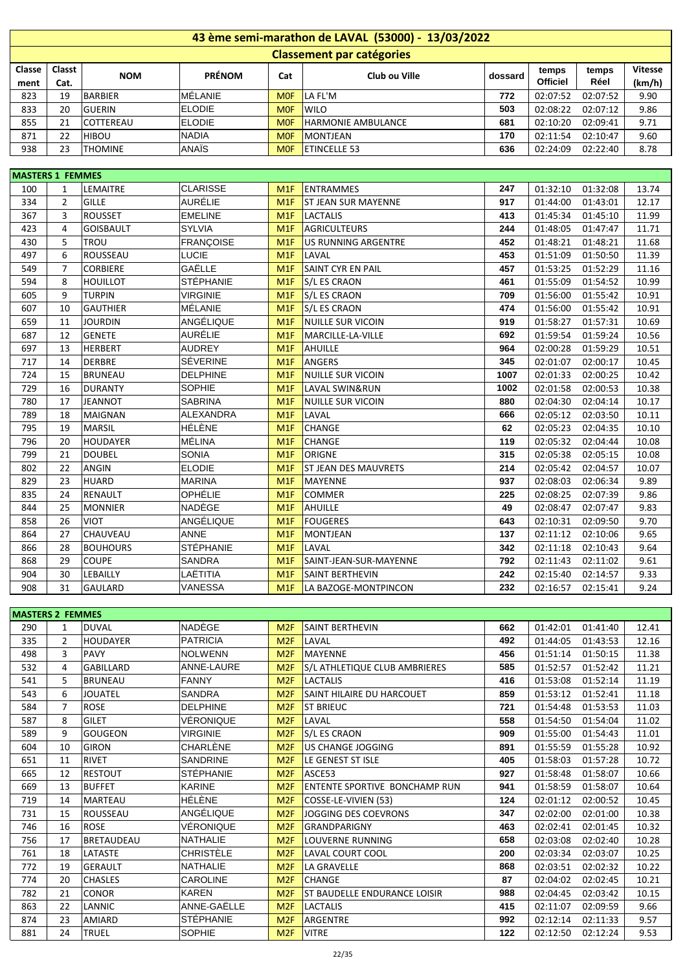|        | 43 ème semi-marathon de LAVAL (53000) - 13/03/2022                                                           |                  |               |                 |                           |     |                 |          |        |  |  |  |  |
|--------|--------------------------------------------------------------------------------------------------------------|------------------|---------------|-----------------|---------------------------|-----|-----------------|----------|--------|--|--|--|--|
|        | <b>Classement par catégories</b>                                                                             |                  |               |                 |                           |     |                 |          |        |  |  |  |  |
| Classe | Classt<br><b>Vitesse</b><br>temps<br>temps<br><b>PRÉNOM</b><br>Club ou Ville<br>Cat<br><b>NOM</b><br>dossard |                  |               |                 |                           |     |                 |          |        |  |  |  |  |
| ment   | Cat.                                                                                                         |                  |               |                 |                           |     | <b>Officiel</b> | Réel     | (km/h) |  |  |  |  |
| 823    | 19                                                                                                           | <b>BARBIER</b>   | MÉLANIE       | M <sub>OF</sub> | LA FL'M                   | 772 | 02:07:52        | 02:07:52 | 9.90   |  |  |  |  |
| 833    | 20                                                                                                           | <b>GUERIN</b>    | <b>ELODIE</b> | <b>MOF</b>      | <b>WILO</b>               | 503 | 02:08:22        | 02:07:12 | 9.86   |  |  |  |  |
| 855    | 21                                                                                                           | <b>COTTEREAU</b> | <b>ELODIE</b> | <b>MOF</b>      | <b>HARMONIE AMBULANCE</b> | 681 | 02:10:20        | 02:09:41 | 9.71   |  |  |  |  |
| 871    | 22                                                                                                           | <b>HIBOU</b>     | <b>NADIA</b>  | <b>MOF</b>      | MONTJEAN                  | 170 | 02:11:54        | 02:10:47 | 9.60   |  |  |  |  |
| 938    | 23                                                                                                           | <b>THOMINE</b>   | ANAÏS         | <b>MOF</b>      | <b>ETINCELLE 53</b>       | 636 | 02:24:09        | 02:22:40 | 8.78   |  |  |  |  |

| <b>MASTERS 1 FEMMES</b> |                |                  |                  |     |                             |      |          |          |       |
|-------------------------|----------------|------------------|------------------|-----|-----------------------------|------|----------|----------|-------|
| 100                     | $\mathbf{1}$   | LEMAITRE         | <b>CLARISSE</b>  | M1F | <b>ENTRAMMES</b>            | 247  | 01:32:10 | 01:32:08 | 13.74 |
| 334                     | $\overline{2}$ | GILLE            | <b>AURÉLIE</b>   | M1F | <b>ST JEAN SUR MAYENNE</b>  | 917  | 01:44:00 | 01:43:01 | 12.17 |
| 367                     | 3              | <b>ROUSSET</b>   | <b>EMELINE</b>   | M1F | <b>LACTALIS</b>             | 413  | 01:45:34 | 01:45:10 | 11.99 |
| 423                     | 4              | <b>GOISBAULT</b> | <b>SYLVIA</b>    | M1F | <b>AGRICULTEURS</b>         | 244  | 01:48:05 | 01:47:47 | 11.71 |
| 430                     | 5              | <b>TROU</b>      | <b>FRANCOISE</b> | M1F | <b>US RUNNING ARGENTRE</b>  | 452  | 01:48:21 | 01:48:21 | 11.68 |
| 497                     | 6              | ROUSSEAU         | <b>LUCIE</b>     | M1F | LAVAL                       | 453  | 01:51:09 | 01:50:50 | 11.39 |
| 549                     | $\overline{7}$ | <b>CORBIERE</b>  | GAËLLE           | M1F | <b>SAINT CYR EN PAIL</b>    | 457  | 01:53:25 | 01:52:29 | 11.16 |
| 594                     | 8              | <b>HOUILLOT</b>  | <b>STÉPHANIE</b> | M1F | <b>S/L ES CRAON</b>         | 461  | 01:55:09 | 01:54:52 | 10.99 |
| 605                     | 9              | <b>TURPIN</b>    | <b>VIRGINIE</b>  | M1F | <b>S/L ES CRAON</b>         | 709  | 01:56:00 | 01:55:42 | 10.91 |
| 607                     | 10             | <b>GAUTHIER</b>  | MÉLANIE          | M1F | <b>S/L ES CRAON</b>         | 474  | 01:56:00 | 01:55:42 | 10.91 |
| 659                     | 11             | <b>JOURDIN</b>   | <b>ANGÉLIQUE</b> | M1F | NUILLE SUR VICOIN           | 919  | 01:58:27 | 01:57:31 | 10.69 |
| 687                     | 12             | <b>GENETE</b>    | <b>AURÉLIE</b>   | M1F | MARCILLE-LA-VILLE           | 692  | 01:59:54 | 01:59:24 | 10.56 |
| 697                     | 13             | <b>HERBERT</b>   | <b>AUDREY</b>    | M1F | <b>AHUILLE</b>              | 964  | 02:00:28 | 01:59:29 | 10.51 |
| 717                     | 14             | <b>DERBRE</b>    | <b>SÉVERINE</b>  | M1F | <b>ANGERS</b>               | 345  | 02:01:07 | 02:00:17 | 10.45 |
| 724                     | 15             | <b>BRUNEAU</b>   | <b>DELPHINE</b>  | M1F | <b>NUILLE SUR VICOIN</b>    | 1007 | 02:01:33 | 02:00:25 | 10.42 |
| 729                     | 16             | <b>DURANTY</b>   | <b>SOPHIE</b>    | M1F | <b>LAVAL SWIN&amp;RUN</b>   | 1002 | 02:01:58 | 02:00:53 | 10.38 |
| 780                     | 17             | <b>JEANNOT</b>   | <b>SABRINA</b>   | M1F | <b>NUILLE SUR VICOIN</b>    | 880  | 02:04:30 | 02:04:14 | 10.17 |
| 789                     | 18             | <b>MAIGNAN</b>   | <b>ALEXANDRA</b> | M1F | LAVAL                       | 666  | 02:05:12 | 02:03:50 | 10.11 |
| 795                     | 19             | <b>MARSIL</b>    | HÉLÈNE           | M1F | <b>CHANGE</b>               | 62   | 02:05:23 | 02:04:35 | 10.10 |
| 796                     | 20             | <b>HOUDAYER</b>  | MÉLINA           | M1F | <b>CHANGE</b>               | 119  | 02:05:32 | 02:04:44 | 10.08 |
| 799                     | 21             | <b>DOUBEL</b>    | <b>SONIA</b>     | M1F | ORIGNE                      | 315  | 02:05:38 | 02:05:15 | 10.08 |
| 802                     | 22             | ANGIN            | <b>ELODIE</b>    | M1F | <b>ST JEAN DES MAUVRETS</b> | 214  | 02:05:42 | 02:04:57 | 10.07 |
| 829                     | 23             | HUARD            | <b>MARINA</b>    | M1F | MAYENNE                     | 937  | 02:08:03 | 02:06:34 | 9.89  |
| 835                     | 24             | RENAULT          | OPHÉLIE          | M1F | <b>COMMER</b>               | 225  | 02:08:25 | 02:07:39 | 9.86  |
| 844                     | 25             | <b>MONNIER</b>   | <b>NADÈGE</b>    | M1F | <b>AHUILLE</b>              | 49   | 02:08:47 | 02:07:47 | 9.83  |
| 858                     | 26             | <b>VIOT</b>      | ANGÉLIQUE        | M1F | <b>FOUGERES</b>             | 643  | 02:10:31 | 02:09:50 | 9.70  |
| 864                     | 27             | <b>CHAUVEAU</b>  | <b>ANNE</b>      | M1F | <b>MONTJEAN</b>             | 137  | 02:11:12 | 02:10:06 | 9.65  |
| 866                     | 28             | <b>BOUHOURS</b>  | <b>STÉPHANIE</b> | M1F | LAVAL                       | 342  | 02:11:18 | 02:10:43 | 9.64  |
| 868                     | 29             | <b>COUPE</b>     | <b>SANDRA</b>    | M1F | SAINT-JEAN-SUR-MAYENNE      | 792  | 02:11:43 | 02:11:02 | 9.61  |
| 904                     | 30             | LEBAILLY         | LAËTITIA         | M1F | <b>SAINT BERTHEVIN</b>      | 242  | 02:15:40 | 02:14:57 | 9.33  |
| 908                     | 31             | GAULARD          | <b>VANESSA</b>   | M1F | LA BAZOGE-MONTPINCON        | 232  | 02:16:57 | 02:15:41 | 9.24  |

| <b>MASTERS 2 FEMMES</b> |                |                   |                  |     |                                      |     |          |          |       |
|-------------------------|----------------|-------------------|------------------|-----|--------------------------------------|-----|----------|----------|-------|
| 290                     | $\mathbf{1}$   | DUVAL             | NADÈGE           | M2F | <b>SAINT BERTHEVIN</b>               | 662 | 01:42:01 | 01:41:40 | 12.41 |
| 335                     | $\overline{2}$ | HOUDAYER          | <b>PATRICIA</b>  | M2F | LAVAL                                | 492 | 01:44:05 | 01:43:53 | 12.16 |
| 498                     | 3              | <b>PAVY</b>       | NOLWENN          | M2F | <b>MAYENNE</b>                       | 456 | 01:51:14 | 01:50:15 | 11.38 |
| 532                     | 4              | GABILLARD         | ANNE-LAURE       | M2F | S/L ATHLETIQUE CLUB AMBRIERES        | 585 | 01:52:57 | 01:52:42 | 11.21 |
| 541                     | 5              | <b>BRUNEAU</b>    | <b>FANNY</b>     | M2F | <b>LACTALIS</b>                      | 416 | 01:53:08 | 01:52:14 | 11.19 |
| 543                     | 6              | <b>JOUATEL</b>    | SANDRA           | M2F | SAINT HILAIRE DU HARCOUET            | 859 | 01:53:12 | 01:52:41 | 11.18 |
| 584                     | $\overline{7}$ | <b>ROSE</b>       | <b>DELPHINE</b>  | M2F | <b>ST BRIEUC</b>                     | 721 | 01:54:48 | 01:53:53 | 11.03 |
| 587                     | 8              | GILET             | VÉRONIQUE        | M2F | LAVAL                                | 558 | 01:54:50 | 01:54:04 | 11.02 |
| 589                     | 9              | GOUGEON           | <b>VIRGINIE</b>  | M2F | S/L ES CRAON                         | 909 | 01:55:00 | 01:54:43 | 11.01 |
| 604                     | 10             | <b>GIRON</b>      | CHARLÈNE         | M2F | US CHANGE JOGGING                    | 891 | 01:55:59 | 01:55:28 | 10.92 |
| 651                     | 11             | <b>RIVET</b>      | <b>SANDRINE</b>  | M2F | LE GENEST ST ISLE                    | 405 | 01:58:03 | 01:57:28 | 10.72 |
| 665                     | 12             | <b>RESTOUT</b>    | <b>STÉPHANIE</b> | M2F | ASCE53                               | 927 | 01:58:48 | 01:58:07 | 10.66 |
| 669                     | 13             | <b>BUFFET</b>     | <b>KARINE</b>    | M2F | <b>ENTENTE SPORTIVE BONCHAMP RUN</b> | 941 | 01:58:59 | 01:58:07 | 10.64 |
| 719                     | 14             | MARTEAU           | <b>HÉLÈNE</b>    | M2F | COSSE-LE-VIVIEN (53)                 | 124 | 02:01:12 | 02:00:52 | 10.45 |
| 731                     | 15             | ROUSSEAU          | ANGÉLIQUE        | M2F | JOGGING DES COEVRONS                 | 347 | 02:02:00 | 02:01:00 | 10.38 |
| 746                     | 16             | <b>ROSE</b>       | VÉRONIQUE        | M2F | <b>GRANDPARIGNY</b>                  | 463 | 02:02:41 | 02:01:45 | 10.32 |
| 756                     | 17             | <b>BRETAUDEAU</b> | <b>NATHALIE</b>  | M2F | LOUVERNE RUNNING                     | 658 | 02:03:08 | 02:02:40 | 10.28 |
| 761                     | 18             | LATASTE           | <b>CHRISTÈLE</b> | M2F | LAVAL COURT COOL                     | 200 | 02:03:34 | 02:03:07 | 10.25 |
| 772                     | 19             | GERAULT           | <b>NATHALIE</b>  | M2F | LA GRAVELLE                          | 868 | 02:03:51 | 02:02:32 | 10.22 |
| 774                     | 20             | <b>CHASLES</b>    | <b>CAROLINE</b>  | M2F | <b>CHANGE</b>                        | 87  | 02:04:02 | 02:02:45 | 10.21 |
| 782                     | 21             | <b>CONOR</b>      | <b>KAREN</b>     | M2F | ST BAUDELLE ENDURANCE LOISIR         | 988 | 02:04:45 | 02:03:42 | 10.15 |
| 863                     | 22             | <b>LANNIC</b>     | ANNE-GAËLLE      | M2F | <b>LACTALIS</b>                      | 415 | 02:11:07 | 02:09:59 | 9.66  |
| 874                     | 23             | AMIARD            | <b>STÉPHANIE</b> | M2F | ARGENTRE                             | 992 | 02:12:14 | 02:11:33 | 9.57  |
| 881                     | 24             | <b>TRUEL</b>      | <b>SOPHIE</b>    | M2F | <b>VITRE</b>                         | 122 | 02:12:50 | 02:12:24 | 9.53  |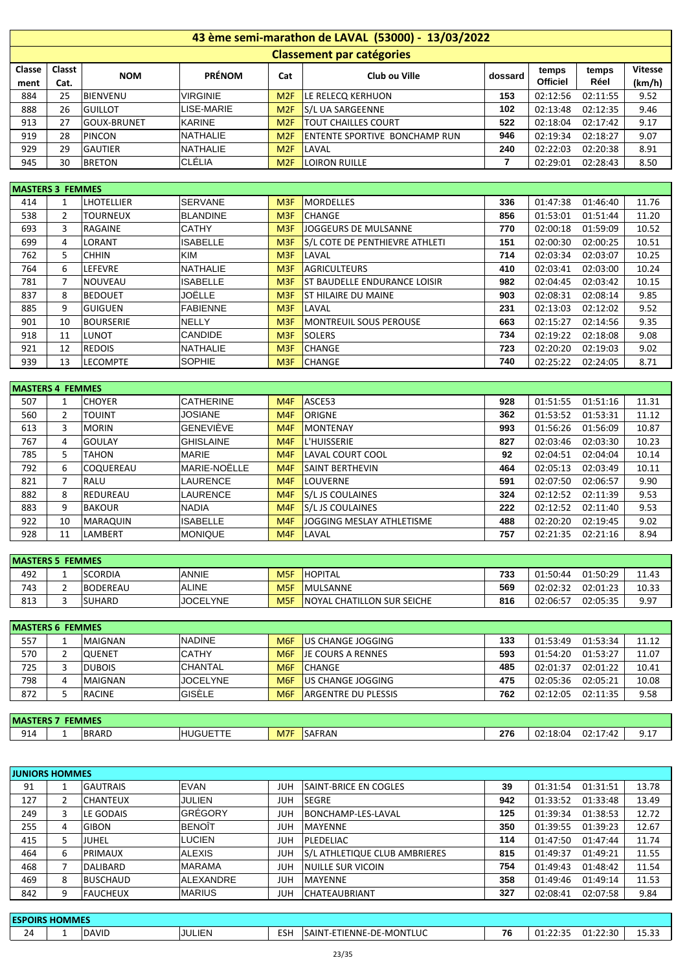|        | 43 ème semi-marathon de LAVAL (53000) - 13/03/2022                                                           |                    |                 |                 |                                      |     |                 |          |        |  |  |  |  |
|--------|--------------------------------------------------------------------------------------------------------------|--------------------|-----------------|-----------------|--------------------------------------|-----|-----------------|----------|--------|--|--|--|--|
|        | <b>Classement par catégories</b>                                                                             |                    |                 |                 |                                      |     |                 |          |        |  |  |  |  |
| Classe | Classt<br><b>Vitesse</b><br>temps<br>temps<br><b>PRÉNOM</b><br>Club ou Ville<br>Cat<br><b>NOM</b><br>dossard |                    |                 |                 |                                      |     |                 |          |        |  |  |  |  |
| ment   | Cat.                                                                                                         |                    |                 |                 |                                      |     | <b>Officiel</b> | Réel     | (km/h) |  |  |  |  |
| 884    | 25                                                                                                           | <b>BIENVENU</b>    | <b>VIRGINIE</b> | M <sub>2F</sub> | LE RELECO KERHUON                    | 153 | 02:12:56        | 02:11:55 | 9.52   |  |  |  |  |
| 888    | 26                                                                                                           | <b>GUILLOT</b>     | LISE-MARIE      | M <sub>2F</sub> | S/L UA SARGEENNE                     | 102 | 02:13:48        | 02:12:35 | 9.46   |  |  |  |  |
| 913    | 27                                                                                                           | <b>GOUX-BRUNET</b> | <b>KARINE</b>   | M2F             | <b>TOUT CHAILLES COURT</b>           | 522 | 02:18:04        | 02:17:42 | 9.17   |  |  |  |  |
| 919    | 28                                                                                                           | <b>PINCON</b>      | <b>NATHALIE</b> | M2F             | <b>ENTENTE SPORTIVE BONCHAMP RUN</b> | 946 | 02:19:34        | 02:18:27 | 9.07   |  |  |  |  |
| 929    | 29                                                                                                           | <b>GAUTIER</b>     | <b>NATHALIE</b> | M2F             | LAVAL                                | 240 | 02:22:03        | 02:20:38 | 8.91   |  |  |  |  |
| 945    | 30                                                                                                           | <b>BRETON</b>      | <b>CLÉLIA</b>   | M <sub>2F</sub> | LOIRON RUILLE                        |     | 02:29:01        | 02:28:43 | 8.50   |  |  |  |  |

| <b>MASTERS 3 FEMMES</b> |                |                   |                 |                  |                                       |     |          |          |       |
|-------------------------|----------------|-------------------|-----------------|------------------|---------------------------------------|-----|----------|----------|-------|
| 414                     | 1              | <b>LHOTELLIER</b> | <b>SERVANE</b>  | M <sub>3F</sub>  | <b>MORDELLES</b>                      | 336 | 01:47:38 | 01:46:40 | 11.76 |
| 538                     | $\overline{2}$ | <b>TOURNEUX</b>   | <b>BLANDINE</b> | M <sub>3F</sub>  | <b>CHANGE</b>                         | 856 | 01:53:01 | 01:51:44 | 11.20 |
| 693                     | 3              | RAGAINE           | <b>CATHY</b>    | M3F              | JOGGEURS DE MULSANNE                  | 770 | 02:00:18 | 01:59:09 | 10.52 |
| 699                     | 4              | <b>LORANT</b>     | <b>ISABELLE</b> | M3F              | <b>S/L COTE DE PENTHIEVRE ATHLETI</b> | 151 | 02:00:30 | 02:00:25 | 10.51 |
| 762                     | 5              | <b>CHHIN</b>      | <b>KIM</b>      | M <sub>3F</sub>  | LAVAL                                 | 714 | 02:03:34 | 02:03:07 | 10.25 |
| 764                     | 6              | <b>LEFEVRE</b>    | <b>NATHALIE</b> | M <sub>3F</sub>  | <b>AGRICULTEURS</b>                   | 410 | 02:03:41 | 02:03:00 | 10.24 |
| 781                     | 7              | NOUVEAU           | <b>ISABELLE</b> | M <sub>3F</sub>  | <b>ST BAUDELLE ENDURANCE LOISIR</b>   | 982 | 02:04:45 | 02:03:42 | 10.15 |
| 837                     | 8              | <b>BEDOUET</b>    | JOËLLE          | M3F              | <b>ST HILAIRE DU MAINE</b>            | 903 | 02:08:31 | 02:08:14 | 9.85  |
| 885                     | 9              | lguiguen          | <b>FABIENNE</b> | M3F              | LAVAL                                 | 231 | 02:13:03 | 02:12:02 | 9.52  |
| 901                     | 10             | BOURSERIE         | NELLY           | M <sub>3F</sub>  | <b>MONTREUIL SOUS PEROUSE</b>         | 663 | 02:15:27 | 02:14:56 | 9.35  |
| 918                     | 11             | <b>LUNOT</b>      | <b>CANDIDE</b>  | M3F              | <b>SOLERS</b>                         | 734 | 02:19:22 | 02:18:08 | 9.08  |
| 921                     | 12             | <b>REDOIS</b>     | <b>NATHALIE</b> | M <sub>3F</sub>  | <b>CHANGE</b>                         | 723 | 02:20:20 | 02:19:03 | 9.02  |
| 939                     | 13             | <b>LECOMPTE</b>   | <b>SOPHIE</b>   | M <sub>3</sub> F | <b>CHANGE</b>                         | 740 | 02:25:22 | 02:24:05 | 8.71  |

| <b>IMASTERS 4 FEMMES</b> |    |                  |                     |                 |                           |     |          |          |       |
|--------------------------|----|------------------|---------------------|-----------------|---------------------------|-----|----------|----------|-------|
| 507                      | 1  | <b>CHOYER</b>    | <b>CATHERINE</b>    | M4F             | ASCE53                    | 928 | 01:51:55 | 01:51:16 | 11.31 |
| 560                      | 2  | <b>TOUINT</b>    | <b>JOSIANE</b>      | M <sub>4F</sub> | ORIGNE                    | 362 | 01:53:52 | 01:53:31 | 11.12 |
| 613                      | 3  | <b>MORIN</b>     | <b>GENEVIÈVE</b>    | M <sub>4F</sub> | <b>MONTENAY</b>           | 993 | 01:56:26 | 01:56:09 | 10.87 |
| 767                      | 4  | <b>GOULAY</b>    | <b>GHISLAINE</b>    | M <sub>4F</sub> | L'HUISSERIE               | 827 | 02:03:46 | 02:03:30 | 10.23 |
| 785                      | 5  | <b>TAHON</b>     | <b>MARIE</b>        | M4F             | LAVAL COURT COOL          | 92  | 02:04:51 | 02:04:04 | 10.14 |
| 792                      | 6  | <b>COQUEREAU</b> | <b>MARIE-NOËLLE</b> | M <sub>4F</sub> | SAINT BERTHEVIN           | 464 | 02:05:13 | 02:03:49 | 10.11 |
| 821                      | 7  | <b>RALU</b>      | LAURENCE            | M <sub>4F</sub> | <b>LOUVERNE</b>           | 591 | 02:07:50 | 02:06:57 | 9.90  |
| 882                      | 8  | <b>REDUREAU</b>  | <b>LAURENCE</b>     | M <sub>4F</sub> | S/L JS COULAINES          | 324 | 02:12:52 | 02:11:39 | 9.53  |
| 883                      | 9  | <b>BAKOUR</b>    | <b>NADIA</b>        | M4F             | S/L JS COULAINES          | 222 | 02:12:52 | 02:11:40 | 9.53  |
| 922                      | 10 | <b>MARAQUIN</b>  | <b>ISABELLE</b>     | M4F             | JOGGING MESLAY ATHLETISME | 488 | 02:20:20 | 02:19:45 | 9.02  |
| 928                      | 11 | LAMBERT          | <b>IMONIQUE</b>     | M <sub>4F</sub> | LAVAL                     | 757 | 02:21:35 | 02:21:16 | 8.94  |

| <b>MASTERS 5 FEMMES</b> |   |                 |                 |                  |                            |     |                      |       |  |  |  |  |
|-------------------------|---|-----------------|-----------------|------------------|----------------------------|-----|----------------------|-------|--|--|--|--|
| 492                     |   | <b>SCORDIA</b>  | ANNIE           | M <sub>5F</sub>  | HOPITAL                    | 733 | 01:50:29<br>01:50:44 | 11.43 |  |  |  |  |
| 743                     | ∽ | <b>BODEREAU</b> | <b>ALINE</b>    | M <sub>5</sub> F | IMULSANNE                  | 569 | 02:01:23<br>02:02:32 | 10.33 |  |  |  |  |
| 813                     |   | <b>SUHARD</b>   | <b>JOCELYNE</b> | M <sub>5F</sub>  | NOYAL CHATILLON SUR SEICHE | 816 | 02:05:35<br>02:06:57 | 9.97  |  |  |  |  |

|     | <b>MASTERS 6 FEMMES</b> |               |                 |     |                            |     |          |          |       |  |  |  |
|-----|-------------------------|---------------|-----------------|-----|----------------------------|-----|----------|----------|-------|--|--|--|
| 557 |                         | MAIGNAN       | <b>NADINE</b>   | M6F | US CHANGE JOGGING          | 133 | 01:53:49 | 01:53:34 | 11.12 |  |  |  |
| 570 |                         | OUENET        | <b>CATHY</b>    | M6F | <b>JE COURS A RENNES</b>   | 593 | 01:54:20 | 01:53:27 | 11.07 |  |  |  |
| 725 |                         | <b>DUBOIS</b> | <b>CHANTAL</b>  | M6F | <b>CHANGE</b>              | 485 | 02:01:37 | 02:01:22 | 10.41 |  |  |  |
| 798 | 4                       | MAIGNAN       | <b>JOCELYNE</b> | M6F | US CHANGE JOGGING          | 475 | 02:05:36 | 02:05:21 | 10.08 |  |  |  |
| 872 |                         | <b>RACINE</b> | <b>GISÈLE</b>   | M6F | <b>ARGENTRE DU PLESSIS</b> | 762 | 02:12:05 | 02:11:35 | 9.58  |  |  |  |
|     |                         |               |                 |     |                            |     |          |          |       |  |  |  |

| <b>FEMMES</b><br><b>MASTERS 7</b> |  |              |                     |                  |        |     |                                                                        |          |  |  |
|-----------------------------------|--|--------------|---------------------|------------------|--------|-----|------------------------------------------------------------------------|----------|--|--|
| 914                               |  | <b>BRARD</b> | <b>JUGUETT</b><br>. | M <sub>7</sub> F | SAFRAN | 276 | 02:17:<br>02:18:04<br>$\sim$<br>$\mathbf{1} \cdot \mathbf{4}$<br>$-14$ | <u>.</u> |  |  |

| <b>JUNIORS HOMMES</b> |   |                 |                  |            |                               |     |          |          |       |
|-----------------------|---|-----------------|------------------|------------|-------------------------------|-----|----------|----------|-------|
| 91                    |   | <b>GAUTRAIS</b> | <b>EVAN</b>      | <b>JUH</b> | <b>SAINT-BRICE EN COGLES</b>  | 39  | 01:31:54 | 01:31:51 | 13.78 |
| 127                   | 2 | <b>CHANTEUX</b> | JULIEN           | JUH        | <b>SEGRE</b>                  | 942 | 01:33:52 | 01:33:48 | 13.49 |
| 249                   | 3 | LE GODAIS       | GRÉGORY          | <b>JUH</b> | BONCHAMP-LES-LAVAL            | 125 | 01:39:34 | 01:38:53 | 12.72 |
| 255                   | 4 | <b>GIBON</b>    | <b>BENOÎT</b>    | JUH        | l MAYENNE                     | 350 | 01:39:55 | 01:39:23 | 12.67 |
| 415                   | 5 | JUHEL           | <b>LUCIEN</b>    | JUH        | PLEDELIAC                     | 114 | 01:47:50 | 01:47:44 | 11.74 |
| 464                   | 6 | PRIMAUX         | <b>ALEXIS</b>    | <b>JUH</b> | S/L ATHLETIQUE CLUB AMBRIERES | 815 | 01:49:37 | 01:49:21 | 11.55 |
| 468                   |   | <b>DALIBARD</b> | <b>MARAMA</b>    | <b>JUH</b> | NUILLE SUR VICOIN             | 754 | 01:49:43 | 01:48:42 | 11.54 |
| 469                   | 8 | <b>BUSCHAUD</b> | <b>ALEXANDRE</b> | JUH        | <b>MAYENNE</b>                | 358 | 01:49:46 | 01:49:14 | 11.53 |
| 842                   | 9 | <b>FAUCHEUX</b> | <b>IMARIUS</b>   | <b>JUH</b> | <b>CHATEAUBRIANT</b>          | 327 | 02:08:41 | 02:07:58 | 9.84  |
|                       |   |                 |                  |            |                               |     |          |          |       |

| <b>HOMMES</b><br><b>ESPOIRS</b> |  |              |        |     |                                       |                                |                                 |                |               |  |  |
|---------------------------------|--|--------------|--------|-----|---------------------------------------|--------------------------------|---------------------------------|----------------|---------------|--|--|
| - -<br>24                       |  | <b>DAVID</b> | JULIEN | ESH | TLUC<br>--DE-MONT<br>ETIENNE-<br>SAIN | $\overline{\phantom{a}}$<br>٬٥ | ٦٢.<br>$\sim$<br>c.<br><u>.</u> | ാറ<br>01:22:30 | $ -$<br>13.JJ |  |  |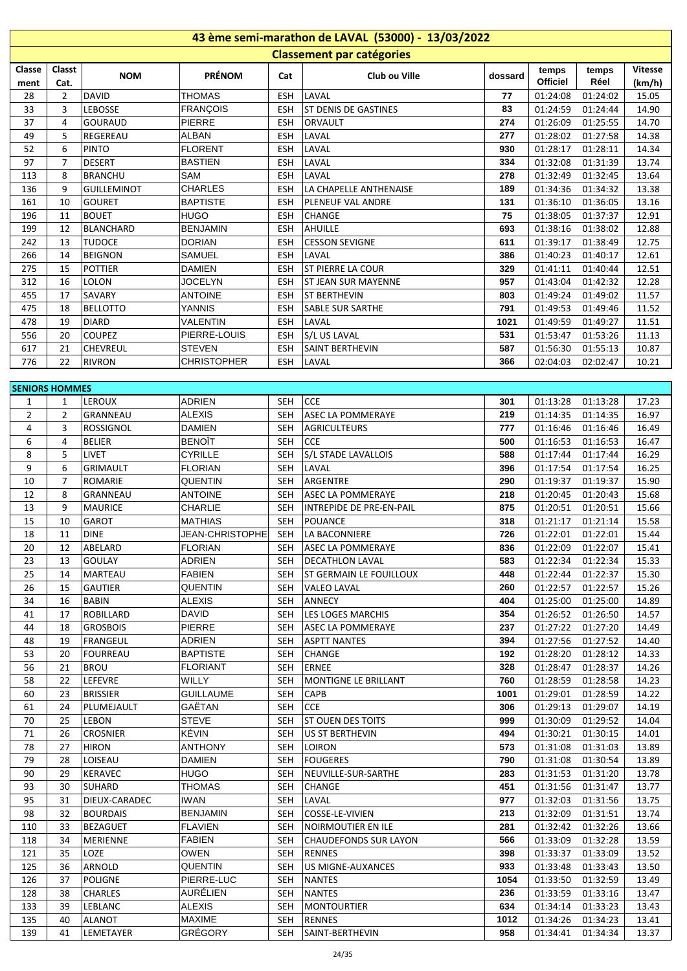| 43 ème semi-marathon de LAVAL (53000) - 13/03/2022 |                |                    |                        |            |                                  |         |                 |                   |                |  |  |  |
|----------------------------------------------------|----------------|--------------------|------------------------|------------|----------------------------------|---------|-----------------|-------------------|----------------|--|--|--|
|                                                    |                |                    |                        |            | <b>Classement par catégories</b> |         |                 |                   |                |  |  |  |
| Classe                                             | Classt         |                    | <b>PRÉNOM</b>          |            |                                  |         | temps           | temps             | <b>Vitesse</b> |  |  |  |
| ment                                               | Cat.           | <b>NOM</b>         |                        | Cat        | Club ou Ville                    | dossard | <b>Officiel</b> | Réel              | (km/h)         |  |  |  |
| 28                                                 | $\overline{2}$ | <b>DAVID</b>       | <b>THOMAS</b>          | <b>ESH</b> | LAVAL                            | 77      | 01:24:08        | 01:24:02          | 15.05          |  |  |  |
| 33                                                 | 3              | <b>LEBOSSE</b>     | <b>FRANÇOIS</b>        | <b>ESH</b> | <b>ST DENIS DE GASTINES</b>      | 83      | 01:24:59        | 01:24:44          | 14.90          |  |  |  |
| 37                                                 | 4              | <b>GOURAUD</b>     | PIERRE                 | <b>ESH</b> | <b>ORVAULT</b>                   | 274     | 01:26:09        | 01:25:55          | 14.70          |  |  |  |
| 49                                                 | 5              | REGEREAU           | <b>ALBAN</b>           | <b>ESH</b> | LAVAL                            | 277     | 01:28:02        | 01:27:58          | 14.38          |  |  |  |
| 52                                                 | 6              | <b>PINTO</b>       | <b>FLORENT</b>         | ESH        | LAVAL                            | 930     | 01:28:17        | 01:28:11          | 14.34          |  |  |  |
| 97                                                 | 7              | <b>DESERT</b>      | <b>BASTIEN</b>         | ESH        | LAVAL                            | 334     | 01:32:08        | 01:31:39          | 13.74          |  |  |  |
| 113                                                | 8              | <b>BRANCHU</b>     | SAM                    | <b>ESH</b> | LAVAL                            | 278     | 01:32:49        | 01:32:45          | 13.64          |  |  |  |
| 136                                                | 9              | <b>GUILLEMINOT</b> | <b>CHARLES</b>         | <b>ESH</b> | LA CHAPELLE ANTHENAISE           | 189     | 01:34:36        | 01:34:32          | 13.38          |  |  |  |
| 161                                                | 10             | <b>GOURET</b>      | <b>BAPTISTE</b>        | ESH        | PLENEUF VAL ANDRE                | 131     | 01:36:10        | 01:36:05          | 13.16          |  |  |  |
| 196                                                | 11             | <b>BOUET</b>       | <b>HUGO</b>            | ESH        | <b>CHANGE</b>                    | 75      | 01:38:05        | 01:37:37          | 12.91          |  |  |  |
| 199                                                | 12             | <b>BLANCHARD</b>   | <b>BENJAMIN</b>        | ESH        | AHUILLE                          | 693     | 01:38:16        | 01:38:02          | 12.88          |  |  |  |
| 242                                                | 13             | <b>TUDOCE</b>      | <b>DORIAN</b>          | ESH        | <b>CESSON SEVIGNE</b>            | 611     | 01:39:17        | 01:38:49          | 12.75          |  |  |  |
| 266                                                | 14             | <b>BEIGNON</b>     | <b>SAMUEL</b>          | <b>ESH</b> | LAVAL                            | 386     | 01:40:23        | 01:40:17          | 12.61          |  |  |  |
| 275                                                | 15             | <b>POTTIER</b>     | <b>DAMIEN</b>          | <b>ESH</b> | <b>ST PIERRE LA COUR</b>         | 329     | 01:41:11        | 01:40:44          | 12.51          |  |  |  |
| 312                                                | 16             | <b>LOLON</b>       | <b>JOCELYN</b>         | <b>ESH</b> | <b>ST JEAN SUR MAYENNE</b>       | 957     | 01:43:04        | 01:42:32          | 12.28          |  |  |  |
| 455                                                | 17             | SAVARY             | <b>ANTOINE</b>         | ESH        | <b>ST BERTHEVIN</b>              | 803     | 01:49:24        | 01:49:02          | 11.57          |  |  |  |
| 475                                                | 18             | <b>BELLOTTO</b>    | YANNIS                 | ESH        | <b>SABLE SUR SARTHE</b>          | 791     | 01:49:53        | 01:49:46          | 11.52          |  |  |  |
| 478                                                | 19             | <b>DIARD</b>       | VALENTIN               | ESH        | LAVAL                            | 1021    | 01:49:59        | 01:49:27          | 11.51          |  |  |  |
| 556                                                | 20             | <b>COUPEZ</b>      | PIERRE-LOUIS           | ESH        | S/L US LAVAL                     | 531     | 01:53:47        | 01:53:26          | 11.13          |  |  |  |
| 617                                                | 21             | <b>CHEVREUL</b>    | <b>STEVEN</b>          | <b>ESH</b> | SAINT BERTHEVIN                  | 587     | 01:56:30        | 01:55:13          | 10.87          |  |  |  |
| 776                                                | 22             | <b>RIVRON</b>      | <b>CHRISTOPHER</b>     | <b>ESH</b> | LAVAL                            | 366     | 02:04:03        | 02:02:47          | 10.21          |  |  |  |
|                                                    |                |                    |                        |            |                                  |         |                 |                   |                |  |  |  |
| <b>SENIORS HOMMES</b>                              |                |                    |                        |            |                                  |         |                 |                   |                |  |  |  |
| $\mathbf{1}$                                       | 1              | <b>LEROUX</b>      | <b>ADRIEN</b>          | SEH        | <b>CCE</b>                       | 301     | 01:13:28        | 01:13:28          | 17.23          |  |  |  |
| $\overline{2}$                                     | $\overline{2}$ | GRANNEAU           | <b>ALEXIS</b>          | <b>SEH</b> | <b>ASEC LA POMMERAYE</b>         | 219     | 01:14:35        | 01:14:35          | 16.97          |  |  |  |
| 4                                                  | 3              | <b>ROSSIGNOL</b>   | <b>DAMIEN</b>          | <b>SEH</b> | <b>AGRICULTEURS</b>              | 777     | 01:16:46        | 01:16:46          | 16.49          |  |  |  |
| 6                                                  | 4              | <b>BELIER</b>      | <b>BENOÎT</b>          | SEH        | <b>CCE</b>                       | 500     | 01:16:53        | 01:16:53          | 16.47          |  |  |  |
| 8                                                  | 5              | <b>LIVET</b>       | <b>CYRILLE</b>         | <b>SEH</b> | S/L STADE LAVALLOIS              | 588     | 01:17:44        | 01:17:44          | 16.29          |  |  |  |
| 9                                                  | 6              | <b>GRIMAULT</b>    | <b>FLORIAN</b>         | <b>SEH</b> | LAVAL                            | 396     | 01:17:54        | 01:17:54          | 16.25          |  |  |  |
| 10                                                 | 7              | ROMARIE            | <b>QUENTIN</b>         | SEH        | ARGENTRE                         | 290     | 01:19:37        | 01:19:37          | 15.90          |  |  |  |
| 12                                                 | 8              | <b>GRANNEAU</b>    | <b>ANTOINE</b>         | SEH        | <b>ASEC LA POMMERAYE</b>         | 218     | 01:20:45        | 01:20:43          | 15.68          |  |  |  |
| 13                                                 | 9              | <b>MAURICE</b>     | CHARLIE                | SEH        | INTREPIDE DE PRE-EN-PAIL         | 875     | 01:20:51        | 01:20:51          | 15.66          |  |  |  |
| 15                                                 | 10             | <b>GAROT</b>       | <b>MATHIAS</b>         | SEH        | POUANCE                          | 318     | 01:21:17        | 01:21:14          | 15.58          |  |  |  |
| 18                                                 | 11             | <b>DINE</b>        | <b>JEAN-CHRISTOPHE</b> | SEH        | LA BACONNIERE                    | 726     |                 | 01:22:01 01:22:01 | 15.44          |  |  |  |
| $20\degree$                                        | 12             | ABELARD            | <b>FLORIAN</b>         | <b>SEH</b> | <b>ASEC LA POMMERAYE</b>         | 836     |                 | 01:22:09 01:22:07 | 15.41          |  |  |  |
| 23                                                 | 13             | GOULAY             | ADRIEN                 | SEH        | DECATHLON LAVAL                  | 583     | 01:22:34        | 01:22:34          | 15.33          |  |  |  |
| 25                                                 | 14             | <b>MARTEAU</b>     | <b>FABIEN</b>          | SEH        | ST GERMAIN LE FOUILLOUX          | 448     | 01:22:44        | 01:22:37          | 15.30          |  |  |  |
| 26                                                 | 15             | <b>GAUTIER</b>     | <b>QUENTIN</b>         | SEH        | <b>VALEO LAVAL</b>               | 260     | 01:22:57        | 01:22:57          | 15.26          |  |  |  |
| 34                                                 | 16             | <b>BABIN</b>       | <b>ALEXIS</b>          | SEH        | ANNECY                           | 404     | 01:25:00        | 01:25:00          | 14.89          |  |  |  |
| 41                                                 | 17             | <b>ROBILLARD</b>   | <b>DAVID</b>           | SEH        | LES LOGES MARCHIS                | 354     | 01:26:52        | 01:26:50          | 14.57          |  |  |  |
| 44                                                 | 18             | <b>GROSBOIS</b>    | <b>PIERRE</b>          | SEH        | <b>ASEC LA POMMERAYE</b>         | 237     | 01:27:22        | 01:27:20          | 14.49          |  |  |  |
| 48                                                 | 19             | FRANGEUL           | ADRIEN                 | SEH        | <b>ASPTT NANTES</b>              | 394     | 01:27:56        | 01:27:52          | 14.40          |  |  |  |
| 53                                                 | 20             | <b>FOURREAU</b>    | <b>BAPTISTE</b>        | SEH        | CHANGE                           | 192     | 01:28:20        | 01:28:12          | 14.33          |  |  |  |
| 56                                                 | 21             | <b>BROU</b>        | <b>FLORIANT</b>        | SEH        | <b>ERNEE</b>                     | 328     | 01:28:47        | 01:28:37          | 14.26          |  |  |  |
| 58                                                 | 22             | LEFEVRE            | WILLY                  | SEH        | MONTIGNE LE BRILLANT             | 760     | 01:28:59        | 01:28:58          | 14.23          |  |  |  |
| 60                                                 | 23             | <b>BRISSIER</b>    | <b>GUILLAUME</b>       | <b>SEH</b> | CAPB                             | 1001    | 01:29:01        | 01:28:59          | 14.22          |  |  |  |
| 61                                                 | 24             | PLUMEJAULT         | GAËTAN                 | SEH        | <b>CCE</b>                       | 306     | 01:29:13        | 01:29:07          | 14.19          |  |  |  |
| 70                                                 | 25             | <b>LEBON</b>       | <b>STEVE</b>           | SEH        | <b>ST OUEN DES TOITS</b>         | 999     | 01:30:09        | 01:29:52          | 14.04          |  |  |  |
| 71                                                 | 26             | <b>CROSNIER</b>    | KÉVIN                  | SEH        | US ST BERTHEVIN                  | 494     | 01:30:21        | 01:30:15          | 14.01          |  |  |  |
| 78                                                 | 27             | <b>HIRON</b>       | <b>ANTHONY</b>         | SEH        | <b>LOIRON</b>                    | 573     | 01:31:08        | 01:31:03          | 13.89          |  |  |  |
| 79                                                 | 28             | LOISEAU            | <b>DAMIEN</b>          | SEH        | <b>FOUGERES</b>                  | 790     | 01:31:08        | 01:30:54          | 13.89          |  |  |  |
| 90                                                 | 29             | <b>KERAVEC</b>     | <b>HUGO</b>            | SEH        | NEUVILLE-SUR-SARTHE              | 283     | 01:31:53        | 01:31:20          | 13.78          |  |  |  |
| 93                                                 | 30             | <b>SUHARD</b>      | <b>THOMAS</b>          | SEH        | <b>CHANGE</b>                    | 451     | 01:31:56        | 01:31:47          | 13.77          |  |  |  |
| 95                                                 | 31             | DIEUX-CARADEC      | <b>IWAN</b>            | SEH        | LAVAL                            | 977     | 01:32:03        | 01:31:56          | 13.75          |  |  |  |
| 98                                                 | 32             | <b>BOURDAIS</b>    | <b>BENJAMIN</b>        | SEH        | COSSE-LE-VIVIEN                  | 213     | 01:32:09        | 01:31:51          | 13.74          |  |  |  |
| 110                                                | 33             | <b>BEZAGUET</b>    | <b>FLAVIEN</b>         | SEH        | NOIRMOUTIER EN ILE               | 281     | 01:32:42        | 01:32:26          | 13.66          |  |  |  |
| 118                                                | 34             | <b>MERIENNE</b>    | <b>FABIEN</b>          | SEH        | <b>CHAUDEFONDS SUR LAYON</b>     | 566     | 01:33:09        | 01:32:28          | 13.59          |  |  |  |
| 121                                                | 35             | LOZE               | <b>OWEN</b>            | <b>SEH</b> | RENNES                           | 398     | 01:33:37        | 01:33:09          | 13.52          |  |  |  |
| 125                                                | 36             | ARNOLD             | <b>QUENTIN</b>         | SEH        | US MIGNE-AUXANCES                | 933     | 01:33:48        | 01:33:43          | 13.50          |  |  |  |
| 126                                                | 37             | <b>POLIGNE</b>     | PIERRE-LUC             | SEH        | NANTES                           | 1054    | 01:33:50        | 01:32:59          | 13.49          |  |  |  |
| 128                                                | 38             | <b>CHARLES</b>     | AURÉLIEN               | SEH        | <b>NANTES</b>                    | 236     | 01:33:59        | 01:33:16          | 13.47          |  |  |  |
| 133                                                | 39             | LEBLANC            | <b>ALEXIS</b>          | SEH        | MONTOURTIER                      | 634     | 01:34:14        | 01:33:23          | 13.43          |  |  |  |
| 135                                                | 40             | ALANOT             | <b>MAXIME</b>          | SEH        | <b>RENNES</b>                    | 1012    | 01:34:26        | 01:34:23          | 13.41          |  |  |  |
| 139                                                | 41             | LEMETAYER          | GRÉGORY                | SEH        | SAINT-BERTHEVIN                  | 958     | 01:34:41        | 01:34:34          | 13.37          |  |  |  |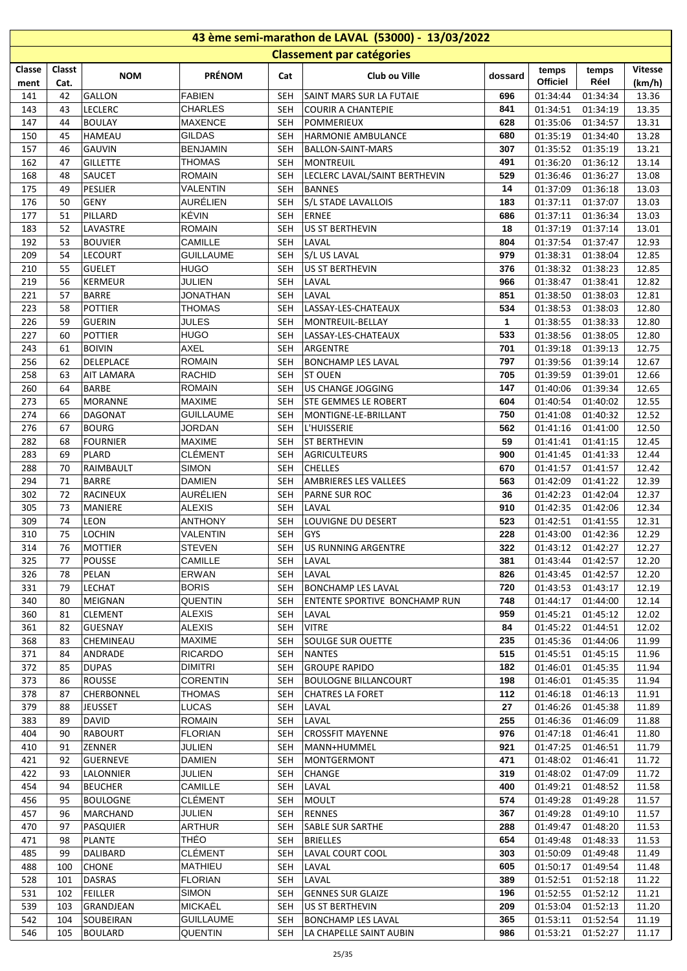| 43 ème semi-marathon de LAVAL (53000) - 13/03/2022 |            |                                    |                                    |                          |                                                        |            |                      |                      |                |  |  |  |
|----------------------------------------------------|------------|------------------------------------|------------------------------------|--------------------------|--------------------------------------------------------|------------|----------------------|----------------------|----------------|--|--|--|
|                                                    |            |                                    |                                    |                          | <b>Classement par catégories</b>                       |            |                      |                      |                |  |  |  |
| Classe                                             | Classt     | <b>NOM</b>                         | <b>PRÉNOM</b>                      | Cat                      | Club ou Ville                                          | dossard    | temps                | temps                | <b>Vitesse</b> |  |  |  |
| ment                                               | Cat.       |                                    |                                    |                          |                                                        |            | Officiel             | Réel                 | (km/h)         |  |  |  |
| 141                                                | 42         | GALLON                             | <b>FABIEN</b>                      | <b>SEH</b>               | SAINT MARS SUR LA FUTAIE                               | 696        | 01:34:44             | 01:34:34             | 13.36          |  |  |  |
| 143                                                | 43         | <b>LECLERC</b>                     | <b>CHARLES</b>                     | <b>SEH</b>               | <b>COURIR A CHANTEPIE</b>                              | 841        | 01:34:51             | 01:34:19             | 13.35          |  |  |  |
| 147                                                | 44         | <b>BOULAY</b>                      | <b>MAXENCE</b>                     | <b>SEH</b>               | <b>POMMERIEUX</b>                                      | 628        | 01:35:06             | 01:34:57             | 13.31          |  |  |  |
| 150                                                | 45         | <b>HAMEAU</b>                      | GILDAS                             | <b>SEH</b>               | HARMONIE AMBULANCE                                     | 680        | 01:35:19             | 01:34:40             | 13.28          |  |  |  |
| 157                                                | 46         | <b>GAUVIN</b>                      | <b>BENJAMIN</b>                    | <b>SEH</b>               | BALLON-SAINT-MARS                                      | 307        | 01:35:52             | 01:35:19             | 13.21          |  |  |  |
| 162<br>168                                         | 47<br>48   | <b>GILLETTE</b><br><b>SAUCET</b>   | <b>THOMAS</b><br><b>ROMAIN</b>     | <b>SEH</b><br><b>SEH</b> | <b>MONTREUIL</b><br>LECLERC LAVAL/SAINT BERTHEVIN      | 491<br>529 | 01:36:20<br>01:36:46 | 01:36:12<br>01:36:27 | 13.14<br>13.08 |  |  |  |
| 175                                                | 49         | PESLIER                            | VALENTIN                           | <b>SEH</b>               | <b>BANNES</b>                                          | 14         | 01:37:09             | 01:36:18             | 13.03          |  |  |  |
| 176                                                | 50         | GENY                               | AURÉLIEN                           | <b>SEH</b>               | S/L STADE LAVALLOIS                                    | 183        | 01:37:11             | 01:37:07             | 13.03          |  |  |  |
| 177                                                | 51         | PILLARD                            | KÉVIN                              | SEH                      | <b>ERNEE</b>                                           | 686        | 01:37:11             | 01:36:34             | 13.03          |  |  |  |
| 183                                                | 52         | LAVASTRE                           | <b>ROMAIN</b>                      | SEH                      | US ST BERTHEVIN                                        | 18         | 01:37:19             | 01:37:14             | 13.01          |  |  |  |
| 192                                                | 53         | <b>BOUVIER</b>                     | <b>CAMILLE</b>                     | <b>SEH</b>               | LAVAL                                                  | 804        | 01:37:54             | 01:37:47             | 12.93          |  |  |  |
| 209                                                | 54         | LECOURT                            | <b>GUILLAUME</b>                   | <b>SEH</b>               | S/L US LAVAL                                           | 979        | 01:38:31             | 01:38:04             | 12.85          |  |  |  |
| 210                                                | 55         | <b>GUELET</b>                      | <b>HUGO</b>                        | <b>SEH</b>               | <b>US ST BERTHEVIN</b>                                 | 376        | 01:38:32             | 01:38:23             | 12.85          |  |  |  |
| 219                                                | 56         | KERMEUR                            | <b>JULIEN</b>                      | <b>SEH</b>               | LAVAL                                                  | 966        | 01:38:47             | 01:38:41             | 12.82          |  |  |  |
| 221                                                | 57         | <b>BARRE</b>                       | <b>JONATHAN</b>                    | <b>SEH</b>               | LAVAL                                                  | 851        | 01:38:50             | 01:38:03             | 12.81          |  |  |  |
| 223                                                | 58         | <b>POTTIER</b>                     | <b>THOMAS</b>                      | <b>SEH</b>               | LASSAY-LES-CHATEAUX                                    | 534        | 01:38:53             | 01:38:03             | 12.80          |  |  |  |
| 226                                                | 59         | <b>GUERIN</b>                      | <b>JULES</b>                       | <b>SEH</b>               | MONTREUIL-BELLAY                                       | 1          | 01:38:55             | 01:38:33             | 12.80          |  |  |  |
| 227                                                | 60         | <b>POTTIER</b>                     | <b>HUGO</b>                        | <b>SEH</b>               | LASSAY-LES-CHATEAUX                                    | 533        | 01:38:56             | 01:38:05             | 12.80          |  |  |  |
| 243                                                | 61         | <b>BOIVIN</b>                      | <b>AXEL</b>                        | <b>SEH</b>               | ARGENTRE                                               | 701        | 01:39:18             | 01:39:13             | 12.75          |  |  |  |
| 256                                                | 62         | DELEPLACE                          | <b>ROMAIN</b>                      | <b>SEH</b>               | <b>BONCHAMP LES LAVAL</b>                              | 797        | 01:39:56             | 01:39:14             | 12.67          |  |  |  |
| 258                                                | 63         | <b>AIT LAMARA</b>                  | <b>RACHID</b>                      | <b>SEH</b>               | <b>ST OUEN</b>                                         | 705        | 01:39:59             | 01:39:01             | 12.66          |  |  |  |
| 260                                                | 64         | <b>BARBE</b>                       | <b>ROMAIN</b>                      | <b>SEH</b>               | US CHANGE JOGGING                                      | 147        | 01:40:06             | 01:39:34             | 12.65          |  |  |  |
| 273                                                | 65         | MORANNE                            | <b>MAXIME</b>                      | <b>SEH</b>               | STE GEMMES LE ROBERT                                   | 604        | 01:40:54             | 01:40:02             | 12.55          |  |  |  |
| 274                                                | 66         | <b>DAGONAT</b>                     | <b>GUILLAUME</b>                   | <b>SEH</b>               | MONTIGNE-LE-BRILLANT                                   | 750        | 01:41:08             | 01:40:32             | 12.52          |  |  |  |
| 276                                                | 67         | <b>BOURG</b>                       | <b>JORDAN</b>                      | <b>SEH</b>               | L'HUISSERIE                                            | 562        | 01:41:16             | 01:41:00             | 12.50          |  |  |  |
| 282<br>283                                         | 68<br>69   | <b>FOURNIER</b><br>PLARD           | <b>MAXIME</b><br><b>CLÉMENT</b>    | <b>SEH</b>               | <b>ST BERTHEVIN</b>                                    | 59<br>900  | 01:41:41             | 01:41:15             | 12.45<br>12.44 |  |  |  |
| 288                                                | 70         | RAIMBAULT                          | <b>SIMON</b>                       | <b>SEH</b><br><b>SEH</b> | <b>AGRICULTEURS</b><br><b>CHELLES</b>                  | 670        | 01:41:45<br>01:41:57 | 01:41:33<br>01:41:57 | 12.42          |  |  |  |
| 294                                                | 71         | <b>BARRE</b>                       | <b>DAMIEN</b>                      | <b>SEH</b>               | <b>AMBRIERES LES VALLEES</b>                           | 563        | 01:42:09             | 01:41:22             | 12.39          |  |  |  |
| 302                                                | 72         | <b>RACINEUX</b>                    | AURÉLIEN                           | <b>SEH</b>               | PARNE SUR ROC                                          | 36         | 01:42:23             | 01:42:04             | 12.37          |  |  |  |
| 305                                                | 73         | <b>MANIERE</b>                     | <b>ALEXIS</b>                      | <b>SEH</b>               | LAVAL                                                  | 910        | 01:42:35             | 01:42:06             | 12.34          |  |  |  |
| 309                                                | 74         | LEON                               | <b>ANTHONY</b>                     | <b>SEH</b>               | LOUVIGNE DU DESERT                                     | 523        | 01:42:51             | 01:41:55             | 12.31          |  |  |  |
| 310                                                | 75         | LOCHIN                             | <b>VALENTIN</b>                    | <b>SEH</b>               | GYS                                                    | 228        | 01:43:00             | 01:42:36             | 12.29          |  |  |  |
| 314                                                | 76         | MOTTIER                            | <b>STEVEN</b>                      | SEH                      | US RUNNING ARGENTRE                                    | 322        |                      | 01:43:12 01:42:27    | 12.27          |  |  |  |
| 325                                                | 77         | <b>POUSSE</b>                      | <b>CAMILLE</b>                     | SEH                      | LAVAL                                                  | 381        | 01:43:44             | 01:42:57             | 12.20          |  |  |  |
| 326                                                | 78         | PELAN                              | ERWAN                              | SEH                      | LAVAL                                                  | 826        | 01:43:45             | 01:42:57             | 12.20          |  |  |  |
| 331                                                | 79         | <b>LECHAT</b>                      | <b>BORIS</b>                       | SEH                      | <b>BONCHAMP LES LAVAL</b>                              | 720        | 01:43:53             | 01:43:17             | 12.19          |  |  |  |
| 340                                                | 80         | MEIGNAN                            | QUENTIN                            | SEH                      | ENTENTE SPORTIVE BONCHAMP RUN                          | 748        | 01:44:17             | 01:44:00             | 12.14          |  |  |  |
| 360                                                | 81         | <b>CLEMENT</b>                     | <b>ALEXIS</b>                      | SEH                      | LAVAL                                                  | 959        | 01:45:21             | 01:45:12             | 12.02          |  |  |  |
| 361                                                | 82         | GUESNAY                            | <b>ALEXIS</b>                      | SEH                      | <b>VITRE</b>                                           | 84         | 01:45:22             | 01:44:51             | 12.02          |  |  |  |
| 368                                                | 83         | CHEMINEAU                          | <b>MAXIME</b>                      | SEH                      | SOULGE SUR OUETTE                                      | 235        | 01:45:36             | 01:44:06             | 11.99          |  |  |  |
| 371                                                | 84         | <b>ANDRADE</b>                     | <b>RICARDO</b>                     | SEH                      | <b>NANTES</b>                                          | 515        | 01:45:51             | 01:45:15             | 11.96          |  |  |  |
| 372                                                | 85         | <b>DUPAS</b>                       | <b>DIMITRI</b>                     | SEH                      | <b>GROUPE RAPIDO</b>                                   | 182        | 01:46:01             | 01:45:35             | 11.94          |  |  |  |
| 373<br>378                                         | 86<br>87   | <b>ROUSSE</b><br><b>CHERBONNEL</b> | <b>CORENTIN</b><br><b>THOMAS</b>   | SEH<br>SEH               | <b>BOULOGNE BILLANCOURT</b><br><b>CHATRES LA FORET</b> | 198<br>112 | 01:46:01<br>01:46:18 | 01:45:35<br>01:46:13 | 11.94<br>11.91 |  |  |  |
| 379                                                | 88         | <b>JEUSSET</b>                     | LUCAS                              | SEH                      | LAVAL                                                  | 27         | 01:46:26             | 01:45:38             | 11.89          |  |  |  |
| 383                                                | 89         | DAVID                              | <b>ROMAIN</b>                      | <b>SEH</b>               | LAVAL                                                  | 255        | 01:46:36             | 01:46:09             | 11.88          |  |  |  |
| 404                                                | 90         | <b>RABOURT</b>                     | <b>FLORIAN</b>                     | SEH                      | <b>CROSSFIT MAYENNE</b>                                | 976        | 01:47:18             | 01:46:41             | 11.80          |  |  |  |
| 410                                                | 91         | ZENNER                             | <b>JULIEN</b>                      | SEH                      | MANN+HUMMEL                                            | 921        | 01:47:25             | 01:46:51             | 11.79          |  |  |  |
| 421                                                | 92         | GUERNEVE                           | <b>DAMIEN</b>                      | SEH                      | MONTGERMONT                                            | 471        | 01:48:02             | 01:46:41             | 11.72          |  |  |  |
| 422                                                | 93         | LALONNIER                          | JULIEN                             | SEH                      | CHANGE                                                 | 319        | 01:48:02             | 01:47:09             | 11.72          |  |  |  |
| 454                                                | 94         | <b>BEUCHER</b>                     | <b>CAMILLE</b>                     | SEH                      | LAVAL                                                  | 400        | 01:49:21             | 01:48:52             | 11.58          |  |  |  |
| 456                                                | 95         | <b>BOULOGNE</b>                    | <b>CLÉMENT</b>                     | SEH                      | <b>MOULT</b>                                           | 574        | 01:49:28             | 01:49:28             | 11.57          |  |  |  |
| 457                                                | 96         | MARCHAND                           | <b>JULIEN</b>                      | SEH                      | <b>RENNES</b>                                          | 367        | 01:49:28             | 01:49:10             | 11.57          |  |  |  |
| 470                                                | 97         | PASQUIER                           | <b>ARTHUR</b>                      | SEH                      | SABLE SUR SARTHE                                       | 288        | 01:49:47             | 01:48:20             | 11.53          |  |  |  |
| 471                                                | 98         | <b>PLANTE</b>                      | THÉO                               | SEH                      | <b>BRIELLES</b>                                        | 654        | 01:49:48             | 01:48:33             | 11.53          |  |  |  |
| 485                                                | 99         | DALIBARD                           | <b>CLÉMENT</b>                     | SEH                      | LAVAL COURT COOL                                       | 303        | 01:50:09             | 01:49:48             | 11.49          |  |  |  |
| 488                                                | 100        | <b>CHONE</b>                       | <b>MATHIEU</b>                     | SEH                      | LAVAL                                                  | 605        | 01:50:17             | 01:49:54             | 11.48          |  |  |  |
| 528                                                | 101        | <b>DASRAS</b>                      | FLORIAN                            | <b>SEH</b>               | LAVAL                                                  | 389        | 01:52:51             | 01:52:18             | 11.22          |  |  |  |
| 531                                                | 102        | FEILLER                            | <b>SIMON</b>                       | SEH                      | <b>GENNES SUR GLAIZE</b>                               | 196        | 01:52:55             | 01:52:12             | 11.21          |  |  |  |
| 539<br>542                                         | 103<br>104 | GRANDJEAN<br>SOUBEIRAN             | <b>MICKAËL</b><br><b>GUILLAUME</b> | SEH<br>SEH               | US ST BERTHEVIN<br><b>BONCHAMP LES LAVAL</b>           | 209<br>365 | 01:53:04<br>01:53:11 | 01:52:13<br>01:52:54 | 11.20<br>11.19 |  |  |  |
| 546                                                | 105        | <b>BOULARD</b>                     | QUENTIN                            | SEH                      | LA CHAPELLE SAINT AUBIN                                | 986        | 01:53:21             | 01:52:27             | 11.17          |  |  |  |
|                                                    |            |                                    |                                    |                          |                                                        |            |                      |                      |                |  |  |  |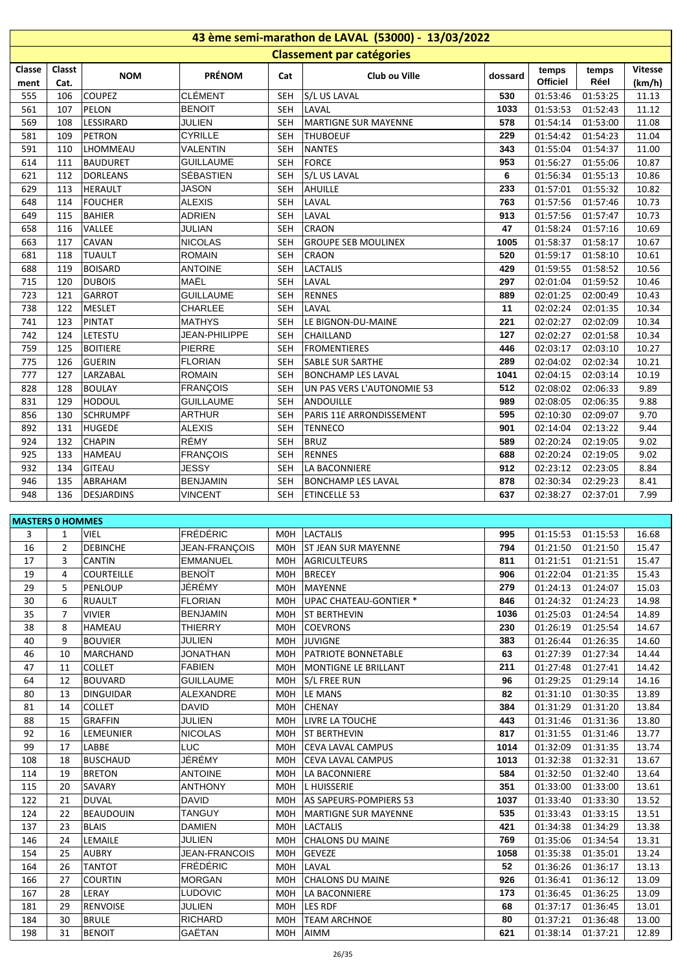| 43 ème semi-marathon de LAVAL (53000) - 13/03/2022 |                     |                                |                                   |                          |                                              |             |                       |                      |                |  |  |  |
|----------------------------------------------------|---------------------|--------------------------------|-----------------------------------|--------------------------|----------------------------------------------|-------------|-----------------------|----------------------|----------------|--|--|--|
|                                                    |                     |                                |                                   |                          | <b>Classement par catégories</b>             |             |                       |                      |                |  |  |  |
| Classe                                             | Classt              | <b>NOM</b>                     | <b>PRÉNOM</b>                     | Cat                      | Club ou Ville                                | dossard     | temps                 | temps                | <b>Vitesse</b> |  |  |  |
| ment                                               | Cat.                |                                |                                   |                          |                                              |             | Officiel              | Réel                 | (km/h)         |  |  |  |
| 555                                                | 106                 | <b>COUPEZ</b>                  | <b>CLÉMENT</b>                    | SEH                      | S/L US LAVAL                                 | 530         | 01:53:46              | 01:53:25             | 11.13          |  |  |  |
| 561<br>569                                         | 107<br>108          | PELON<br>LESSIRARD             | <b>BENOIT</b><br><b>JULIEN</b>    | SEH<br><b>SEH</b>        | LAVAL<br><b>MARTIGNE SUR MAYENNE</b>         | 1033<br>578 | 01:53:53<br>01:54:14  | 01:52:43             | 11.12<br>11.08 |  |  |  |
| 581                                                | 109                 | PETRON                         | <b>CYRILLE</b>                    | <b>SEH</b>               | <b>THUBOEUF</b>                              | 229         | 01:54:42              | 01:53:00<br>01:54:23 | 11.04          |  |  |  |
| 591                                                | 110                 | LHOMMEAU                       | <b>VALENTIN</b>                   | SEH                      | <b>NANTES</b>                                | 343         | 01:55:04              | 01:54:37             | 11.00          |  |  |  |
| 614                                                | 111                 | <b>BAUDURET</b>                | <b>GUILLAUME</b>                  | SEH                      | FORCE                                        | 953         | 01:56:27              | 01:55:06             | 10.87          |  |  |  |
| 621                                                | 112                 | <b>DORLEANS</b>                | SÉBASTIEN                         | <b>SEH</b>               | S/L US LAVAL                                 | 6           | 01:56:34              | 01:55:13             | 10.86          |  |  |  |
| 629                                                | 113                 | <b>HERAULT</b>                 | <b>JASON</b>                      | SEH                      | AHUILLE                                      | 233         | 01:57:01              | 01:55:32             | 10.82          |  |  |  |
| 648                                                | 114                 | <b>FOUCHER</b>                 | <b>ALEXIS</b>                     | <b>SEH</b>               | LAVAL                                        | 763         | 01:57:56              | 01:57:46             | 10.73          |  |  |  |
| 649                                                | 115                 | <b>BAHIER</b>                  | <b>ADRIEN</b>                     | SEH                      | LAVAL                                        | 913         | 01:57:56              | 01:57:47             | 10.73          |  |  |  |
| 658                                                | 116                 | VALLEE                         | <b>JULIAN</b>                     | SEH                      | <b>CRAON</b>                                 | 47          | 01:58:24              | 01:57:16             | 10.69          |  |  |  |
| 663                                                | 117                 | <b>CAVAN</b>                   | <b>NICOLAS</b>                    | SEH                      | <b>GROUPE SEB MOULINEX</b>                   | 1005        | 01:58:37              | 01:58:17             | 10.67          |  |  |  |
| 681                                                | 118                 | <b>TUAULT</b>                  | <b>ROMAIN</b>                     | SEH                      | <b>CRAON</b>                                 | 520         | 01:59:17              | 01:58:10             | 10.61          |  |  |  |
| 688<br>715                                         | 119<br>120          | <b>BOISARD</b>                 | <b>ANTOINE</b><br>MAËL            | <b>SEH</b>               | <b>LACTALIS</b><br>LAVAL                     | 429<br>297  | 01:59:55<br>02:01:04  | 01:58:52             | 10.56<br>10.46 |  |  |  |
| 723                                                | 121                 | <b>DUBOIS</b><br><b>GARROT</b> | <b>GUILLAUME</b>                  | <b>SEH</b><br><b>SEH</b> | <b>RENNES</b>                                | 889         | 02:01:25              | 01:59:52<br>02:00:49 | 10.43          |  |  |  |
| 738                                                | 122                 | <b>MESLET</b>                  | CHARLEE                           | <b>SEH</b>               | LAVAL                                        | 11          | 02:02:24              | 02:01:35             | 10.34          |  |  |  |
| 741                                                | 123                 | PINTAT                         | <b>MATHYS</b>                     | SEH                      | LE BIGNON-DU-MAINE                           | 221         | 02:02:27              | 02:02:09             | 10.34          |  |  |  |
| 742                                                | 124                 | LETESTU                        | JEAN-PHILIPPE                     | SEH                      | <b>CHAILLAND</b>                             | 127         | 02:02:27              | 02:01:58             | 10.34          |  |  |  |
| 759                                                | 125                 | <b>BOITIERE</b>                | PIERRE                            | <b>SEH</b>               | <b>FROMENTIERES</b>                          | 446         | 02:03:17              | 02:03:10             | 10.27          |  |  |  |
| 775                                                | 126                 | <b>GUERIN</b>                  | <b>FLORIAN</b>                    | SEH                      | <b>SABLE SUR SARTHE</b>                      | 289         | 02:04:02              | 02:02:34             | 10.21          |  |  |  |
| 777                                                | 127                 | LARZABAL                       | <b>ROMAIN</b>                     | SEH                      | <b>BONCHAMP LES LAVAL</b>                    | 1041        | 02:04:15              | 02:03:14             | 10.19          |  |  |  |
| 828                                                | 128                 | <b>BOULAY</b>                  | <b>FRANÇOIS</b>                   | SEH                      | UN PAS VERS L'AUTONOMIE 53                   | 512         | 02:08:02              | 02:06:33             | 9.89           |  |  |  |
| 831                                                | 129                 | <b>HODOUL</b>                  | <b>GUILLAUME</b>                  | SEH                      | ANDOUILLE                                    | 989         | 02:08:05              | 02:06:35             | 9.88           |  |  |  |
| 856                                                | 130                 | <b>SCHRUMPF</b>                | <b>ARTHUR</b>                     | SEH                      | PARIS 11E ARRONDISSEMENT                     | 595         | 02:10:30              | 02:09:07             | 9.70           |  |  |  |
| 892                                                | 131                 | <b>HUGEDE</b>                  | <b>ALEXIS</b>                     | SEH                      | <b>TENNECO</b>                               | 901         | 02:14:04              | 02:13:22             | 9.44           |  |  |  |
| 924                                                | 132                 | <b>CHAPIN</b>                  | RÉMY                              | SEH                      | <b>BRUZ</b>                                  | 589<br>688  | 02:20:24              | 02:19:05             | 9.02           |  |  |  |
| 925<br>932                                         | 133<br>134          | <b>HAMEAU</b><br>GITEAU        | <b>FRANÇOIS</b><br><b>JESSY</b>   | <b>SEH</b><br><b>SEH</b> | <b>RENNES</b><br>LA BACONNIERE               | 912         | 02:20:24<br>02:23:12  | 02:19:05<br>02:23:05 | 9.02<br>8.84   |  |  |  |
| 946                                                | 135                 | ABRAHAM                        | <b>BENJAMIN</b>                   | SEH                      | <b>BONCHAMP LES LAVAL</b>                    | 878         | 02:30:34              | 02:29:23             | 8.41           |  |  |  |
| 948                                                | 136                 | <b>DESJARDINS</b>              | <b>VINCENT</b>                    | SEH                      | <b>ETINCELLE 53</b>                          | 637         | 02:38:27              | 02:37:01             | 7.99           |  |  |  |
|                                                    |                     |                                |                                   |                          |                                              |             |                       |                      |                |  |  |  |
| <b>MASTERS 0 HOMMES</b>                            |                     |                                |                                   |                          |                                              |             |                       |                      |                |  |  |  |
| 3                                                  | $\mathbf{1}$        | <b>VIEL</b>                    | <b>FRÉDÉRIC</b>                   |                          | MOH   LACTALIS                               | 995         |                       | 01:15:53 01:15:53    | 16.68          |  |  |  |
| 16                                                 |                     | 2 DEBINCHE                     | JEAN-FRANÇOIS                     |                          | MOH ST JEAN SUR MAYENNE                      | 794         | $01:21:50$ $01:21:50$ |                      | 15.47          |  |  |  |
| 17                                                 | 3                   | <b>CANTIN</b>                  | <b>EMMANUEL</b>                   |                          | MOH   AGRICULTEURS                           | 811         | 01:21:51              | 01:21:51             | 15.47          |  |  |  |
| 19                                                 | 4                   | <b>COURTEILLE</b>              | <b>BENOIT</b>                     | MOH                      | BRECEY                                       | 906         | 01:22:04              | 01:21:35             | 15.43          |  |  |  |
| 29                                                 | 5                   | PENLOUP                        | JÉRÉMY                            | MOH                      | MAYENNE                                      | 279         | 01:24:13              | 01:24:07             | 15.03          |  |  |  |
| 30                                                 | 6                   | <b>RUAULT</b>                  | <b>FLORIAN</b>                    | MOH                      | UPAC CHATEAU-GONTIER *                       | 846         | 01:24:32              | 01:24:23             | 14.98          |  |  |  |
| 35<br>38                                           | $\overline{7}$<br>8 | <b>VIVIER</b><br><b>HAMEAU</b> | <b>BENJAMIN</b><br><b>THIERRY</b> | MOH<br>MOH               | <b>ST BERTHEVIN</b><br><b>COEVRONS</b>       | 1036<br>230 | 01:25:03<br>01:26:19  | 01:24:54<br>01:25:54 | 14.89<br>14.67 |  |  |  |
| 40                                                 | 9                   | <b>BOUVIER</b>                 | JULIEN                            | M0H                      | <b>JUVIGNE</b>                               | 383         | 01:26:44              | 01:26:35             | 14.60          |  |  |  |
| 46                                                 | 10                  | <b>MARCHAND</b>                | <b>JONATHAN</b>                   |                          | MOH   PATRIOTE BONNETABLE                    | 63          | 01:27:39              | 01:27:34             | 14.44          |  |  |  |
| 47                                                 | 11                  | <b>COLLET</b>                  | <b>FABIEN</b>                     |                          | MOH   MONTIGNE LE BRILLANT                   | 211         | 01:27:48              | 01:27:41             | 14.42          |  |  |  |
| 64                                                 | 12                  | <b>BOUVARD</b>                 | <b>GUILLAUME</b>                  | MOH                      | S/L FREE RUN                                 | 96          | 01:29:25              | 01:29:14             | 14.16          |  |  |  |
| 80                                                 | 13                  | <b>DINGUIDAR</b>               | ALEXANDRE                         |                          | MOH LE MANS                                  | 82          | 01:31:10              | 01:30:35             | 13.89          |  |  |  |
| 81                                                 | 14                  | <b>COLLET</b>                  | <b>DAVID</b>                      |                          | MOH CHENAY                                   | 384         | 01:31:29              | 01:31:20             | 13.84          |  |  |  |
| 88                                                 | 15                  | <b>GRAFFIN</b>                 | <b>JULIEN</b>                     |                          | MOH   LIVRE LA TOUCHE                        | 443         | 01:31:46              | 01:31:36             | 13.80          |  |  |  |
| 92                                                 | 16                  | <b>LEMEUNIER</b>               | <b>NICOLAS</b>                    |                          | MOH ST BERTHEVIN                             | 817         | 01:31:55              | 01:31:46             | 13.77          |  |  |  |
| 99                                                 | 17                  | LABBE                          | <b>LUC</b>                        |                          | MOH CEVA LAVAL CAMPUS                        | 1014        | 01:32:09              | 01:31:35             | 13.74          |  |  |  |
| 108                                                | 18                  | <b>BUSCHAUD</b>                | JÉRÉMY                            | MOH                      | <b>CEVA LAVAL CAMPUS</b>                     | 1013        | 01:32:38              | 01:32:31             | 13.67          |  |  |  |
| 114                                                | 19                  | <b>BRETON</b><br><b>SAVARY</b> | <b>ANTOINE</b><br><b>ANTHONY</b>  | M0H                      | LA BACONNIERE                                | 584<br>351  | 01:32:50              | 01:32:40             | 13.64          |  |  |  |
| 115<br>122                                         | 20<br>21            | <b>DUVAL</b>                   | <b>DAVID</b>                      | MOH<br>M0H               | <b>L HUISSERIE</b><br>AS SAPEURS-POMPIERS 53 | 1037        | 01:33:00<br>01:33:40  | 01:33:00<br>01:33:30 | 13.61<br>13.52 |  |  |  |
| 124                                                | 22                  | <b>BEAUDOUIN</b>               | <b>TANGUY</b>                     | MOH                      | MARTIGNE SUR MAYENNE                         | 535         | 01:33:43              | 01:33:15             | 13.51          |  |  |  |
| 137                                                | 23                  | <b>BLAIS</b>                   | <b>DAMIEN</b>                     | MOH                      | <b>LACTALIS</b>                              | 421         | 01:34:38              | 01:34:29             | 13.38          |  |  |  |
| 146                                                | 24                  | LEMAILE                        | JULIEN                            | MOH                      | CHALONS DU MAINE                             | 769         | 01:35:06              | 01:34:54             | 13.31          |  |  |  |
| 154                                                | 25                  | <b>AUBRY</b>                   | JEAN-FRANCOIS                     | M0H                      | <b>GEVEZE</b>                                | 1058        | 01:35:38              | 01:35:01             | 13.24          |  |  |  |
| 164                                                | 26                  | <b>TANTOT</b>                  | <b>FRÉDÉRIC</b>                   | M0H                      | LAVAL                                        | 52          | 01:36:26              | 01:36:17             | 13.13          |  |  |  |
| 166                                                | 27                  | <b>COURTIN</b>                 | <b>MORGAN</b>                     |                          | MOH CHALONS DU MAINE                         | 926         | 01:36:41              | 01:36:12             | 13.09          |  |  |  |
| 167                                                | 28                  | LERAY                          | <b>LUDOVIC</b>                    |                          | MOH   LA BACONNIERE                          | 173         | 01:36:45              | 01:36:25             | 13.09          |  |  |  |
| 181                                                | 29                  | <b>RENVOISE</b>                | <b>JULIEN</b>                     |                          | MOH LES RDF                                  | 68          | 01:37:17              | 01:36:45             | 13.01          |  |  |  |
| 184                                                | 30                  | <b>BRULE</b>                   | <b>RICHARD</b>                    | MOH                      | <b>TEAM ARCHNOE</b>                          | 80          | 01:37:21              | 01:36:48             | 13.00          |  |  |  |
| 198                                                | 31                  | <b>BENOIT</b>                  | GAËTAN                            | M0H                      | AIMM                                         | 621         | 01:38:14              | 01:37:21             | 12.89          |  |  |  |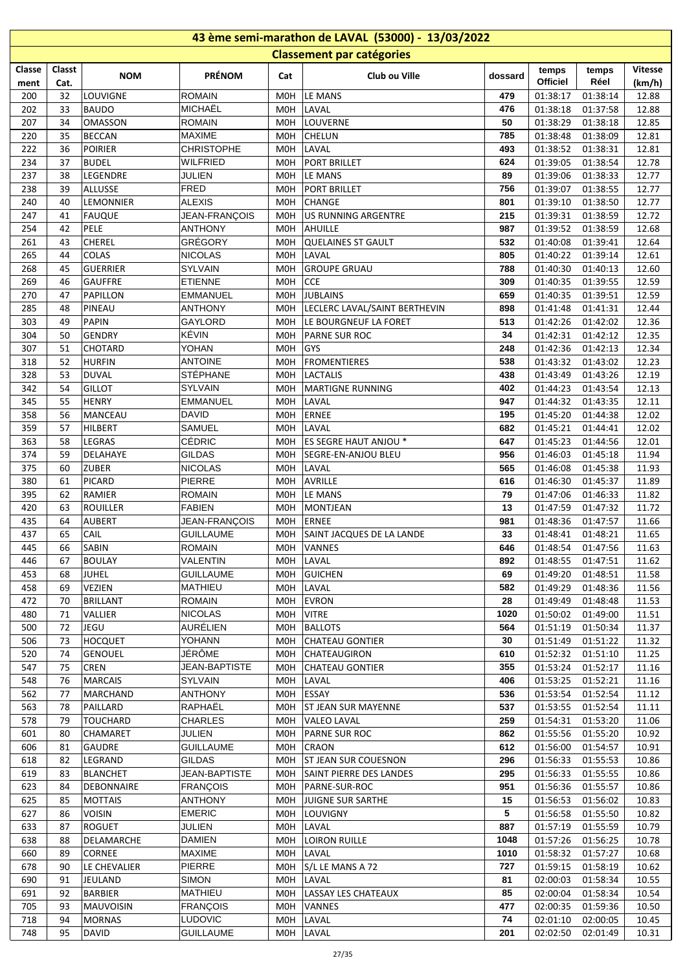| 43 ème semi-marathon de LAVAL (53000) - 13/03/2022 |          |                                 |                                   |                          |                                     |              |                      |                      |                |  |  |  |
|----------------------------------------------------|----------|---------------------------------|-----------------------------------|--------------------------|-------------------------------------|--------------|----------------------|----------------------|----------------|--|--|--|
|                                                    |          |                                 |                                   |                          | <b>Classement par catégories</b>    |              |                      |                      |                |  |  |  |
| Classe                                             | Classt   | <b>NOM</b>                      | <b>PRÉNOM</b>                     | Cat                      | Club ou Ville                       | dossard      | temps                | temps                | <b>Vitesse</b> |  |  |  |
| ment                                               | Cat.     |                                 |                                   |                          |                                     |              | <b>Officiel</b>      | Réel                 | (km/h)         |  |  |  |
| 200                                                | 32       | LOUVIGNE                        | <b>ROMAIN</b>                     | M0H                      | LE MANS                             | 479          | 01:38:17             | 01:38:14             | 12.88          |  |  |  |
| 202                                                | 33       | <b>BAUDO</b>                    | <b>MICHAËL</b>                    | <b>MOH</b>               | LAVAL                               | 476          | 01:38:18             | 01:37:58             | 12.88          |  |  |  |
| 207<br>220                                         | 34<br>35 | <b>OMASSON</b><br><b>BECCAN</b> | <b>ROMAIN</b><br><b>MAXIME</b>    | <b>MOH</b><br><b>MOH</b> | LOUVERNE<br><b>CHELUN</b>           | 50<br>785    | 01:38:29             | 01:38:18             | 12.85          |  |  |  |
| 222                                                | 36       | <b>POIRIER</b>                  | <b>CHRISTOPHE</b>                 | M0H                      | LAVAL                               | 493          | 01:38:48<br>01:38:52 | 01:38:09<br>01:38:31 | 12.81<br>12.81 |  |  |  |
| 234                                                | 37       | <b>BUDEL</b>                    | <b>WILFRIED</b>                   | <b>MOH</b>               | <b>PORT BRILLET</b>                 | 624          | 01:39:05             | 01:38:54             | 12.78          |  |  |  |
| 237                                                | 38       | LEGENDRE                        | JULIEN                            | M0H                      | LE MANS                             | 89           | 01:39:06             | 01:38:33             | 12.77          |  |  |  |
| 238                                                | 39       | ALLUSSE                         | <b>FRED</b>                       | M0H                      | PORT BRILLET                        | 756          | 01:39:07             | 01:38:55             | 12.77          |  |  |  |
| 240                                                | 40       | LEMONNIER                       | <b>ALEXIS</b>                     | M0H                      | <b>CHANGE</b>                       | 801          | 01:39:10             | 01:38:50             | 12.77          |  |  |  |
| 247                                                | 41       | FAUQUE                          | JEAN-FRANÇOIS                     | M0H                      | US RUNNING ARGENTRE                 | 215          | 01:39:31             | 01:38:59             | 12.72          |  |  |  |
| 254                                                | 42       | PELE                            | <b>ANTHONY</b>                    | M0H                      | AHUILLE                             | 987          | 01:39:52             | 01:38:59             | 12.68          |  |  |  |
| 261                                                | 43       | <b>CHEREL</b>                   | GRÉGORY                           | <b>MOH</b>               | QUELAINES ST GAULT                  | 532          | 01:40:08             | 01:39:41             | 12.64          |  |  |  |
| 265                                                | 44       | <b>COLAS</b>                    | <b>NICOLAS</b>                    | M0H                      | LAVAL                               | 805          | 01:40:22             | 01:39:14             | 12.61          |  |  |  |
| 268                                                | 45       | GUERRIER                        | SYLVAIN                           | M0H                      | <b>GROUPE GRUAU</b>                 | 788          | 01:40:30             | 01:40:13             | 12.60          |  |  |  |
| 269                                                | 46       | <b>GAUFFRE</b>                  | <b>ETIENNE</b>                    | M0H                      | <b>CCE</b>                          | 309          | 01:40:35             | 01:39:55             | 12.59          |  |  |  |
| 270                                                | 47       | PAPILLON                        | <b>EMMANUEL</b>                   | <b>MOH</b>               | <b>JUBLAINS</b>                     | 659          | 01:40:35             | 01:39:51             | 12.59          |  |  |  |
| 285                                                | 48       | PINEAU                          | <b>ANTHONY</b>                    | <b>MOH</b>               | LECLERC LAVAL/SAINT BERTHEVIN       | 898          | 01:41:48             | 01:41:31             | 12.44          |  |  |  |
| 303                                                | 49       | PAPIN                           | GAYLORD                           | M0H                      | LE BOURGNEUF LA FORET               | 513          | 01:42:26             | 01:42:02             | 12.36          |  |  |  |
| 304                                                | 50       | <b>GENDRY</b>                   | KÉVIN                             | M0H                      | <b>PARNE SUR ROC</b>                | 34           | 01:42:31             | 01:42:12             | 12.35          |  |  |  |
| 307                                                | 51       | CHOTARD                         | YOHAN                             | M0H                      | <b>GYS</b>                          | 248          | 01:42:36             | 01:42:13             | 12.34          |  |  |  |
| 318                                                | 52       | <b>HURFIN</b>                   | <b>ANTOINE</b>                    | M0H                      | <b>FROMENTIERES</b>                 | 538          | 01:43:32             | 01:43:02             | 12.23          |  |  |  |
| 328<br>342                                         | 53<br>54 | <b>DUVAL</b><br><b>GILLOT</b>   | <b>STÉPHANE</b><br><b>SYLVAIN</b> | M0H<br><b>MOH</b>        | LACTALIS<br><b>MARTIGNE RUNNING</b> | 438<br>402   | 01:43:49<br>01:44:23 | 01:43:26             | 12.19          |  |  |  |
| 345                                                | 55       | HENRY                           | <b>EMMANUEL</b>                   | M0H                      | LAVAL                               | 947          | 01:44:32             | 01:43:54<br>01:43:35 | 12.13<br>12.11 |  |  |  |
| 358                                                | 56       | MANCEAU                         | <b>DAVID</b>                      | <b>MOH</b>               | <b>ERNEE</b>                        | 195          | 01:45:20             | 01:44:38             | 12.02          |  |  |  |
| 359                                                | 57       | HILBERT                         | <b>SAMUEL</b>                     | M0H                      | LAVAL                               | 682          | 01:45:21             | 01:44:41             | 12.02          |  |  |  |
| 363                                                | 58       | LEGRAS                          | CÉDRIC                            | M0H                      | ES SEGRE HAUT ANJOU *               | 647          | 01:45:23             | 01:44:56             | 12.01          |  |  |  |
| 374                                                | 59       | DELAHAYE                        | <b>GILDAS</b>                     | M0H                      | SEGRE-EN-ANJOU BLEU                 | 956          | 01:46:03             | 01:45:18             | 11.94          |  |  |  |
| 375                                                | 60       | <b>ZUBER</b>                    | <b>NICOLAS</b>                    | <b>MOH</b>               | LAVAL                               | 565          | 01:46:08             | 01:45:38             | 11.93          |  |  |  |
| 380                                                | 61       | PICARD                          | PIERRE                            | <b>MOH</b>               | AVRILLE                             | 616          | 01:46:30             | 01:45:37             | 11.89          |  |  |  |
| 395                                                | 62       | RAMIER                          | <b>ROMAIN</b>                     | M0H                      | LE MANS                             | 79           | 01:47:06             | 01:46:33             | 11.82          |  |  |  |
| 420                                                | 63       | <b>ROUILLER</b>                 | <b>FABIEN</b>                     | M0H                      | MONTJEAN                            | 13           | 01:47:59             | 01:47:32             | 11.72          |  |  |  |
| 435                                                | 64       | <b>AUBERT</b>                   | JEAN-FRANÇOIS                     | M0H                      | <b>ERNEE</b>                        | 981          | 01:48:36             | 01:47:57             | 11.66          |  |  |  |
| 437                                                | 65       | CAIL                            | <b>GUILLAUME</b>                  | MOH                      | SAINT JACQUES DE LA LANDE           | 33           | 01:48:41             | 01:48:21             | 11.65          |  |  |  |
| 445                                                | 66       | <b>SABIN</b>                    | <b>ROMAIN</b>                     |                          | MOH VANNES                          | 646          |                      | 01:48:54 01:47:56    | 11.63          |  |  |  |
| 446                                                | 67       | <b>BOULAY</b>                   | VALENTIN                          | MOH                      | LAVAL                               | 892          | 01:48:55             | 01:47:51             | 11.62          |  |  |  |
| 453                                                | 68       | JUHEL                           | <b>GUILLAUME</b>                  | M0H                      | <b>GUICHEN</b>                      | 69           | 01:49:20             | 01:48:51             | 11.58          |  |  |  |
| 458                                                | 69       | VEZIEN                          | <b>MATHIEU</b>                    | M0H                      | LAVAL                               | 582          | 01:49:29             | 01:48:36             | 11.56          |  |  |  |
| 472                                                | 70       | <b>BRILLANT</b>                 | <b>ROMAIN</b>                     | M0H                      | <b>EVRON</b>                        | 28           | 01:49:49             | 01:48:48             | 11.53          |  |  |  |
| 480<br>500                                         | 71<br>72 | VALLIER<br><b>JEGU</b>          | <b>NICOLAS</b><br>AURÉLIEN        | M0H<br>M0H               | <b>VITRE</b><br><b>BALLOTS</b>      | 1020<br>564  | 01:50:02<br>01:51:19 | 01:49:00<br>01:50:34 | 11.51<br>11.37 |  |  |  |
| 506                                                | 73       | HOCQUET                         | YOHANN                            | M0H                      | <b>CHATEAU GONTIER</b>              | 30           | 01:51:49             | 01:51:22             | 11.32          |  |  |  |
| 520                                                | 74       | <b>GENOUEL</b>                  | JÉRÔME                            | M0H                      | <b>CHATEAUGIRON</b>                 | 610          | 01:52:32             | 01:51:10             | 11.25          |  |  |  |
| 547                                                | 75       | <b>CREN</b>                     | <b>JEAN-BAPTISTE</b>              | M0H                      | <b>CHATEAU GONTIER</b>              | 355          | 01:53:24             | 01:52:17             | 11.16          |  |  |  |
| 548                                                | 76       | <b>MARCAIS</b>                  | <b>SYLVAIN</b>                    | M0H                      | LAVAL                               | 406          | 01:53:25             | 01:52:21             | 11.16          |  |  |  |
| 562                                                | 77       | <b>MARCHAND</b>                 | <b>ANTHONY</b>                    | M0H                      | <b>ESSAY</b>                        | 536          | 01:53:54             | 01:52:54             | 11.12          |  |  |  |
| 563                                                | 78       | PAILLARD                        | RAPHAËL                           | M0H                      | <b>ST JEAN SUR MAYENNE</b>          | 537          | 01:53:55             | 01:52:54             | 11.11          |  |  |  |
| 578                                                | 79       | <b>TOUCHARD</b>                 | <b>CHARLES</b>                    | M0H                      | <b>VALEO LAVAL</b>                  | 259          | 01:54:31             | 01:53:20             | 11.06          |  |  |  |
| 601                                                | 80       | <b>CHAMARET</b>                 | <b>JULIEN</b>                     | M0H                      | <b>PARNE SUR ROC</b>                | 862          | 01:55:56             | 01:55:20             | 10.92          |  |  |  |
| 606                                                | 81       | GAUDRE                          | <b>GUILLAUME</b>                  | M0H                      | <b>CRAON</b>                        | 612          | 01:56:00             | 01:54:57             | 10.91          |  |  |  |
| 618                                                | 82       | LEGRAND                         | <b>GILDAS</b>                     | M0H                      | <b>ST JEAN SUR COUESNON</b>         | 296          | 01:56:33             | 01:55:53             | 10.86          |  |  |  |
| 619                                                | 83       | <b>BLANCHET</b>                 | <b>JEAN-BAPTISTE</b>              | M0H                      | SAINT PIERRE DES LANDES             | 295          | 01:56:33             | 01:55:55             | 10.86          |  |  |  |
| 623                                                | 84       | DEBONNAIRE                      | <b>FRANÇOIS</b>                   | M0H                      | PARNE-SUR-ROC                       | 951          | 01:56:36             | 01:55:57             | 10.86          |  |  |  |
| 625                                                | 85       | MOTTAIS                         | <b>ANTHONY</b>                    | M0H                      | JUIGNE SUR SARTHE                   | 15           | 01:56:53             | 01:56:02             | 10.83          |  |  |  |
| 627                                                | 86       | <b>VOISIN</b>                   | <b>EMERIC</b>                     | M0H                      | <b>LOUVIGNY</b>                     | 5            | 01:56:58             | 01:55:50             | 10.82          |  |  |  |
| 633                                                | 87       | ROGUET                          | <b>JULIEN</b>                     | M0H                      | LAVAL                               | 887          | 01:57:19             | 01:55:59             | 10.79          |  |  |  |
| 638<br>660                                         | 88<br>89 | DELAMARCHE<br>CORNEE            | DAMIEN<br><b>MAXIME</b>           | M0H<br>M0H               | <b>LOIRON RUILLE</b><br>LAVAL       | 1048<br>1010 | 01:57:26<br>01:58:32 | 01:56:25<br>01:57:27 | 10.78<br>10.68 |  |  |  |
| 678                                                | 90       | LE CHEVALIER                    | PIERRE                            | M0H                      | S/L LE MANS A 72                    | 727          | 01:59:15             | 01:58:19             | 10.62          |  |  |  |
| 690                                                | 91       | JEULAND                         | SIMON                             | M0H                      | LAVAL                               | 81           | 02:00:03             | 01:58:34             | 10.55          |  |  |  |
| 691                                                | 92       | <b>BARBIER</b>                  | <b>MATHIEU</b>                    | M0H                      | LASSAY LES CHATEAUX                 | 85           | 02:00:04             | 01:58:34             | 10.54          |  |  |  |
| 705                                                | 93       | MAUVOISIN                       | <b>FRANÇOIS</b>                   | M0H                      | VANNES                              | 477          | 02:00:35             | 01:59:36             | 10.50          |  |  |  |
| 718                                                | 94       | <b>MORNAS</b>                   | <b>LUDOVIC</b>                    | M0H                      | LAVAL                               | 74           | 02:01:10             | 02:00:05             | 10.45          |  |  |  |
| 748                                                | 95       | DAVID                           | <b>GUILLAUME</b>                  | M0H                      | LAVAL                               | 201          | 02:02:50             | 02:01:49             | 10.31          |  |  |  |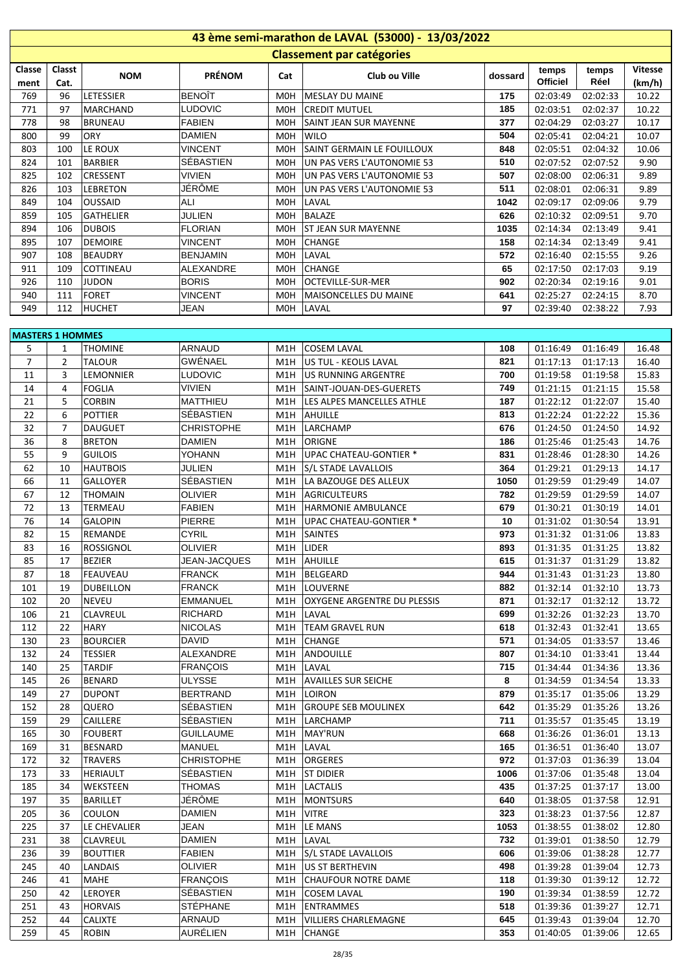| 43 ème semi-marathon de LAVAL (53000) - 13/03/2022 |                |                             |                            |     |                                                        |             |                      |                      |                |  |  |  |  |
|----------------------------------------------------|----------------|-----------------------------|----------------------------|-----|--------------------------------------------------------|-------------|----------------------|----------------------|----------------|--|--|--|--|
| <b>Classement par catégories</b>                   |                |                             |                            |     |                                                        |             |                      |                      |                |  |  |  |  |
| Classe                                             | Classt         |                             |                            |     |                                                        |             | temps                | temps                | <b>Vitesse</b> |  |  |  |  |
| ment                                               | Cat.           | <b>NOM</b>                  | <b>PRÉNOM</b>              | Cat | Club ou Ville                                          | dossard     | <b>Officiel</b>      | Réel                 | (km/h)         |  |  |  |  |
| 769                                                | 96             | LETESSIER                   | <b>BENOÎT</b>              | M0H | <b>MESLAY DU MAINE</b>                                 | 175         | 02:03:49             | 02:02:33             | 10.22          |  |  |  |  |
| 771                                                | 97             | MARCHAND                    | LUDOVIC                    | M0H | CREDIT MUTUEL                                          | 185         | 02:03:51             | 02:02:37             | 10.22          |  |  |  |  |
| 778                                                | 98             | <b>BRUNEAU</b>              | <b>FABIEN</b>              | MOH | <b>SAINT JEAN SUR MAYENNE</b>                          | 377         | 02:04:29             | 02:03:27             | 10.17          |  |  |  |  |
| 800                                                | 99             | <b>ORY</b>                  | <b>DAMIEN</b>              | M0H | <b>WILO</b>                                            | 504         | 02:05:41             | 02:04:21             | 10.07          |  |  |  |  |
| 803                                                | 100            | LE ROUX                     | <b>VINCENT</b>             |     | MOH SAINT GERMAIN LE FOUILLOUX                         | 848         | 02:05:51             | 02:04:32             | 10.06          |  |  |  |  |
| 824                                                | 101            | <b>BARBIER</b>              | SÉBASTIEN                  | MOH | UN PAS VERS L'AUTONOMIE 53                             | 510         | 02:07:52             | 02:07:52             | 9.90           |  |  |  |  |
| 825                                                | 102            | CRESSENT                    | <b>VIVIEN</b>              | M0H | UN PAS VERS L'AUTONOMIE 53                             | 507         | 02:08:00             | 02:06:31             | 9.89           |  |  |  |  |
| 826                                                | 103            | <b>LEBRETON</b>             | JÉRÔME                     | M0H | UN PAS VERS L'AUTONOMIE 53                             | 511         | 02:08:01             | 02:06:31             | 9.89           |  |  |  |  |
| 849                                                | 104            | <b>OUSSAID</b>              | ALI                        | M0H | LAVAL                                                  | 1042        | 02:09:17             | 02:09:06             | 9.79           |  |  |  |  |
| 859                                                | 105            | <b>GATHELIER</b>            | <b>JULIEN</b>              | M0H | <b>BALAZE</b>                                          | 626         | 02:10:32             | 02:09:51             | 9.70           |  |  |  |  |
| 894                                                | 106            | <b>DUBOIS</b>               | <b>FLORIAN</b>             | MOH | <b>ST JEAN SUR MAYENNE</b>                             | 1035        | 02:14:34             | 02:13:49             | 9.41           |  |  |  |  |
| 895                                                | 107            | <b>DEMOIRE</b>              | <b>VINCENT</b>             | MOH | <b>CHANGE</b>                                          | 158         | 02:14:34             | 02:13:49             | 9.41           |  |  |  |  |
| 907                                                | 108            | <b>BEAUDRY</b>              | <b>BENJAMIN</b>            | M0H | LAVAL                                                  | 572         | 02:16:40             | 02:15:55             | 9.26           |  |  |  |  |
| 911                                                | 109            | COTTINEAU                   | ALEXANDRE                  | M0H | <b>CHANGE</b>                                          | 65          | 02:17:50             | 02:17:03             | 9.19           |  |  |  |  |
| 926                                                | 110            | <b>JUDON</b>                | <b>BORIS</b>               | M0H | OCTEVILLE-SUR-MER                                      | 902         | 02:20:34             | 02:19:16             | 9.01           |  |  |  |  |
| 940                                                | 111            | <b>FORET</b>                | <b>VINCENT</b>             | MOH | MAISONCELLES DU MAINE                                  | 641         | 02:25:27             | 02:24:15             | 8.70           |  |  |  |  |
| 949                                                | 112            | <b>HUCHET</b>               | JEAN                       | M0H | LAVAL                                                  | 97          | 02:39:40             | 02:38:22             | 7.93           |  |  |  |  |
|                                                    |                |                             |                            |     |                                                        |             |                      |                      |                |  |  |  |  |
| <b>MASTERS 1 HOMMES</b>                            |                |                             |                            |     |                                                        |             |                      |                      |                |  |  |  |  |
| 5                                                  | 1              | <b>THOMINE</b>              | <b>ARNAUD</b>              | M1H | <b>COSEM LAVAL</b>                                     | 108         | 01:16:49             | 01:16:49             | 16.48          |  |  |  |  |
| $\overline{7}$                                     | $\overline{2}$ | <b>TALOUR</b>               | GWÉNAEL                    | M1H | US TUL - KEOLIS LAVAL                                  | 821         | 01:17:13             | 01:17:13             | 16.40          |  |  |  |  |
| 11                                                 | 3              | LEMONNIER                   | <b>LUDOVIC</b>             | M1H | US RUNNING ARGENTRE                                    | 700         | 01:19:58             | 01:19:58             | 15.83          |  |  |  |  |
| 14                                                 | 4              | <b>FOGLIA</b>               | <b>VIVIEN</b>              | M1H | SAINT-JOUAN-DES-GUERETS                                | 749         | 01:21:15             | 01:21:15             | 15.58          |  |  |  |  |
| 21                                                 | 5              | <b>CORBIN</b>               | <b>MATTHIEU</b>            | M1H | LES ALPES MANCELLES ATHLE                              | 187         | 01:22:12             | 01:22:07             | 15.40          |  |  |  |  |
| 22                                                 | 6              | <b>POTTIER</b>              | SÉBASTIEN                  | M1H | AHUILLE                                                | 813         | 01:22:24             | 01:22:22             | 15.36          |  |  |  |  |
| 32                                                 | $\overline{7}$ | <b>DAUGUET</b>              | CHRISTOPHE                 | M1H | LARCHAMP                                               | 676         | 01:24:50             | 01:24:50             | 14.92          |  |  |  |  |
| 36                                                 | 8              | <b>BRETON</b>               | DAMIEN                     | M1H | ORIGNE                                                 | 186         | 01:25:46             | 01:25:43             | 14.76          |  |  |  |  |
| 55<br>62                                           | 9<br>10        | <b>GUILOIS</b>              | YOHANN                     | M1H | UPAC CHATEAU-GONTIER *                                 | 831         | 01:28:46             | 01:28:30             | 14.26          |  |  |  |  |
| 66                                                 | 11             | <b>HAUTBOIS</b><br>GALLOYER | <b>JULIEN</b><br>SÉBASTIEN |     | M1H S/L STADE LAVALLOIS<br>M1H   LA BAZOUGE DES ALLEUX | 364<br>1050 | 01:29:21<br>01:29:59 | 01:29:13<br>01:29:49 | 14.17<br>14.07 |  |  |  |  |
| 67                                                 | 12             | <b>THOMAIN</b>              | <b>OLIVIER</b>             |     | M1H AGRICULTEURS                                       | 782         | 01:29:59             | 01:29:59             | 14.07          |  |  |  |  |
| 72                                                 | 13             | TERMEAU                     | <b>FABIEN</b>              |     | M1H  HARMONIE AMBULANCE                                | 679         | 01:30:21             | 01:30:19             | 14.01          |  |  |  |  |
| 76                                                 | 14             | <b>GALOPIN</b>              | PIERRE                     | M1H | UPAC CHATEAU-GONTIER *                                 | 10          | 01:31:02             | 01:30:54             | 13.91          |  |  |  |  |
| 82                                                 | 15             | REMANDE                     | <b>CYRIL</b>               | M1H | <b>SAINTES</b>                                         | 973         | 01:31:32             | 01:31:06             | 13.83          |  |  |  |  |
| 83                                                 | 16             | ROSSIGNOL                   | <b>OLIVIER</b>             |     | $M1H$ LIDER                                            | 893         | 01:31:35             | 01:31:25             | 13.82          |  |  |  |  |
| 85                                                 | 17             | <b>BEZIER</b>               | JEAN-JACQUES               |     | M1H AHUILLE                                            | 615         |                      | 01:31:37 01:31:29    | 13.82          |  |  |  |  |
| 87                                                 | 18             | <b>FEAUVEAU</b>             | <b>FRANCK</b>              |     | M1H   BELGEARD                                         | 944         | 01:31:43             | 01:31:23             | 13.80          |  |  |  |  |
| 101                                                | 19             | <b>DUBEILLON</b>            | <b>FRANCK</b>              |     | M1H  LOUVERNE                                          | 882         | 01:32:14             | 01:32:10             | 13.73          |  |  |  |  |
| 102                                                | 20             | <b>NEVEU</b>                | <b>EMMANUEL</b>            |     | M1H   OXYGENE ARGENTRE DU PLESSIS                      | 871         | 01:32:17             | 01:32:12             | 13.72          |  |  |  |  |
| 106                                                | 21             | CLAVREUL                    | <b>RICHARD</b>             |     | M1H   LAVAL                                            | 699         | 01:32:26             | 01:32:23             | 13.70          |  |  |  |  |
| 112                                                | 22             | <b>HARY</b>                 | <b>NICOLAS</b>             |     | M1H   TEAM GRAVEL RUN                                  | 618         | 01:32:43             | 01:32:41             | 13.65          |  |  |  |  |
| 130                                                | 23             | <b>BOURCIER</b>             | DAVID                      |     | M1H CHANGE                                             | 571         | 01:34:05             | 01:33:57             | 13.46          |  |  |  |  |
| 132                                                | 24             | <b>TESSIER</b>              | ALEXANDRE                  |     | M1H ANDOUILLE                                          | 807         | 01:34:10             | 01:33:41             | 13.44          |  |  |  |  |
| 140                                                | 25             | <b>TARDIF</b>               | <b>FRANÇOIS</b>            |     | M1H LAVAL                                              | 715         | 01:34:44             | 01:34:36             | 13.36          |  |  |  |  |
| 145                                                | 26             | <b>BENARD</b>               | <b>ULYSSE</b>              |     | M1H AVAILLES SUR SEICHE                                | 8           | 01:34:59             | 01:34:54             | 13.33          |  |  |  |  |
| 149                                                | 27             | <b>DUPONT</b>               | <b>BERTRAND</b>            |     | M1H LOIRON                                             | 879         | 01:35:17             | 01:35:06             | 13.29          |  |  |  |  |
| 152                                                | 28             | QUERO                       | SÉBASTIEN                  |     | M1H GROUPE SEB MOULINEX                                | 642         | 01:35:29             | 01:35:26             | 13.26          |  |  |  |  |
| 159                                                | 29             | CAILLERE                    | SÉBASTIEN                  |     | M1H   LARCHAMP                                         | 711         | 01:35:57             | 01:35:45             | 13.19          |  |  |  |  |
| 165                                                | 30             | <b>FOUBERT</b>              | <b>GUILLAUME</b>           |     | M1H   MAY'RUN                                          | 668         | 01:36:26             | 01:36:01             | 13.13          |  |  |  |  |
| 169                                                | 31             | <b>BESNARD</b>              | <b>MANUEL</b>              |     | M1H   LAVAL                                            | 165         | 01:36:51             | 01:36:40             | 13.07          |  |  |  |  |
| 172                                                | 32             | <b>TRAVERS</b>              | <b>CHRISTOPHE</b>          |     | M1H   ORGERES                                          | 972         | 01:37:03             | 01:36:39             | 13.04          |  |  |  |  |
| 173                                                | 33             | HERIAULT                    | SÉBASTIEN                  |     | M1H   ST DIDIER                                        | 1006        | 01:37:06             | 01:35:48             | 13.04          |  |  |  |  |
| 185                                                | 34             | WEKSTEEN                    | <b>THOMAS</b>              |     | M1H   LACTALIS                                         | 435         | 01:37:25             | 01:37:17             | 13.00          |  |  |  |  |
| 197                                                | 35             | <b>BARILLET</b>             | JÉRÔME                     |     | M1H   MONTSURS                                         | 640         | 01:38:05             | 01:37:58             | 12.91          |  |  |  |  |
| 205                                                | 36             | COULON                      | <b>DAMIEN</b>              |     | M <sub>1</sub> H VITRE                                 | 323         | 01:38:23             | 01:37:56             | 12.87          |  |  |  |  |
| 225                                                | 37             | LE CHEVALIER                | JEAN                       |     | M1H  LE MANS                                           | 1053        | 01:38:55             | 01:38:02             | 12.80          |  |  |  |  |
| 231                                                | 38             | <b>CLAVREUL</b>             | <b>DAMIEN</b>              |     | M1H   LAVAL                                            | 732         | 01:39:01             | 01:38:50             | 12.79          |  |  |  |  |
| 236                                                | 39             | <b>BOUTTIER</b>             | <b>FABIEN</b>              |     | M1H S/L STADE LAVALLOIS                                | 606         | 01:39:06             | 01:38:28             | 12.77          |  |  |  |  |
| 245                                                | 40             | LANDAIS                     | <b>OLIVIER</b>             |     | M1H   US ST BERTHEVIN                                  | 498         | 01:39:28             | 01:39:04             | 12.73          |  |  |  |  |
| 246                                                | 41             | MAHE                        | <b>FRANÇOIS</b>            |     | M1H CHAUFOUR NOTRE DAME                                | 118         | 01:39:30             | 01:39:12             | 12.72          |  |  |  |  |
| 250                                                | 42             | LEROYER                     | SÉBASTIEN                  |     | M1H COSEM LAVAL                                        | 190         | 01:39:34             | 01:38:59             | 12.72          |  |  |  |  |
| 251                                                | 43             | <b>HORVAIS</b>              | <b>STÉPHANE</b>            |     | M1H   ENTRAMMES                                        | 518         | 01:39:36             | 01:39:27             | 12.71          |  |  |  |  |
| 252                                                | 44             | CALIXTE                     | ARNAUD                     |     | M1H   VILLIERS CHARLEMAGNE                             | 645         | 01:39:43             | 01:39:04             | 12.70          |  |  |  |  |
| 259                                                | 45             | <b>ROBIN</b>                | AURÉLIEN                   |     | M1H CHANGE                                             | 353         | 01:40:05             | 01:39:06             | 12.65          |  |  |  |  |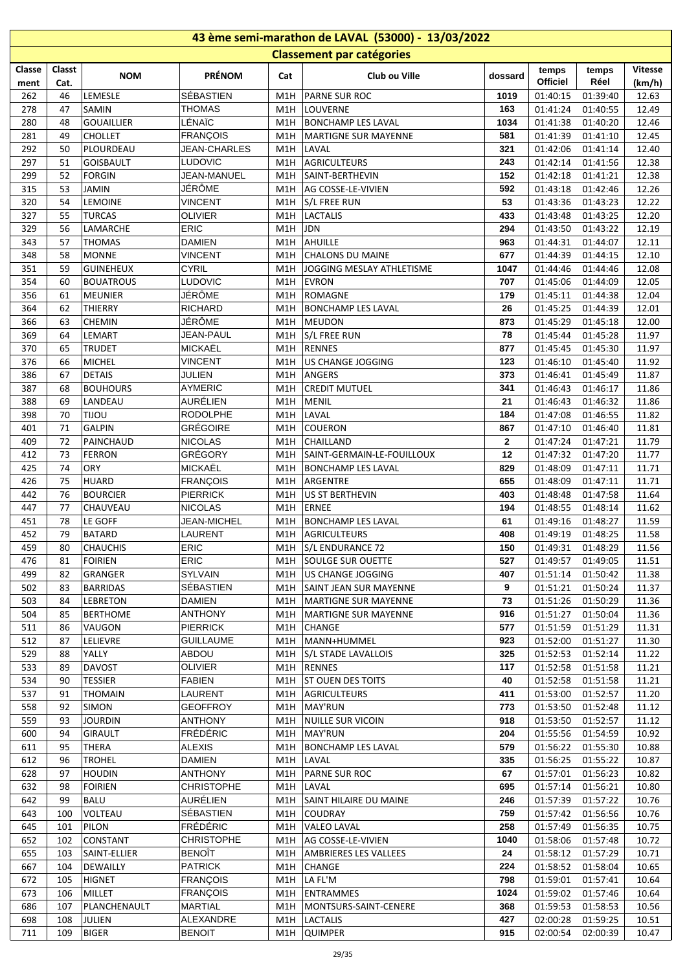|            | 43 ème semi-marathon de LAVAL (53000) - 13/03/2022 |                                  |                                   |            |                                   |                |                      |                      |                |  |  |  |
|------------|----------------------------------------------------|----------------------------------|-----------------------------------|------------|-----------------------------------|----------------|----------------------|----------------------|----------------|--|--|--|
|            |                                                    |                                  |                                   |            | <b>Classement par catégories</b>  |                |                      |                      |                |  |  |  |
| Classe     | Classt                                             |                                  |                                   |            |                                   |                | temps                | temps                | <b>Vitesse</b> |  |  |  |
| ment       | Cat.                                               | <b>NOM</b>                       | <b>PRÉNOM</b>                     | Cat        | Club ou Ville                     | dossard        | <b>Officiel</b>      | Réel                 | (km/h)         |  |  |  |
| 262        | 46                                                 | LEMESLE                          | <b>SÉBASTIEN</b>                  | M1H        | <b>PARNE SUR ROC</b>              | 1019           | 01:40:15             | 01:39:40             | 12.63          |  |  |  |
| 278        | 47                                                 | <b>SAMIN</b>                     | <b>THOMAS</b>                     | M1H        | LOUVERNE                          | 163            | 01:41:24             | 01:40:55             | 12.49          |  |  |  |
| 280        | 48                                                 | <b>GOUAILLIER</b>                | LÉNAÏC                            | M1H        | <b>BONCHAMP LES LAVAL</b>         | 1034           | 01:41:38             | 01:40:20             | 12.46          |  |  |  |
| 281        | 49                                                 | <b>CHOLLET</b>                   | <b>FRANÇOIS</b>                   | M1H        | <b>MARTIGNE SUR MAYENNE</b>       | 581            | 01:41:39             | 01:41:10             | 12.45          |  |  |  |
| 292        | 50                                                 | PLOURDEAU                        | <b>JEAN-CHARLES</b>               | M1H        | LAVAL                             | 321            | 01:42:06             | 01:41:14             | 12.40          |  |  |  |
| 297        | 51                                                 | <b>GOISBAULT</b>                 | <b>LUDOVIC</b>                    | M1H        | AGRICULTEURS                      | 243            | 01:42:14             | 01:41:56             | 12.38          |  |  |  |
| 299        | 52                                                 | <b>FORGIN</b>                    | JEAN-MANUEL                       | M1H        | SAINT-BERTHEVIN                   | 152            | 01:42:18             | 01:41:21             | 12.38          |  |  |  |
| 315        | 53                                                 | <b>JAMIN</b>                     | JÉRÔME                            | M1H        | AG COSSE-LE-VIVIEN                | 592            | 01:43:18             | 01:42:46             | 12.26          |  |  |  |
| 320        | 54                                                 | <b>LEMOINE</b>                   | <b>VINCENT</b>                    | M1H        | S/L FREE RUN                      | 53             | 01:43:36             | 01:43:23             | 12.22          |  |  |  |
| 327        | 55                                                 | <b>TURCAS</b>                    | <b>OLIVIER</b>                    | M1H        | <b>LACTALIS</b>                   | 433            | 01:43:48             | 01:43:25             | 12.20          |  |  |  |
| 329        | 56                                                 | <b>LAMARCHE</b>                  | <b>ERIC</b>                       | M1H        | <b>JDN</b>                        | 294            | 01:43:50             | 01:43:22             | 12.19          |  |  |  |
| 343        | 57                                                 | <b>THOMAS</b>                    | <b>DAMIEN</b>                     | M1H        | AHUILLE                           | 963            | 01:44:31             | 01:44:07             | 12.11          |  |  |  |
| 348        | 58                                                 | <b>MONNE</b>                     | <b>VINCENT</b>                    | M1H        | <b>CHALONS DU MAINE</b>           | 677            | 01:44:39             | 01:44:15             | 12.10          |  |  |  |
| 351        | 59                                                 | <b>GUINEHEUX</b>                 | <b>CYRIL</b>                      | M1H        | JOGGING MESLAY ATHLETISME         | 1047           | 01:44:46             | 01:44:46             | 12.08          |  |  |  |
| 354        | 60                                                 | <b>BOUATROUS</b>                 | <b>LUDOVIC</b>                    | M1H        | <b>EVRON</b>                      | 707            | 01:45:06             | 01:44:09             | 12.05          |  |  |  |
| 356        | 61                                                 | MEUNIER                          | JÉRÔME                            | M1H        | ROMAGNE                           | 179            | 01:45:11             | 01:44:38             | 12.04          |  |  |  |
| 364        | 62                                                 | <b>THIERRY</b>                   | <b>RICHARD</b>                    | M1H        | <b>BONCHAMP LES LAVAL</b>         | 26             | 01:45:25             | 01:44:39             | 12.01          |  |  |  |
| 366        | 63                                                 | <b>CHEMIN</b>                    | JÉRÔME                            | M1H        | <b>MEUDON</b>                     | 873            | 01:45:29             | 01:45:18             | 12.00          |  |  |  |
| 369        | 64                                                 | LEMART                           | <b>JEAN-PAUL</b>                  | M1H        | <b>S/L FREE RUN</b>               | 78             | 01:45:44             | 01:45:28             | 11.97          |  |  |  |
| 370        | 65                                                 | <b>TRUDET</b>                    | MICKAËL                           | M1H        | <b>RENNES</b>                     | 877            | 01:45:45             | 01:45:30             | 11.97          |  |  |  |
| 376        | 66                                                 | MICHEL                           | <b>VINCENT</b>                    | M1H        | US CHANGE JOGGING                 | 123            | 01:46:10             | 01:45:40             | 11.92          |  |  |  |
| 386        | 67                                                 | <b>DETAIS</b>                    | JULIEN                            | M1H        | ANGERS                            | 373            | 01:46:41             | 01:45:49             | 11.87          |  |  |  |
| 387        | 68                                                 | <b>BOUHOURS</b>                  | <b>AYMERIC</b>                    | M1H        | <b>CREDIT MUTUEL</b>              | 341            | 01:46:43             | 01:46:17             | 11.86          |  |  |  |
| 388        | 69                                                 | LANDEAU                          | AURÉLIEN                          | M1H        | MENIL                             | 21             | 01:46:43             | 01:46:32             | 11.86          |  |  |  |
| 398        | 70                                                 | <b>UOLIT</b>                     | <b>RODOLPHE</b>                   | M1H        | LAVAL                             | 184            | 01:47:08             | 01:46:55             | 11.82          |  |  |  |
| 401        | 71                                                 | <b>GALPIN</b>                    | <b>GRÉGOIRE</b>                   | M1H        | <b>COUERON</b>                    | 867            | 01:47:10             | 01:46:40             | 11.81          |  |  |  |
| 409        | 72                                                 | PAINCHAUD                        | <b>NICOLAS</b>                    | M1H        | CHAILLAND                         | $\overline{2}$ | 01:47:24             | 01:47:21             | 11.79          |  |  |  |
| 412        | 73                                                 | <b>FERRON</b>                    | GRÉGORY                           | M1H        | SAINT-GERMAIN-LE-FOUILLOUX        | 12             | 01:47:32             | 01:47:20             | 11.77          |  |  |  |
| 425        | 74                                                 | <b>ORY</b>                       | <b>MICKAËL</b>                    | M1H        | BONCHAMP LES LAVAL                | 829            | 01:48:09             | 01:47:11             | 11.71          |  |  |  |
| 426        | 75                                                 | <b>HUARD</b>                     | <b>FRANÇOIS</b>                   | M1H        | ARGENTRE                          | 655            | 01:48:09             | 01:47:11             | 11.71          |  |  |  |
| 442        | 76                                                 | <b>BOURCIER</b>                  | <b>PIERRICK</b>                   | M1H        | US ST BERTHEVIN                   | 403            | 01:48:48             | 01:47:58             | 11.64          |  |  |  |
| 447        | 77                                                 | <b>CHAUVEAU</b>                  | <b>NICOLAS</b>                    | M1H        | <b>ERNEE</b>                      | 194            | 01:48:55             | 01:48:14             | 11.62          |  |  |  |
| 451        | 78                                                 | LE GOFF                          | <b>JEAN-MICHEL</b>                | M1H        | <b>BONCHAMP LES LAVAL</b>         | 61             | 01:49:16             | 01:48:27             | 11.59          |  |  |  |
| 452        | 79                                                 | <b>BATARD</b>                    | <b>LAURENT</b>                    |            | M1H AGRICULTEURS                  | 408            | 01:49:19             | 01:48:25             | 11.58          |  |  |  |
| 459        | 80                                                 | <b>CHAUCHIS</b>                  | ERIC                              |            | M1H S/L ENDURANCE 72              | 150            |                      | 01:49:31 01:48:29    | 11.56          |  |  |  |
| 476        | 81                                                 | FOIRIEN                          | <b>ERIC</b>                       |            | M1H SOULGE SUR OUETTE             | 527            | 01:49:57             | 01:49:05             | 11.51          |  |  |  |
| 499        | 82                                                 | GRANGER                          | SYLVAIN                           | M1H        | US CHANGE JOGGING                 | 407            | 01:51:14             | 01:50:42             | 11.38          |  |  |  |
| 502        | 83                                                 | <b>BARRIDAS</b>                  | SÉBASTIEN                         | M1H        | SAINT JEAN SUR MAYENNE            | 9              | 01:51:21             | 01:50:24             | 11.37          |  |  |  |
| 503        | 84                                                 | <b>LEBRETON</b>                  | <b>DAMIEN</b>                     | M1H        | MARTIGNE SUR MAYENNE              | 73             | 01:51:26             | 01:50:29             | 11.36          |  |  |  |
| 504        | 85                                                 | <b>BERTHOME</b>                  | <b>ANTHONY</b>                    | M1H        | MARTIGNE SUR MAYENNE              | 916            | 01:51:27             | 01:50:04             | 11.36          |  |  |  |
| 511        | 86                                                 | VAUGON                           | <b>PIERRICK</b>                   | M1H        | CHANGE                            | 577            | 01:51:59             | 01:51:29             | 11.31          |  |  |  |
| 512        | 87                                                 | <b>LELIEVRE</b>                  | <b>GUILLAUME</b>                  | M1H        | MANN+HUMMEL                       | 923            | 01:52:00             | 01:51:27             | 11.30          |  |  |  |
| 529        | 88                                                 | YALLY                            | ABDOU                             |            | M1H S/L STADE LAVALLOIS           | 325            | 01:52:53             | 01:52:14             | 11.22          |  |  |  |
| 533        | 89                                                 | <b>DAVOST</b>                    | <b>OLIVIER</b>                    |            | M1H RENNES                        | 117            | 01:52:58             | 01:51:58             | 11.21          |  |  |  |
| 534        | 90                                                 | <b>TESSIER</b>                   | <b>FABIEN</b>                     |            | M1H ST OUEN DES TOITS             | 40             | 01:52:58             | 01:51:58             | 11.21          |  |  |  |
| 537        | 91                                                 | <b>THOMAIN</b>                   | LAURENT                           | M1H        | AGRICULTEURS                      | 411            | 01:53:00             | 01:52:57             | 11.20          |  |  |  |
| 558        | 92                                                 | <b>SIMON</b>                     | <b>GEOFFROY</b>                   |            | M1H   MAY'RUN                     | 773            | 01:53:50             | 01:52:48             | 11.12          |  |  |  |
| 559        | 93                                                 | <b>JOURDIN</b>                   | <b>ANTHONY</b>                    |            | M1H NUILLE SUR VICOIN             | 918            | 01:53:50             | 01:52:57             | 11.12          |  |  |  |
| 600        | 94                                                 | <b>GIRAULT</b>                   | <b>FRÉDÉRIC</b>                   |            | M1H   MAY'RUN                     | 204            | 01:55:56             | 01:54:59             | 10.92          |  |  |  |
| 611        | 95                                                 | <b>THERA</b>                     | <b>ALEXIS</b>                     | M1H        | <b>BONCHAMP LES LAVAL</b>         | 579            | 01:56:22             | 01:55:30             | 10.88          |  |  |  |
| 612        | 96                                                 | <b>TROHEL</b>                    | <b>DAMIEN</b><br><b>ANTHONY</b>   | M1H        | LAVAL                             | 335            | 01:56:25             | 01:55:22             | 10.87          |  |  |  |
| 628        | 97                                                 | <b>HOUDIN</b>                    |                                   | M1H        | <b>PARNE SUR ROC</b>              | 67             | 01:57:01             | 01:56:23             | 10.82          |  |  |  |
| 632        | 98                                                 | <b>FOIRIEN</b>                   | <b>CHRISTOPHE</b>                 | M1H        | LAVAL                             | 695            | 01:57:14             | 01:56:21             | 10.80          |  |  |  |
| 642        | 99                                                 | <b>BALU</b>                      | AURÉLIEN                          | M1H        | SAINT HILAIRE DU MAINE            | 246            | 01:57:39             | 01:57:22             | 10.76          |  |  |  |
| 643        | 100                                                | VOLTEAU                          | SÉBASTIEN                         | M1H        | <b>COUDRAY</b>                    | 759<br>258     | 01:57:42             | 01:56:56             | 10.76          |  |  |  |
| 645        | 101                                                | PILON                            | <b>FRÉDÉRIC</b>                   | M1H        | <b>VALEO LAVAL</b>                |                | 01:57:49             | 01:56:35             | 10.75          |  |  |  |
| 652        | 102                                                | <b>CONSTANT</b>                  | <b>CHRISTOPHE</b>                 | M1H        | AG COSSE-LE-VIVIEN                | 1040           | 01:58:06             | 01:57:48             | 10.72          |  |  |  |
| 655        | 103                                                | SAINT-ELLIER                     | <b>BENOÎT</b><br><b>PATRICK</b>   | M1H        | <b>AMBRIERES LES VALLEES</b>      | 24<br>224      | 01:58:12             | 01:57:29             | 10.71          |  |  |  |
| 667<br>672 | 104<br>105                                         | <b>DEWAILLY</b><br><b>HIGNET</b> |                                   | M1H        | <b>CHANGE</b><br>M1H   LA FL'M    | 798            | 01:58:52<br>01:59:01 | 01:58:04<br>01:57:41 | 10.65<br>10.64 |  |  |  |
| 673        | 106                                                | MILLET                           | <b>FRANÇOIS</b>                   |            | ENTRAMMES                         | 1024           | 01:59:02             | 01:57:46             | 10.64          |  |  |  |
|            |                                                    |                                  | <b>FRANÇOIS</b><br><b>MARTIAL</b> | M1H        |                                   |                |                      |                      |                |  |  |  |
| 686<br>698 | 107<br>108                                         | PLANCHENAULT<br>JULIEN           | ALEXANDRE                         | M1H<br>M1H | MONTSURS-SAINT-CENERE<br>LACTALIS | 368<br>427     | 01:59:53<br>02:00:28 | 01:58:53<br>01:59:25 | 10.56<br>10.51 |  |  |  |
| 711        | 109                                                |                                  |                                   |            | M1H QUIMPER                       | 915            | 02:00:54             | 02:00:39             | 10.47          |  |  |  |
|            |                                                    | <b>BIGER</b>                     | <b>BENOIT</b>                     |            |                                   |                |                      |                      |                |  |  |  |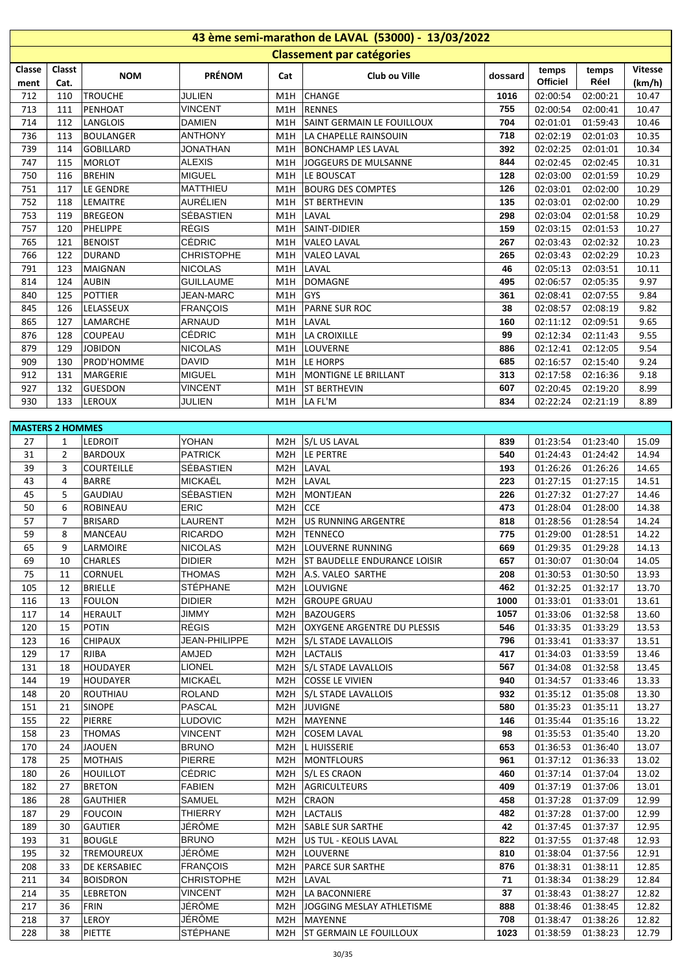| 43 ème semi-marathon de LAVAL (53000) - 13/03/2022 |                         |                                |                                  |                  |                                                        |              |                      |                      |                |  |  |
|----------------------------------------------------|-------------------------|--------------------------------|----------------------------------|------------------|--------------------------------------------------------|--------------|----------------------|----------------------|----------------|--|--|
|                                                    |                         |                                |                                  |                  | <b>Classement par catégories</b>                       |              |                      |                      |                |  |  |
| Classe                                             | Classt                  |                                |                                  |                  |                                                        |              | temps                | temps                | <b>Vitesse</b> |  |  |
| ment                                               | Cat.                    | <b>NOM</b>                     | <b>PRÉNOM</b>                    | Cat              | Club ou Ville                                          | dossard      | <b>Officiel</b>      | Réel                 | (km/h)         |  |  |
| 712                                                | 110                     | <b>TROUCHE</b>                 | <b>JULIEN</b>                    | M1H              | <b>CHANGE</b>                                          | 1016         | 02:00:54             | 02:00:21             | 10.47          |  |  |
| 713                                                | 111                     | PENHOAT                        | <b>VINCENT</b>                   | M1H              | <b>RENNES</b>                                          | 755          | 02:00:54             | 02:00:41             | 10.47          |  |  |
| 714                                                | 112                     | LANGLOIS                       | DAMIEN                           | M1H              | SAINT GERMAIN LE FOUILLOUX                             | 704          | 02:01:01             | 01:59:43             | 10.46          |  |  |
| 736                                                | 113                     | <b>BOULANGER</b>               | ANTHONY                          | M1H              | LA CHAPELLE RAINSOUIN                                  | 718          | 02:02:19             | 02:01:03             | 10.35          |  |  |
| 739                                                | 114                     | <b>GOBILLARD</b>               | <b>JONATHAN</b>                  | M1H              | <b>BONCHAMP LES LAVAL</b>                              | 392          | 02:02:25             | 02:01:01             | 10.34          |  |  |
| 747                                                | 115                     | MORLOT                         | <b>ALEXIS</b>                    | M1H              | JOGGEURS DE MULSANNE                                   | 844          | 02:02:45             | 02:02:45             | 10.31          |  |  |
| 750                                                | 116                     | <b>BREHIN</b>                  | <b>MIGUEL</b>                    |                  | M1H   LE BOUSCAT                                       | 128          | 02:03:00             | 02:01:59             | 10.29          |  |  |
| 751                                                | 117                     | LE GENDRE                      | MATTHIEU                         |                  | M1H   BOURG DES COMPTES                                | 126          | 02:03:01             | 02:02:00             | 10.29          |  |  |
| 752                                                | 118                     | LEMAITRE                       | AURÉLIEN                         | M1H              | <b>ST BERTHEVIN</b>                                    | 135          | 02:03:01             | 02:02:00             | 10.29          |  |  |
| 753                                                | 119                     | <b>BREGEON</b>                 | SÉBASTIEN                        | M1H              | LAVAL                                                  | 298          | 02:03:04             | 02:01:58             | 10.29          |  |  |
| 757                                                | 120                     | PHELIPPE                       | <b>RÉGIS</b>                     | M1H              | SAINT-DIDIER                                           | 159          | 02:03:15             | 02:01:53             | 10.27          |  |  |
| 765                                                | 121                     | <b>BENOIST</b>                 | <b>CÉDRIC</b>                    | M1H              | <b>VALEO LAVAL</b>                                     | 267          | 02:03:43             | 02:02:32             | 10.23          |  |  |
| 766                                                | 122                     | <b>DURAND</b>                  | <b>CHRISTOPHE</b>                | M1H              | <b>VALEO LAVAL</b>                                     | 265          | 02:03:43             | 02:02:29             | 10.23          |  |  |
| 791                                                | 123                     | <b>MAIGNAN</b>                 | <b>NICOLAS</b>                   | M1H              | LAVAL                                                  | 46           | 02:05:13             | 02:03:51             | 10.11          |  |  |
| 814                                                | 124                     | <b>AUBIN</b>                   | <b>GUILLAUME</b>                 | M1H              | DOMAGNE                                                | 495          | 02:06:57             | 02:05:35             | 9.97           |  |  |
| 840                                                | 125                     | <b>POTTIER</b>                 | <b>JEAN-MARC</b>                 | M1H              | GYS                                                    | 361          | 02:08:41             | 02:07:55             | 9.84           |  |  |
| 845                                                | 126                     | LELASSEUX                      | <b>FRANÇOIS</b>                  | M1H              | <b>PARNE SUR ROC</b>                                   | 38           | 02:08:57             | 02:08:19             | 9.82           |  |  |
| 865                                                | 127                     | LAMARCHE                       | ARNAUD                           | M1H              | LAVAL                                                  | 160          | 02:11:12             | 02:09:51             | 9.65           |  |  |
| 876                                                | 128                     | <b>COUPEAU</b>                 | CÉDRIC                           | M1H              | LA CROIXILLE                                           | 99           | 02:12:34             | 02:11:43             | 9.55           |  |  |
| 879                                                | 129                     | <b>JOBIDON</b>                 | <b>NICOLAS</b>                   |                  | M1H LOUVERNE                                           | 886          | 02:12:41             | 02:12:05             | 9.54           |  |  |
| 909                                                | 130                     | PROD'HOMME                     | <b>DAVID</b>                     | M1H              | LE HORPS                                               | 685          | 02:16:57             | 02:15:40             | 9.24           |  |  |
| 912                                                | 131                     | MARGERIE                       | <b>MIGUEL</b>                    | M1H              | MONTIGNE LE BRILLANT                                   | 313          | 02:17:58             | 02:16:36             | 9.18           |  |  |
| 927                                                | 132                     | GUESDON                        | <b>VINCENT</b>                   | M1H              | <b>ST BERTHEVIN</b>                                    | 607          | 02:20:45             | 02:19:20             | 8.99           |  |  |
| 930                                                | 133                     | <b>LEROUX</b>                  | JULIEN                           | M1H              | LA FL'M                                                | 834          | 02:22:24             | 02:21:19             | 8.89           |  |  |
|                                                    |                         |                                |                                  |                  |                                                        |              |                      |                      |                |  |  |
|                                                    | <b>MASTERS 2 HOMMES</b> |                                |                                  |                  |                                                        |              |                      |                      |                |  |  |
| 27                                                 | 1                       | <b>LEDROIT</b>                 | YOHAN                            |                  | M2H S/L US LAVAL                                       | 839          | 01:23:54             | 01:23:40             | 15.09          |  |  |
| 31                                                 | $\overline{2}$          | <b>BARDOUX</b>                 | <b>PATRICK</b>                   | M2H              | LE PERTRE                                              | 540          | 01:24:43             | 01:24:42             | 14.94          |  |  |
| 39                                                 | 3                       | <b>COURTEILLE</b>              | SÉBASTIEN                        | M2H              | LAVAL                                                  | 193          | 01:26:26             | 01:26:26             | 14.65          |  |  |
| 43                                                 | $\overline{4}$          | <b>BARRE</b>                   | MICKAËL                          | M2H              | LAVAL                                                  | 223          | 01:27:15             | 01:27:15             | 14.51          |  |  |
| 45                                                 | 5                       | <b>GAUDIAU</b>                 | SÉBASTIEN                        | M2H              | MONTJEAN                                               | 226          | 01:27:32             | 01:27:27             | 14.46          |  |  |
| 50                                                 | 6                       | <b>ROBINEAU</b>                | ERIC                             | M <sub>2</sub> H | <b>CCE</b>                                             | 473          | 01:28:04             | 01:28:00             | 14.38          |  |  |
| 57                                                 | $\overline{7}$          | <b>BRISARD</b>                 | LAURENT                          |                  | M2H   US RUNNING ARGENTRE                              | 818          | 01:28:56             | 01:28:54             | 14.24          |  |  |
| 59                                                 | 8                       | <b>MANCEAU</b>                 | <b>RICARDO</b>                   |                  | M2H TENNECO                                            | 775          | 01:29:00             | 01:28:51             | 14.22          |  |  |
| 65                                                 | 9                       | LARMOIRE                       | <b>NICOLAS</b>                   |                  | M2H LOUVERNE RUNNING                                   | 669          |                      | 01:29:35 01:29:28    | 14.13          |  |  |
| 69                                                 | 10                      | <b>CHARLES</b>                 | <b>DIDIER</b>                    |                  | M2H ST BAUDELLE ENDURANCE LOISIR                       | 657          | 01:30:07<br>01:30:53 | 01:30:04             | 14.05          |  |  |
| 75                                                 | 11                      | <b>CORNUEL</b>                 | <b>THOMAS</b><br><b>STÉPHANE</b> | M2H              | A.S. VALEO SARTHE<br>M2H LOUVIGNE                      | 208<br>462   |                      | 01:30:50             | 13.93          |  |  |
| 105                                                | 12                      | <b>BRIELLE</b>                 | <b>DIDIER</b>                    |                  |                                                        |              | 01:32:25             | 01:32:17             | 13.70          |  |  |
| 116                                                | 13                      | <b>FOULON</b>                  | JIMMY                            | M2H              | <b>GROUPE GRUAU</b>                                    | 1000<br>1057 | 01:33:01             | 01:33:01             | 13.61          |  |  |
| 117<br>120                                         | 14<br>15                | <b>HERAULT</b><br><b>POTIN</b> | <b>RÉGIS</b>                     | M2H<br>M2H       | <b>BAZOUGERS</b><br><b>OXYGENE ARGENTRE DU PLESSIS</b> | 546          | 01:33:06<br>01:33:35 | 01:32:58             | 13.60<br>13.53 |  |  |
| 123                                                | 16                      | <b>CHIPAUX</b>                 | JEAN-PHILIPPE                    |                  |                                                        | 796          | 01:33:41             | 01:33:29             |                |  |  |
| 129                                                | 17                      | <b>RJIBA</b>                   | AMJED                            | M2H              | S/L STADE LAVALLOIS<br><b>LACTALIS</b>                 | 417          | 01:34:03             | 01:33:37             | 13.51<br>13.46 |  |  |
| 131                                                | 18                      | <b>HOUDAYER</b>                | <b>LIONEL</b>                    | M2H              | M2H S/L STADE LAVALLOIS                                | 567          | 01:34:08             | 01:33:59<br>01:32:58 | 13.45          |  |  |
| 144                                                | 19                      | HOUDAYER                       | <b>MICKAËL</b>                   |                  | M2H COSSE LE VIVIEN                                    | 940          | 01:34:57             | 01:33:46             | 13.33          |  |  |
| 148                                                | 20                      | ROUTHIAU                       | <b>ROLAND</b>                    |                  | M2H S/L STADE LAVALLOIS                                | 932          | 01:35:12             | 01:35:08             | 13.30          |  |  |
| 151                                                | 21                      | <b>SINOPE</b>                  | PASCAL                           |                  | M2H JUVIGNE                                            | 580          | 01:35:23             | 01:35:11             | 13.27          |  |  |
| 155                                                | 22                      | PIERRE                         | <b>LUDOVIC</b>                   |                  | M2H MAYENNE                                            | 146          | 01:35:44             | 01:35:16             | 13.22          |  |  |
| 158                                                | 23                      | <b>THOMAS</b>                  | <b>VINCENT</b>                   | M2H              | <b>COSEM LAVAL</b>                                     | 98           | 01:35:53             | 01:35:40             | 13.20          |  |  |
| 170                                                | 24                      | <b>JAOUEN</b>                  | <b>BRUNO</b>                     | M2H              | L HUISSERIE                                            | 653          | 01:36:53             | 01:36:40             | 13.07          |  |  |
| 178                                                | 25                      | <b>MOTHAIS</b>                 | PIERRE                           | M2H              | MONTFLOURS                                             | 961          | 01:37:12             | 01:36:33             | 13.02          |  |  |
| 180                                                | 26                      | <b>HOUILLOT</b>                | CÉDRIC                           |                  | M2H S/L ES CRAON                                       | 460          | 01:37:14             | 01:37:04             | 13.02          |  |  |
| 182                                                | 27                      | <b>BRETON</b>                  | <b>FABIEN</b>                    | M2H              | AGRICULTEURS                                           | 409          | 01:37:19             | 01:37:06             | 13.01          |  |  |
| 186                                                | 28                      | <b>GAUTHIER</b>                | SAMUEL                           | M2H              | <b>CRAON</b>                                           | 458          | 01:37:28             | 01:37:09             | 12.99          |  |  |
| 187                                                | 29                      | <b>FOUCOIN</b>                 | <b>THIERRY</b>                   | M2H              | <b>LACTALIS</b>                                        | 482          | 01:37:28             | 01:37:00             | 12.99          |  |  |
| 189                                                | 30                      | <b>GAUTIER</b>                 | JÉRÔME                           | M2H              | <b>SABLE SUR SARTHE</b>                                | 42           | 01:37:45             | 01:37:37             | 12.95          |  |  |
| 193                                                | 31                      | <b>BOUGLE</b>                  | <b>BRUNO</b>                     |                  | M2H   US TUL - KEOLIS LAVAL                            | 822          | 01:37:55             | 01:37:48             | 12.93          |  |  |
| 195                                                | 32                      | TREMOUREUX                     | JÉRÔME                           |                  | M2H  LOUVERNE                                          | 810          | 01:38:04             | 01:37:56             | 12.91          |  |  |
| 208                                                | 33                      | <b>DE KERSABIEC</b>            | <b>FRANÇOIS</b>                  | M2H              | <b>PARCE SUR SARTHE</b>                                | 876          | 01:38:31             | 01:38:11             | 12.85          |  |  |
| 211                                                | 34                      | <b>BOISDRON</b>                | <b>CHRISTOPHE</b>                | M2H              | LAVAL                                                  | 71           | 01:38:34             | 01:38:29             | 12.84          |  |  |
| 214                                                | 35                      | <b>LEBRETON</b>                | <b>VINCENT</b>                   | M2H              | LA BACONNIERE                                          | 37           | 01:38:43             | 01:38:27             | 12.82          |  |  |
| 217                                                | 36                      | <b>FRIN</b>                    | JÉRÔME                           | M2H              | JOGGING MESLAY ATHLETISME                              | 888          | 01:38:46             | 01:38:45             | 12.82          |  |  |
| 218                                                | 37                      | LEROY                          | JÉRÔME                           | M2H              | MAYENNE                                                | 708          | 01:38:47             | 01:38:26             | 12.82          |  |  |
| 228                                                | 38                      | <b>PIETTE</b>                  | STÉPHANE                         |                  | M2H   ST GERMAIN LE FOUILLOUX                          | 1023         | 01:38:59             | 01:38:23             | 12.79          |  |  |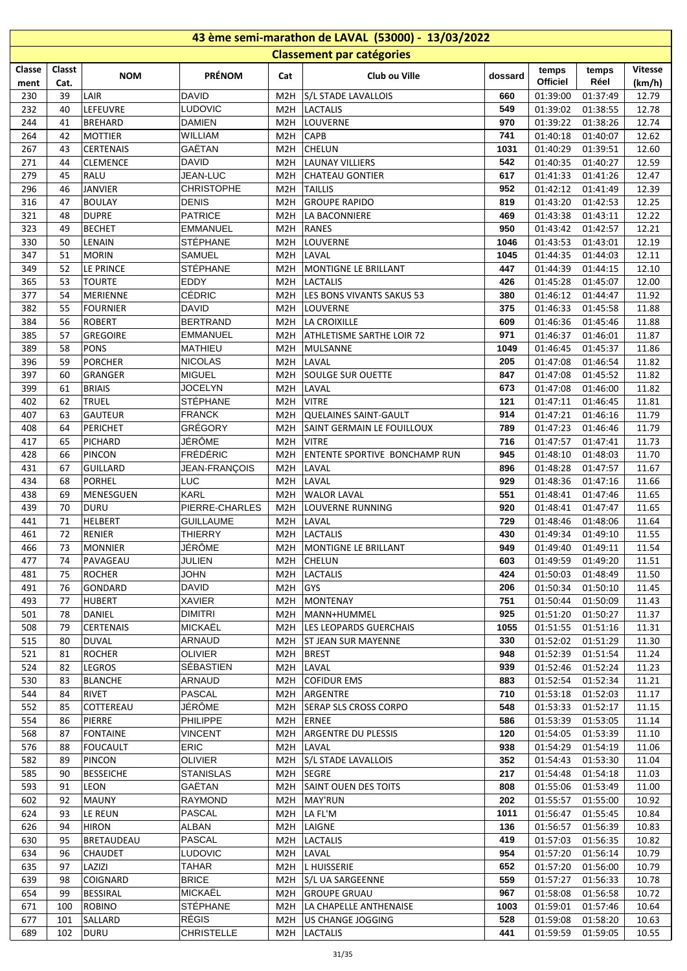| 43 ème semi-marathon de LAVAL (53000) - 13/03/2022 |          |                                    |                                 |                         |                                                  |             |                      |                      |                |  |  |  |
|----------------------------------------------------|----------|------------------------------------|---------------------------------|-------------------------|--------------------------------------------------|-------------|----------------------|----------------------|----------------|--|--|--|
|                                                    |          |                                    |                                 |                         | <b>Classement par catégories</b>                 |             |                      |                      |                |  |  |  |
| Classe                                             | Classt   |                                    | <b>PRÉNOM</b>                   |                         |                                                  |             | temps                | temps                | <b>Vitesse</b> |  |  |  |
| ment                                               | Cat.     | <b>NOM</b>                         |                                 | Cat                     | Club ou Ville                                    | dossard     | Officiel             | Réel                 | (km/h)         |  |  |  |
| 230                                                | 39       | LAIR                               | <b>DAVID</b>                    | M <sub>2</sub> H        | S/L STADE LAVALLOIS                              | 660         | 01:39:00             | 01:37:49             | 12.79          |  |  |  |
| 232                                                | 40       | LEFEUVRE                           | <b>LUDOVIC</b>                  | M <sub>2</sub> H        | <b>LACTALIS</b>                                  | 549         | 01:39:02             | 01:38:55             | 12.78          |  |  |  |
| 244                                                | 41       | <b>BREHARD</b>                     | <b>DAMIEN</b>                   | M2H                     | LOUVERNE                                         | 970         | 01:39:22             | 01:38:26             | 12.74          |  |  |  |
| 264                                                | 42       | MOTTIER                            | WILLIAM                         | M2H                     | <b>CAPB</b>                                      | 741         | 01:40:18             | 01:40:07             | 12.62          |  |  |  |
| 267                                                | 43       | <b>CERTENAIS</b>                   | GAËTAN                          | M2H                     | <b>CHELUN</b>                                    | 1031<br>542 | 01:40:29             | 01:39:51             | 12.60          |  |  |  |
| 271<br>279                                         | 44<br>45 | <b>CLEMENCE</b><br><b>RALU</b>     | <b>DAVID</b><br><b>JEAN-LUC</b> | M2H<br>M2H              | <b>LAUNAY VILLIERS</b><br><b>CHATEAU GONTIER</b> | 617         | 01:40:35<br>01:41:33 | 01:40:27<br>01:41:26 | 12.59<br>12.47 |  |  |  |
| 296                                                | 46       | <b>JANVIER</b>                     | <b>CHRISTOPHE</b>               | M2H                     | <b>TAILLIS</b>                                   | 952         | 01:42:12             | 01:41:49             | 12.39          |  |  |  |
| 316                                                | 47       | <b>BOULAY</b>                      | <b>DENIS</b>                    | M <sub>2</sub> H        | <b>GROUPE RAPIDO</b>                             | 819         | 01:43:20             | 01:42:53             | 12.25          |  |  |  |
| 321                                                | 48       | <b>DUPRE</b>                       | <b>PATRICE</b>                  |                         | M2H LA BACONNIERE                                | 469         | 01:43:38             | 01:43:11             | 12.22          |  |  |  |
| 323                                                | 49       | <b>BECHET</b>                      | <b>EMMANUEL</b>                 | M2H                     | RANES                                            | 950         | 01:43:42             | 01:42:57             | 12.21          |  |  |  |
| 330                                                | 50       | LENAIN                             | STÉPHANE                        | M2H                     | LOUVERNE                                         | 1046        | 01:43:53             | 01:43:01             | 12.19          |  |  |  |
| 347                                                | 51       | MORIN                              | SAMUEL                          | M2H                     | LAVAL                                            | 1045        | 01:44:35             | 01:44:03             | 12.11          |  |  |  |
| 349                                                | 52       | LE PRINCE                          | STÉPHANE                        | M <sub>2</sub> H        | MONTIGNE LE BRILLANT                             | 447         | 01:44:39             | 01:44:15             | 12.10          |  |  |  |
| 365                                                | 53       | <b>TOURTE</b>                      | <b>EDDY</b>                     | M <sub>2</sub> H        | <b>LACTALIS</b>                                  | 426         | 01:45:28             | 01:45:07             | 12.00          |  |  |  |
| 377                                                | 54       | MERIENNE                           | CÉDRIC                          | M2H                     | LES BONS VIVANTS SAKUS 53                        | 380         | 01:46:12             | 01:44:47             | 11.92          |  |  |  |
| 382                                                | 55       | <b>FOURNIER</b>                    | <b>DAVID</b>                    | M2H                     | LOUVERNE                                         | 375         | 01:46:33             | 01:45:58             | 11.88          |  |  |  |
| 384                                                | 56       | <b>ROBERT</b>                      | <b>BERTRAND</b>                 | M2H                     | LA CROIXILLE                                     | 609         | 01:46:36             | 01:45:46             | 11.88          |  |  |  |
| 385                                                | 57       | <b>GREGOIRE</b>                    | EMMANUEL                        | M2H                     | ATHLETISME SARTHE LOIR 72                        | 971         | 01:46:37             | 01:46:01             | 11.87          |  |  |  |
| 389                                                | 58       | <b>PONS</b>                        | <b>MATHIEU</b>                  | M2H                     | MULSANNE                                         | 1049        | 01:46:45             | 01:45:37             | 11.86          |  |  |  |
| 396                                                | 59       | <b>PORCHER</b>                     | <b>NICOLAS</b>                  | M2H                     | LAVAL                                            | 205         | 01:47:08             | 01:46:54             | 11.82          |  |  |  |
| 397                                                | 60       | <b>GRANGER</b>                     | <b>MIGUEL</b>                   | M <sub>2</sub> H        | <b>SOULGE SUR OUETTE</b>                         | 847         | 01:47:08             | 01:45:52             | 11.82          |  |  |  |
| 399                                                | 61       | <b>BRIAIS</b>                      | JOCELYN                         | M2H                     | LAVAL                                            | 673         | 01:47:08             | 01:46:00             | 11.82          |  |  |  |
| 402<br>407                                         | 62       | TRUEL<br><b>GAUTEUR</b>            | STÉPHANE<br><b>FRANCK</b>       | M2H<br>M <sub>2</sub> H | <b>VITRE</b><br>QUELAINES SAINT-GAULT            | 121<br>914  | 01:47:11             | 01:46:45             | 11.81<br>11.79 |  |  |  |
| 408                                                | 63<br>64 | PERICHET                           | GRÉGORY                         | M <sub>2</sub> H        | SAINT GERMAIN LE FOUILLOUX                       | 789         | 01:47:21<br>01:47:23 | 01:46:16<br>01:46:46 | 11.79          |  |  |  |
| 417                                                | 65       | PICHARD                            | JÉRÔME                          | M2H                     | <b>VITRE</b>                                     | 716         | 01:47:57             | 01:47:41             | 11.73          |  |  |  |
| 428                                                | 66       | PINCON                             | <b>FRÉDÉRIC</b>                 | M <sub>2</sub> H        | <b>ENTENTE SPORTIVE BONCHAMP RUN</b>             | 945         | 01:48:10             | 01:48:03             | 11.70          |  |  |  |
| 431                                                | 67       | <b>GUILLARD</b>                    | JEAN-FRANÇOIS                   | M2H                     | LAVAL                                            | 896         | 01:48:28             | 01:47:57             | 11.67          |  |  |  |
| 434                                                | 68       | PORHEL                             | LUC                             | M2H                     | LAVAL                                            | 929         | 01:48:36             | 01:47:16             | 11.66          |  |  |  |
| 438                                                | 69       | <b>MENESGUEN</b>                   | <b>KARL</b>                     | M2H                     | <b>WALOR LAVAL</b>                               | 551         | 01:48:41             | 01:47:46             | 11.65          |  |  |  |
| 439                                                | 70       | <b>DURU</b>                        | PIERRE-CHARLES                  | M2H                     | LOUVERNE RUNNING                                 | 920         | 01:48:41             | 01:47:47             | 11.65          |  |  |  |
| 441                                                | 71       | <b>HELBERT</b>                     | <b>GUILLAUME</b>                |                         | M2H LAVAL                                        | 729         | 01:48:46             | 01:48:06             | 11.64          |  |  |  |
| 461                                                | 72       | RENIER                             | <b>THIERRY</b>                  |                         | M2H   LACTALIS                                   | 430         |                      | 01:49:34 01:49:10    | 11.55          |  |  |  |
| 466                                                | 73       | <b>MONNIER</b>                     | JÉRÔME                          |                         | M2H MONTIGNE LE BRILLANT                         | 949         |                      | 01:49:40  01:49:11   | 11.54          |  |  |  |
| 477                                                | 74       | PAVAGEAU                           | JULIEN                          |                         | M2H CHELUN                                       | 603         | 01:49:59             | 01:49:20             | 11.51          |  |  |  |
| 481                                                | 75       | <b>ROCHER</b>                      | <b>JOHN</b>                     | M2H                     | <b>LACTALIS</b>                                  | 424         | 01:50:03             | 01:48:49             | 11.50          |  |  |  |
| 491                                                | 76       | GONDARD                            | <b>DAVID</b>                    | M2H                     | <b>GYS</b>                                       | 206         | 01:50:34             | 01:50:10             | 11.45          |  |  |  |
| 493                                                | 77       | <b>HUBERT</b>                      | <b>XAVIER</b>                   | M2H                     | MONTENAY                                         | 751         | 01:50:44             | 01:50:09             | 11.43          |  |  |  |
| 501                                                | 78       | DANIEL                             | <b>DIMITRI</b>                  | M2H                     | MANN+HUMMEL                                      | 925         | 01:51:20             | 01:50:27             | 11.37          |  |  |  |
| 508                                                | 79       | <b>CERTENAIS</b>                   | MICKAËL                         | M2H                     | LES LEOPARDS GUERCHAIS                           | 1055        | 01:51:55             | 01:51:16             | 11.31          |  |  |  |
| 515                                                | 80       | <b>DUVAL</b><br><b>ROCHER</b>      | ARNAUD<br><b>OLIVIER</b>        | M2H                     | <b>ST JEAN SUR MAYENNE</b>                       | 330<br>948  | 01:52:02             | 01:51:29             | 11.30          |  |  |  |
| 521<br>524                                         | 81<br>82 | <b>LEGROS</b>                      | SÉBASTIEN                       | M2H<br>M2H              | <b>BREST</b><br>LAVAL                            | 939         | 01:52:39<br>01:52:46 | 01:51:54<br>01:52:24 | 11.24<br>11.23 |  |  |  |
| 530                                                | 83       | <b>BLANCHE</b>                     | ARNAUD                          | M2H                     | <b>COFIDUR EMS</b>                               | 883         | 01:52:54             | 01:52:34             | 11.21          |  |  |  |
| 544                                                | 84       | <b>RIVET</b>                       | PASCAL                          | M2H                     | ARGENTRE                                         | 710         | 01:53:18             | 01:52:03             | 11.17          |  |  |  |
| 552                                                | 85       | COTTEREAU                          | JÉRÔME                          |                         | M2H SERAP SLS CROSS CORPO                        | 548         | 01:53:33             | 01:52:17             | 11.15          |  |  |  |
| 554                                                | 86       | PIERRE                             | PHILIPPE                        |                         | M2H ERNEE                                        | 586         | 01:53:39             | 01:53:05             | 11.14          |  |  |  |
| 568                                                | 87       | <b>FONTAINE</b>                    | <b>VINCENT</b>                  | M2H                     | <b>ARGENTRE DU PLESSIS</b>                       | 120         | 01:54:05             | 01:53:39             | 11.10          |  |  |  |
| 576                                                | 88       | <b>FOUCAULT</b>                    | <b>ERIC</b>                     | M2H                     | LAVAL                                            | 938         | 01:54:29             | 01:54:19             | 11.06          |  |  |  |
| 582                                                | 89       | <b>PINCON</b>                      | <b>OLIVIER</b>                  | M2H                     | S/L STADE LAVALLOIS                              | 352         | 01:54:43             | 01:53:30             | 11.04          |  |  |  |
| 585                                                | 90       | <b>BESSEICHE</b>                   | <b>STANISLAS</b>                | M2H                     | SEGRE                                            | 217         | 01:54:48             | 01:54:18             | 11.03          |  |  |  |
| 593                                                | 91       | LEON                               | GAËTAN                          | M2H                     | <b>SAINT OUEN DES TOITS</b>                      | 808         | 01:55:06             | 01:53:49             | 11.00          |  |  |  |
| 602                                                | 92       | <b>MAUNY</b>                       | <b>RAYMOND</b>                  | M2H                     | MAY'RUN                                          | 202         | 01:55:57             | 01:55:00             | 10.92          |  |  |  |
| 624                                                | 93       | LE REUN                            | <b>PASCAL</b>                   | M2H                     | LA FL'M                                          | 1011        | 01:56:47             | 01:55:45             | 10.84          |  |  |  |
| 626                                                | 94       | <b>HIRON</b>                       | ALBAN                           | M2H                     | LAIGNE                                           | 136         | 01:56:57             | 01:56:39             | 10.83          |  |  |  |
| 630                                                | 95       | BRETAUDEAU                         | <b>PASCAL</b>                   | M2H                     | LACTALIS                                         | 419         | 01:57:03             | 01:56:35             | 10.82          |  |  |  |
| 634                                                | 96       | <b>CHAUDET</b>                     | LUDOVIC                         | M2H                     | LAVAL                                            | 954         | 01:57:20             | 01:56:14             | 10.79          |  |  |  |
| 635                                                | 97       | LAZIZI                             | <b>TAHAR</b><br><b>BRICE</b>    |                         | M2H  L HUISSERIE                                 | 652         | 01:57:20             | 01:56:00             | 10.79          |  |  |  |
| 639<br>654                                         | 98<br>99 | <b>COIGNARD</b><br><b>BESSIRAL</b> | MICKAËL                         |                         | M2H S/L UA SARGEENNE<br>M2H GROUPE GRUAU         | 559<br>967  | 01:57:27<br>01:58:08 | 01:56:33<br>01:56:58 | 10.78<br>10.72 |  |  |  |
| 671                                                | 100      | <b>ROBINO</b>                      | STÉPHANE                        |                         | M2H   LA CHAPELLE ANTHENAISE                     | 1003        | 01:59:01             | 01:57:46             | 10.64          |  |  |  |
| 677                                                | 101      | SALLARD                            | RÉGIS                           | M2H                     | US CHANGE JOGGING                                | 528         | 01:59:08             | 01:58:20             | 10.63          |  |  |  |
| 689                                                | 102      | <b>DURU</b>                        | <b>CHRISTELLE</b>               |                         | M2H   LACTALIS                                   | 441         | 01:59:59             | 01:59:05             | 10.55          |  |  |  |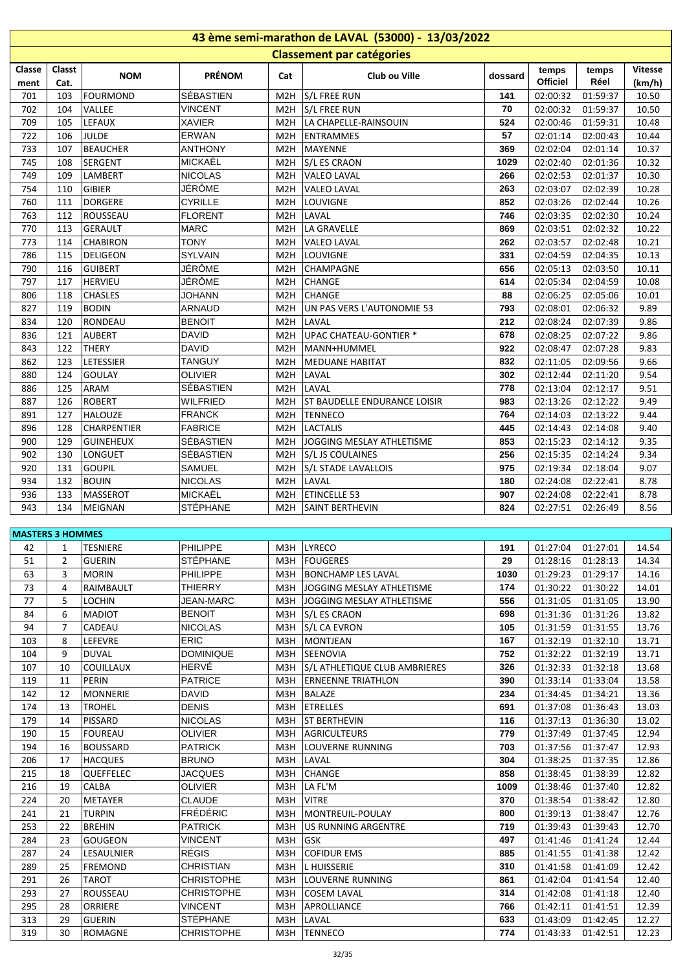|                         | 43 ème semi-marathon de LAVAL (53000) - 13/03/2022 |                    |                  |                  |                                  |         |                   |               |                          |  |  |  |  |
|-------------------------|----------------------------------------------------|--------------------|------------------|------------------|----------------------------------|---------|-------------------|---------------|--------------------------|--|--|--|--|
|                         |                                                    |                    |                  |                  | <b>Classement par catégories</b> |         |                   |               |                          |  |  |  |  |
| Classe<br>ment          | Classt<br>Cat.                                     | <b>NOM</b>         | <b>PRÉNOM</b>    | Cat              | Club ou Ville                    | dossard | temps<br>Officiel | temps<br>Réel | <b>Vitesse</b><br>(km/h) |  |  |  |  |
| 701                     | 103                                                | <b>FOURMOND</b>    | SÉBASTIEN        | M2H              | S/L FREE RUN                     | 141     | 02:00:32          | 01:59:37      | 10.50                    |  |  |  |  |
| 702                     | 104                                                | VALLEE             | <b>VINCENT</b>   | M <sub>2</sub> H | S/L FREE RUN                     | 70      | 02:00:32          | 01:59:37      | 10.50                    |  |  |  |  |
| 709                     | 105                                                | LEFAUX             | <b>XAVIER</b>    | M2H              | LA CHAPELLE-RAINSOUIN            | 524     | 02:00:46          | 01:59:31      | 10.48                    |  |  |  |  |
| 722                     | 106                                                | JULDE              | <b>ERWAN</b>     | M2H              | ENTRAMMES                        | 57      | 02:01:14          | 02:00:43      | 10.44                    |  |  |  |  |
| 733                     | 107                                                | <b>BEAUCHER</b>    | <b>ANTHONY</b>   | M2H              | MAYENNE                          | 369     | 02:02:04          | 02:01:14      | 10.37                    |  |  |  |  |
| 745                     | 108                                                | <b>SERGENT</b>     | <b>MICKAËL</b>   | M <sub>2</sub> H | S/L ES CRAON                     | 1029    | 02:02:40          | 02:01:36      | 10.32                    |  |  |  |  |
| 749                     | 109                                                | LAMBERT            | <b>NICOLAS</b>   | M <sub>2</sub> H | <b>VALEO LAVAL</b>               | 266     | 02:02:53          | 02:01:37      | 10.30                    |  |  |  |  |
| 754                     | 110                                                | <b>GIBIER</b>      | JÉRÔME           | M <sub>2</sub> H | <b>VALEO LAVAL</b>               | 263     | 02:03:07          | 02:02:39      | 10.28                    |  |  |  |  |
| 760                     | 111                                                | <b>DORGERE</b>     | <b>CYRILLE</b>   | M <sub>2</sub> H | LOUVIGNE                         | 852     | 02:03:26          | 02:02:44      | 10.26                    |  |  |  |  |
| 763                     | 112                                                | ROUSSEAU           | <b>FLORENT</b>   | M <sub>2</sub> H | LAVAL                            | 746     | 02:03:35          | 02:02:30      | 10.24                    |  |  |  |  |
| 770                     | 113                                                | <b>GERAULT</b>     | <b>MARC</b>      | M2H              | LA GRAVELLE                      | 869     | 02:03:51          | 02:02:32      | 10.22                    |  |  |  |  |
| 773                     | 114                                                | <b>CHABIRON</b>    | <b>TONY</b>      | M <sub>2</sub> H | <b>VALEO LAVAL</b>               | 262     | 02:03:57          | 02:02:48      | 10.21                    |  |  |  |  |
| 786                     | 115                                                | DELIGEON           | <b>SYLVAIN</b>   | M <sub>2</sub> H | LOUVIGNE                         | 331     | 02:04:59          | 02:04:35      | 10.13                    |  |  |  |  |
| 790                     | 116                                                | <b>GUIBERT</b>     | JÉRÔME           | M <sub>2</sub> H | <b>CHAMPAGNE</b>                 | 656     | 02:05:13          | 02:03:50      | 10.11                    |  |  |  |  |
| 797                     | 117                                                | <b>HERVIEU</b>     | JÉRÔME           | M2H              | <b>CHANGE</b>                    | 614     | 02:05:34          | 02:04:59      | 10.08                    |  |  |  |  |
| 806                     | 118                                                | <b>CHASLES</b>     | <b>JOHANN</b>    | M <sub>2</sub> H | <b>CHANGE</b>                    | 88      | 02:06:25          | 02:05:06      | 10.01                    |  |  |  |  |
| 827                     | 119                                                | <b>BODIN</b>       | <b>ARNAUD</b>    | M2H              | UN PAS VERS L'AUTONOMIE 53       | 793     | 02:08:01          | 02:06:32      | 9.89                     |  |  |  |  |
| 834                     | 120                                                | RONDEAU            | <b>BENOIT</b>    | M <sub>2</sub> H | LAVAL                            | 212     | 02:08:24          | 02:07:39      | 9.86                     |  |  |  |  |
| 836                     | 121                                                | <b>AUBERT</b>      | <b>DAVID</b>     | M <sub>2</sub> H | <b>UPAC CHATEAU-GONTIER *</b>    | 678     | 02:08:25          | 02:07:22      | 9.86                     |  |  |  |  |
| 843                     | 122                                                | <b>THERY</b>       | <b>DAVID</b>     | M <sub>2</sub> H | MANN+HUMMEL                      | 922     | 02:08:47          | 02:07:28      | 9.83                     |  |  |  |  |
| 862                     | 123                                                | LETESSIER          | <b>TANGUY</b>    | M <sub>2</sub> H | <b>MEDUANE HABITAT</b>           | 832     | 02:11:05          | 02:09:56      | 9.66                     |  |  |  |  |
| 880                     | 124                                                | <b>GOULAY</b>      | <b>OLIVIER</b>   | M <sub>2</sub> H | LAVAL                            | 302     | 02:12:44          | 02:11:20      | 9.54                     |  |  |  |  |
| 886                     | 125                                                | ARAM               | SÉBASTIEN        | M <sub>2</sub> H | LAVAL                            | 778     | 02:13:04          | 02:12:17      | 9.51                     |  |  |  |  |
| 887                     | 126                                                | <b>ROBERT</b>      | <b>WILFRIED</b>  | M <sub>2</sub> H | ST BAUDELLE ENDURANCE LOISIR     | 983     | 02:13:26          | 02:12:22      | 9.49                     |  |  |  |  |
| 891                     | 127                                                | <b>HALOUZE</b>     | <b>FRANCK</b>    | M <sub>2</sub> H | <b>TENNECO</b>                   | 764     | 02:14:03          | 02:13:22      | 9.44                     |  |  |  |  |
| 896                     | 128                                                | <b>CHARPENTIER</b> | <b>FABRICE</b>   | M <sub>2</sub> H | <b>LACTALIS</b>                  | 445     | 02:14:43          | 02:14:08      | 9.40                     |  |  |  |  |
| 900                     | 129                                                | <b>GUINEHEUX</b>   | SÉBASTIEN        | M <sub>2</sub> H | JOGGING MESLAY ATHLETISME        | 853     | 02:15:23          | 02:14:12      | 9.35                     |  |  |  |  |
| 902                     | 130                                                | <b>LONGUET</b>     | SÉBASTIEN        | M2H              | S/L JS COULAINES                 | 256     | 02:15:35          | 02:14:24      | 9.34                     |  |  |  |  |
| 920                     | 131                                                | <b>GOUPIL</b>      | <b>SAMUEL</b>    | M2H              | S/L STADE LAVALLOIS              | 975     | 02:19:34          | 02:18:04      | 9.07                     |  |  |  |  |
| 934                     | 132                                                | <b>BOUIN</b>       | <b>NICOLAS</b>   | M <sub>2</sub> H | LAVAL                            | 180     | 02:24:08          | 02:22:41      | 8.78                     |  |  |  |  |
| 936                     | 133                                                | <b>MASSEROT</b>    | <b>MICKAËL</b>   | M <sub>2</sub> H | <b>ETINCELLE 53</b>              | 907     | 02:24:08          | 02:22:41      | 8.78                     |  |  |  |  |
| 943                     | 134                                                | MEIGNAN            | <b>STÉPHANE</b>  | M <sub>2</sub> H | <b>SAINT BERTHEVIN</b>           | 824     | 02:27:51          | 02:26:49      | 8.56                     |  |  |  |  |
| <b>MASTERS 3 HOMMES</b> |                                                    |                    |                  |                  |                                  |         |                   |               |                          |  |  |  |  |
| 42                      | 1                                                  | <b>TESNIERE</b>    | PHILIPPE         |                  | M3H   LYRECO                     | 191     | 01:27:04          | 01:27:01      | 14.54                    |  |  |  |  |
| 51                      | 2                                                  | <b>GUERIN</b>      | <b>STÉPHANE</b>  | мзн              | <b>FOUGERES</b>                  | 29      | 01:28:16          | 01:28:13      | 14.34                    |  |  |  |  |
| 63                      | 3                                                  | <b>MORIN</b>       | PHILIPPE         | M3H              | <b>BONCHAMP LES LAVAL</b>        | 1030    | 01:29:23          | 01:29:17      | 14.16                    |  |  |  |  |
| 73                      | 4                                                  | RAIMBAULT          | THIERRY          | M3H              | JOGGING MESLAY ATHLETISME        | 174     | 01:30:22          | 01:30:22      | 14.01                    |  |  |  |  |
| 77                      | 5                                                  | <b>LOCHIN</b>      | <b>JEAN-MARC</b> | M3H              | JOGGING MESLAY ATHLETISME        | 556     | 01:31:05          | 01:31:05      | 13.90                    |  |  |  |  |
| 84                      | 6                                                  | <b>MADIOT</b>      | <b>BENOIT</b>    |                  | M3H S/L ES CRAON                 | 698     | 01:31:36          | 01:31:26      | 13.82                    |  |  |  |  |
| 94                      | 7                                                  | CADEAU             | <b>NICOLAS</b>   |                  | M3H S/L CA EVRON                 | 105     | 01:31:59          | 01:31:55      | 13.76                    |  |  |  |  |
| 103                     | 8                                                  | LEFEVRE            | <b>ERIC</b>      |                  | M3H   MONTJEAN                   | 167     | 01:32:19          | 01:32:10      | 13.71                    |  |  |  |  |
| 104                     | 9                                                  | <b>DUVAL</b>       | <b>DOMINIQUE</b> |                  | M3H SEENOVIA                     | 752     | 01:32:22          | 01:32:19      | 13.71                    |  |  |  |  |

| эı  | ∠              | <b>UULNIIV</b>   | <b>JILFIIAIVE</b> | <b>NUSH</b>      | <b>IFUUGENES</b>              | 43   | <b>01.20.10</b> | <b>01.20.15</b> | 14.34 |
|-----|----------------|------------------|-------------------|------------------|-------------------------------|------|-----------------|-----------------|-------|
| 63  | 3              | <b>MORIN</b>     | <b>PHILIPPE</b>   | M3H              | <b>BONCHAMP LES LAVAL</b>     | 1030 | 01:29:23        | 01:29:17        | 14.16 |
| 73  | 4              | RAIMBAULT        | THIERRY           | M3H              | JOGGING MESLAY ATHLETISME     | 174  | 01:30:22        | 01:30:22        | 14.01 |
| 77  | 5              | LOCHIN           | <b>JEAN-MARC</b>  | M3H              | JOGGING MESLAY ATHLETISME     | 556  | 01:31:05        | 01:31:05        | 13.90 |
| 84  | 6              | <b>MADIOT</b>    | <b>BENOIT</b>     | M3H              | S/L ES CRAON                  | 698  | 01:31:36        | 01:31:26        | 13.82 |
| 94  | $\overline{7}$ | CADEAU           | <b>NICOLAS</b>    | M3H              | S/L CA EVRON                  | 105  | 01:31:59        | 01:31:55        | 13.76 |
| 103 | 8              | LEFEVRE          | <b>ERIC</b>       | M3H              | <b>MONTJEAN</b>               | 167  | 01:32:19        | 01:32:10        | 13.71 |
| 104 | 9              | <b>DUVAL</b>     | <b>DOMINIQUE</b>  | M3H              | <b>SEENOVIA</b>               | 752  | 01:32:22        | 01:32:19        | 13.71 |
| 107 | 10             | COUILLAUX        | HERVÉ             | M3H              | S/L ATHLETIQUE CLUB AMBRIERES | 326  | 01:32:33        | 01:32:18        | 13.68 |
| 119 | 11             | <b>PERIN</b>     | <b>PATRICE</b>    | M3H              | <b>ERNEENNE TRIATHLON</b>     | 390  | 01:33:14        | 01:33:04        | 13.58 |
| 142 | 12             | <b>MONNERIE</b>  | <b>DAVID</b>      | M3H              | <b>BALAZE</b>                 | 234  | 01:34:45        | 01:34:21        | 13.36 |
| 174 | 13             | <b>TROHEL</b>    | <b>DENIS</b>      | M3H              | ETRELLES                      | 691  | 01:37:08        | 01:36:43        | 13.03 |
| 179 | 14             | <b>PISSARD</b>   | <b>NICOLAS</b>    | M3H              | <b>ST BERTHEVIN</b>           | 116  | 01:37:13        | 01:36:30        | 13.02 |
| 190 | 15             | <b>FOUREAU</b>   | <b>OLIVIER</b>    | M3H              | <b>AGRICULTEURS</b>           | 779  | 01:37:49        | 01:37:45        | 12.94 |
| 194 | 16             | <b>BOUSSARD</b>  | <b>PATRICK</b>    | M3H              | LOUVERNE RUNNING              | 703  | 01:37:56        | 01:37:47        | 12.93 |
| 206 | 17             | <b>HACQUES</b>   | <b>BRUNO</b>      | M3H              | LAVAL                         | 304  | 01:38:25        | 01:37:35        | 12.86 |
| 215 | 18             | <b>QUEFFELEC</b> | <b>JACQUES</b>    | M3H              | <b>CHANGE</b>                 | 858  | 01:38:45        | 01:38:39        | 12.82 |
| 216 | 19             | CALBA            | <b>OLIVIER</b>    | M3H              | LA FL'M                       | 1009 | 01:38:46        | 01:37:40        | 12.82 |
| 224 | 20             | <b>METAYER</b>   | <b>CLAUDE</b>     | M3H              | <b>VITRE</b>                  | 370  | 01:38:54        | 01:38:42        | 12.80 |
| 241 | 21             | <b>TURPIN</b>    | <b>FRÉDÉRIC</b>   | M3H              | MONTREUIL-POULAY              | 800  | 01:39:13        | 01:38:47        | 12.76 |
| 253 | 22             | <b>BREHIN</b>    | <b>PATRICK</b>    | M3H              | <b>US RUNNING ARGENTRE</b>    | 719  | 01:39:43        | 01:39:43        | 12.70 |
| 284 | 23             | <b>GOUGEON</b>   | <b>VINCENT</b>    | M3H              | <b>GSK</b>                    | 497  | 01:41:46        | 01:41:24        | 12.44 |
| 287 | 24             | LESAULNIER       | <b>RÉGIS</b>      | M3H              | <b>COFIDUR EMS</b>            | 885  | 01:41:55        | 01:41:38        | 12.42 |
| 289 | 25             | <b>FREMOND</b>   | <b>CHRISTIAN</b>  | M3H              | <b>L HUISSERIE</b>            | 310  | 01:41:58        | 01:41:09        | 12.42 |
| 291 | 26             | TAROT            | <b>CHRISTOPHE</b> | M3H              | LOUVERNE RUNNING              | 861  | 01:42:04        | 01:41:54        | 12.40 |
| 293 | 27             | ROUSSEAU         | <b>CHRISTOPHE</b> | M3H              | <b>COSEM LAVAL</b>            | 314  | 01:42:08        | 01:41:18        | 12.40 |
| 295 | 28             | ORRIERE          | <b>VINCENT</b>    | M <sub>3</sub> H | <b>APROLLIANCE</b>            | 766  | 01:42:11        | 01:41:51        | 12.39 |
| 313 | 29             | <b>GUERIN</b>    | <b>STÉPHANE</b>   | M3H              | LAVAL                         | 633  | 01:43:09        | 01:42:45        | 12.27 |
| 319 | 30             | <b>ROMAGNE</b>   | <b>CHRISTOPHE</b> | M3H              | <b>TENNECO</b>                | 774  | 01:43:33        | 01:42:51        | 12.23 |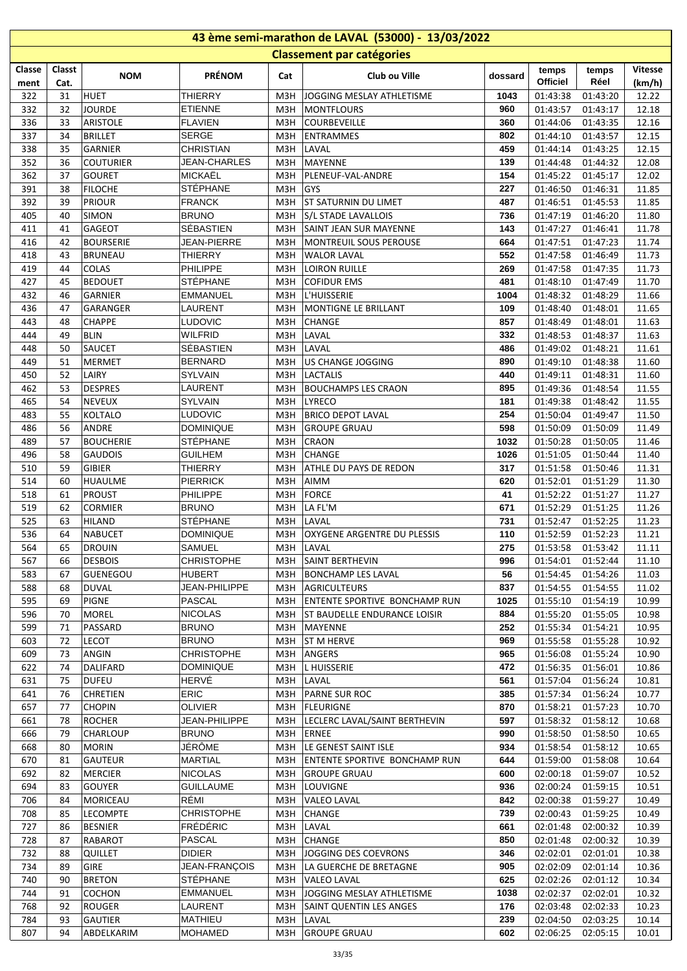| 43 ème semi-marathon de LAVAL (53000) - 13/03/2022 |          |                                    |                                   |            |                                         |             |                      |                      |                |  |  |
|----------------------------------------------------|----------|------------------------------------|-----------------------------------|------------|-----------------------------------------|-------------|----------------------|----------------------|----------------|--|--|
|                                                    |          |                                    |                                   |            | <b>Classement par catégories</b>        |             |                      |                      |                |  |  |
| Classe                                             | Classt   | <b>NOM</b>                         | <b>PRÉNOM</b>                     | Cat        | Club ou Ville                           | dossard     | temps                | temps                | <b>Vitesse</b> |  |  |
| ment                                               | Cat.     |                                    |                                   |            |                                         |             | <b>Officiel</b>      | Réel                 | (km/h)         |  |  |
| 322                                                | 31       | <b>HUET</b>                        | <b>THIERRY</b>                    | M3H        | JOGGING MESLAY ATHLETISME               | 1043        | 01:43:38             | 01:43:20             | 12.22          |  |  |
| 332                                                | 32       | <b>JOURDE</b>                      | <b>ETIENNE</b>                    | M3H        | <b>MONTFLOURS</b>                       | 960         | 01:43:57             | 01:43:17             | 12.18          |  |  |
| 336<br>337                                         | 33<br>34 | <b>ARISTOLE</b><br><b>BRILLET</b>  | <b>FLAVIEN</b><br><b>SERGE</b>    | M3H<br>МЗН | COURBEVEILLE<br><b>ENTRAMMES</b>        | 360<br>802  | 01:44:06<br>01:44:10 | 01:43:35<br>01:43:57 | 12.16<br>12.15 |  |  |
| 338                                                | 35       | GARNIER                            | <b>CHRISTIAN</b>                  | M3H        | LAVAL                                   | 459         | 01:44:14             | 01:43:25             | 12.15          |  |  |
| 352                                                | 36       | <b>COUTURIER</b>                   | <b>JEAN-CHARLES</b>               | МЗН        | MAYENNE                                 | 139         | 01:44:48             | 01:44:32             | 12.08          |  |  |
| 362                                                | 37       | <b>GOURET</b>                      | MICKAËL                           | M3H        | PLENEUF-VAL-ANDRE                       | 154         | 01:45:22             | 01:45:17             | 12.02          |  |  |
| 391                                                | 38       | <b>FILOCHE</b>                     | <b>STÉPHANE</b>                   | M3H        | <b>GYS</b>                              | 227         | 01:46:50             | 01:46:31             | 11.85          |  |  |
| 392                                                | 39       | <b>PRIOUR</b>                      | <b>FRANCK</b>                     | M3H        | <b>ST SATURNIN DU LIMET</b>             | 487         | 01:46:51             | 01:45:53             | 11.85          |  |  |
| 405                                                | 40       | <b>SIMON</b>                       | <b>BRUNO</b>                      | M3H        | S/L STADE LAVALLOIS                     | 736         | 01:47:19             | 01:46:20             | 11.80          |  |  |
| 411                                                | 41       | <b>GAGEOT</b>                      | SÉBASTIEN                         | МЗН        | <b>SAINT JEAN SUR MAYENNE</b>           | 143         | 01:47:27             | 01:46:41             | 11.78          |  |  |
| 416                                                | 42       | <b>BOURSERIE</b>                   | JEAN-PIERRE                       | МЗН        | MONTREUIL SOUS PEROUSE                  | 664         | 01:47:51             | 01:47:23             | 11.74          |  |  |
| 418                                                | 43       | <b>BRUNEAU</b>                     | <b>THIERRY</b>                    | МЗН        | <b>WALOR LAVAL</b>                      | 552         | 01:47:58             | 01:46:49             | 11.73          |  |  |
| 419                                                | 44       | COLAS                              | PHILIPPE                          | M3H        | <b>LOIRON RUILLE</b>                    | 269         | 01:47:58             | 01:47:35             | 11.73          |  |  |
| 427                                                | 45<br>46 | <b>BEDOUET</b><br><b>GARNIER</b>   | STÉPHANE                          | M3H<br>M3H | <b>COFIDUR EMS</b><br>L'HUISSERIE       | 481<br>1004 | 01:48:10             | 01:47:49             | 11.70          |  |  |
| 432<br>436                                         | 47       | GARANGER                           | <b>EMMANUEL</b><br>LAURENT        | M3H        | <b>MONTIGNE LE BRILLANT</b>             | 109         | 01:48:32<br>01:48:40 | 01:48:29<br>01:48:01 | 11.66<br>11.65 |  |  |
| 443                                                | 48       | <b>CHAPPE</b>                      | <b>LUDOVIC</b>                    | МЗН        | <b>CHANGE</b>                           | 857         | 01:48:49             | 01:48:01             | 11.63          |  |  |
| 444                                                | 49       | <b>BLIN</b>                        | WILFRID                           | M3H        | LAVAL                                   | 332         | 01:48:53             | 01:48:37             | 11.63          |  |  |
| 448                                                | 50       | <b>SAUCET</b>                      | SÉBASTIEN                         | M3H        | LAVAL                                   | 486         | 01:49:02             | 01:48:21             | 11.61          |  |  |
| 449                                                | 51       | <b>MERMET</b>                      | <b>BERNARD</b>                    | M3H        | US CHANGE JOGGING                       | 890         | 01:49:10             | 01:48:38             | 11.60          |  |  |
| 450                                                | 52       | LAIRY                              | SYLVAIN                           | M3H        | <b>LACTALIS</b>                         | 440         | 01:49:11             | 01:48:31             | 11.60          |  |  |
| 462                                                | 53       | <b>DESPRES</b>                     | LAURENT                           | M3H        | <b>BOUCHAMPS LES CRAON</b>              | 895         | 01:49:36             | 01:48:54             | 11.55          |  |  |
| 465                                                | 54       | <b>NEVEUX</b>                      | <b>SYLVAIN</b>                    | M3H        | <b>LYRECO</b>                           | 181         | 01:49:38             | 01:48:42             | 11.55          |  |  |
| 483                                                | 55       | <b>KOLTALO</b>                     | <b>LUDOVIC</b>                    | МЗН        | <b>BRICO DEPOT LAVAL</b>                | 254         | 01:50:04             | 01:49:47             | 11.50          |  |  |
| 486                                                | 56       | <b>ANDRE</b>                       | <b>DOMINIQUE</b>                  | M3H        | <b>GROUPE GRUAU</b>                     | 598         | 01:50:09             | 01:50:09             | 11.49          |  |  |
| 489                                                | 57       | <b>BOUCHERIE</b>                   | <b>STÉPHANE</b>                   | M3H        | <b>CRAON</b>                            | 1032        | 01:50:28             | 01:50:05             | 11.46          |  |  |
| 496<br>510                                         | 58<br>59 | <b>GAUDOIS</b><br><b>GIBIER</b>    | <b>GUILHEM</b>                    | M3H<br>M3H | <b>CHANGE</b><br>ATHLE DU PAYS DE REDON | 1026<br>317 | 01:51:05             | 01:50:44             | 11.40          |  |  |
| 514                                                | 60       | <b>HUAULME</b>                     | <b>THIERRY</b><br><b>PIERRICK</b> | M3H        | <b>AIMM</b>                             | 620         | 01:51:58<br>01:52:01 | 01:50:46<br>01:51:29 | 11.31<br>11.30 |  |  |
| 518                                                | 61       | <b>PROUST</b>                      | <b>PHILIPPE</b>                   | МЗН        | <b>FORCE</b>                            | 41          | 01:52:22             | 01:51:27             | 11.27          |  |  |
| 519                                                | 62       | <b>CORMIER</b>                     | <b>BRUNO</b>                      | МЗН        | LA FL'M                                 | 671         | 01:52:29             | 01:51:25             | 11.26          |  |  |
| 525                                                | 63       | <b>HILAND</b>                      | STÉPHANE                          | M3H        | LAVAL                                   | 731         | 01:52:47             | 01:52:25             | 11.23          |  |  |
| 536                                                | 64       | <b>NABUCET</b>                     | <b>DOMINIQUE</b>                  | МЗН        | <b>OXYGENE ARGENTRE DU PLESSIS</b>      | 110         | 01:52:59             | 01:52:23             | 11.21          |  |  |
| 564                                                | 65       | <b>DROUIN</b>                      | SAMUEL                            |            | M3H LAVAL                               | 275         |                      | 01:53:58 01:53:42    | 11.11          |  |  |
| 567                                                | 66       | <b>DESBOIS</b>                     | <b>CHRISTOPHE</b>                 | мзн        | <b>SAINT BERTHEVIN</b>                  | 996         | 01:54:01             | 01:52:44             | 11.10          |  |  |
| 583                                                | 67       | <b>GUENEGOU</b>                    | <b>HUBERT</b>                     | МЗН        | <b>BONCHAMP LES LAVAL</b>               | 56          | 01:54:45             | 01:54:26             | 11.03          |  |  |
| 588                                                | 68       | <b>DUVAL</b>                       | JEAN-PHILIPPE                     | мзн        | <b>AGRICULTEURS</b>                     | 837         | 01:54:55             | 01:54:55             | 11.02          |  |  |
| 595                                                | 69       | <b>PIGNE</b>                       | <b>PASCAL</b>                     | M3H        | <b>ENTENTE SPORTIVE BONCHAMP RUN</b>    | 1025        | 01:55:10             | 01:54:19             | 10.99          |  |  |
| 596                                                | 70       | <b>MOREL</b>                       | <b>NICOLAS</b>                    | МЗН        | ST BAUDELLE ENDURANCE LOISIR            | 884         | 01:55:20             | 01:55:05             | 10.98          |  |  |
| 599<br>603                                         | 71<br>72 | PASSARD<br><b>LECOT</b>            | <b>BRUNO</b><br><b>BRUNO</b>      | МЗН<br>M3H | MAYENNE<br><b>ST M HERVE</b>            | 252<br>969  | 01:55:34<br>01:55:58 | 01:54:21<br>01:55:28 | 10.95<br>10.92 |  |  |
| 609                                                | 73       | ANGIN                              | <b>CHRISTOPHE</b>                 | M3H        | ANGERS                                  | 965         | 01:56:08             | 01:55:24             | 10.90          |  |  |
| 622                                                | 74       | DALIFARD                           | DOMINIQUE                         | МЗН        | L HUISSERIE                             | 472         | 01:56:35             | 01:56:01             | 10.86          |  |  |
| 631                                                | 75       | <b>DUFEU</b>                       | HERVÉ                             | M3H        | LAVAL                                   | 561         | 01:57:04             | 01:56:24             | 10.81          |  |  |
| 641                                                | 76       | <b>CHRETIEN</b>                    | ERIC                              | M3H        | <b>PARNE SUR ROC</b>                    | 385         | 01:57:34             | 01:56:24             | 10.77          |  |  |
| 657                                                | 77       | <b>CHOPIN</b>                      | <b>OLIVIER</b>                    |            | M3H   FLEURIGNE                         | 870         | 01:58:21             | 01:57:23             | 10.70          |  |  |
| 661                                                | 78       | <b>ROCHER</b>                      | JEAN-PHILIPPE                     |            | M3H  LECLERC LAVAL/SAINT BERTHEVIN      | 597         | 01:58:32             | 01:58:12             | 10.68          |  |  |
| 666                                                | 79       | CHARLOUP                           | <b>BRUNO</b>                      | M3H        | ERNEE                                   | 990         | 01:58:50             | 01:58:50             | 10.65          |  |  |
| 668                                                | 80       | <b>MORIN</b>                       | JÉRÔME                            |            | M3H  LE GENEST SAINT ISLE               | 934         | 01:58:54             | 01:58:12             | 10.65          |  |  |
| 670                                                | 81       | <b>GAUTEUR</b>                     | <b>MARTIAL</b>                    | мзн        | ENTENTE SPORTIVE BONCHAMP RUN           | 644         | 01:59:00             | 01:58:08             | 10.64          |  |  |
| 692                                                | 82       | <b>MERCIER</b>                     | <b>NICOLAS</b>                    | M3H        | <b>GROUPE GRUAU</b>                     | 600         | 02:00:18             | 01:59:07             | 10.52          |  |  |
| 694                                                | 83       | <b>GOUYER</b>                      | <b>GUILLAUME</b>                  | M3H        | LOUVIGNE                                | 936         | 02:00:24             | 01:59:15             | 10.51          |  |  |
| 706<br>708                                         | 84<br>85 | <b>MORICEAU</b><br><b>LECOMPTE</b> | RÉMI<br><b>CHRISTOPHE</b>         | МЗН<br>M3H | <b>VALEO LAVAL</b><br><b>CHANGE</b>     | 842<br>739  | 02:00:38<br>02:00:43 | 01:59:27<br>01:59:25 | 10.49<br>10.49 |  |  |
| 727                                                | 86       | <b>BESNIER</b>                     | <b>FRÉDÉRIC</b>                   | M3H        | LAVAL                                   | 661         | 02:01:48             | 02:00:32             | 10.39          |  |  |
| 728                                                | 87       | RABAROT                            | PASCAL                            | мзн        | <b>CHANGE</b>                           | 850         | 02:01:48             | 02:00:32             | 10.39          |  |  |
| 732                                                | 88       | <b>QUILLET</b>                     | <b>DIDIER</b>                     | M3H        | JOGGING DES COEVRONS                    | 346         | 02:02:01             | 02:01:01             | 10.38          |  |  |
| 734                                                | 89       | GIRE                               | JEAN-FRANÇOIS                     | МЗН        | LA GUERCHE DE BRETAGNE                  | 905         | 02:02:09             | 02:01:14             | 10.36          |  |  |
| 740                                                | 90       | <b>BRETON</b>                      | <b>STÉPHANE</b>                   | МЗН        | <b>VALEO LAVAL</b>                      | 625         | 02:02:26             | 02:01:12             | 10.34          |  |  |
| 744                                                | 91       | <b>COCHON</b>                      | <b>EMMANUEL</b>                   | M3H        | JOGGING MESLAY ATHLETISME               | 1038        | 02:02:37             | 02:02:01             | 10.32          |  |  |
| 768                                                | 92       | <b>ROUGER</b>                      | LAURENT                           | МЗН        | <b>SAINT QUENTIN LES ANGES</b>          | 176         | 02:03:48             | 02:02:33             | 10.23          |  |  |
| 784                                                | 93       | <b>GAUTIER</b>                     | MATHIEU                           |            | M3H LAVAL                               | 239         | 02:04:50             | 02:03:25             | 10.14          |  |  |
| 807                                                | 94       | ABDELKARIM                         | MOHAMED                           |            | M3H GROUPE GRUAU                        | 602         | 02:06:25             | 02:05:15             | 10.01          |  |  |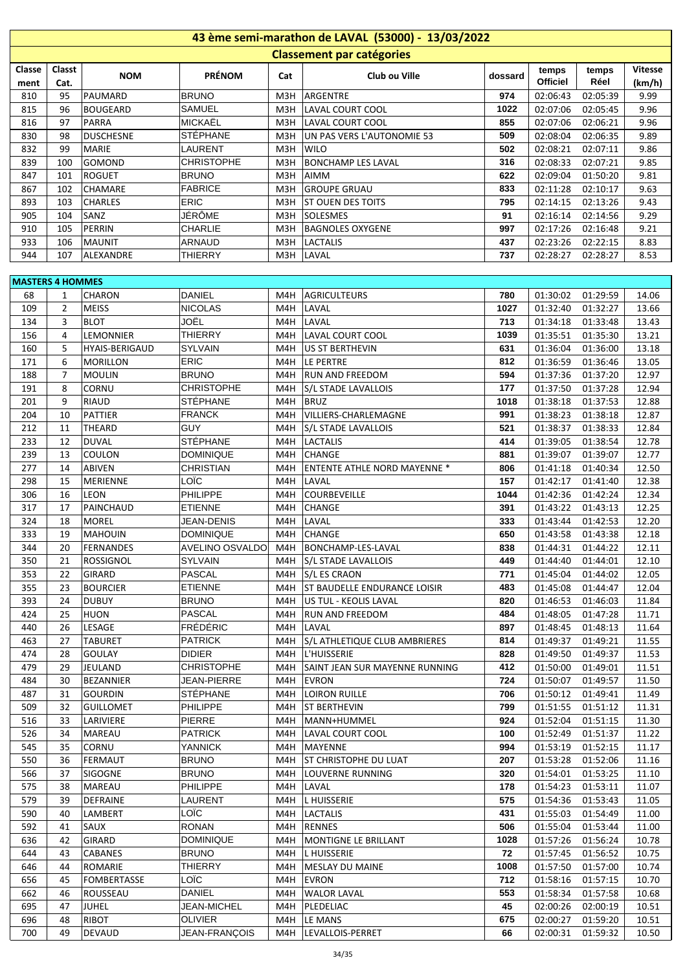| 43 ème semi-marathon de LAVAL (53000) - 13/03/2022 |                |                       |                    |     |                                        |            |                 |                   |                |  |  |
|----------------------------------------------------|----------------|-----------------------|--------------------|-----|----------------------------------------|------------|-----------------|-------------------|----------------|--|--|
|                                                    |                |                       |                    |     | <b>Classement par catégories</b>       |            |                 |                   |                |  |  |
| Classe                                             | Classt         |                       |                    |     |                                        |            | temps           | temps             | <b>Vitesse</b> |  |  |
| ment                                               | Cat.           | <b>NOM</b>            | <b>PRÉNOM</b>      | Cat | Club ou Ville                          | dossard    | <b>Officiel</b> | Réel              | (km/h)         |  |  |
| 810                                                | 95             | PAUMARD               | <b>BRUNO</b>       | M3H | ARGENTRE                               | 974        | 02:06:43        | 02:05:39          | 9.99           |  |  |
| 815                                                | 96             | <b>BOUGEARD</b>       | <b>SAMUEL</b>      | M3H | LAVAL COURT COOL                       | 1022       | 02:07:06        | 02:05:45          | 9.96           |  |  |
| 816                                                | 97             | <b>PARRA</b>          | <b>MICKAËL</b>     | МЗН | LAVAL COURT COOL                       | 855        | 02:07:06        | 02:06:21          | 9.96           |  |  |
| 830                                                | 98             | <b>DUSCHESNE</b>      | <b>STÉPHANE</b>    | МЗН | UN PAS VERS L'AUTONOMIE 53             | 509        | 02:08:04        | 02:06:35          | 9.89           |  |  |
| 832                                                | 99             | <b>MARIE</b>          | LAURENT            | M3H | <b>WILO</b>                            | 502        | 02:08:21        | 02:07:11          | 9.86           |  |  |
| 839                                                | 100            | GOMOND                | <b>CHRISTOPHE</b>  | M3H | <b>BONCHAMP LES LAVAL</b>              | 316        | 02:08:33        | 02:07:21          | 9.85           |  |  |
| 847                                                | 101            | <b>ROGUET</b>         | <b>BRUNO</b>       | M3H | AIMM                                   | 622        | 02:09:04        | 01:50:20          | 9.81           |  |  |
| 867                                                | 102            | <b>CHAMARE</b>        | <b>FABRICE</b>     | M3H | <b>GROUPE GRUAU</b>                    | 833        | 02:11:28        | 02:10:17          | 9.63           |  |  |
| 893                                                | 103            | <b>CHARLES</b>        | ERIC               | M3H | <b>ST OUEN DES TOITS</b>               | 795        | 02:14:15        | 02:13:26          | 9.43           |  |  |
| 905                                                | 104            | SANZ                  | JÉRÔME             | МЗН | <b>SOLESMES</b>                        | 91         | 02:16:14        | 02:14:56          | 9.29           |  |  |
| 910                                                | 105            | PERRIN                | CHARLIE            | M3H | <b>BAGNOLES OXYGENE</b>                | 997        | 02:17:26        | 02:16:48          | 9.21           |  |  |
| 933                                                | 106            | <b>MAUNIT</b>         | <b>ARNAUD</b>      | M3H | <b>LACTALIS</b>                        | 437        | 02:23:26        | 02:22:15          | 8.83           |  |  |
| 944                                                | 107            | ALEXANDRE             | <b>THIERRY</b>     | M3H | LAVAL                                  | 737        | 02:28:27        | 02:28:27          | 8.53           |  |  |
|                                                    |                |                       |                    |     |                                        |            |                 |                   |                |  |  |
| <b>MASTERS 4 HOMMES</b>                            |                |                       |                    |     |                                        |            |                 |                   |                |  |  |
| 68                                                 | 1              | <b>CHARON</b>         | <b>DANIEL</b>      | M4H | <b>AGRICULTEURS</b>                    | 780        | 01:30:02        | 01:29:59          | 14.06          |  |  |
| 109                                                | $\overline{2}$ | <b>MEISS</b>          | <b>NICOLAS</b>     | M4H | LAVAL                                  | 1027       | 01:32:40        | 01:32:27          | 13.66          |  |  |
| 134                                                | 3              | <b>BLOT</b>           | JOËL               | M4H | LAVAL                                  | 713        | 01:34:18        | 01:33:48          | 13.43          |  |  |
| 156                                                | 4              | LEMONNIER             | <b>THIERRY</b>     | M4H | LAVAL COURT COOL                       | 1039       | 01:35:51        | 01:35:30          | 13.21          |  |  |
| 160                                                | 5              | <b>HYAIS-BERIGAUD</b> | <b>SYLVAIN</b>     | M4H | <b>US ST BERTHEVIN</b>                 | 631        | 01:36:04        | 01:36:00          | 13.18          |  |  |
| 171                                                | 6              | <b>MORILLON</b>       | ERIC               | M4H | LE PERTRE                              | 812        | 01:36:59        | 01:36:46          | 13.05          |  |  |
| 188                                                | $\overline{7}$ | <b>MOULIN</b>         | <b>BRUNO</b>       | M4H | <b>RUN AND FREEDOM</b>                 | 594        | 01:37:36        | 01:37:20          | 12.97          |  |  |
| 191                                                | 8              | CORNU                 | <b>CHRISTOPHE</b>  | M4H | <b>S/L STADE LAVALLOIS</b>             | 177        | 01:37:50        | 01:37:28          | 12.94          |  |  |
| 201                                                | 9              | <b>RIAUD</b>          | STÉPHANE           | M4H | <b>BRUZ</b>                            | 1018       | 01:38:18        | 01:37:53          | 12.88          |  |  |
| 204                                                | 10             | PATTIER               | <b>FRANCK</b>      | M4H | VILLIERS-CHARLEMAGNE                   | 991        | 01:38:23        | 01:38:18          | 12.87          |  |  |
| 212                                                | 11             | THEARD                | <b>GUY</b>         | M4H | S/L STADE LAVALLOIS                    | 521        | 01:38:37        | 01:38:33          | 12.84          |  |  |
| 233                                                | 12             | <b>DUVAL</b>          | STÉPHANE           | M4H | LACTALIS                               | 414        | 01:39:05        | 01:38:54          | 12.78          |  |  |
| 239                                                | 13             | <b>COULON</b>         | <b>DOMINIQUE</b>   | M4H | <b>CHANGE</b>                          | 881        | 01:39:07        | 01:39:07          | 12.77          |  |  |
| 277                                                | 14             | ABIVEN                | <b>CHRISTIAN</b>   | M4H | <b>ENTENTE ATHLE NORD MAYENNE *</b>    |            | 01:41:18        | 01:40:34          | 12.50          |  |  |
| 298                                                | 15             | <b>MERIENNE</b>       | LOÏC               | M4H |                                        | 806<br>157 | 01:42:17        | 01:41:40          | 12.38          |  |  |
|                                                    |                |                       |                    |     | LAVAL                                  |            |                 |                   |                |  |  |
| 306                                                | 16             | LEON                  | PHILIPPE           | M4H | COURBEVEILLE                           | 1044       | 01:42:36        | 01:42:24          | 12.34          |  |  |
| 317                                                | 17             | PAINCHAUD             | <b>ETIENNE</b>     | M4H | <b>CHANGE</b>                          | 391        | 01:43:22        | 01:43:13          | 12.25          |  |  |
| 324                                                | 18             | MOREL                 | <b>JEAN-DENIS</b>  | M4H | LAVAL                                  | 333        | 01:43:44        | 01:42:53          | 12.20          |  |  |
| 333                                                | 19             | MAHOUIN               | <b>DOMINIQUE</b>   | M4H | <b>CHANGE</b>                          | 650        | 01:43:58        | 01:43:38          | 12.18          |  |  |
| 344                                                | 20             | FERNANDES             |                    |     | AVELINO OSVALDO M4H BONCHAMP-LES-LAVAL | 838        |                 | 01:44:31 01:44:22 | 12.11          |  |  |
| 350                                                | 21             | ROSSIGNOL             | <b>SYLVAIN</b>     | M4H | S/L STADE LAVALLOIS                    | 449        | 01:44:40        | 01:44:01          | 12.10          |  |  |
| 353                                                | 22             | <b>GIRARD</b>         | PASCAL             | M4H | S/L ES CRAON                           | 771        | 01:45:04        | 01:44:02          | 12.05          |  |  |
| 355                                                | 23             | <b>BOURCIER</b>       | <b>ETIENNE</b>     | M4H | ST BAUDELLE ENDURANCE LOISIR           | 483        | 01:45:08        | 01:44:47          | 12.04          |  |  |
| 393                                                | 24             | <b>DUBUY</b>          | <b>BRUNO</b>       | M4H | US TUL - KEOLIS LAVAL                  | 820        | 01:46:53        | 01:46:03          | 11.84          |  |  |
| 424                                                | 25             | <b>HUON</b>           | <b>PASCAL</b>      | M4H | <b>RUN AND FREEDOM</b>                 | 484        | 01:48:05        | 01:47:28          | 11.71          |  |  |
| 440                                                | 26             | LESAGE                | <b>FRÉDÉRIC</b>    | M4H | LAVAL                                  | 897        | 01:48:45        | 01:48:13          | 11.64          |  |  |
| 463                                                | 27             | <b>TABURET</b>        | <b>PATRICK</b>     | M4H | S/L ATHLETIQUE CLUB AMBRIERES          | 814        | 01:49:37        | 01:49:21          | 11.55          |  |  |
| 474                                                | 28             | <b>GOULAY</b>         | <b>DIDIER</b>      | M4H | L'HUISSERIE                            | 828        | 01:49:50        | 01:49:37          | 11.53          |  |  |
| 479                                                | 29             | JEULAND               | <b>CHRISTOPHE</b>  | M4H | SAINT JEAN SUR MAYENNE RUNNING         | 412        | 01:50:00        | 01:49:01          | 11.51          |  |  |
| 484                                                | 30             | <b>BEZANNIER</b>      | <b>JEAN-PIERRE</b> | M4H | EVRON                                  | 724        | 01:50:07        | 01:49:57          | 11.50          |  |  |
| 487                                                | 31             | <b>GOURDIN</b>        | <b>STÉPHANE</b>    | M4H | <b>LOIRON RUILLE</b>                   | 706        | 01:50:12        | 01:49:41          | 11.49          |  |  |
| 509                                                | 32             | <b>GUILLOMET</b>      | PHILIPPE           | M4H | <b>ST BERTHEVIN</b>                    | 799        | 01:51:55        | 01:51:12          | 11.31          |  |  |
| 516                                                | 33             | LARIVIERE             | <b>PIERRE</b>      | M4H | MANN+HUMMEL                            | 924        | 01:52:04        | 01:51:15          | 11.30          |  |  |
| 526                                                | 34             | MAREAU                | <b>PATRICK</b>     | M4H | LAVAL COURT COOL                       | 100        | 01:52:49        | 01:51:37          | 11.22          |  |  |
| 545                                                | 35             | CORNU                 | YANNICK            | M4H | MAYENNE                                | 994        | 01:53:19        | 01:52:15          | 11.17          |  |  |
| 550                                                | 36             | <b>FERMAUT</b>        | <b>BRUNO</b>       | M4H | ST CHRISTOPHE DU LUAT                  | 207        | 01:53:28        | 01:52:06          | 11.16          |  |  |
| 566                                                | 37             | <b>SIGOGNE</b>        | <b>BRUNO</b>       | M4H | LOUVERNE RUNNING                       | 320        | 01:54:01        | 01:53:25          | 11.10          |  |  |
| 575                                                | 38             | MAREAU                | <b>PHILIPPE</b>    | M4H | LAVAL                                  | 178        | 01:54:23        | 01:53:11          | 11.07          |  |  |
| 579                                                | 39             | <b>DEFRAINE</b>       | LAURENT            | M4H | <b>L HUISSERIE</b>                     | 575        | 01:54:36        | 01:53:43          | 11.05          |  |  |
| 590                                                | 40             | LAMBERT               | LOÏC               | M4H | LACTALIS                               | 431        | 01:55:03        | 01:54:49          | 11.00          |  |  |
| 592                                                | 41             | SAUX                  | <b>RONAN</b>       | M4H | RENNES                                 | 506        | 01:55:04        | 01:53:44          | 11.00          |  |  |
| 636                                                | 42             | GIRARD                | <b>DOMINIQUE</b>   | M4H | MONTIGNE LE BRILLANT                   | 1028       | 01:57:26        | 01:56:24          | 10.78          |  |  |
| 644                                                | 43             | <b>CABANES</b>        | <b>BRUNO</b>       | M4H | L HUISSERIE                            | 72         | 01:57:45        | 01:56:52          | 10.75          |  |  |
| 646                                                | 44             | ROMARIE               | <b>THIERRY</b>     | M4H | <b>MESLAY DU MAINE</b>                 | 1008       | 01:57:50        | 01:57:00          | 10.74          |  |  |
| 656                                                | 45             | <b>FOMBERTASSE</b>    | LOÏC               | M4H | <b>EVRON</b>                           | 712        | 01:58:16        | 01:57:15          | 10.70          |  |  |
| 662                                                | 46             | ROUSSEAU              | DANIEL             | M4H | <b>WALOR LAVAL</b>                     | 553        | 01:58:34        | 01:57:58          | 10.68          |  |  |
| 695                                                | 47             | <b>JUHEL</b>          | <b>JEAN-MICHEL</b> | M4H | PLEDELIAC                              | 45         | 02:00:26        | 02:00:19          | 10.51          |  |  |
| 696                                                | 48             | RIBOT                 | <b>OLIVIER</b>     | M4H | LE MANS                                | 675        | 02:00:27        | 01:59:20          | 10.51          |  |  |
| 700                                                | 49             | <b>DEVAUD</b>         | JEAN-FRANÇOIS      |     | M4H  LEVALLOIS-PERRET                  | 66         | 02:00:31        | 01:59:32          | 10.50          |  |  |